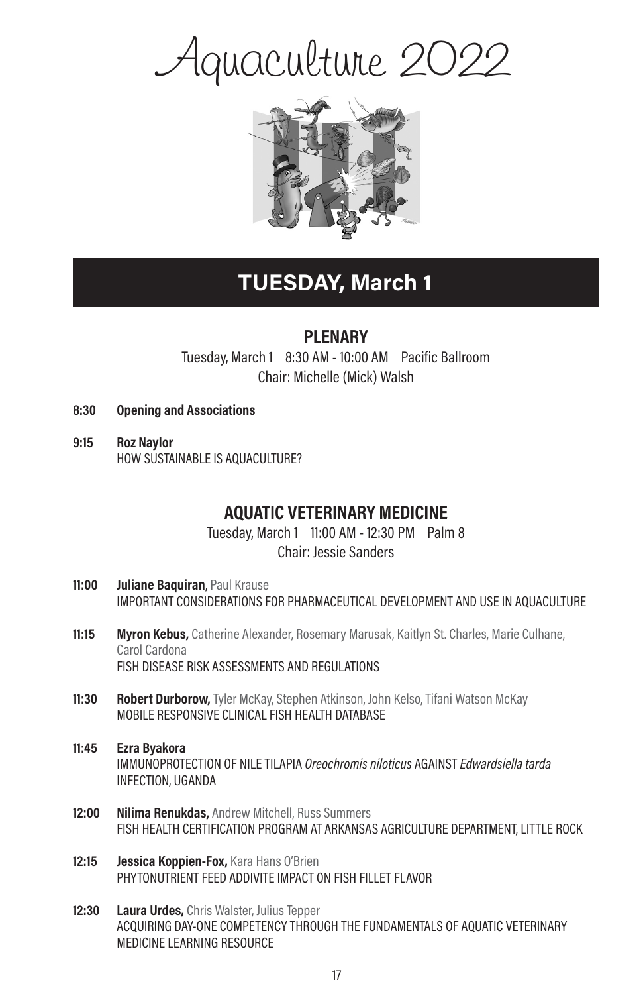# Aquaculture 2022



# TUESDAY, March 1

### **PI FNARY**

Tuesday, March 1 8:30 AM - 10:00 AM Pacific Ballroom Chair: Michelle (Mick) Walsh

- 8:30 Opening and Associations
- 9:15 Roz Naylor HOW SUSTAINABLE IS AQUACULTURE?

### AQUATIC VETERINARY MEDICINE

Tuesday, March 1 11:00 AM - 12:30 PM Palm 8 Chair: Jessie Sanders

- 11:00 Juliane Baquiran, Paul Krause IMPORTANT CONSIDERATIONS FOR PHARMACEUTICAL DEVELOPMENT AND USE IN AQUACULTURE
- **11:15 Myron Kebus,** Catherine Alexander, Rosemary Marusak, Kaitlyn St. Charles, Marie Culhane, Carol Cardona FISH DISEASE RISK ASSESSMENTS AND REGULATIONS
- 11:30 Robert Durborow, Tyler McKay, Stephen Atkinson, John Kelso, Tifani Watson McKay MOBILE RESPONSIVE CLINICAL FISH HEALTH DATABASE
- 11:45 Ezra Byakora IMMUNOPROTECTION OF NILE TILAPIA Oreochromis niloticus AGAINST Edwardsiella tarda INFECTION, UGANDA
- 12:00 Nilima Renukdas, Andrew Mitchell, Russ Summers FISH HEALTH CERTIFICATION PROGRAM AT ARKANSAS AGRICULTURE DEPARTMENT, LITTLE ROCK
- 12:15 **Jessica Koppien-Fox, Kara Hans O'Brien** PHYTONUTRIENT FEED ADDIVITE IMPACT ON FISH FILLET FLAVOR
- 12:30 Laura Urdes, Chris Walster, Julius Tepper ACQUIRING DAY-ONE COMPETENCY THROUGH THE FUNDAMENTALS OF AQUATIC VETERINARY MEDICINE LEARNING RESOURCE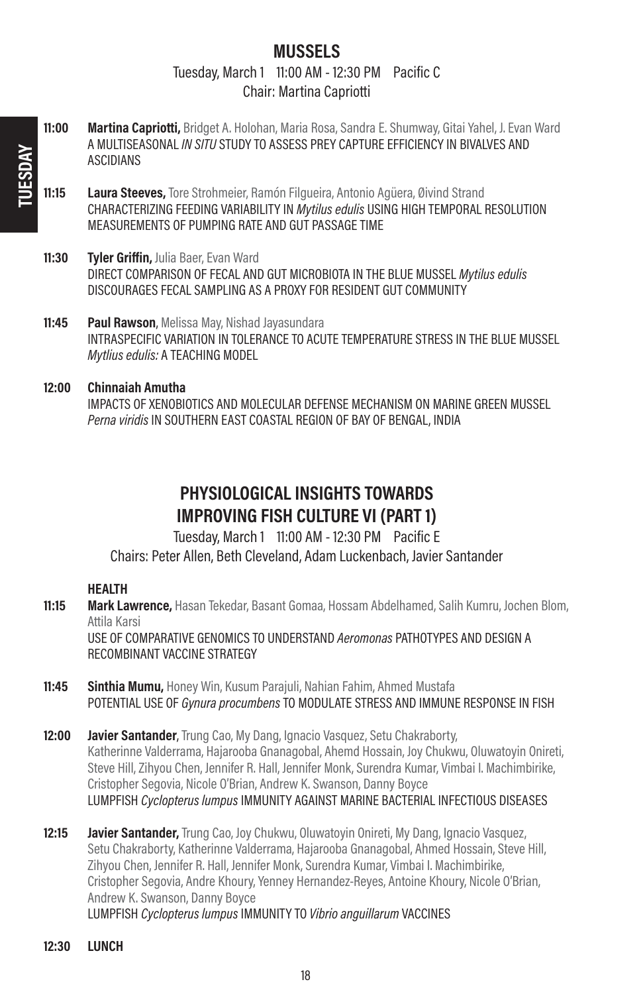### MUSSELS

Tuesday, March 1 11:00 AM - 12:30 PM Pacific C Chair: Martina Capriotti

- 11:00 Martina Capriotti, Bridget A. Holohan, Maria Rosa, Sandra E. Shumway, Gitai Yahel, J. Evan Ward A MULTISEASONAL IN SITU STUDY TO ASSESS PREY CAPTURE EFFICIENCY IN BIVALVES AND ASCIDIANS
- 11:15 Laura Steeves, Tore Strohmeier, Ramón Filgueira, Antonio Agüera, Øivind Strand CHARACTERIZING FEEDING VARIABILITY IN Mytilus edulis USING HIGH TEMPORAL RESOLUTION MEASUREMENTS OF PUMPING RATE AND GUT PASSAGE TIME
- 11:30 Tyler Griffin, Julia Baer, Evan Ward DIRECT COMPARISON OF FECAL AND GUT MICROBIOTA IN THE BLUE MUSSEL Mytilus edulis DISCOURAGES FECAL SAMPLING AS A PROXY FOR RESIDENT GUT COMMUNITY
- **11:45 Paul Rawson**, Melissa May, Nishad Jayasundara INTRASPECIFIC VARIATION IN TOLERANCE TO ACUTE TEMPERATURE STRESS IN THE BLUE MUSSEL Mytlius edulis: A TEACHING MODEL
- 12:00 Chinnaiah Amutha IMPACTS OF XENOBIOTICS AND MOLECULAR DEFENSE MECHANISM ON MARINE GREEN MUSSEL Perna viridis IN SOUTHERN EAST COASTAL REGION OF BAY OF BENGAL, INDIA

### PHYSIOLOGICAL INSIGHTS TOWARDS IMPROVING FISH CULTURE VI (PART 1)

Tuesday, March 1 11:00 AM - 12:30 PM Pacific E Chairs: Peter Allen, Beth Cleveland, Adam Luckenbach, Javier Santander

#### HEALTH

- **11:15 Mark Lawrence,** Hasan Tekedar, Basant Gomaa, Hossam Abdelhamed, Salih Kumru, Jochen Blom, Attila Karsi USE OF COMPARATIVE GENOMICS TO UNDERSTAND Aeromonas PATHOTYPES AND DESIGN A RECOMBINANT VACCINE STRATEGY
- 11:45 Sinthia Mumu, Honey Win, Kusum Parajuli, Nahian Fahim, Ahmed Mustafa POTENTIAL USE OF Gynura procumbens TO MODULATE STRESS AND IMMUNE RESPONSE IN FISH
- 12:00 Javier Santander, Trung Cao, My Dang, Ignacio Vasquez, Setu Chakraborty, Katherinne Valderrama, Hajarooba Gnanagobal, Ahemd Hossain, Joy Chukwu, Oluwatoyin Onireti, Steve Hill, Zihyou Chen, Jennifer R. Hall, Jennifer Monk, Surendra Kumar, Vimbai I. Machimbirike, Cristopher Segovia, Nicole O'Brian, Andrew K. Swanson, Danny Boyce LUMPFISH Cyclopterus lumpus IMMUNITY AGAINST MARINE BACTERIAL INFECTIOUS DISEASES
- **12:15 Javier Santander,** Trung Cao, Joy Chukwu, Oluwatoyin Onireti, My Dang, Ignacio Vasquez, Setu Chakraborty, Katherinne Valderrama, Hajarooba Gnanagobal, Ahmed Hossain, Steve Hill, Zihyou Chen, Jennifer R. Hall, Jennifer Monk, Surendra Kumar, Vimbai I. Machimbirike, Cristopher Segovia, Andre Khoury, Yenney Hernandez-Reyes, Antoine Khoury, Nicole O'Brian, Andrew K. Swanson, Danny Boyce LUMPFISH Cyclopterus lumpus IMMUNITY TO Vibrio anguillarum VACCINES

18

12:30 LUNCH

TUESDAY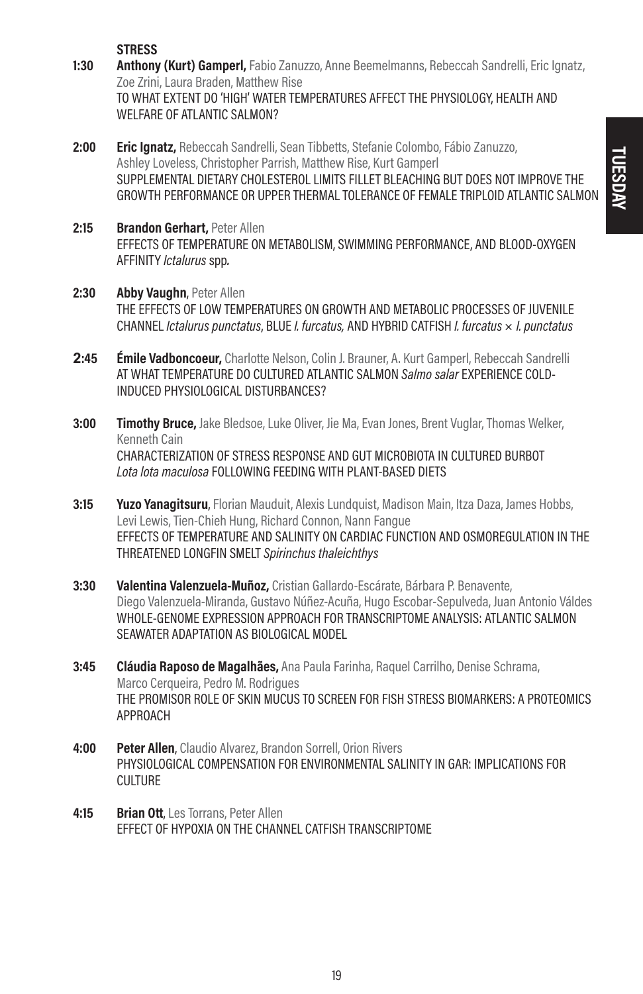STRESS<br>1:30 Anthony Anthony (Kurt) Gamperl, Fabio Zanuzzo, Anne Beemelmanns, Rebeccah Sandrelli, Eric Ignatz, Zoe Zrini, Laura Braden, Matthew Rise TO WHAT EXTENT DO 'HIGH' WATER TEMPERATURES AFFECT THE PHYSIOLOGY, HEALTH AND WELFARE OF ATLANTIC SALMON?

- 2:00 **Eric Ignatz,** Rebeccah Sandrelli, Sean Tibbetts, Stefanie Colombo, Fábio Zanuzzo, Ashley Loveless, Christopher Parrish, Matthew Rise, Kurt Gamperl SUPPLEMENTAL DIETARY CHOLESTEROL LIMITS FILLET BLEACHING BUT DOES NOT IMPROVE THE GROWTH PERFORMANCE OR UPPER THERMAL TOLERANCE OF FEMALE TRIPLOID ATLANTIC SALMON
- 2:15 Brandon Gerhart, Peter Allen EFFECTS OF TEMPERATURE ON METABOLISM, SWIMMING PERFORMANCE, AND BLOOD-OXYGEN AFFINITY Ictalurus spp.
- 2:30 Abby Vaughn, Peter Allen THE EFFECTS OF LOW TEMPERATURES ON GROWTH AND METABOLIC PROCESSES OF JUVENILE CHANNEL Ictalurus punctatus, BLUE I. furcatus, AND HYBRID CATFISH I. furcatus  $\times$  I. punctatus
- **2**:45 Émile Vadboncoeur, Charlotte Nelson, Colin J. Brauner, A. Kurt Gamperl, Rebeccah Sandrelli AT WHAT TEMPERATURE DO CULTURED ATLANTIC SALMON Salmo salar EXPERIENCE COLD-INDUCED PHYSIOLOGICAL DISTURBANCES?
- 3:00 Timothy Bruce, Jake Bledsoe, Luke Oliver, Jie Ma, Evan Jones, Brent Vuglar, Thomas Welker, Kenneth Cain CHARACTERIZATION OF STRESS RESPONSE AND GUT MICROBIOTA IN CULTURED BURBOT Lota lota maculosa FOLLOWING FEEDING WITH PLANT-BASED DIETS
- **3:15 Yuzo Yanagitsuru**, Florian Mauduit, Alexis Lundquist, Madison Main, Itza Daza, James Hobbs, Levi Lewis, Tien-Chieh Hung, Richard Connon, Nann Fangue EFFECTS OF TEMPERATURE AND SALINITY ON CARDIAC FUNCTION AND OSMOREGULATION IN THE THREATENED LONGFIN SMELT Spirinchus thaleichthys
- 3:30 Valentina Valenzuela-Muñoz, Cristian Gallardo-Escárate, Bárbara P. Benavente, Diego Valenzuela-Miranda, Gustavo Núñez-Acuña, Hugo Escobar-Sepulveda, Juan Antonio Váldes WHOLE-GENOME EXPRESSION APPROACH FOR TRANSCRIPTOME ANALYSIS: ATLANTIC SALMON SEAWATER ADAPTATION AS BIOLOGICAL MODEL
- 3:45 Cláudia Raposo de Magalhães, Ana Paula Farinha, Raquel Carrilho, Denise Schrama, Marco Cerqueira, Pedro M. Rodrigues THE PROMISOR ROLE OF SKIN MUCUS TO SCREEN FOR FISH STRESS BIOMARKERS: A PROTEOMICS APPROACH
- **4:00 Peter Allen**, Claudio Alvarez, Brandon Sorrell, Orion Rivers PHYSIOLOGICAL COMPENSATION FOR ENVIRONMENTAL SALINITY IN GAR: IMPLICATIONS FOR CULTURE
- 4:15 Brian Ott, Les Torrans, Peter Allen EFFECT OF HYPOXIA ON THE CHANNEL CATFISH TRANSCRIPTOME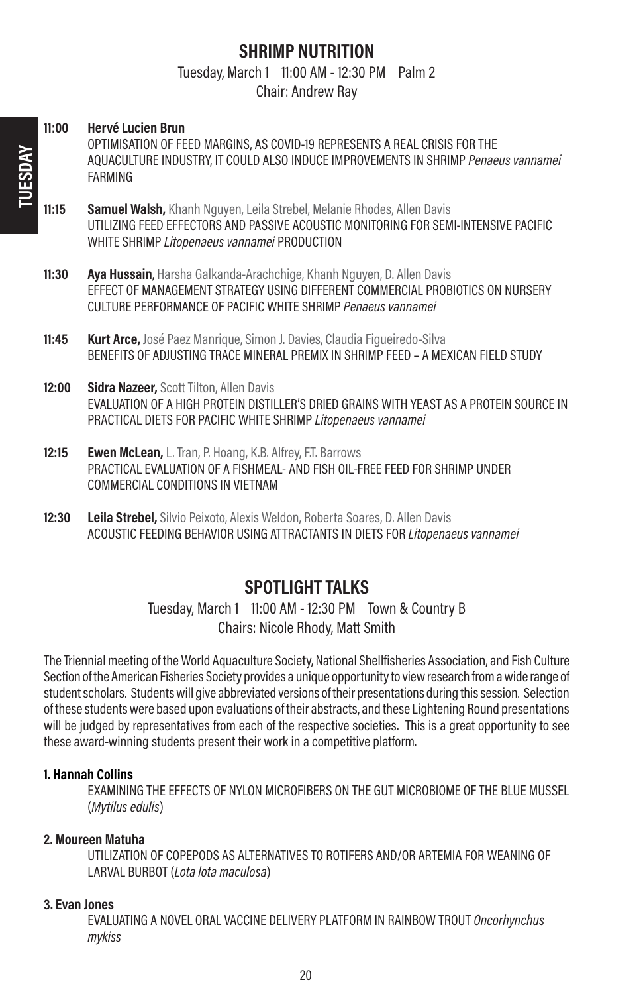### SHRIMP NUTRITION

Tuesday, March 1 11:00 AM - 12:30 PM Palm 2

Chair: Andrew Ray

- 11:00 Hervé Lucien Brun OPTIMISATION OF FEED MARGINS, AS COVID-19 REPRESENTS A REAL CRISIS FOR THE AQUACULTURE INDUSTRY, IT COULD ALSO INDUCE IMPROVEMENTS IN SHRIMP Penaeus vannamei FARMING **11:15 Samuel Walsh,** Khanh Nguyen, Leila Strebel, Melanie Rhodes, Allen Davis UTILIZING FEED EFFECTORS AND PASSIVE ACOUSTIC MONITORING FOR SEMI-INTENSIVE PACIFIC WHITE SHRIMP Litopenaeus vannamei PRODUCTION 11:30 Ava Hussain, Harsha Galkanda-Arachchige, Khanh Nguyen, D. Allen Davis EFFECT OF MANAGEMENT STRATEGY USING DIFFERENT COMMERCIAL PROBIOTICS ON NURSERY CULTURE PERFORMANCE OF PACIFIC WHITE SHRIMP Penaeus vannamei 11:45 **Kurt Arce,** José Paez Manrique, Simon J. Davies, Claudia Figueiredo-Silva BENEFITS OF ADJUSTING TRACE MINERAL PREMIX IN SHRIMP FEED – A MEXICAN FIELD STUDY 12:00 Sidra Nazeer, Scott Tilton, Allen Davis EVALUATION OF A HIGH PROTEIN DISTILLER'S DRIED GRAINS WITH YEAST AS A PROTEIN SOURCE IN PRACTICAL DIETS FOR PACIFIC WHITE SHRIMP Litopenaeus vannamei 12:15 Ewen McLean, L. Tran, P. Hoang, K.B. Alfrey, F.T. Barrows PRACTICAL EVALUATION OF A FISHMEAL- AND FISH OIL-FREE FEED FOR SHRIMP UNDER COMMERCIAL CONDITIONS IN VIETNAM
- **12:30 Leila Strebel,** Silvio Peixoto, Alexis Weldon, Roberta Soares, D. Allen Davis ACOUSTIC FEEDING BEHAVIOR USING ATTRACTANTS IN DIETS FOR Litopenaeus vannamei

### SPOTLIGHT TALKS

Tuesday, March 1 11:00 AM - 12:30 PM Town & Country B Chairs: Nicole Rhody, Matt Smith

The Triennial meeting of the World Aquaculture Society, National Shellfisheries Association, and Fish Culture Section of the American Fisheries Society provides a unique opportunity to view research from a wide range of student scholars. Students will give abbreviated versions of their presentations during this session. Selection of these students were based upon evaluations of their abstracts, and these Lightening Round presentations will be judged by representatives from each of the respective societies. This is a great opportunity to see these award-winning students present their work in a competitive platform.

#### 1. Hannah Collins

EXAMINING THE EFFECTS OF NYLON MICROFIBERS ON THE GUT MICROBIOME OF THE BLUE MUSSEL (Mytilus edulis)

#### 2. Moureen Matuha

UTILIZATION OF COPEPODS AS ALTERNATIVES TO ROTIFERS AND/OR ARTEMIA FOR WEANING OF LARVAL BURBOT (Lota lota maculosa)

#### 3. Evan Jones

EVALUATING A NOVEL ORAL VACCINE DELIVERY PLATFORM IN RAINBOW TROUT Oncorhynchus mykiss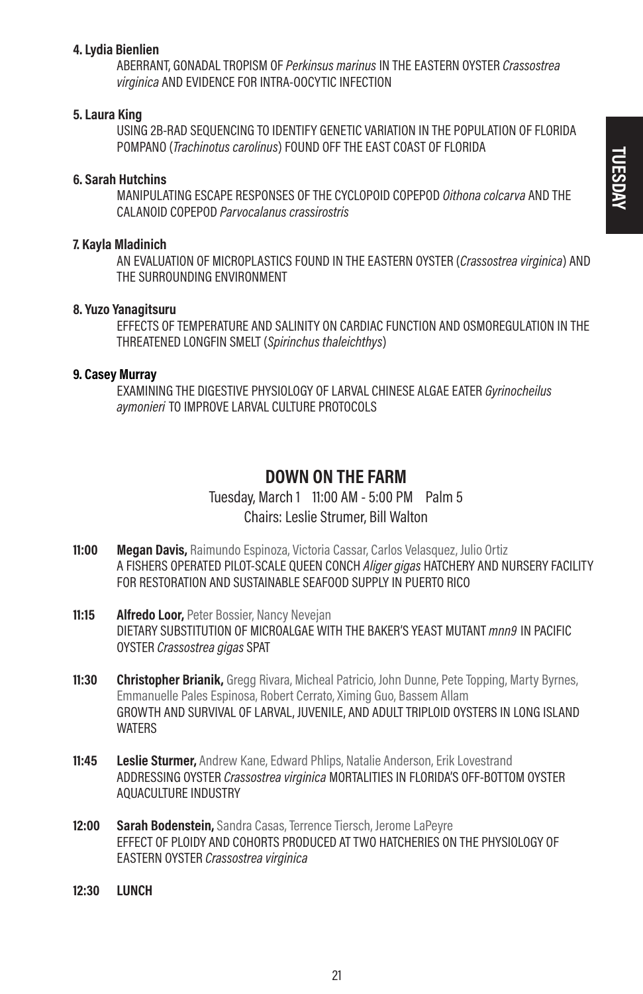#### 4. Lydia Bienlien

ABERRANT, GONADAL TROPISM OF Perkinsus marinus IN THE EASTERN OYSTER Crassostrea virginica AND EVIDENCE FOR INTRA-OOCYTIC INFECTION

#### 5. Laura King

USING 2B-RAD SEQUENCING TO IDENTIFY GENETIC VARIATION IN THE POPULATION OF FLORIDA POMPANO (Trachinotus carolinus) FOUND OFF THE EAST COAST OF FLORIDA

#### 6. Sarah Hutchins

MANIPULATING ESCAPE RESPONSES OF THE CYCLOPOID COPEPOD Oithona colcarva AND THE CALANOID COPEPOD Parvocalanus crassirostris

#### 7. Kayla Mladinich

AN EVALUATION OF MICROPLASTICS FOUND IN THE EASTERN OYSTER (Crassostrea virginica) AND THE SURROUNDING ENVIRONMENT

#### 8. Yuzo Yanagitsuru

EFFECTS OF TEMPERATURE AND SALINITY ON CARDIAC FUNCTION AND OSMOREGULATION IN THE THREATENED LONGFIN SMELT (Spirinchus thaleichthys)

#### 9. Casey Murray

EXAMINING THE DIGESTIVE PHYSIOLOGY OF LARVAL CHINESE ALGAE EATER Gyrinocheilus aymonieri TO IMPROVE LARVAL CULTURE PROTOCOLS

#### DOWN ON THE FARM

Tuesday, March 1 11:00 AM - 5:00 PM Palm 5 Chairs: Leslie Strumer, Bill Walton

- 11:00 Megan Davis, Raimundo Espinoza, Victoria Cassar, Carlos Velasquez, Julio Ortiz A FISHERS OPERATED PILOT-SCALE QUEEN CONCH Aliger gigas HATCHERY AND NURSERY FACILITY FOR RESTORATION AND SUSTAINABLE SEAFOOD SUPPLY IN PUERTO RICO
- 11:15 Alfredo Loor, Peter Bossier, Nancy Nevejan DIETARY SUBSTITUTION OF MICROALGAE WITH THE BAKER'S YEAST MUTANT *mnn9* IN PACIFIC OYSTER Crassostrea gigas SPAT
- 11:30 Christopher Brianik, Gregg Rivara, Micheal Patricio, John Dunne, Pete Topping, Marty Byrnes, Emmanuelle Pales Espinosa, Robert Cerrato, Ximing Guo, Bassem Allam GROWTH AND SURVIVAL OF LARVAL, JUVENILE, AND ADULT TRIPLOID OYSTERS IN LONG ISLAND **WATFRS**
- **11:45** Leslie Sturmer, Andrew Kane, Edward Phlips, Natalie Anderson, Erik Lovestrand ADDRESSING OYSTER Crassostrea virginica MORTALITIES IN FLORIDA'S OFF-BOTTOM OYSTER AQUACULTURE INDUSTRY
- 12:00 Sarah Bodenstein, Sandra Casas, Terrence Tiersch, Jerome LaPeyre EFFECT OF PLOIDY AND COHORTS PRODUCED AT TWO HATCHERIES ON THE PHYSIOLOGY OF EASTERN OYSTER Crassostrea virginica
- 12:30 LUNCH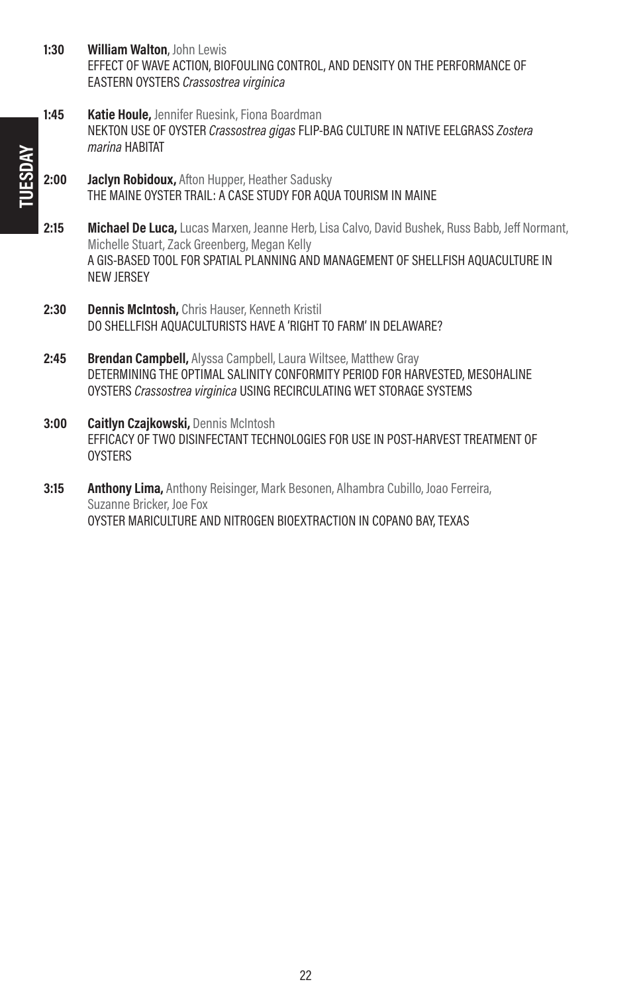- 1:30 William Walton, John Lewis EFFECT OF WAVE ACTION, BIOFOULING CONTROL, AND DENSITY ON THE PERFORMANCE OF EASTERN OYSTERS Crassostrea virginica
- 1:45 Katie Houle, Jennifer Ruesink, Fiona Boardman NEKTON USE OF OYSTER Crassostrea gigas FLIP-BAG CULTURE IN NATIVE EELGRASS Zostera marina HABITAT
- 2:00 Jaclyn Robidoux, Afton Hupper, Heather Sadusky THE MAINE OYSTER TRAIL: A CASE STUDY FOR AQUA TOURISM IN MAINE
- 2:15 Michael De Luca, Lucas Marxen, Jeanne Herb, Lisa Calvo, David Bushek, Russ Babb, Jeff Normant, Michelle Stuart, Zack Greenberg, Megan Kelly A GIS-BASED TOOL FOR SPATIAL PLANNING AND MANAGEMENT OF SHELLFISH AQUACULTURE IN NEW JERSEY
- 2:30 Dennis McIntosh, Chris Hauser, Kenneth Kristil DO SHELLFISH AQUACULTURISTS HAVE A 'RIGHT TO FARM' IN DELAWARE?
- 2:45 Brendan Campbell, Alyssa Campbell, Laura Wiltsee, Matthew Gray DETERMINING THE OPTIMAL SALINITY CONFORMITY PERIOD FOR HARVESTED, MESOHALINE OYSTERS Crassostrea virginica USING RECIRCULATING WET STORAGE SYSTEMS
- 3:00 Caitlyn Czajkowski, Dennis McIntosh EFFICACY OF TWO DISINFECTANT TECHNOLOGIES FOR USE IN POST-HARVEST TREATMENT OF **OYSTERS**
- **3:15 Anthony Lima,** Anthony Reisinger, Mark Besonen, Alhambra Cubillo, Joao Ferreira, Suzanne Bricker, Joe Fox OYSTER MARICULTURE AND NITROGEN BIOEXTRACTION IN COPANO BAY, TEXAS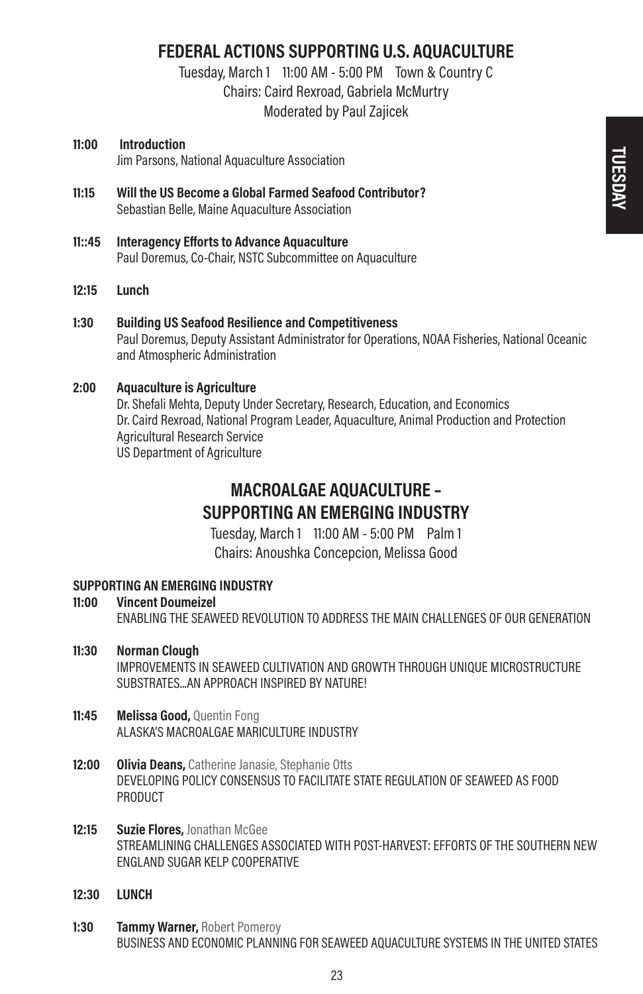### FEDERAL ACTIONS SUPPORTING U.S. AQUACULTURE

Tuesday, March 1 11:00 AM - 5:00 PM Town & Country C Chairs: Caird Rexroad, Gabriela McMurtry Moderated by Paul Zajicek

#### 11:00 Introduction Jim Parsons, National Aquaculture Association

- 11:15 Will the US Become a Global Farmed Seafood Contributor? Sebastian Belle, Maine Aquaculture Association
- 11::45 Interagency Efforts to Advance Aquaculture Paul Doremus, Co-Chair, NSTC Subcommittee on Aquaculture
- 12:15 Lunch
- 1:30 Building US Seafood Resilience and Competitiveness Paul Doremus, Deputy Assistant Administrator for Operations, NOAA Fisheries, National Oceanic and Atmospheric Administration

#### 2:00 Aquaculture is Agriculture

Dr. Shefali Mehta, Deputy Under Secretary, Research, Education, and Economics Dr. Caird Rexroad, National Program Leader, Aquaculture, Animal Production and Protection Agricultural Research Service US Department of Agriculture

### MACROALGAE AQUACULTURE – SUPPORTING AN EMERGING INDUSTRY

Tuesday, March 1 11:00 AM - 5:00 PM Palm 1 Chairs: Anoushka Concepcion, Melissa Good

# SUPPORTING AN EMERGING INDUSTRY<br>11:00 Vincent Doumeizel

- **Vincent Doumeizel** ENABLING THE SEAWEED REVOLUTION TO ADDRESS THE MAIN CHALLENGES OF OUR GENERATION
- 11:30 Norman Clough IMPROVEMENTS IN SEAWEED CULTIVATION AND GROWTH THROUGH UNIQUE MICROSTRUCTURE SUBSTRATES...AN APPROACH INSPIRED BY NATURE!
- 11:45 Melissa Good, Quentin Fong ALASKA'S MACROALGAE MARICULTURE INDUSTRY
- 12:00 Olivia Deans, Catherine Janasie, Stephanie Otts DEVELOPING POLICY CONSENSUS TO FACILITATE STATE REGULATION OF SEAWEED AS FOOD **PRODUCT**
- 12:15 Suzie Flores, Jonathan McGee STREAMLINING CHALLENGES ASSOCIATED WITH POST-HARVEST: EFFORTS OF THE SOUTHERN NEW ENGLAND SUGAR KELP COOPERATIVE
- 12:30 **LUNCH**
- 1:30 **Tammy Warner, Robert Pomeroy** BUSINESS AND ECONOMIC PLANNING FOR SEAWEED AQUACULTURE SYSTEMS IN THE UNITED STATES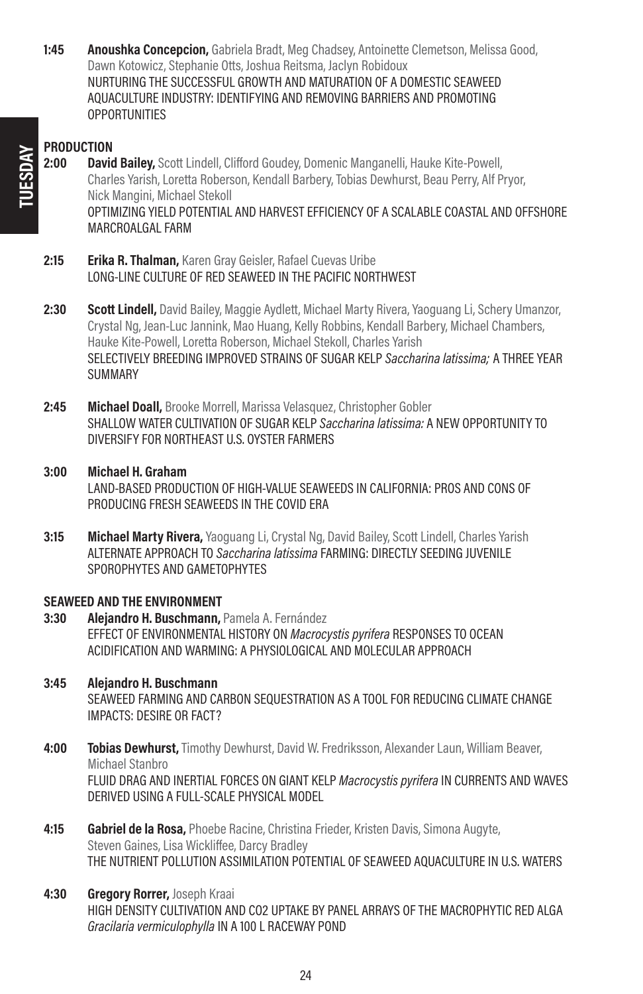**1:45 Anoushka Concepcion,** Gabriela Bradt, Meg Chadsey, Antoinette Clemetson, Melissa Good, Dawn Kotowicz, Stephanie Otts, Joshua Reitsma, Jaclyn Robidoux NURTURING THE SUCCESSFUL GROWTH AND MATURATION OF A DOMESTIC SEAWEED AQUACULTURE INDUSTRY: IDENTIFYING AND REMOVING BARRIERS AND PROMOTING **OPPORTUNITIES** 

#### **PRODUCTION**

- 2:00 David Bailey, Scott Lindell, Clifford Goudey, Domenic Manganelli, Hauke Kite-Powell, Charles Yarish, Loretta Roberson, Kendall Barbery, Tobias Dewhurst, Beau Perry, Alf Pryor, Nick Mangini, Michael Stekoll OPTIMIZING YIELD POTENTIAL AND HARVEST EFFICIENCY OF A SCALABLE COASTAL AND OFFSHORE MARCROALGAL FARM
- 2:15 **Erika R. Thalman,** Karen Gray Geisler, Rafael Cuevas Uribe LONG-LINE CULTURE OF RED SEAWEED IN THE PACIFIC NORTHWEST
- 2:30 Scott Lindell, David Bailey, Maggie Aydlett, Michael Marty Rivera, Yaoguang Li, Schery Umanzor, Crystal Ng, Jean-Luc Jannink, Mao Huang, Kelly Robbins, Kendall Barbery, Michael Chambers, Hauke Kite-Powell, Loretta Roberson, Michael Stekoll, Charles Yarish SELECTIVELY BREEDING IMPROVED STRAINS OF SUGAR KELP Saccharina latissima: A THREE YEAR **SUMMARY**
- 2:45 Michael Doall, Brooke Morrell, Marissa Velasquez, Christopher Gobler SHALLOW WATER CULTIVATION OF SUGAR KELP Saccharina latissima: A NEW OPPORTUNITY TO DIVERSIFY FOR NORTHEAST U.S. OYSTER FARMERS
- 3:00 Michael H. Graham

LAND-BASED PRODUCTION OF HIGH-VALUE SEAWEEDS IN CALIFORNIA: PROS AND CONS OF PRODUCING FRESH SEAWEEDS IN THE COVID ERA

3:15 Michael Marty Rivera, Yaoguang Li, Crystal Ng, David Bailey, Scott Lindell, Charles Yarish ALTERNATE APPROACH TO Saccharina latissima FARMING: DIRECTLY SEEDING JUVENILE SPOROPHYTES AND GAMETOPHYTES

#### SEAWEED AND THE ENVIRONMENT

- 3:30 Alejandro H. Buschmann, Pamela A. Fernández EFFECT OF ENVIRONMENTAL HISTORY ON Macrocystis pyrifera RESPONSES TO OCEAN ACIDIFICATION AND WARMING: A PHYSIOLOGICAL AND MOLECULAR APPROACH
- 3:45 Alejandro H. Buschmann SEAWEED FARMING AND CARBON SEQUESTRATION AS A TOOL FOR REDUCING CLIMATE CHANGE IMPACTS: DESIRE OR FACT?
- **4:00 Tobias Dewhurst,** Timothy Dewhurst, David W. Fredriksson, Alexander Laun, William Beaver, Michael Stanbro FLUID DRAG AND INERTIAL FORCES ON GIANT KELP Macrocystis pyrifera IN CURRENTS AND WAVES DERIVED USING A FULL-SCALE PHYSICAL MODEL
- 4:15 Gabriel de la Rosa, Phoebe Racine, Christina Frieder, Kristen Davis, Simona Augyte, Steven Gaines, Lisa Wickliffee, Darcy Bradley THE NUTRIENT POLLUTION ASSIMILATION POTENTIAL OF SEAWEED AQUACULTURE IN U.S. WATERS
- 4:30 Gregory Rorrer, Joseph Kraai HIGH DENSITY CULTIVATION AND CO2 UPTAKE BY PANEL ARRAYS OF THE MACROPHYTIC RED ALGA Gracilaria vermiculophylla IN A 100 L RACEWAY POND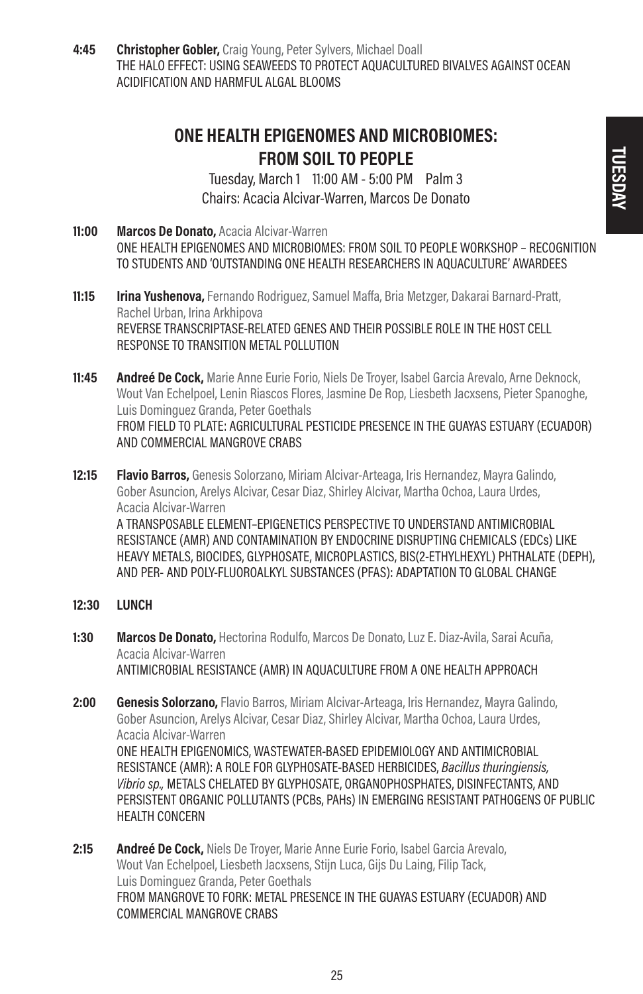4:45 Christopher Gobler, Craig Young, Peter Sylvers, Michael Doall THE HALO EFFECT: USING SEAWEEDS TO PROTECT AQUACULTURED BIVALVES AGAINST OCEAN ACIDIFICATION AND HARMFUL ALGAL BLOOMS

### ONE HEALTH EPIGENOMES AND MICROBIOMES: FROM SOIL TO PEOPLE

Tuesday, March 1 11:00 AM - 5:00 PM Palm 3 Chairs: Acacia Alcivar-Warren, Marcos De Donato

- 11:00 Marcos De Donato, Acacia Alcivar-Warren ONE HEALTH EPIGENOMES AND MICROBIOMES: FROM SOIL TO PEOPLE WORKSHOP – RECOGNITION TO STUDENTS AND 'OUTSTANDING ONE HEALTH RESEARCHERS IN AQUACULTURE' AWARDEES
- 11:15 **Irina Yushenova,** Fernando Rodriguez, Samuel Maffa, Bria Metzger, Dakarai Barnard-Pratt, Rachel Urban, Irina Arkhipova REVERSE TRANSCRIPTASE-RELATED GENES AND THEIR POSSIBLE ROLE IN THE HOST CELL RESPONSE TO TRANSITION METAL POLLUTION
- **11:45 Andreé De Cock,** Marie Anne Eurie Forio, Niels De Trover, Isabel Garcia Arevalo, Arne Deknock, Wout Van Echelpoel, Lenin Riascos Flores, Jasmine De Rop, Liesbeth Jacxsens, Pieter Spanoghe, Luis Dominguez Granda, Peter Goethals FROM FIELD TO PLATE: AGRICULTURAL PESTICIDE PRESENCE IN THE GUAYAS ESTUARY (ECUADOR) AND COMMERCIAL MANGROVE CRABS
- 12:15 **Flavio Barros,** Genesis Solorzano, Miriam Alcivar-Arteaga, Iris Hernandez, Mayra Galindo, Gober Asuncion, Arelys Alcivar, Cesar Diaz, Shirley Alcivar, Martha Ochoa, Laura Urdes, Acacia Alcivar-Warren A TRANSPOSABLE ELEMENT–EPIGENETICS PERSPECTIVE TO UNDERSTAND ANTIMICROBIAL RESISTANCE (AMR) AND CONTAMINATION BY ENDOCRINE DISRUPTING CHEMICALS (EDCs) LIKE HEAVY METALS, BIOCIDES, GLYPHOSATE, MICROPLASTICS, BIS(2-ETHYLHEXYL) PHTHALATE (DEPH), AND PER- AND POLY-FLUOROALKYL SUBSTANCES (PFAS): ADAPTATION TO GLOBAL CHANGE
- 12:30 LUNCH
- 1:30 Marcos De Donato, Hectorina Rodulfo, Marcos De Donato, Luz E. Diaz-Avila, Sarai Acuña, Acacia Alcivar-Warren ANTIMICROBIAL RESISTANCE (AMR) IN AQUACULTURE FROM A ONE HEALTH APPROACH
- 2:00 Genesis Solorzano, Flavio Barros, Miriam Alcivar-Arteaga, Iris Hernandez, Mayra Galindo, Gober Asuncion, Arelys Alcivar, Cesar Diaz, Shirley Alcivar, Martha Ochoa, Laura Urdes, Acacia Alcivar-Warren ONE HEALTH EPIGENOMICS, WASTEWATER-BASED EPIDEMIOLOGY AND ANTIMICROBIAL RESISTANCE (AMR): A ROLE FOR GLYPHOSATE-BASED HERBICIDES, Bacillus thuringiensis, Vibrio sp., METALS CHELATED BY GLYPHOSATE, ORGANOPHOSPHATES, DISINFECTANTS, AND PERSISTENT ORGANIC POLLUTANTS (PCBs, PAHs) IN EMERGING RESISTANT PATHOGENS OF PUBLIC HEALTH CONCERN
- 2:15 **Andreé De Cock,** Niels De Troyer, Marie Anne Eurie Forio, Isabel Garcia Arevalo, Wout Van Echelpoel, Liesbeth Jacxsens, Stijn Luca, Gijs Du Laing, Filip Tack, Luis Dominguez Granda, Peter Goethals FROM MANGROVE TO FORK: METAL PRESENCE IN THE GUAYAS ESTUARY (ECUADOR) AND COMMERCIAL MANGROVE CRABS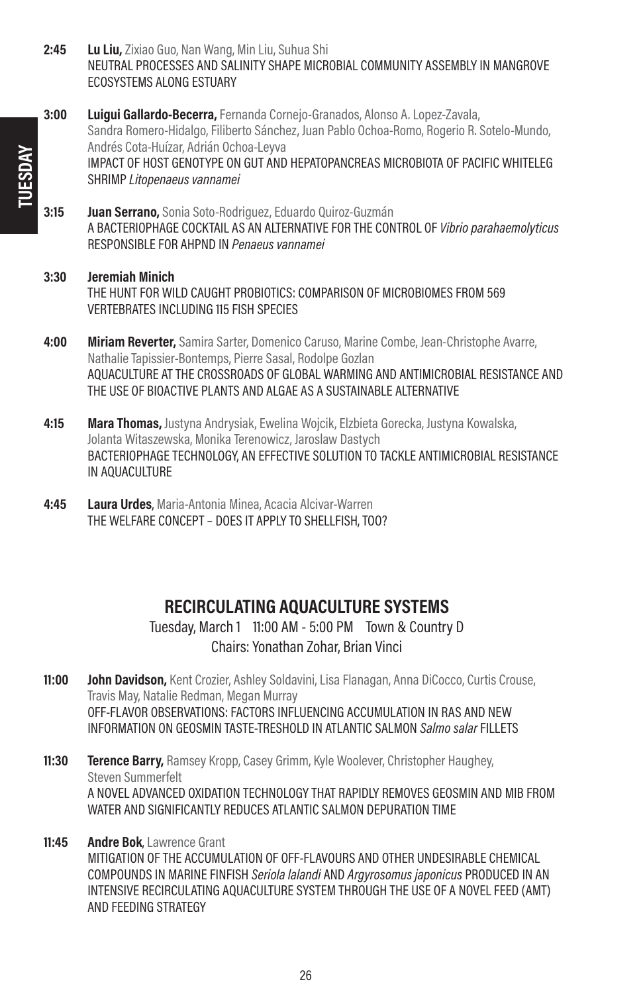- 2:45 Lu Liu, Zixiao Guo, Nan Wang, Min Liu, Suhua Shi NEUTRAL PROCESSES AND SALINITY SHAPE MICROBIAL COMMUNITY ASSEMBLY IN MANGROVE ECOSYSTEMS ALONG ESTUARY
- 3:00 Luigui Gallardo-Becerra, Fernanda Cornejo-Granados, Alonso A. Lopez-Zavala, Sandra Romero-Hidalgo, Filiberto Sánchez, Juan Pablo Ochoa-Romo, Rogerio R. Sotelo-Mundo, Andrés Cota-Huízar, Adrián Ochoa-Leyva IMPACT OF HOST GENOTYPE ON GUT AND HEPATOPANCREAS MICROBIOTA OF PACIFIC WHITELEG SHRIMP Litopenaeus vannamei
- 3:15 **Juan Serrano,** Sonia Soto-Rodriguez, Eduardo Quiroz-Guzmán A BACTERIOPHAGE COCKTAIL AS AN ALTERNATIVE FOR THE CONTROL OF Vibrio parahaemolyticus RESPONSIBLE FOR AHPND IN Penaeus vannamei

#### 3:30 Jeremiah Minich THE HUNT FOR WILD CAUGHT PROBIOTICS: COMPARISON OF MICROBIOMES FROM 569 VERTEBRATES INCLUDING 115 FISH SPECIES

- **4:00 Miriam Reverter,** Samira Sarter, Domenico Caruso, Marine Combe, Jean-Christophe Avarre, Nathalie Tapissier-Bontemps, Pierre Sasal, Rodolpe Gozlan AQUACULTURE AT THE CROSSROADS OF GLOBAL WARMING AND ANTIMICROBIAL RESISTANCE AND THE USE OF BIOACTIVE PLANTS AND ALGAE AS A SUSTAINABLE ALTERNATIVE
- **4:15 Mara Thomas,** Justyna Andrysiak, Ewelina Wojcik, Elzbieta Gorecka, Justyna Kowalska, Jolanta Witaszewska, Monika Terenowicz, Jaroslaw Dastych BACTERIOPHAGE TECHNOLOGY, AN EFFECTIVE SOLUTION TO TACKLE ANTIMICROBIAL RESISTANCE IN AQUACULTURE
- 4:45 Laura Urdes, Maria-Antonia Minea, Acacia Alcivar-Warren THE WELFARE CONCEPT – DOES IT APPLY TO SHELLFISH, TOO?

### RECIRCULATING AQUACULTURE SYSTEMS

Tuesday, March 1 11:00 AM - 5:00 PM Town & Country D Chairs: Yonathan Zohar, Brian Vinci

- 11:00 **John Davidson,** Kent Crozier, Ashley Soldavini, Lisa Flanagan, Anna DiCocco, Curtis Crouse, Travis May, Natalie Redman, Megan Murray OFF-FLAVOR OBSERVATIONS: FACTORS INFLUENCING ACCUMULATION IN RAS AND NEW INFORMATION ON GEOSMIN TASTE-TRESHOLD IN ATLANTIC SALMON Salmo salar FILLETS
- **11:30 Terence Barry, Ramsey Kropp, Casey Grimm, Kyle Woolever, Christopher Haughey,** Steven Summerfelt A NOVEL ADVANCED OXIDATION TECHNOLOGY THAT RAPIDLY REMOVES GEOSMIN AND MIB FROM WATER AND SIGNIFICANTLY REDUCES ATLANTIC SALMON DEPURATION TIME
- 11:45 Andre Bok, Lawrence Grant MITIGATION OF THE ACCUMULATION OF OFF-FLAVOURS AND OTHER UNDESIRABLE CHEMICAL COMPOUNDS IN MARINE FINFISH Seriola lalandi AND Argyrosomus japonicus PRODUCED IN AN INTENSIVE RECIRCULATING AQUACULTURE SYSTEM THROUGH THE USE OF A NOVEL FEED (AMT) AND FEEDING STRATEGY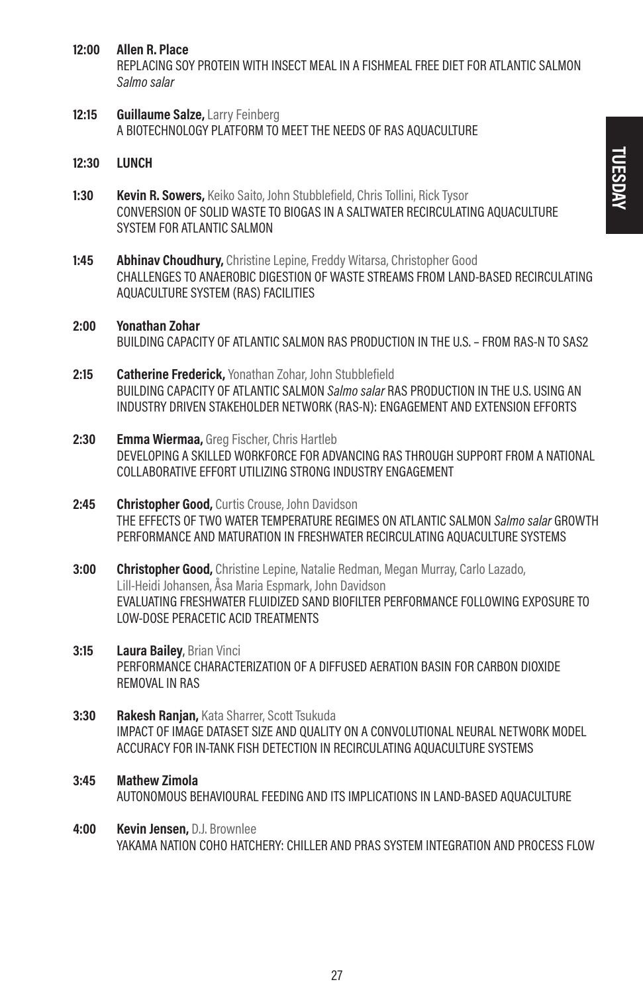#### 12:00 Allen R. Place

REPLACING SOY PROTEIN WITH INSECT MEAL IN A FISHMEAL FREE DIET FOR ATLANTIC SALMON Salmo salar

- 12:15 Guillaume Salze, Larry Feinberg A BIOTECHNOLOGY PLATFORM TO MEET THE NEEDS OF RAS AQUACULTURE
- 12:30 LUNCH
- **1:30 Kevin R. Sowers,** Keiko Saito, John Stubblefield, Chris Tollini, Rick Tysor CONVERSION OF SOLID WASTE TO BIOGAS IN A SALTWATER RECIRCULATING AQUACULTURE SYSTEM FOR ATLANTIC SALMON
- **1:45** Abhinav Choudhury, Christine Lepine, Freddy Witarsa, Christopher Good CHALLENGES TO ANAEROBIC DIGESTION OF WASTE STREAMS FROM LAND-BASED RECIRCULATING AQUACULTURE SYSTEM (RAS) FACILITIES
- 2:00 Yonathan Zohar BUILDING CAPACITY OF ATLANTIC SALMON RAS PRODUCTION IN THE U.S. – FROM RAS-N TO SAS2
- 2:15 Catherine Frederick, Yonathan Zohar, John Stubblefield BUILDING CAPACITY OF ATLANTIC SALMON Salmo salar RAS PRODUCTION IN THE U.S. USING AN INDUSTRY DRIVEN STAKEHOLDER NETWORK (RAS-N): ENGAGEMENT AND EXTENSION EFFORTS
- 2:30 Emma Wiermaa, Greg Fischer, Chris Hartleb DEVELOPING A SKILLED WORKFORCE FOR ADVANCING RAS THROUGH SUPPORT FROM A NATIONAL COLLABORATIVE EFFORT LITILIZING STRONG INDUSTRY ENGAGEMENT
- 2:45 Christopher Good, Curtis Crouse, John Davidson THE EFFECTS OF TWO WATER TEMPERATURE REGIMES ON ATLANTIC SALMON Salmo salar GROWTH PERFORMANCE AND MATURATION IN FRESHWATER RECIRCULATING AQUACULTURE SYSTEMS
- 3:00 Christopher Good, Christine Lepine, Natalie Redman, Megan Murray, Carlo Lazado, Lill-Heidi Johansen, Åsa Maria Espmark, John Davidson EVALUATING FRESHWATER FLUIDIZED SAND BIOFILTER PERFORMANCE FOLLOWING EXPOSURE TO LOW-DOSE PERACETIC ACID TREATMENTS
- **3:15 Laura Bailey, Brian Vinci** PERFORMANCE CHARACTERIZATION OF A DIFFUSED AERATION BASIN FOR CARBON DIOXIDE REMOVAL IN RAS
- 3:30 Rakesh Ranjan, Kata Sharrer, Scott Tsukuda IMPACT OF IMAGE DATASET SIZE AND QUALITY ON A CONVOLUTIONAL NEURAL NETWORK MODEL ACCURACY FOR IN-TANK FISH DETECTION IN RECIRCULATING AQUACULTURE SYSTEMS
- 3:45 Mathew Zimola AUTONOMOUS BEHAVIOURAL FEEDING AND ITS IMPLICATIONS IN LAND-BASED AQUACULTURE
- 4:00 Kevin Jensen, D.J. Brownlee YAKAMA NATION COHO HATCHERY: CHILLER AND PRAS SYSTEM INTEGRATION AND PROCESS FLOW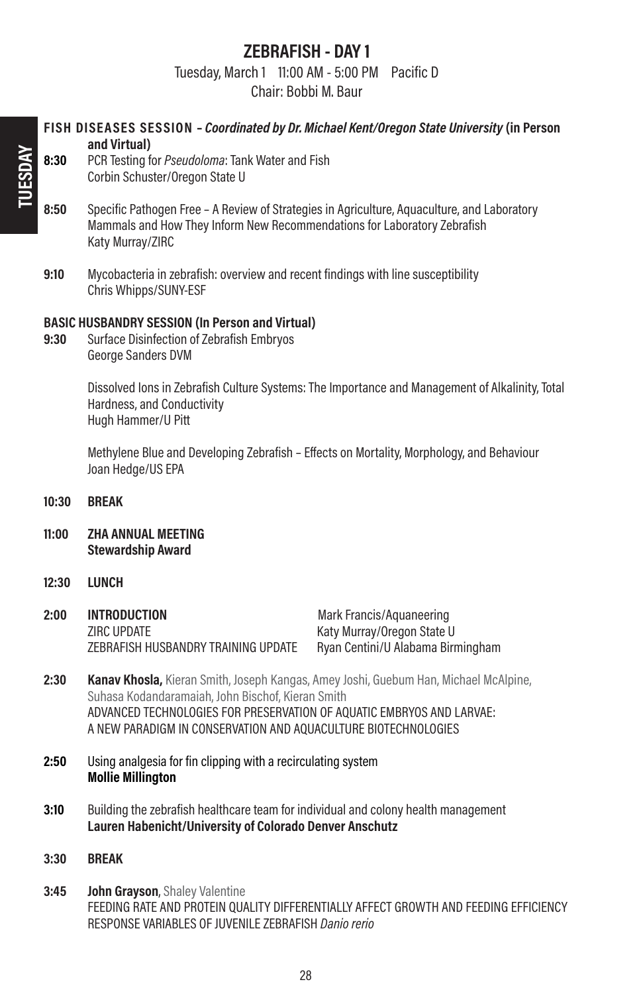### ZEBRAFISH - DAY 1

Tuesday, March 1 11:00 AM - 5:00 PM Pacific D

Chair: Bobbi M. Baur

### FISH DISEASES SESSION – Coordinated by Dr. Michael Kent/Oregon State University (in Person and Virtual)

- 8:30 PCR Testing for *Pseudoloma*: Tank Water and Fish Corbin Schuster/Oregon State U
- 8:50 Specific Pathogen Free A Review of Strategies in Agriculture, Aquaculture, and Laboratory Mammals and How They Inform New Recommendations for Laboratory Zebrafish Katy Murray/ZIRC
- 9:10 Mycobacteria in zebrafish: overview and recent findings with line susceptibility Chris Whipps/SUNY-ESF

#### BASIC HUSBANDRY SESSION (In Person and Virtual)

9:30 Surface Disinfection of Zebrafish Embryos George Sanders DVM

> Dissolved Ions in Zebrafish Culture Systems: The Importance and Management of Alkalinity, Total Hardness, and Conductivity Hugh Hammer/U Pitt

Methylene Blue and Developing Zebrafish – Effects on Mortality, Morphology, and Behaviour Joan Hedge/US EPA

- 10:30 BREAK
- 11:00 ZHA ANNUAL MEETING Stewardship Award
- 12:30 **LUNCH**

| 2:00 | INTRODUCTION                        | Mark Francis/Aquaneering          |
|------|-------------------------------------|-----------------------------------|
|      | ZIRC UPDATE                         | Katy Murray/Oregon State U        |
|      | ZEBRAFISH HUSBANDRY TRAINING UPDATE | Ryan Centini/U Alabama Birmingham |

- 2:30 **Kanav Khosla,** Kieran Smith, Joseph Kangas, Amey Joshi, Guebum Han, Michael McAlpine, Suhasa Kodandaramaiah, John Bischof, Kieran Smith ADVANCED TECHNOLOGIES FOR PRESERVATION OF AQUATIC EMBRYOS AND LARVAE: A NEW PARADIGM IN CONSERVATION AND AQUACULTURE BIOTECHNOLOGIES
- 2:50 Using analgesia for fin clipping with a recirculating system Mollie Millington
- **3:10** Building the zebrafish healthcare team for individual and colony health management Lauren Habenicht/University of Colorado Denver Anschutz
- 3:30 **BREAK**
- **3:45 John Grayson, Shaley Valentine** FEEDING RATE AND PROTEIN QUALITY DIFFERENTIALLY AFFECT GROWTH AND FEEDING EFFICIENCY RESPONSE VARIABLES OF JUVENILE ZEBRAFISH Danio rerio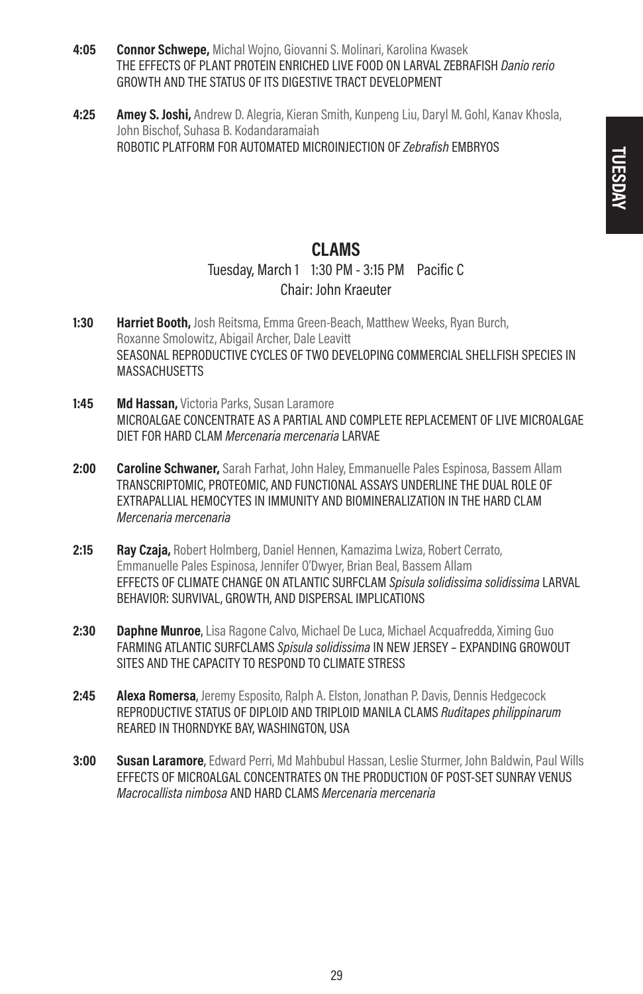- 4:05 Connor Schwepe, Michal Wojno, Giovanni S. Molinari, Karolina Kwasek THE EFFECTS OF PLANT PROTEIN ENRICHED LIVE FOOD ON LARVAL ZEBRAFISH Danio rerio GROWTH AND THE STATUS OF ITS DIGESTIVE TRACT DEVELOPMENT
- 4:25 **Amey S. Joshi,** Andrew D. Alegria, Kieran Smith, Kunpeng Liu, Daryl M. Gohl, Kanav Khosla, John Bischof, Suhasa B. Kodandaramaiah ROBOTIC PLATFORM FOR AUTOMATED MICROINJECTION OF Zebrafish EMBRYOS

### CLAMS

### Tuesday, March 1 1:30 PM - 3:15 PM Pacific C Chair: John Kraeuter

- **1:30 Harriet Booth,** Josh Reitsma, Emma Green-Beach, Matthew Weeks, Ryan Burch, Roxanne Smolowitz, Abigail Archer, Dale Leavitt SEASONAL REPRODUCTIVE CYCLES OF TWO DEVELOPING COMMERCIAL SHELLFISH SPECIES IN **MASSACHUSETTS**
- 1:45 Md Hassan, Victoria Parks, Susan Laramore MICROALGAE CONCENTRATE AS A PARTIAL AND COMPLETE REPLACEMENT OF LIVE MICROALGAE DIET FOR HARD CLAM Mercenaria mercenaria LARVAE
- 2:00 **Caroline Schwaner,** Sarah Farhat, John Haley, Emmanuelle Pales Espinosa, Bassem Allam TRANSCRIPTOMIC, PROTEOMIC, AND FUNCTIONAL ASSAYS UNDERLINE THE DUAL ROLE OF EXTRAPALLIAL HEMOCYTES IN IMMUNITY AND BIOMINERALIZATION IN THE HARD CLAM Mercenaria mercenaria
- 2:15 Rav Czaia. Robert Holmberg, Daniel Hennen, Kamazima Lwiza, Robert Cerrato, Emmanuelle Pales Espinosa, Jennifer O'Dwyer, Brian Beal, Bassem Allam EFFECTS OF CLIMATE CHANGE ON ATLANTIC SURFCLAM Spisula solidissima solidissima LARVAL BEHAVIOR: SURVIVAL, GROWTH, AND DISPERSAL IMPLICATIONS
- 2:30 Daphne Munroe, Lisa Ragone Calvo, Michael De Luca, Michael Acquafredda, Ximing Guo FARMING ATLANTIC SURFCLAMS Spisula solidissima IN NEW JERSEY – EXPANDING GROWOUT SITES AND THE CAPACITY TO RESPOND TO CLIMATE STRESS
- 2:45 **Alexa Romersa**, Jeremy Esposito, Ralph A. Elston, Jonathan P. Davis, Dennis Hedgecock REPRODUCTIVE STATUS OF DIPLOID AND TRIPLOID MANILA CLAMS Ruditapes philippinarum REARED IN THORNDYKE BAY, WASHINGTON, USA
- 3:00 Susan Laramore, Edward Perri, Md Mahbubul Hassan, Leslie Sturmer, John Baldwin, Paul Wills EFFECTS OF MICROALGAL CONCENTRATES ON THE PRODUCTION OF POST-SET SUNRAY VENUS Macrocallista nimbosa AND HARD CLAMS Mercenaria mercenaria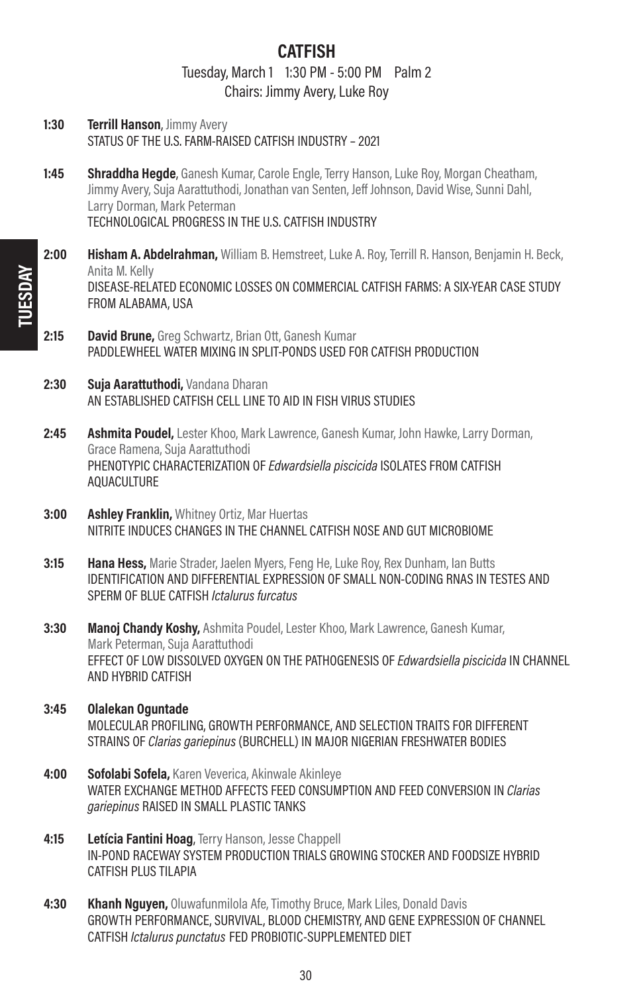### CATFISH

Tuesday, March 1 1:30 PM - 5:00 PM Palm 2 Chairs: Jimmy Avery, Luke Roy

- 1:30 **Terrill Hanson**, Jimmy Avery STATUS OF THE U.S. FARM-RAISED CATFISH INDUSTRY – 2021
- 1:45 Shraddha Hegde, Ganesh Kumar, Carole Engle, Terry Hanson, Luke Roy, Morgan Cheatham, Jimmy Avery, Suja Aarattuthodi, Jonathan van Senten, Jeff Johnson, David Wise, Sunni Dahl, Larry Dorman, Mark Peterman TECHNOLOGICAL PROGRESS IN THE U.S. CATFISH INDUSTRY
- 2:00 **Hisham A. Abdelrahman,** William B. Hemstreet, Luke A. Roy, Terrill R. Hanson, Benjamin H. Beck, Anita M. Kelly DISEASE-RELATED ECONOMIC LOSSES ON COMMERCIAL CATFISH FARMS: A SIX-YEAR CASE STUDY FROM ALABAMA, USA
- 2:15 David Brune, Greg Schwartz, Brian Ott, Ganesh Kumar PADDLEWHEEL WATER MIXING IN SPLIT-PONDS USED FOR CATFISH PRODUCTION
- 2:30 Suja Aarattuthodi, Vandana Dharan AN ESTABLISHED CATFISH CELL LINE TO AID IN FISH VIRUS STUDIES
- 2:45 Ashmita Poudel, Lester Khoo, Mark Lawrence, Ganesh Kumar, John Hawke, Larry Dorman, Grace Ramena, Suja Aarattuthodi PHENOTYPIC CHARACTERIZATION OF *Edwardsiella piscicida* ISOLATES FROM CATFISH AQUACULTURE
- **3:00 Ashley Franklin, Whitney Ortiz, Mar Huertas** NITRITE INDUCES CHANGES IN THE CHANNEL CATFISH NOSE AND GUT MICROBIOME
- 3:15 **Hana Hess.** Marie Strader, Jaelen Myers, Feng He, Luke Roy, Rex Dunham, Ian Butts IDENTIFICATION AND DIFFERENTIAL EXPRESSION OF SMALL NON-CODING RNAS IN TESTES AND SPERM OF BLUE CATFISH Ictalurus furcatus
- **3:30 Manoj Chandy Koshy,** Ashmita Poudel, Lester Khoo, Mark Lawrence, Ganesh Kumar, Mark Peterman, Suja Aarattuthodi EFFECT OF LOW DISSOLVED OXYGEN ON THE PATHOGENESIS OF Edwardsiella piscicida IN CHANNEL AND HYBRID CATFISH
- 3:45 Olalekan Oguntade MOLECULAR PROFILING, GROWTH PERFORMANCE, AND SELECTION TRAITS FOR DIFFERENT STRAINS OF Clarias gariepinus (BURCHELL) IN MAJOR NIGERIAN FRESHWATER BODIES
- 4:00 Sofolabi Sofela, Karen Veverica, Akinwale Akinleye WATER EXCHANGE METHOD AFFECTS FEED CONSUMPTION AND FEED CONVERSION IN Clarias gariepinus RAISED IN SMALL PLASTIC TANKS
- 4:15 Letícia Fantini Hoag, Terry Hanson, Jesse Chappell IN-POND RACEWAY SYSTEM PRODUCTION TRIALS GROWING STOCKER AND FOODSIZE HYBRID CATFISH PLUS TILAPIA
- 4:30 Khanh Nguyen, Oluwafunmilola Afe, Timothy Bruce, Mark Liles, Donald Davis GROWTH PERFORMANCE, SURVIVAL, BLOOD CHEMISTRY, AND GENE EXPRESSION OF CHANNEL CATFISH Ictalurus punctatus FED PROBIOTIC-SUPPLEMENTED DIET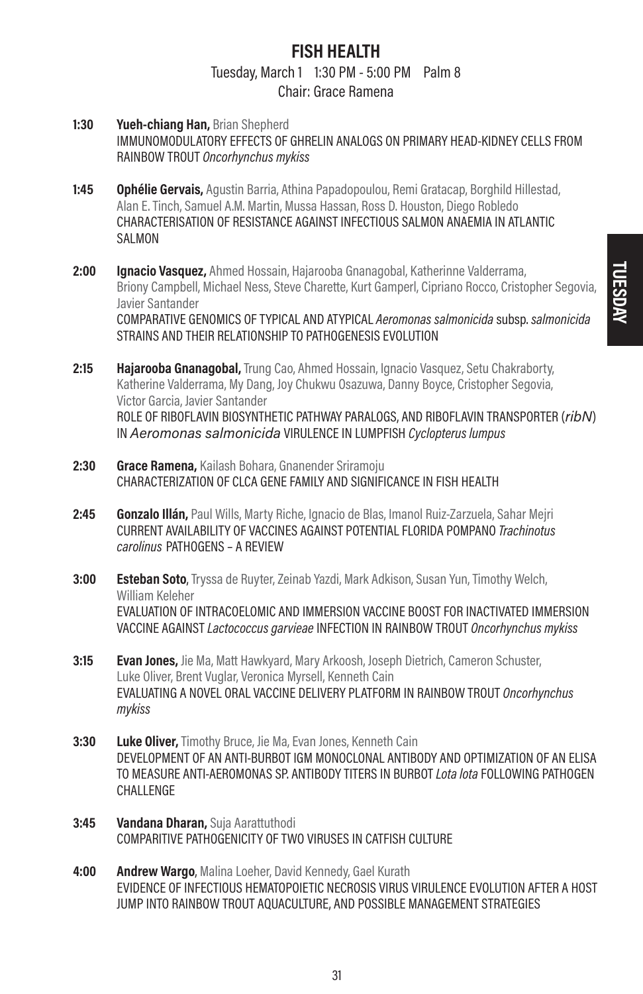# FISH HEALTH

# Tuesday, March 1 1:30 PM - 5:00 PM Palm 8

- Chair: Grace Ramena
- 1:30 **Yueh-chiang Han, Brian Shepherd** IMMUNOMODULATORY EFFECTS OF GHRELIN ANALOGS ON PRIMARY HEAD-KIDNEY CELLS FROM RAINBOW TROUT Oncorhynchus mykiss
- 1:45 Ophélie Gervais, Agustin Barria, Athina Papadopoulou, Remi Gratacap, Borghild Hillestad, Alan E. Tinch, Samuel A.M. Martin, Mussa Hassan, Ross D. Houston, Diego Robledo CHARACTERISATION OF RESISTANCE AGAINST INFECTIOUS SALMON ANAEMIA IN ATLANTIC SAI MON
- 2:00 Ignacio Vasquez, Ahmed Hossain, Hajarooba Gnanagobal, Katherinne Valderrama, Briony Campbell, Michael Ness, Steve Charette, Kurt Gamperl, Cipriano Rocco, Cristopher Segovia, Javier Santander COMPARATIVE GENOMICS OF TYPICAL AND ATYPICAL Aeromonas salmonicida subsp. salmonicida STRAINS AND THEIR RELATIONSHIP TO PATHOGENESIS EVOLUTION
- 2:15 **Hajarooba Gnanagobal,** Trung Cao, Ahmed Hossain, Ignacio Vasquez, Setu Chakraborty, Katherine Valderrama, My Dang, Joy Chukwu Osazuwa, Danny Boyce, Cristopher Segovia, Victor Garcia, Javier Santander ROLE OF RIBOFLAVIN BIOSYNTHETIC PATHWAY PARALOGS, AND RIBOFLAVIN TRANSPORTER (ribN) IN Aeromonas salmonicida VIRULENCE IN LUMPFISH Cyclopterus lumpus
- 2:30 Grace Ramena, Kailash Bohara, Gnanender Sriramoju CHARACTERIZATION OF CLCA GENE FAMILY AND SIGNIFICANCE IN FISH HEALTH
- 2:45 Gonzalo Illán, Paul Wills, Marty Riche, Ignacio de Blas, Imanol Ruiz-Zarzuela, Sahar Mejri CURRENT AVAILABILITY OF VACCINES AGAINST POTENTIAL FLORIDA POMPANO Trachinotus carolinus PATHOGENS – A REVIEW
- **3:00 Esteban Soto**, Tryssa de Ruyter, Zeinab Yazdi, Mark Adkison, Susan Yun, Timothy Welch, William Keleher EVALUATION OF INTRACOELOMIC AND IMMERSION VACCINE BOOST FOR INACTIVATED IMMERSION VACCINE AGAINST Lactococcus garvieae INFECTION IN RAINBOW TROUT Oncorhynchus mykiss
- 3:15 **Evan Jones,** Jie Ma, Matt Hawkyard, Mary Arkoosh, Joseph Dietrich, Cameron Schuster, Luke Oliver, Brent Vuglar, Veronica Myrsell, Kenneth Cain EVALUATING A NOVEL ORAL VACCINE DELIVERY PLATFORM IN RAINBOW TROUT Oncorhynchus mykiss
- 3:30 Luke Oliver, Timothy Bruce, Jie Ma, Evan Jones, Kenneth Cain DEVELOPMENT OF AN ANTI-BURBOT IGM MONOCLONAL ANTIBODY AND OPTIMIZATION OF AN ELISA TO MEASURE ANTI-AEROMONAS SP. ANTIBODY TITERS IN BURBOT Lota lota FOLLOWING PATHOGEN CHALL FNGF
- 3:45 **Vandana Dharan, Suja Aarattuthodi** COMPARITIVE PATHOGENICITY OF TWO VIRUSES IN CATFISH CULTURE
- 4:00 Andrew Wargo, Malina Loeher, David Kennedy, Gael Kurath EVIDENCE OF INFECTIOUS HEMATOPOIETIC NECROSIS VIRUS VIRULENCE EVOLUTION AFTER A HOST JUMP INTO RAINBOW TROUT AQUACULTURE, AND POSSIBLE MANAGEMENT STRATEGIES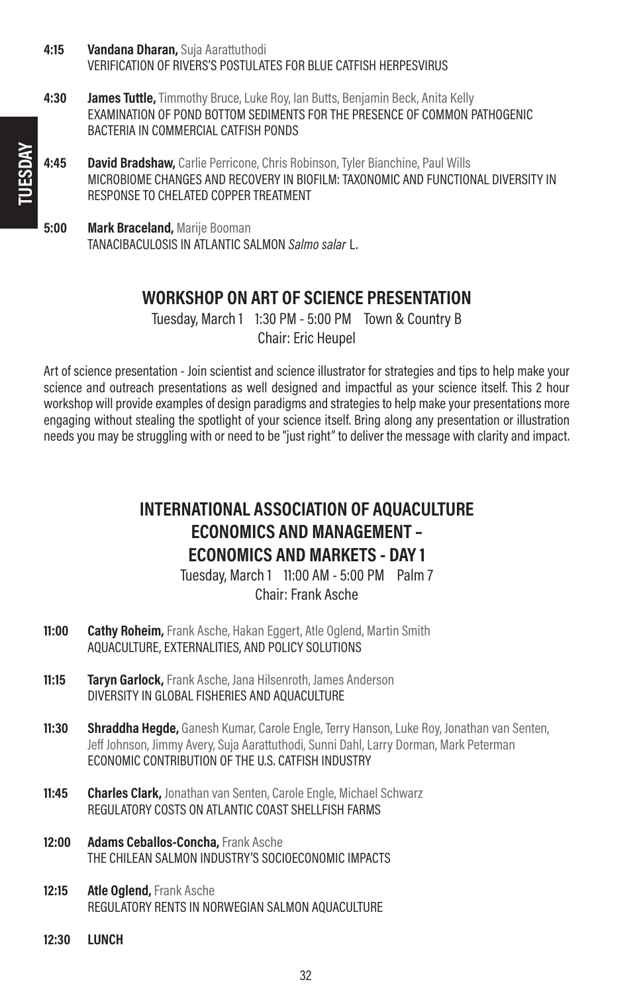- 4:15 **Vandana Dharan, Suja Aarattuthodi** VERIFICATION OF RIVERS'S POSTULATES FOR BLUE CATFISH HERPESVIRUS
- **4:30 James Tuttle,** Timmothy Bruce, Luke Roy, Ian Butts, Benjamin Beck, Anita Kelly EXAMINATION OF POND BOTTOM SEDIMENTS FOR THE PRESENCE OF COMMON PATHOGENIC BACTERIA IN COMMERCIAL CATFISH PONDS
- 4:45 David Bradshaw, Carlie Perricone, Chris Robinson, Tyler Bianchine, Paul Wills MICROBIOME CHANGES AND RECOVERY IN BIOFILM: TAXONOMIC AND FUNCTIONAL DIVERSITY IN RESPONSE TO CHELATED COPPER TREATMENT
- **5:00 Mark Braceland, Marije Booman** TANACIBACULOSIS IN ATLANTIC SALMON Salmo salar L.

### WORKSHOP ON ART OF SCIENCE PRESENTATION

Tuesday, March 1 1:30 PM - 5:00 PM Town & Country B Chair: Eric Heupel

Art of science presentation - Join scientist and science illustrator for strategies and tips to help make your science and outreach presentations as well designed and impactful as your science itself. This 2 hour workshop will provide examples of design paradigms and strategies to help make your presentations more engaging without stealing the spotlight of your science itself. Bring along any presentation or illustration needs you may be struggling with or need to be "just right" to deliver the message with clarity and impact.

### INTERNATIONAL ASSOCIATION OF AQUACULTURE ECONOMICS AND MANAGEMENT – ECONOMICS AND MARKETS - DAY 1

Tuesday, March 1 11:00 AM - 5:00 PM Palm 7 Chair: Frank Asche

- **11:00 Cathy Roheim,** Frank Asche, Hakan Eggert, Atle Oglend, Martin Smith AQUACULTURE, EXTERNALITIES, AND POLICY SOLUTIONS
- 11:15 Taryn Garlock, Frank Asche, Jana Hilsenroth, James Anderson DIVERSITY IN GLOBAL FISHERIES AND AQUACULTURE
- 11:30 Shraddha Hegde, Ganesh Kumar, Carole Engle, Terry Hanson, Luke Roy, Jonathan van Senten, Jeff Johnson, Jimmy Avery, Suja Aarattuthodi, Sunni Dahl, Larry Dorman, Mark Peterman ECONOMIC CONTRIBUTION OF THE U.S. CATFISH INDUSTRY
- 11:45 Charles Clark, Jonathan van Senten, Carole Engle, Michael Schwarz REGULATORY COSTS ON ATLANTIC COAST SHELLFISH FARMS
- 12:00 Adams Ceballos-Concha, Frank Asche THE CHILEAN SALMON INDUSTRY'S SOCIOECONOMIC IMPACTS
- 12:15 Atle Oglend, Frank Asche REGULATORY RENTS IN NORWEGIAN SALMON AQUACULTURE
- 12:30 LUNCH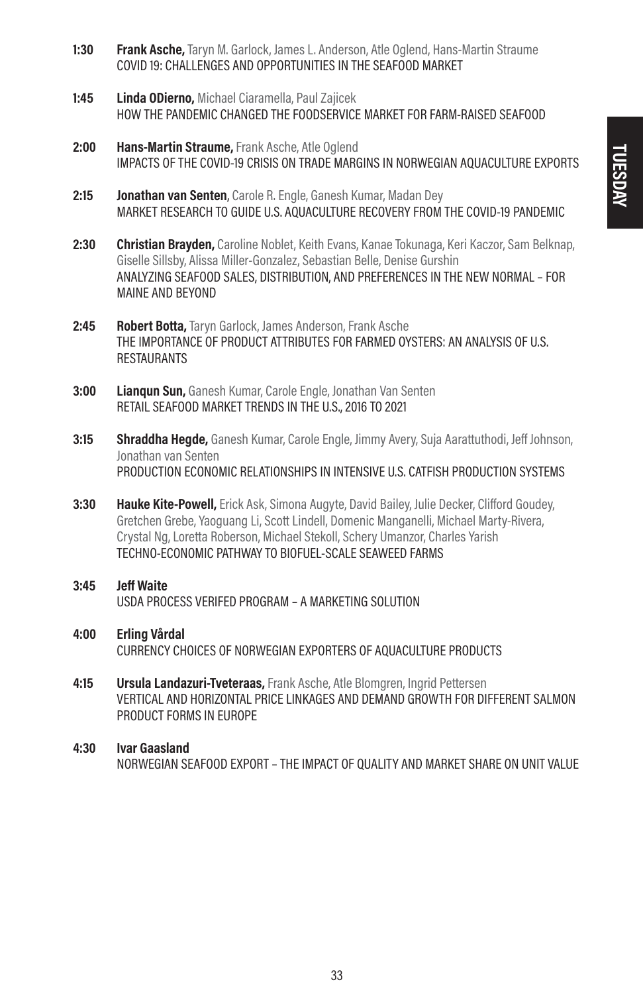- 1:30 Frank Asche, Taryn M. Garlock, James L. Anderson, Atle Oglend, Hans-Martin Straume COVID 19: CHALLENGES AND OPPORTUNITIES IN THE SEAFOOD MARKET
- 1:45 **Linda ODierno, Michael Ciaramella, Paul Zajicek** HOW THE PANDEMIC CHANGED THE FOODSERVICE MARKET FOR FARM-RAISED SEAFOOD
- 2:00 Hans-Martin Straume, Frank Asche, Atle Oglend IMPACTS OF THE COVID-19 CRISIS ON TRADE MARGINS IN NORWEGIAN AQUACULTURE EXPORTS
- 2:15 **Jonathan van Senten**, Carole R. Engle, Ganesh Kumar, Madan Dev MARKET RESEARCH TO GUIDE U.S. AQUACULTURE RECOVERY FROM THE COVID-19 PANDEMIC
- 2:30 **Christian Brayden,** Caroline Noblet, Keith Evans, Kanae Tokunaga, Keri Kaczor, Sam Belknap, Giselle Sillsby, Alissa Miller-Gonzalez, Sebastian Belle, Denise Gurshin ANALYZING SEAFOOD SALES, DISTRIBUTION, AND PREFERENCES IN THE NEW NORMAL – FOR MAINE AND BEYOND
- 2:45 Robert Botta, Taryn Garlock, James Anderson, Frank Asche THE IMPORTANCE OF PRODUCT ATTRIBUTES FOR FARMED OYSTERS: AN ANALYSIS OF U.S. **RESTAURANTS**
- 3:00 Lianqun Sun, Ganesh Kumar, Carole Engle, Jonathan Van Senten RETAIL SEAFOOD MARKET TRENDS IN THE U.S., 2016 TO 2021
- **3:15 Shraddha Hegde,** Ganesh Kumar, Carole Engle, Jimmy Avery, Suia Aarattuthodi, Jeff Johnson, Jonathan van Senten PRODUCTION ECONOMIC RELATIONSHIPS IN INTENSIVE U.S. CATFISH PRODUCTION SYSTEMS
- **3:30 Hauke Kite-Powell,** Erick Ask, Simona Augyte, David Bailey, Julie Decker, Clifford Goudey, Gretchen Grebe, Yaoguang Li, Scott Lindell, Domenic Manganelli, Michael Marty-Rivera, Crystal Ng, Loretta Roberson, Michael Stekoll, Schery Umanzor, Charles Yarish TECHNO-ECONOMIC PATHWAY TO BIOFUEL-SCALE SEAWEED FARMS

#### 3:45 Jeff Waite USDA PROCESS VERIFED PROGRAM – A MARKETING SOLUTION

- 4:00 Erling Vårdal CURRENCY CHOICES OF NORWEGIAN EXPORTERS OF AQUACULTURE PRODUCTS
- 4:15 **Ursula Landazuri-Tveteraas, Frank Asche, Atle Blomgren, Ingrid Pettersen** VERTICAL AND HORIZONTAL PRICE LINKAGES AND DEMAND GROWTH FOR DIFFERENT SALMON PRODUCT FORMS IN EUROPE
- 4:30 Ivar Gaasland NORWEGIAN SEAFOOD EXPORT – THE IMPACT OF QUALITY AND MARKET SHARE ON UNIT VALUE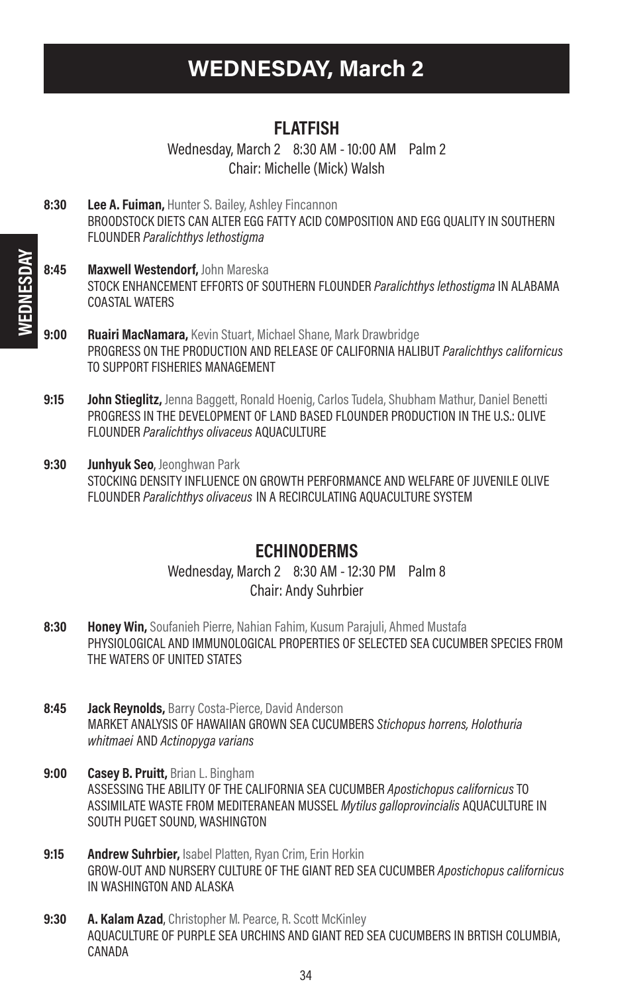# WEDNESDAY, March 2

### FLATFISH

Wednesday, March 2 8:30 AM - 10:00 AM Palm 2 Chair: Michelle (Mick) Walsh

- 8:30 Lee A. Fuiman, Hunter S. Bailey, Ashley Fincannon BROODSTOCK DIETS CAN ALTER EGG FATTY ACID COMPOSITION AND EGG QUALITY IN SOUTHERN FLOUNDER Paralichthys lethostigma
- 8:45 Maxwell Westendorf, John Mareska STOCK ENHANCEMENT EFFORTS OF SOUTHERN FLOUNDER Paralichthys lethostigma IN ALABAMA COASTAL WATERS
- 9:00 Ruairi MacNamara, Kevin Stuart, Michael Shane, Mark Drawbridge PROGRESS ON THE PRODUCTION AND RELEASE OF CALIFORNIA HALIBUT Paralichthys californicus TO SUPPORT FISHERIES MANAGEMENT
- 9:15 **John Stieglitz,** Jenna Baggett, Ronald Hoenig, Carlos Tudela, Shubham Mathur, Daniel Benetti PROGRESS IN THE DEVELOPMENT OF LAND BASED FLOUNDER PRODUCTION IN THE U.S.: OLIVE FLOUNDER Paralichthys olivaceus AQUACULTURE
- 9:30 Junhyuk Seo, Jeonghwan Park STOCKING DENSITY INFLUENCE ON GROWTH PERFORMANCE AND WELFARE OF JUVENILE OLIVE FLOUNDER Paralichthys olivaceus IN A RECIRCULATING AQUACULTURE SYSTEM

### **ECHINODERMS**

Wednesday, March 2 8:30 AM - 12:30 PM Palm 8 Chair: Andy Suhrbier

- 8:30 **Honey Win,** Soufanieh Pierre, Nahian Fahim, Kusum Parajuli, Ahmed Mustafa PHYSIOLOGICAL AND IMMUNOLOGICAL PROPERTIES OF SELECTED SEA CUCUMBER SPECIES FROM THE WATERS OF UNITED STATES
- 8:45 **Jack Reynolds, Barry Costa-Pierce, David Anderson** MARKET ANALYSIS OF HAWAIIAN GROWN SEA CUCUMBERS Stichopus horrens, Holothuria whitmaei AND Actinopyga varians
- 9:00 Casey B. Pruitt, Brian L. Bingham ASSESSING THE ABILITY OF THE CALIFORNIA SEA CUCUMBER Apostichopus californicus TO ASSIMILATE WASTE FROM MEDITERANEAN MUSSEL Mytilus galloprovincialis AQUACULTURE IN SOUTH PUGET SOUND, WASHINGTON
- 9:15 Andrew Suhrbier, Isabel Platten, Ryan Crim, Erin Horkin GROW-OUT AND NURSERY CULTURE OF THE GIANT RED SEA CUCUMBER Apostichopus californicus IN WASHINGTON AND ALASKA
- 9:30 A. Kalam Azad, Christopher M. Pearce, R. Scott McKinley AQUACULTURE OF PURPLE SEA URCHINS AND GIANT RED SEA CUCUMBERS IN BRTISH COLUMBIA, CANADA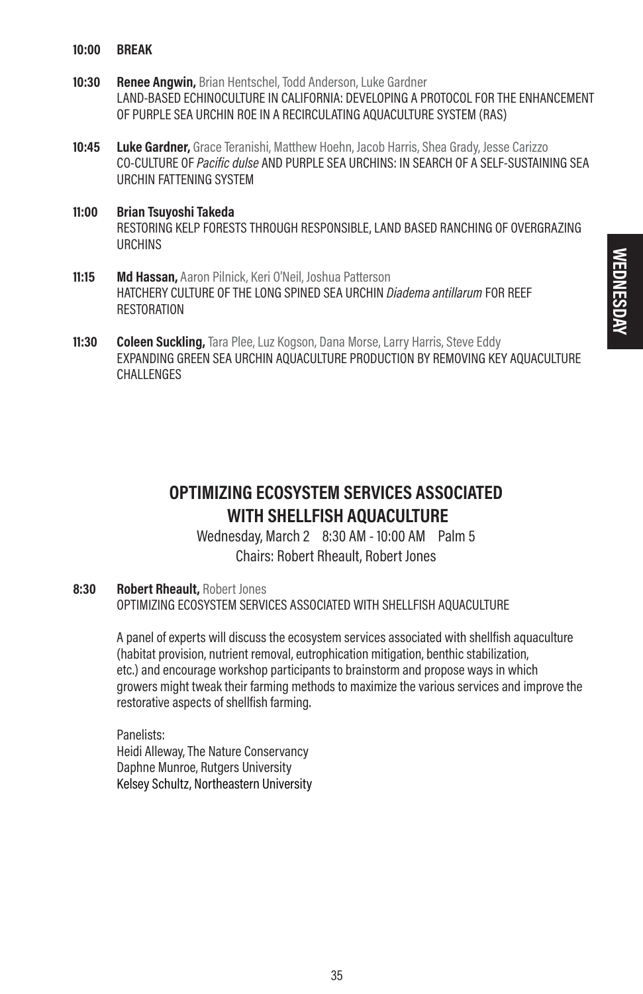- 10:00 BREAK
- 10:30 Renee Angwin, Brian Hentschel, Todd Anderson, Luke Gardner LAND-BASED ECHINOCULTURE IN CALIFORNIA: DEVELOPING A PROTOCOL FOR THE ENHANCEMENT OF PURPLE SEA URCHIN ROE IN A RECIRCULATING AQUACULTURE SYSTEM (RAS)
- **10:45 Luke Gardner,** Grace Teranishi, Matthew Hoehn, Jacob Harris, Shea Grady, Jesse Carizzo CO-CULTURE OF Pacific dulse AND PURPLE SEA URCHINS: IN SEARCH OF A SELF-SUSTAINING SEA URCHIN FATTENING SYSTEM
- 11:00 Brian Tsuyoshi Takeda RESTORING KELP FORESTS THROUGH RESPONSIBLE, LAND BASED RANCHING OF OVERGRAZING URCHINS
- 11:15 Md Hassan, Aaron Pilnick, Keri O'Neil, Joshua Patterson HATCHERY CULTURE OF THE LONG SPINED SEA URCHIN Diadema antillarum FOR REEF RESTORATION
- 11:30 Coleen Suckling, Tara Plee, Luz Kogson, Dana Morse, Larry Harris, Steve Eddy EXPANDING GREEN SEA URCHIN AQUACULTURE PRODUCTION BY REMOVING KEY AQUACULTURE CHALL FNGES

### OPTIMIZING ECOSYSTEM SERVICES ASSOCIATED WITH SHELLFISH AQUACULTURE

Wednesday, March 2 8:30 AM - 10:00 AM Palm 5 Chairs: Robert Rheault, Robert Jones

#### 8:30 Robert Rheault, Robert Jones

OPTIMIZING ECOSYSTEM SERVICES ASSOCIATED WITH SHELLFISH AQUACULTURE

A panel of experts will discuss the ecosystem services associated with shellfish aquaculture (habitat provision, nutrient removal, eutrophication mitigation, benthic stabilization, etc.) and encourage workshop participants to brainstorm and propose ways in which growers might tweak their farming methods to maximize the various services and improve the restorative aspects of shellfish farming.

Panelists: Heidi Alleway, The Nature Conservancy Daphne Munroe, Rutgers University Kelsey Schultz, Northeastern University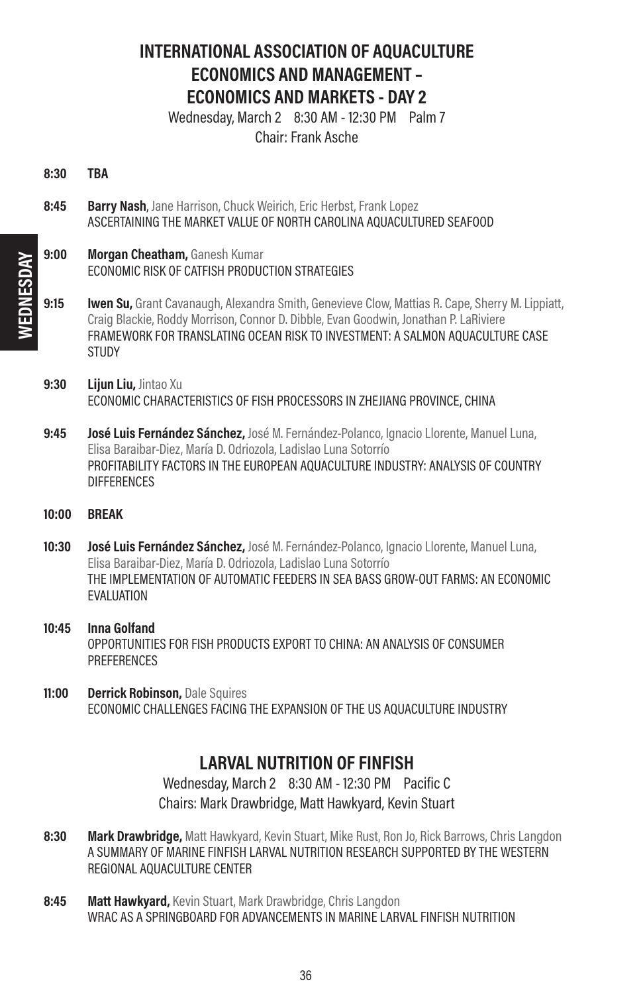### INTERNATIONAL ASSOCIATION OF AQUACULTURE ECONOMICS AND MANAGEMENT – ECONOMICS AND MARKETS - DAY 2

Wednesday, March 2 8:30 AM - 12:30 PM Palm 7 Chair: Frank Asche

- 8:30 TBA
- 8:45 Barry Nash, Jane Harrison, Chuck Weirich, Eric Herbst, Frank Lopez ASCERTAINING THE MARKET VALUE OF NORTH CAROLINA AQUACULTURED SEAFOOD
- 9:00 **Morgan Cheatham, Ganesh Kumar** ECONOMIC RISK OF CATFISH PRODUCTION STRATEGIES
- **9:15 Iwen Su,** Grant Cavanaugh, Alexandra Smith, Genevieve Clow, Mattias R. Cape, Sherry M. Lippiatt, Craig Blackie, Roddy Morrison, Connor D. Dibble, Evan Goodwin, Jonathan P. LaRiviere FRAMEWORK FOR TRANSLATING OCEAN RISK TO INVESTMENT: A SALMON AQUACULTURE CASE **STUDY**
- 9:30 Lijun Liu, Jintao Xu ECONOMIC CHARACTERISTICS OF FISH PROCESSORS IN ZHEJIANG PROVINCE, CHINA
- 9:45 **José Luis Fernández Sánchez,** José M. Fernández-Polanco, Ignacio Llorente, Manuel Luna, Elisa Baraibar-Diez, María D. Odriozola, Ladislao Luna Sotorrío PROFITABILITY FACTORS IN THE EUROPEAN AQUACULTURE INDUSTRY: ANALYSIS OF COUNTRY DIFFERENCES
- 10:00 BREAK
- 10:30 **José Luis Fernández Sánchez,** José M. Fernández-Polanco, Ignacio Llorente, Manuel Luna, Elisa Baraibar-Diez, María D. Odriozola, Ladislao Luna Sotorrío THE IMPLEMENTATION OF AUTOMATIC FEEDERS IN SEA BASS GROW-OUT FARMS: AN ECONOMIC EVALUATION
- 10:45 Inna Golfand OPPORTUNITIES FOR FISH PRODUCTS EXPORT TO CHINA: AN ANALYSIS OF CONSUMER **PREFERENCES**
- 11:00 Derrick Robinson, Dale Squires ECONOMIC CHALLENGES FACING THE EXPANSION OF THE US AQUACULTURE INDUSTRY

### LARVAL NUTRITION OF FINFISH

Wednesday, March 2 8:30 AM - 12:30 PM Pacific C Chairs: Mark Drawbridge, Matt Hawkyard, Kevin Stuart

- 8:30 Mark Drawbridge, Matt Hawkyard, Kevin Stuart, Mike Rust, Ron Jo, Rick Barrows, Chris Langdon A SUMMARY OF MARINE FINFISH LARVAL NUTRITION RESEARCH SUPPORTED BY THE WESTERN REGIONAL AQUACULTURE CENTER
- 8:45 Matt Hawkyard, Kevin Stuart, Mark Drawbridge, Chris Langdon WRAC AS A SPRINGBOARD FOR ADVANCEMENTS IN MARINE LARVAL FINFISH NUTRITION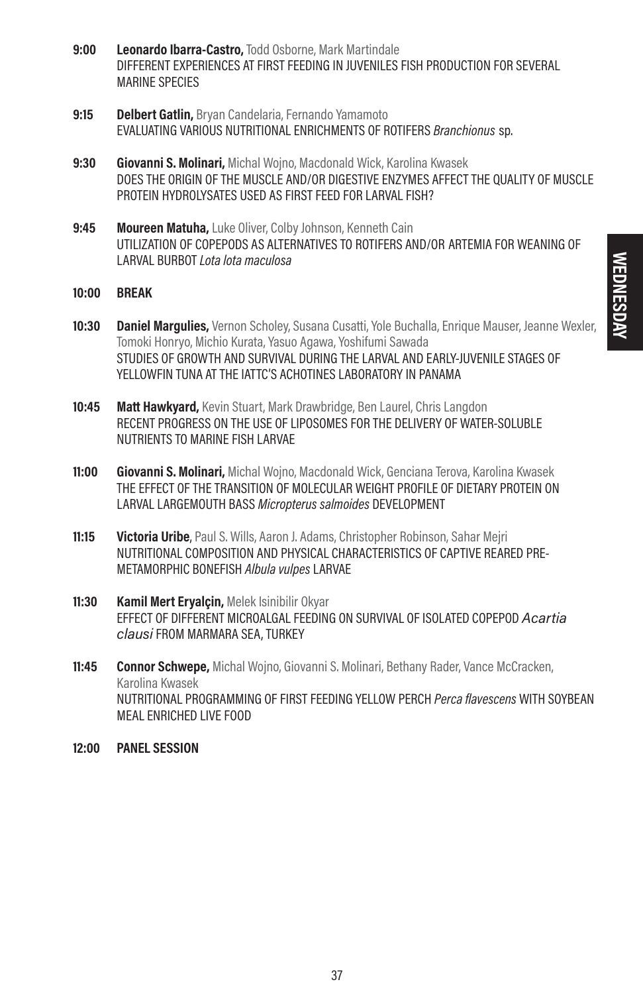- 9:00 Leonardo Ibarra-Castro, Todd Osborne, Mark Martindale DIFFERENT EXPERIENCES AT FIRST FEEDING IN JUVENILES FISH PRODUCTION FOR SEVERAL MARINE SPECIES
- 9:15 Delbert Gatlin, Bryan Candelaria, Fernando Yamamoto EVALUATING VARIOUS NUTRITIONAL ENRICHMENTS OF ROTIFERS Branchionus sp.
- 9:30 Giovanni S. Molinari, Michal Wojno, Macdonald Wick, Karolina Kwasek DOES THE ORIGIN OF THE MUSCLE AND/OR DIGESTIVE ENZYMES AFFECT THE QUALITY OF MUSCLE PROTEIN HYDROLYSATES USED AS FIRST FEED FOR LARVAL FISH?
- 9:45 Moureen Matuha, Luke Oliver, Colby Johnson, Kenneth Cain UTILIZATION OF COPEPODS AS ALTERNATIVES TO ROTIFERS AND/OR ARTEMIA FOR WEANING OF LARVAL BURBOT Lota lota maculosa
- 10:00 BREAK
- 10:30 Daniel Margulies, Vernon Scholey, Susana Cusatti, Yole Buchalla, Enrique Mauser, Jeanne Wexler Tomoki Honryo, Michio Kurata, Yasuo Agawa, Yoshifumi Sawada STUDIES OF GROWTH AND SURVIVAL DURING THE LARVAL AND EARLY-JUVENILE STAGES OF YELLOWEIN TUNA AT THE IATTC'S ACHOTINES LABORATORY IN PANAMA
- **10:45 Matt Hawkyard,** Kevin Stuart, Mark Drawbridge, Ben Laurel, Chris Langdon RECENT PROGRESS ON THE USE OF LIPOSOMES FOR THE DELIVERY OF WATER-SOLUBLE NUTRIENTS TO MARINE FISH LARVAE
- **11:00 Giovanni S. Molinari,** Michal Wojno, Macdonald Wick, Genciana Terova, Karolina Kwasek THE EFFECT OF THE TRANSITION OF MOLECULAR WEIGHT PROFILE OF DIETARY PROTEIN ON LARVAL LARGEMOUTH BASS Micropterus salmoides DEVELOPMENT
- **11:15 Victoria Uribe**, Paul S. Wills, Aaron J. Adams, Christopher Robinson, Sahar Meiri NUTRITIONAL COMPOSITION AND PHYSICAL CHARACTERISTICS OF CAPTIVE REARED PRE-METAMORPHIC BONEFISH Albula vulpes LARVAE
- 11:30 Kamil Mert Eryalçin, Melek Isinibilir Okyar EFFECT OF DIFFERENT MICROALGAL FEEDING ON SURVIVAL OF ISOLATED COPEPOD Acartia clausi FROM MARMARA SEA, TURKEY
- **11:45 Connor Schwepe,** Michal Wojno, Giovanni S. Molinari, Bethany Rader, Vance McCracken, Karolina Kwasek NUTRITIONAL PROGRAMMING OF FIRST FEEDING YELLOW PERCH *Perca flavescens* WITH SOYBEAN MEAL ENRICHED LIVE FOOD
- 12:00 PANEL SESSION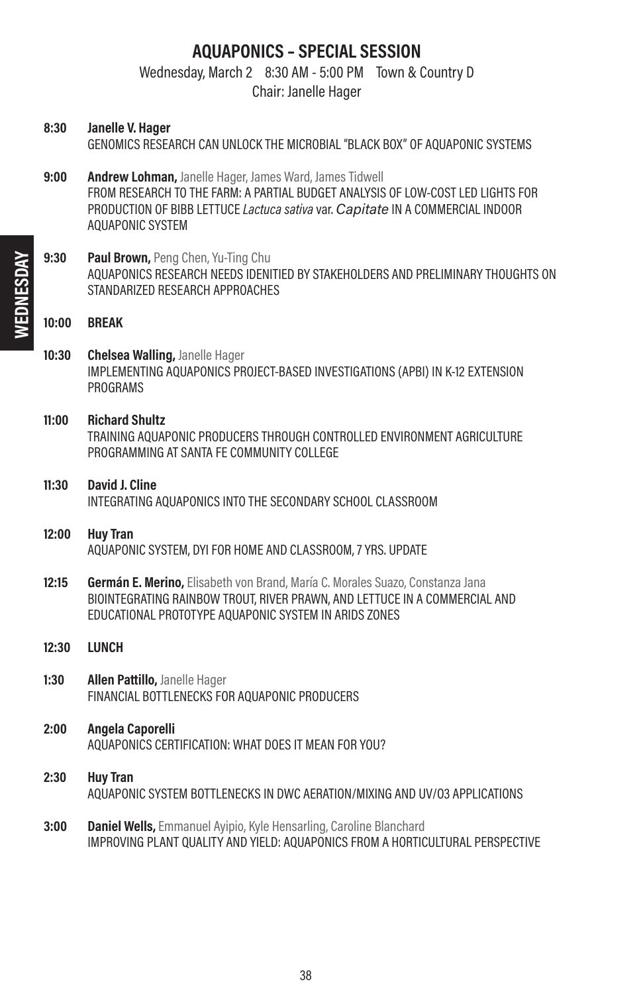### AQUAPONICS – SPECIAL SESSION

Wednesday, March 2 8:30 AM - 5:00 PM Town & Country D

Chair: Janelle Hager

- 8:30 Janelle V. Hager GENOMICS RESEARCH CAN UNLOCK THE MICROBIAL "BLACK BOX" OF AQUAPONIC SYSTEMS
- 9:00 **Andrew Lohman,** Janelle Hager, James Ward, James Tidwell FROM RESEARCH TO THE FARM: A PARTIAL BUDGET ANALYSIS OF LOW-COST LED LIGHTS FOR PRODUCTION OF BIBB LETTUCE Lactuca sativa var. Capitate IN A COMMERCIAL INDOOR AQUAPONIC SYSTEM
- 9:30 Paul Brown, Peng Chen, Yu-Ting Chu AQUAPONICS RESEARCH NEEDS IDENITIED BY STAKEHOLDERS AND PRELIMINARY THOUGHTS ON STANDARIZED RESEARCH APPROACHES

#### 10:00 BREAK

- 10:30 Chelsea Walling, Janelle Hager IMPLEMENTING AQUAPONICS PROJECT-BASED INVESTIGATIONS (APBI) IN K-12 EXTENSION PROGRAMS
- 11:00 Richard Shultz TRAINING AQUAPONIC PRODUCERS THROUGH CONTROLLED ENVIRONMENT AGRICULTURE PROGRAMMING AT SANTA FE COMMUNITY COLLEGE
- 11:30 David J. Cline INTEGRATING AQUAPONICS INTO THE SECONDARY SCHOOL CLASSROOM
- 12:00 Huy Tran AQUAPONIC SYSTEM, DYI FOR HOME AND CLASSROOM, 7 YRS. UPDATE
- 12:15 **Germán E. Merino**, Elisabeth von Brand, María C. Morales Suazo, Constanza Jana BIOINTEGRATING RAINBOW TROUT, RIVER PRAWN, AND LETTUCE IN A COMMERCIAL AND EDUCATIONAL PROTOTYPE AQUAPONIC SYSTEM IN ARIDS ZONES
- 12:30 LUNCH
- 1:30 Allen Pattillo, Janelle Hager FINANCIAL BOTTLENECKS FOR AQUAPONIC PRODUCERS
- 2:00 Angela Caporelli AQUAPONICS CERTIFICATION: WHAT DOES IT MEAN FOR YOU?
- 2:30 Huy Tran AQUAPONIC SYSTEM BOTTLENECKS IN DWC AERATION/MIXING AND UV/O3 APPLICATIONS
- **3:00 Daniel Wells, Emmanuel Avipio, Kyle Hensarling, Caroline Blanchard** IMPROVING PLANT QUALITY AND YIELD: AQUAPONICS FROM A HORTICULTURAL PERSPECTIVE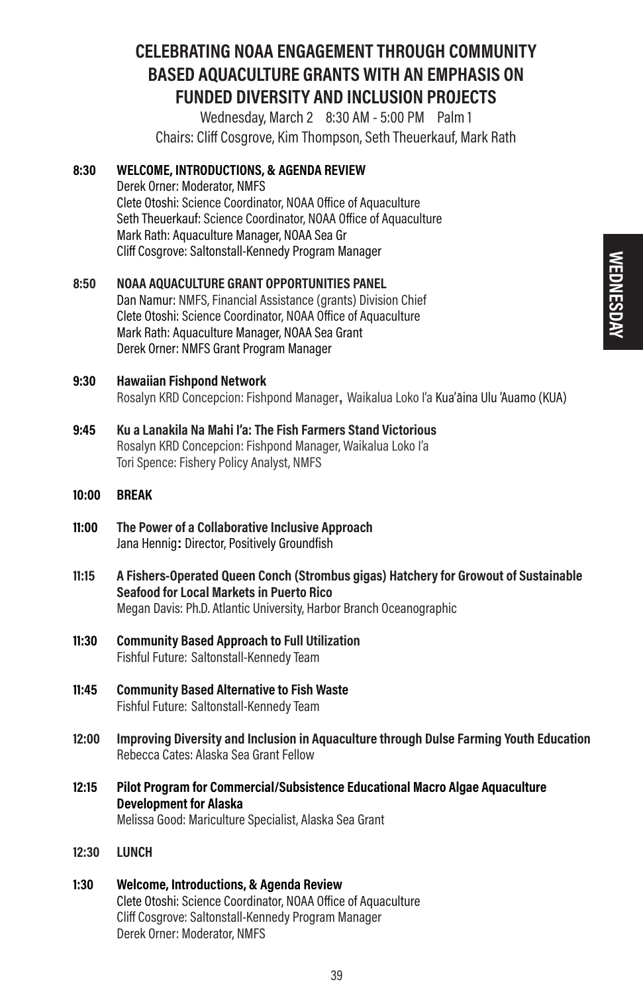### CELEBRATING NOAA ENGAGEMENT THROUGH COMMUNITY BASED AQUACULTURE GRANTS WITH AN EMPHASIS ON FUNDED DIVERSITY AND INCLUSION PROJECTS

Wednesday, March 2 8:30 AM - 5:00 PM Palm 1 Chairs: Cliff Cosgrove, Kim Thompson, Seth Theuerkauf, Mark Rath

#### 8:30 WELCOME, INTRODUCTIONS, & AGENDA REVIEW

Derek Orner: Moderator, NMFS Clete Otoshi: Science Coordinator, NOAA Office of Aquaculture Seth Theuerkauf: Science Coordinator, NOAA Office of Aquaculture Mark Rath: Aquaculture Manager, NOAA Sea Gr Cliff Cosgrove: Saltonstall-Kennedy Program Manager

8:50 NOAA AQUACULTURE GRANT OPPORTUNITIES PANEL Dan Namur: NMFS, Financial Assistance (grants) Division Chief Clete Otoshi: Science Coordinator, NOAA Office of Aquaculture Mark Rath: Aquaculture Manager, NOAA Sea Grant Derek Orner: NMFS Grant Program Manager

# 9:30 Hawaiian Fishpond Network

Rosalyn KRD Concepcion: Fishpond Manager**,** Waikalua Loko I'a Kua'- aina Ulu 'Auamo (KUA)

9:45 Ku a Lanakila Na Mahi I'a: The Fish Farmers Stand Victorious Rosalyn KRD Concepcion: Fishpond Manager, Waikalua Loko I'a Tori Spence: Fishery Policy Analyst, NMFS

#### 10:00 BREAK

- 11:00 The Power of a Collaborative Inclusive Approach Jana Hennig**:** Director, Positively Groundfish
- 11:15 A Fishers-Operated Queen Conch (Strombus gigas) Hatchery for Growout of Sustainable Seafood for Local Markets in Puerto Rico Megan Davis: Ph.D. Atlantic University, Harbor Branch Oceanographic
- 11:30 Community Based Approach to Full Utilization Fishful Future: Saltonstall-Kennedy Team
- 11:45 Community Based Alternative to Fish Waste Fishful Future: Saltonstall-Kennedy Team
- 12:00 Improving Diversity and Inclusion in Aquaculture through Dulse Farming Youth Education Rebecca Cates: Alaska Sea Grant Fellow
- 12:15 Pilot Program for Commercial/Subsistence Educational Macro Algae Aquaculture Development for Alaska Melissa Good: Mariculture Specialist, Alaska Sea Grant
- 12:30 LUNCH

#### 1:30 Welcome, Introductions, & Agenda Review Clete Otoshi: Science Coordinator, NOAA Office of Aquaculture Cliff Cosgrove: Saltonstall-Kennedy Program Manager Derek Orner: Moderator, NMFS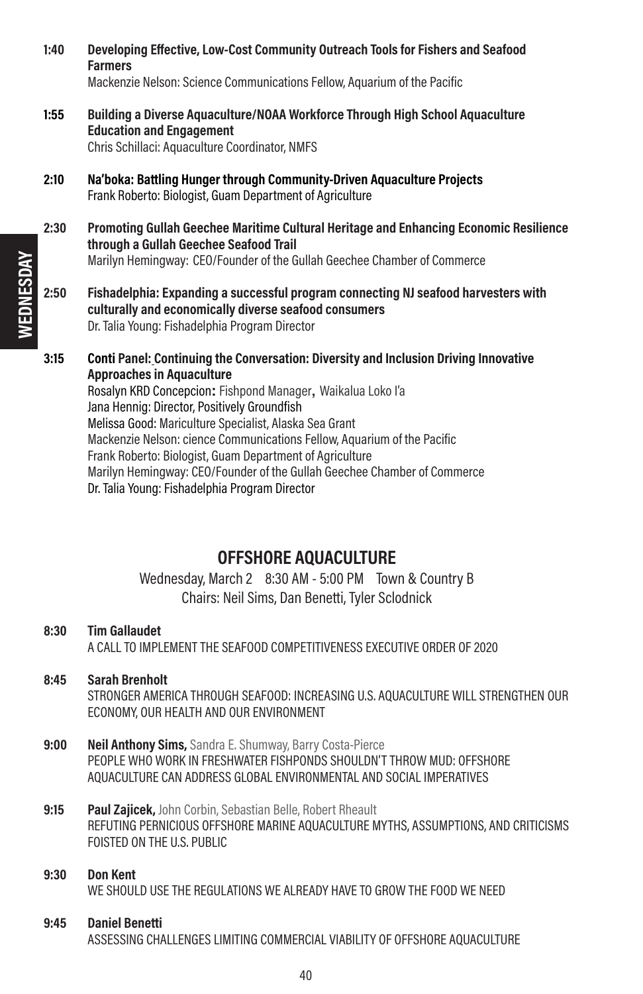**Farmers** Mackenzie Nelson: Science Communications Fellow, Aquarium of the Pacific 1:55 Building a Diverse Aquaculture/NOAA Workforce Through High School Aquaculture Education and Engagement Chris Schillaci: Aquaculture Coordinator, NMFS 2:10 Na'boka: Battling Hunger through Community-Driven Aquaculture Projects Frank Roberto: Biologist, Guam Department of Agriculture 2:30 Promoting Gullah Geechee Maritime Cultural Heritage and Enhancing Economic Resilience through a Gullah Geechee Seafood Trail Marilyn Hemingway: CEO/Founder of the Gullah Geechee Chamber of Commerce 2:50 Fishadelphia: Expanding a successful program connecting NJ seafood harvesters with culturally and economically diverse seafood consumers Dr. Talia Young: Fishadelphia Program Director 3:15 Conti Panel: Continuing the Conversation: Diversity and Inclusion Driving Innovative Approaches in Aquaculture Rosalyn KRD Concepcion**:** Fishpond Manager**,** Waikalua Loko I'a Jana Hennig: Director, Positively Groundfish Melissa Good: Mariculture Specialist, Alaska Sea Grant Mackenzie Nelson: cience Communications Fellow, Aquarium of the Pacific Frank Roberto: Biologist, Guam Department of Agriculture Marilyn Hemingway: CEO/Founder of the Gullah Geechee Chamber of Commerce Dr. Talia Young: Fishadelphia Program Director OFFSHORE AQUACULTURE Wednesday, March 2 8:30 AM - 5:00 PM Town & Country B Chairs: Neil Sims, Dan Benetti, Tyler Sclodnick 8:30 Tim Gallaudet A CALL TO IMPLEMENT THE SEAFOOD COMPETITIVENESS EXECUTIVE ORDER OF 2020 8:45 Sarah Brenholt STRONGER AMERICA THROUGH SEAFOOD: INCREASING U.S. AQUACULTURE WILL STRENGTHEN OUR ECONOMY, OUR HEALTH AND OUR ENVIRONMENT 9:00 Neil Anthony Sims, Sandra E. Shumway, Barry Costa-Pierce PEOPLE WHO WORK IN FRESHWATER FISHPONDS SHOULDN'T THROW MUD: OFFSHORE AQUACULTURE CAN ADDRESS GLOBAL ENVIRONMENTAL AND SOCIAL IMPERATIVES 9:15 Paul Zaiicek, John Corbin, Sebastian Belle, Robert Rheault REFUTING PERNICIOUS OFFSHORE MARINE AQUACULTURE MYTHS, ASSUMPTIONS, AND CRITICISMS FOISTED ON THE U.S. PUBLIC

1:40 Developing Effective, Low-Cost Community Outreach Tools for Fishers and Seafood

### 9:30 Don Kent

WE SHOULD USE THE REGULATIONS WE ALREADY HAVE TO GROW THE FOOD WE NEED

#### 9:45 Daniel Benetti

ASSESSING CHALLENGES LIMITING COMMERCIAL VIABILITY OF OFFSHORE AQUACULTURE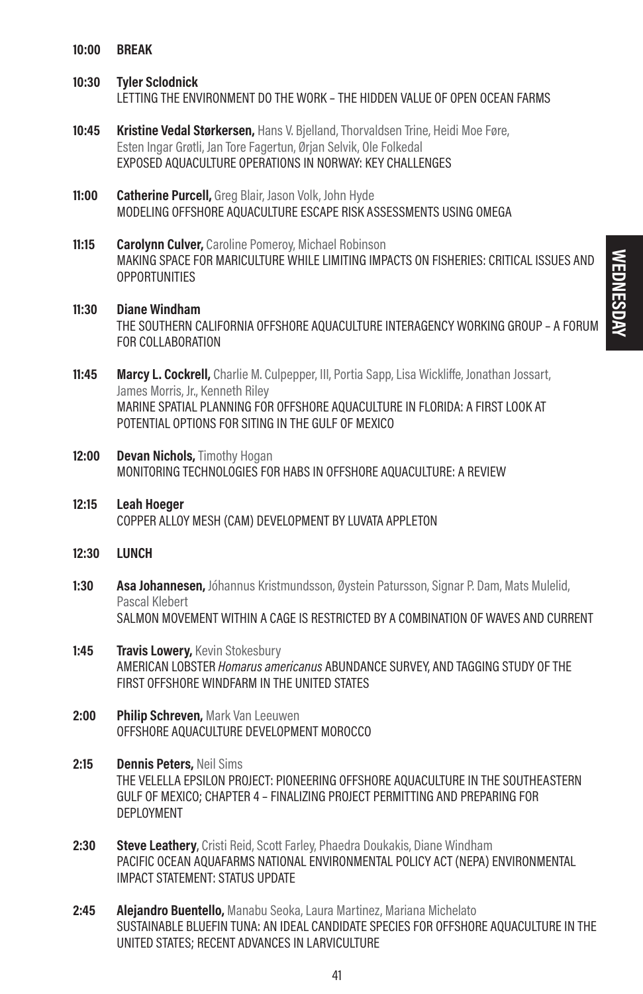10:00 BREAK

#### 10:30 Tyler Sclodnick

LETTING THE ENVIRONMENT DO THE WORK – THE HIDDEN VALUE OF OPEN OCEAN FARMS

- 10:45 **Kristine Vedal Størkersen.** Hans V. Bielland, Thorvaldsen Trine, Heidi Moe Føre, Esten Ingar Grøtli, Jan Tore Fagertun, Ørjan Selvik, Ole Folkedal EXPOSED AQUACULTURE OPERATIONS IN NORWAY: KEY CHALLENGES
- 11:00 Catherine Purcell, Greg Blair, Jason Volk, John Hyde MODELING OFFSHORE AQUACULTURE ESCAPE RISK ASSESSMENTS USING OMEGA
- **11:15 Carolynn Culver,** Caroline Pomeroy, Michael Robinson MAKING SPACE FOR MARICULTURE WHILE LIMITING IMPACTS ON FISHERIES: CRITICAL ISSUES AND **OPPORTUNITIES**
- 11:30 Diane Windham THE SOUTHERN CALIFORNIA OFFSHORE AQUACULTURE INTERAGENCY WORKING GROUP – A FORUM FOR COLLABORATION
- 11:45 Marcy L. Cockrell, Charlie M. Culpepper, III, Portia Sapp, Lisa Wickliffe, Jonathan Jossart, James Morris, Jr., Kenneth Riley MARINE SPATIAL PLANNING FOR OFFSHORE AQUACULTURE IN FLORIDA: A FIRST LOOK AT POTENTIAL OPTIONS FOR SITING IN THE GULF OF MEXICO
- 12:00 Devan Nichols, Timothy Hogan MONITORING TECHNOLOGIES FOR HABS IN OFFSHORE AQUACULTURE: A REVIEW
- 12:15 Leah Hoeger COPPER ALLOY MESH (CAM) DEVELOPMENT BY LUVATA APPLETON
- 12:30 LUNCH
- **1:30 Asa Johannesen,** Jóhannus Kristmundsson, Øystein Patursson, Signar P. Dam, Mats Mulelid, Pascal Klebert SALMON MOVEMENT WITHIN A CAGE IS RESTRICTED BY A COMBINATION OF WAVES AND CURRENT
- 1:45 Travis Lowery, Kevin Stokesbury AMERICAN LOBSTER Homarus americanus ABUNDANCE SURVEY, AND TAGGING STUDY OF THE FIRST OFFSHORE WINDFARM IN THE UNITED STATES
- 2:00 Philip Schreven, Mark Van Leeuwen OFFSHORE AQUACULTURE DEVELOPMENT MOROCCO
- 2:15 **Dennis Peters.** Neil Sims THE VELELLA EPSILON PROJECT: PIONEERING OFFSHORE AQUACULTURE IN THE SOUTHEASTERN GULF OF MEXICO; CHAPTER 4 – FINALIZING PROJECT PERMITTING AND PREPARING FOR DEPLOYMENT
- 2:30 Steve Leathery, Cristi Reid, Scott Farley, Phaedra Doukakis, Diane Windham PACIFIC OCEAN AQUAFARMS NATIONAL ENVIRONMENTAL POLICY ACT (NEPA) ENVIRONMENTAL IMPACT STATEMENT: STATUS UPDATE
- 2:45 Alejandro Buentello, Manabu Seoka, Laura Martinez, Mariana Michelato SUSTAINABLE BLUEFIN TUNA: AN IDEAL CANDIDATE SPECIES FOR OFFSHORE AQUACULTURE IN THE UNITED STATES; RECENT ADVANCES IN LARVICULTURE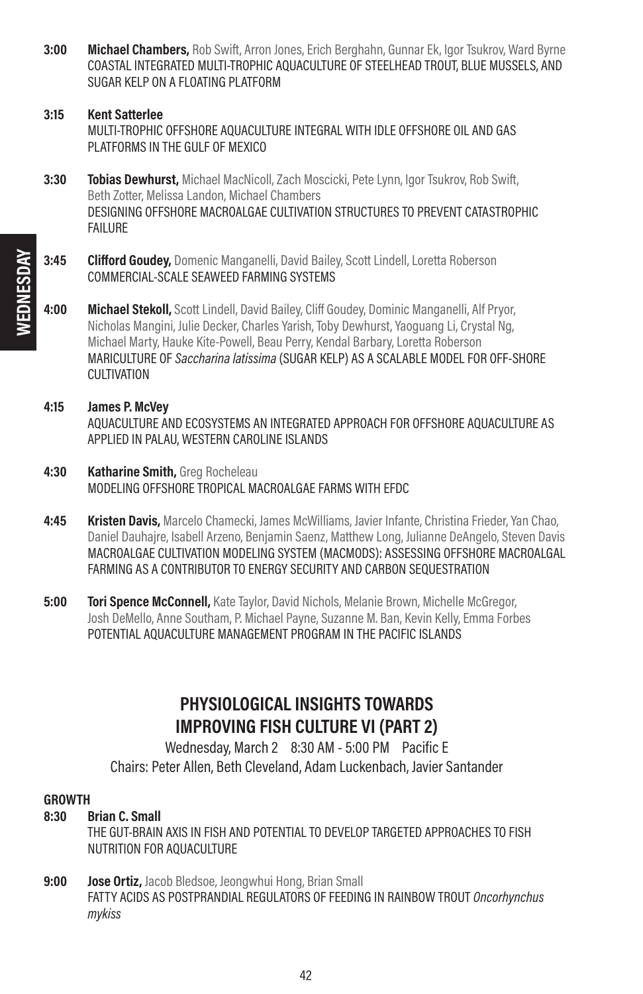**3:00 Michael Chambers,** Rob Swift, Arron Jones, Erich Berghahn, Gunnar Ek, Igor Tsukrov, Ward Byrne COASTAL INTEGRATED MULTI-TROPHIC AQUACULTURE OF STEELHEAD TROUT, BLUE MUSSELS, AND SUGAR KELP ON A FLOATING PLATFORM

#### 3:15 Kent Satterlee

MULTI-TROPHIC OFFSHORE AQUACULTURE INTEGRAL WITH IDLE OFFSHORE OIL AND GAS PLATFORMS IN THE GULF OF MEXICO

- 3:30 **Tobias Dewhurst.** Michael MacNicoll, Zach Moscicki, Pete Lynn, Igor Tsukrov, Rob Swift, Beth Zotter, Melissa Landon, Michael Chambers DESIGNING OFFSHORE MACROALGAE CULTIVATION STRUCTURES TO PREVENT CATASTROPHIC FAILURE
- 3:45 Clifford Goudey, Domenic Manganelli, David Bailey, Scott Lindell, Loretta Roberson COMMERCIAL-SCALE SEAWEED FARMING SYSTEMS
- 4:00 Michael Stekoll, Scott Lindell, David Bailey, Cliff Goudey, Dominic Manganelli, Alf Pryor, Nicholas Mangini, Julie Decker, Charles Yarish, Toby Dewhurst, Yaoguang Li, Crystal Ng, Michael Marty, Hauke Kite-Powell, Beau Perry, Kendal Barbary, Loretta Roberson MARICULTURE OF Saccharina latissima (SUGAR KELP) AS A SCALABLE MODEL FOR OFF-SHORE CULTIVATION
- 4:15 James P. McVey AQUACULTURE AND ECOSYSTEMS AN INTEGRATED APPROACH FOR OFFSHORE AQUACULTURE AS APPLIED IN PALAU, WESTERN CAROLINE ISLANDS
- 4:30 Katharine Smith, Greg Rocheleau MODELING OFFSHORE TROPICAL MACROALGAE FARMS WITH EFDC
- 4:45 **Kristen Davis,** Marcelo Chamecki, James McWilliams, Javier Infante, Christina Frieder, Yan Chao, Daniel Dauhajre, Isabell Arzeno, Benjamin Saenz, Matthew Long, Julianne DeAngelo, Steven Davis MACROALGAE CULTIVATION MODELING SYSTEM (MACMODS): ASSESSING OFFSHORE MACROALGAL FARMING AS A CONTRIBUTOR TO ENERGY SECURITY AND CARBON SEQUESTRATION
- 5:00 Tori Spence McConnell, Kate Taylor, David Nichols, Melanie Brown, Michelle McGregor, Josh DeMello, Anne Southam, P. Michael Payne, Suzanne M. Ban, Kevin Kelly, Emma Forbes POTENTIAL AQUACULTURE MANAGEMENT PROGRAM IN THE PACIFIC ISLANDS

### PHYSIOLOGICAL INSIGHTS TOWARDS IMPROVING FISH CULTURE VI (PART 2)

Wednesday, March 2 8:30 AM - 5:00 PM Pacific E Chairs: Peter Allen, Beth Cleveland, Adam Luckenbach, Javier Santander

#### GROWTH

8:30 Brian C. Small

THE GUT-BRAIN AXIS IN FISH AND POTENTIAL TO DEVELOP TARGETED APPROACHES TO FISH NUTRITION FOR AQUACULTURE

9:00 **Jose Ortiz,** Jacob Bledsoe, Jeongwhui Hong, Brian Small FATTY ACIDS AS POSTPRANDIAL REGULATORS OF FEEDING IN RAINBOW TROUT Oncorhynchus mykiss

42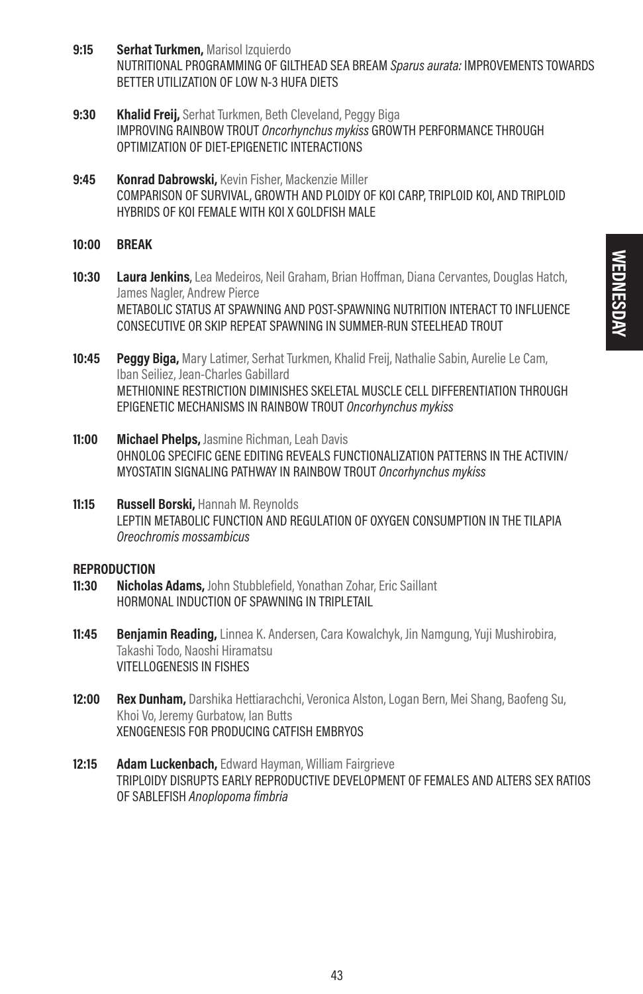- 9:15 **Serhat Turkmen, Marisol Izquierdo** NUTRITIONAL PROGRAMMING OF GILTHEAD SEA BREAM Sparus aurata: IMPROVEMENTS TOWARDS BETTER UTILIZATION OF LOW N-3 HUFA DIETS
- 9:30 Khalid Freij, Serhat Turkmen, Beth Cleveland, Peggy Biga IMPROVING RAINBOW TROUT Oncorhynchus mykiss GROWTH PERFORMANCE THROUGH OPTIMIZATION OF DIET-EPIGENETIC INTERACTIONS
- 9:45 Konrad Dabrowski, Kevin Fisher, Mackenzie Miller COMPARISON OF SURVIVAL, GROWTH AND PLOIDY OF KOI CARP, TRIPLOID KOI, AND TRIPLOID HYBRIDS OF KOI FEMALE WITH KOI X GOLDFISH MALE
- 10:00 BREAK
- 10:30 Laura Jenkins, Lea Medeiros, Neil Graham, Brian Hoffman, Diana Cervantes, Douglas Hatch, James Nagler, Andrew Pierce METABOLIC STATUS AT SPAWNING AND POST-SPAWNING NUTRITION INTERACT TO INFLUENCE CONSECUTIVE OR SKIP REPEAT SPAWNING IN SUMMER-RUN STEELHEAD TROUT
- 10:45 **Peggy Biga,** Mary Latimer, Serhat Turkmen, Khalid Freij, Nathalie Sabin, Aurelie Le Cam, Iban Seiliez, Jean-Charles Gabillard METHIONINE RESTRICTION DIMINISHES SKELETAL MUSCLE CELL DIFFERENTIATION THROUGH EPIGENETIC MECHANISMS IN RAINBOW TROUT Oncorhynchus mykiss
- 11:00 Michael Phelps, Jasmine Richman, Leah Davis OHNOLOG SPECIFIC GENE EDITING REVEALS FUNCTIONALIZATION PATTERNS IN THE ACTIVIN/ MYOSTATIN SIGNALING PATHWAY IN RAINBOW TROUT Oncorhynchus mykiss
- 11:15 **Russell Borski, Hannah M. Reynolds** LEPTIN METABOLIC FUNCTION AND REGULATION OF OXYGEN CONSUMPTION IN THE TILAPIA Oreochromis mossambicus

#### **REPRODUCTION**

- 11:30 Nicholas Adams, John Stubblefield, Yonathan Zohar, Eric Saillant HORMONAL INDUCTION OF SPAWNING IN TRIPLETAIL
- 11:45 Benjamin Reading, Linnea K. Andersen, Cara Kowalchyk, Jin Namgung, Yuji Mushirobira, Takashi Todo, Naoshi Hiramatsu VITELLOGENESIS IN FISHES
- **12:00 Rex Dunham,** Darshika Hettiarachchi, Veronica Alston, Logan Bern, Mei Shang, Baofeng Su, Khoi Vo, Jeremy Gurbatow, Ian Butts XENOGENESIS FOR PRODUCING CATFISH EMBRYOS
- 12:15 Adam Luckenbach, Edward Hayman, William Fairgrieve TRIPLOIDY DISRUPTS EARLY REPRODUCTIVE DEVELOPMENT OF FEMALES AND ALTERS SEX RATIOS OF SABLEFISH Anoplopoma fimbria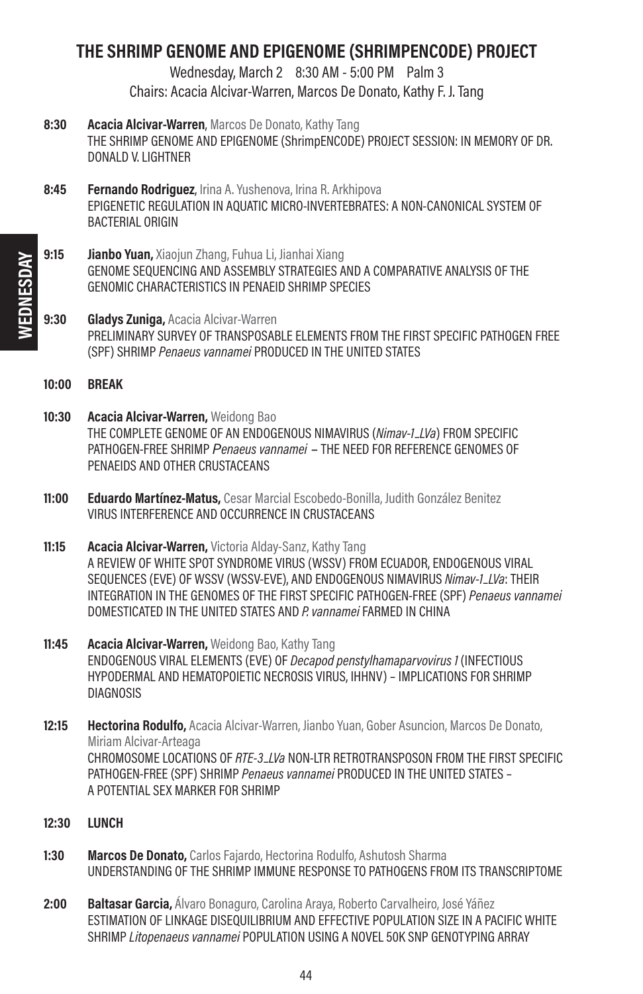### THE SHRIMP GENOME AND EPIGENOME (SHRIMPENCODE) PROJECT

Wednesday, March 2 8:30 AM - 5:00 PM Palm 3 Chairs: Acacia Alcivar-Warren, Marcos De Donato, Kathy F. J. Tang

- 8:30 Acacia Alcivar-Warren, Marcos De Donato, Kathy Tang THE SHRIMP GENOME AND EPIGENOME (ShrimpENCODE) PROJECT SESSION: IN MEMORY OF DR. DONALD V. LIGHTNER
- 8:45 Fernando Rodriguez, Irina A. Yushenova, Irina R. Arkhipova EPIGENETIC REGULATION IN AQUATIC MICRO-INVERTEBRATES: A NON-CANONICAL SYSTEM OF BACTERIAL ORIGIN
- 9:15 **Jianbo Yuan, Xiaojun Zhang, Fuhua Li, Jianhai Xiang** GENOME SEQUENCING AND ASSEMBLY STRATEGIES AND A COMPARATIVE ANALYSIS OF THE GENOMIC CHARACTERISTICS IN PENAEID SHRIMP SPECIES
- 9:30 **Gladys Zuniga, Acacia Alcivar-Warren** PRELIMINARY SURVEY OF TRANSPOSABLE ELEMENTS FROM THE FIRST SPECIFIC PATHOGEN FREE (SPF) SHRIMP Penaeus vannamei PRODUCED IN THE UNITED STATES
- 10:00 BREAK
- 10:30 Acacia Alcivar-Warren, Weidong Bao THE COMPLETE GENOME OF AN ENDOGENOUS NIMAVIRUS (Nimav-1\_LVa) FROM SPECIFIC PATHOGEN-FREE SHRIMP Penaeus vannamei – THE NEED FOR REFERENCE GENOMES OF PENAEIDS AND OTHER CRUSTACEANS
- 11:00 **Eduardo Martínez-Matus, Cesar Marcial Escobedo-Bonilla, Judith González Benitez** VIRUS INTERFERENCE AND OCCURRENCE IN CRUSTACEANS
- 11:15 **Acacia Alcivar-Warren,** Victoria Alday-Sanz, Kathy Tang A REVIEW OF WHITE SPOT SYNDROME VIRUS (WSSV) FROM ECUADOR, ENDOGENOUS VIRAL SEQUENCES (EVE) OF WSSV (WSSV-EVE), AND ENDOGENOUS NIMAVIRUS Nimav-1\_LVa: THEIR INTEGRATION IN THE GENOMES OF THE FIRST SPECIFIC PATHOGEN-FREE (SPF) Penaeus vannamei DOMESTICATED IN THE UNITED STATES AND P. vannamei FARMED IN CHINA
- 11:45 Acacia Alcivar-Warren, Weidong Bao, Kathy Tang ENDOGENOUS VIRAL ELEMENTS (EVE) OF Decapod penstylhamaparvovirus 1 (INFECTIOUS HYPODERMAL AND HEMATOPOIETIC NECROSIS VIRUS, IHHNV) – IMPLICATIONS FOR SHRIMP DIAGNOSIS
- 12:15 **Hectorina Rodulfo,** Acacia Alcivar-Warren, Jianbo Yuan, Gober Asuncion, Marcos De Donato, Miriam Alcivar-Arteaga CHROMOSOME LOCATIONS OF RTE-3–LVa NON-LTR RETROTRANSPOSON FROM THE FIRST SPECIFIC PATHOGEN-FREE (SPF) SHRIMP Penaeus vannamei PRODUCED IN THE UNITED STATES – A POTENTIAL SEX MARKER FOR SHRIMP
- 12:30 LUNCH
- 1:30 **Marcos De Donato,** Carlos Fajardo, Hectorina Rodulfo, Ashutosh Sharma UNDERSTANDING OF THE SHRIMP IMMUNE RESPONSE TO PATHOGENS FROM ITS TRANSCRIPTOME
- 2:00 **Baltasar Garcia,** Álvaro Bonaguro, Carolina Araya, Roberto Carvalheiro, José Yáñez ESTIMATION OF LINKAGE DISEQUILIBRIUM AND EFFECTIVE POPULATION SIZE IN A PACIFIC WHITE SHRIMP Litopenaeus vannamei POPULATION USING A NOVEL 50K SNP GENOTYPING ARRAY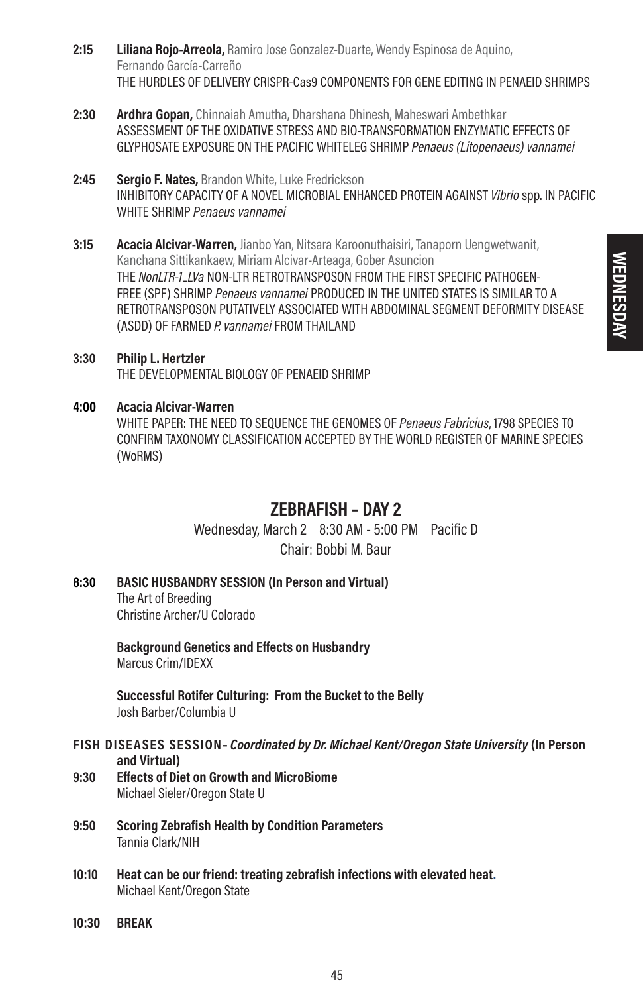- 2:15 **Liliana Rojo-Arreola,** Ramiro Jose Gonzalez-Duarte, Wendy Espinosa de Aquino, Fernando García-Carreño THE HURDLES OF DELIVERY CRISPR-Cas9 COMPONENTS FOR GENE EDITING IN PENAEID SHRIMPS
- 2:30 **Ardhra Gopan,** Chinnaiah Amutha, Dharshana Dhinesh, Maheswari Ambethkar ASSESSMENT OF THE OXIDATIVE STRESS AND BIO-TRANSFORMATION ENZYMATIC EFFECTS OF GLYPHOSATE EXPOSURE ON THE PACIFIC WHITELEG SHRIMP Penaeus (Litopenaeus) vannamei
- 2:45 Sergio F. Nates, Brandon White, Luke Fredrickson INHIBITORY CAPACITY OF A NOVEL MICROBIAL ENHANCED PROTEIN AGAINST Vibrio spp. IN PACIFIC WHITE SHRIMP Penaeus vannamei
- 3:15 Acacia Alcivar-Warren, Jianbo Yan, Nitsara Karoonuthaisiri, Tanaporn Uengwetwanit, Kanchana Sittikankaew, Miriam Alcivar-Arteaga, Gober Asuncion THE NonLTR-1\_LVa NON-LTR RETROTRANSPOSON FROM THE FIRST SPECIFIC PATHOGEN-FREE (SPF) SHRIMP Penaeus vannamei PRODUCED IN THE UNITED STATES IS SIMILAR TO A RETROTRANSPOSON PUTATIVELY ASSOCIATED WITH ABDOMINAL SEGMENT DEFORMITY DISEASE (ASDD) OF FARMED P. vannamei FROM THAILAND
- 3:30 Philip L. Hertzler THE DEVELOPMENTAL BIOLOGY OF PENAEID SHRIMP
- 4:00 Acacia Alcivar-Warren WHITE PAPER: THE NEED TO SEQUENCE THE GENOMES OF Penaeus Fabricius, 1798 SPECIES TO CONFIRM TAXONOMY CLASSIFICATION ACCEPTED BY THE WORLD REGISTER OF MARINE SPECIES (WoRMS)

### ZEBRAFISH – DAY 2

Wednesday, March 2 8:30 AM - 5:00 PM Pacific D Chair: Bobbi M. Baur

8:30 BASIC HUSBANDRY SESSION (In Person and Virtual) The Art of Breeding Christine Archer/U Colorado

> Background Genetics and Effects on Husbandry Marcus Crim/IDEXX

Successful Rotifer Culturing: From the Bucket to the Belly Josh Barber/Columbia U

- FISH DISEASES SESSION– Coordinated by Dr. Michael Kent/Oregon State University (In Person and Virtual)
- 9:30 Effects of Diet on Growth and MicroBiome Michael Sieler/Oregon State U
- 9:50 Scoring Zebrafish Health by Condition Parameters Tannia Clark/NIH
- 10:10 Heat can be our friend: treating zebrafish infections with elevated heat. Michael Kent/Oregon State
- 10:30 BREAK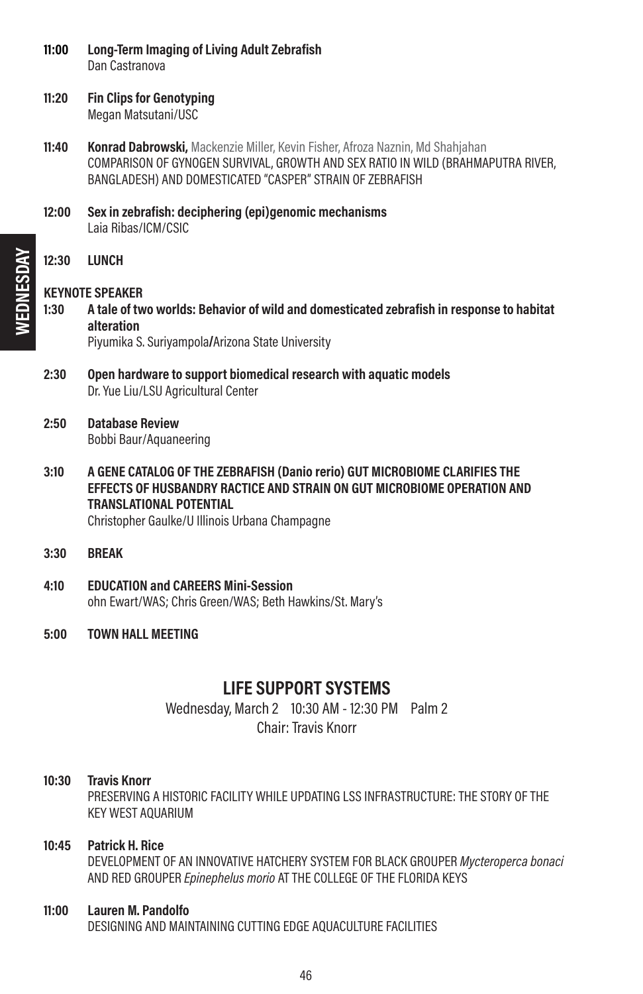- 11:00 Long-Term Imaging of Living Adult Zebrafish Dan Castranova
- 11:20 Fin Clips for Genotyping Megan Matsutani/USC
- **11:40 Konrad Dabrowski,** Mackenzie Miller, Kevin Fisher, Afroza Naznin, Md Shahiahan COMPARISON OF GYNOGEN SURVIVAL, GROWTH AND SEX RATIO IN WILD (BRAHMAPUTRA RIVER, BANGLADESH) AND DOMESTICATED "CASPER" STRAIN OF ZEBRAFISH
- 12:00 Sexin zebrafish: deciphering (epi)genomic mechanisms Laia Ribas/ICM/CSIC
- 12:30 LUNCH

#### KEYNOTE SPEAKER

- 1:30 A tale of two worlds: Behavior of wild and domesticated zebrafish in response to habitat alteration Piyumika S. Suriyampola**/**Arizona State University
- 2:30 Open hardware to support biomedical research with aquatic models Dr. Yue Liu/LSU Agricultural Center
- 2:50 Database Review Bobbi Baur/Aquaneering
- 3:10 A GENE CATALOG OF THE ZEBRAFISH (Danio rerio) GUT MICROBIOME CLARIFIES THE EFFECTS OF HUSBANDRY RACTICE AND STRAIN ON GUT MICROBIOME OPERATION AND TRANSLATIONAL POTENTIAL

Christopher Gaulke/U Illinois Urbana Champagne

- 3:30 BREAK
- 4:10 EDUCATION and CAREERS Mini-Session ohn Ewart/WAS; Chris Green/WAS; Beth Hawkins/St. Mary's
- 5:00 TOWN HALL MEETING

### LIFE SUPPORT SYSTEMS

Wednesday, March 2 10:30 AM - 12:30 PM Palm 2 Chair: Travis Knorr

#### 10:30 Travis Knorr

PRESERVING A HISTORIC FACILITY WHILE UPDATING LSS INFRASTRUCTURE: THE STORY OF THE KEY WEST AQUARIUM

#### 10:45 Patrick H. Rice

DEVELOPMENT OF AN INNOVATIVE HATCHERY SYSTEM FOR BLACK GROUPER Mycteroperca bonaci AND RED GROUPER Epinephelus morio AT THE COLLEGE OF THE FLORIDA KEYS

#### 11:00 Lauren M. Pandolfo

DESIGNING AND MAINTAINING CUTTING EDGE AQUACULTURE FACILITIES

46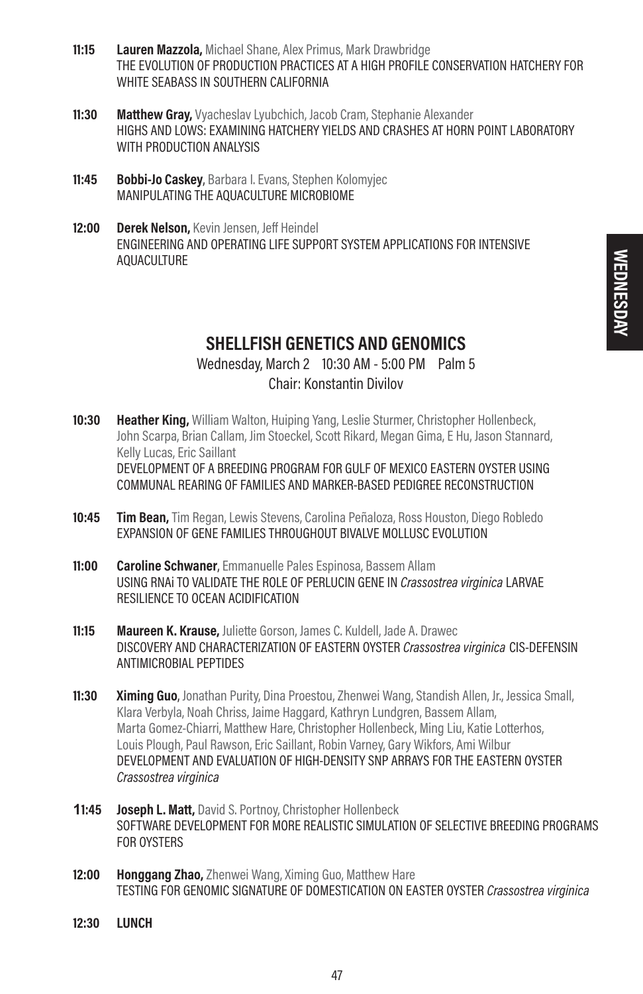- 11:15 Lauren Mazzola, Michael Shane, Alex Primus, Mark Drawbridge THE EVOLUTION OF PRODUCTION PRACTICES AT A HIGH PROFILE CONSERVATION HATCHERY FOR WHITE SEABASS IN SOUTHERN CALIFORNIA
- 11:30 Matthew Gray, Vyacheslav Lyubchich, Jacob Cram, Stephanie Alexander HIGHS AND LOWS: EXAMINING HATCHERY YIELDS AND CRASHES AT HORN POINT LABORATORY WITH PRODUCTION ANALYSIS
- 11:45 Bobbi-Jo Caskey, Barbara I. Evans, Stephen Kolomyjec MANIPULATING THE AQUACULTURE MICROBIOME
- 12:00 Derek Nelson, Kevin Jensen, Jeff Heindel ENGINEERING AND OPERATING LIFE SUPPORT SYSTEM APPLICATIONS FOR INTENSIVE AQUACULTURE

### SHELLFISH GENETICS AND GENOMICS

### Wednesday, March 2 10:30 AM - 5:00 PM Palm 5 Chair: Konstantin Divilov

- **10:30 Heather King,** William Walton, Huiping Yang, Leslie Sturmer, Christopher Hollenbeck, John Scarpa, Brian Callam, Jim Stoeckel, Scott Rikard, Megan Gima, E Hu, Jason Stannard, Kelly Lucas, Eric Saillant DEVELOPMENT OF A BREEDING PROGRAM FOR GULF OF MEXICO EASTERN OYSTER USING COMMUNAL REARING OF FAMILIES AND MARKER-BASED PEDIGREE RECONSTRUCTION
- 10:45 Tim Bean, Tim Regan, Lewis Stevens, Carolina Peñaloza, Ross Houston, Diego Robledo EXPANSION OF GENE FAMILIES THROUGHOUT BIVALVE MOLLUSC EVOLUTION
- **11:00 Caroline Schwaner**, Emmanuelle Pales Espinosa, Bassem Allam USING RNAi TO VALIDATE THE ROLE OF PERLUCIN GENE IN Crassostrea virginica LARVAE RESILIENCE TO OCEAN ACIDIFICATION
- **11:15** Maureen K. Krause, Juliette Gorson, James C. Kuldell, Jade A. Drawec DISCOVERY AND CHARACTERIZATION OF EASTERN OYSTER Crassostrea virginica CIS-DEFENSIN ANTIMICROBIAL PEPTIDES
- 11:30 Ximing Guo, Jonathan Purity, Dina Proestou, Zhenwei Wang, Standish Allen, Jr., Jessica Small, Klara Verbyla, Noah Chriss, Jaime Haggard, Kathryn Lundgren, Bassem Allam, Marta Gomez-Chiarri, Matthew Hare, Christopher Hollenbeck, Ming Liu, Katie Lotterhos, Louis Plough, Paul Rawson, Eric Saillant, Robin Varney, Gary Wikfors, Ami Wilbur DEVELOPMENT AND EVALUATION OF HIGH-DENSITY SNP ARRAYS FOR THE EASTERN OYSTER Crassostrea virginica
- **11:45 Joseph L. Matt, David S. Portnoy, Christopher Hollenbeck** SOFTWARE DEVELOPMENT FOR MORE REALISTIC SIMULATION OF SELECTIVE BREEDING PROGRAMS FOR OYSTERS
- 12:00 Honggang Zhao, Zhenwei Wang, Ximing Guo, Matthew Hare TESTING FOR GENOMIC SIGNATURE OF DOMESTICATION ON EASTER OYSTER Crassostrea virginica
- 12:30 LUNCH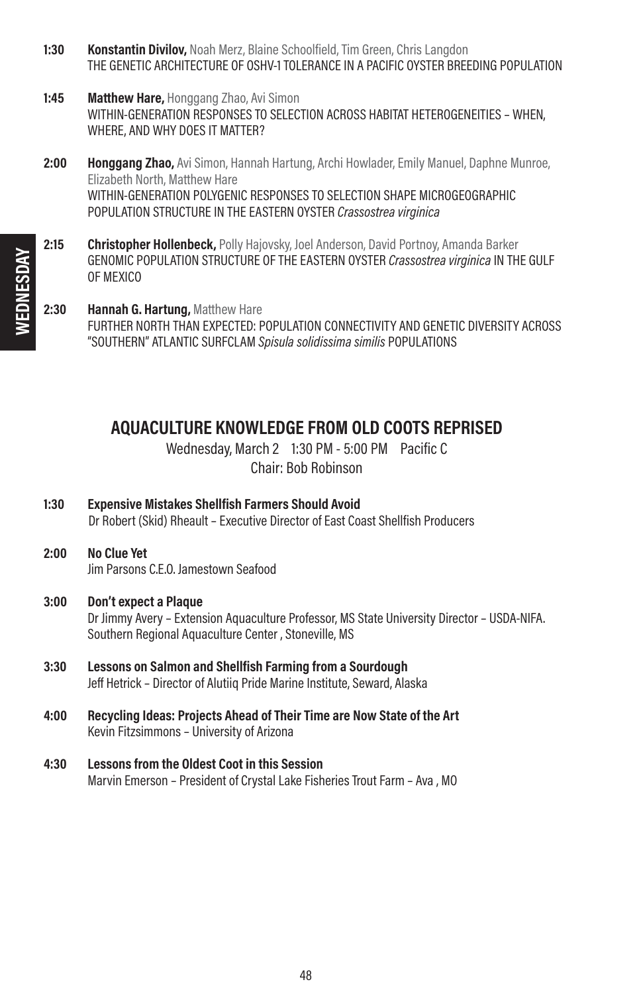- 1:30 **Konstantin Divilov, Noah Merz, Blaine Schoolfield, Tim Green, Chris Langdon** THE GENETIC ARCHITECTURE OF OSHV-1 TOLERANCE IN A PACIFIC OYSTER BREEDING POPULATION
- **1:45** Matthew Hare, Honggang Zhao, Avi Simon WITHIN-GENERATION RESPONSES TO SELECTION ACROSS HABITAT HETEROGENEITIES – WHEN, WHERE, AND WHY DOES IT MATTER?
- 2:00 **Honggang Zhao,** Avi Simon, Hannah Hartung, Archi Howlader, Emily Manuel, Daphne Munroe, Elizabeth North, Matthew Hare WITHIN-GENERATION POLYGENIC RESPONSES TO SELECTION SHAPE MICROGEOGRAPHIC POPULATION STRUCTURE IN THE EASTERN OYSTER Crassostrea virginica
- 2:15 Christopher Hollenbeck, Polly Hajovsky, Joel Anderson, David Portnoy, Amanda Barker GENOMIC POPULATION STRUCTURE OF THE EASTERN OYSTER Crassostrea virginica IN THE GULF OF MEXICO
- 2:30 Hannah G. Hartung, Matthew Hare FURTHER NORTH THAN EXPECTED: POPULATION CONNECTIVITY AND GENETIC DIVERSITY ACROSS "SOUTHERN" ATLANTIC SURFCLAM Spisula solidissima similis POPULATIONS

### AQUACULTURE KNOWLEDGE FROM OLD COOTS REPRISED

Wednesday, March 2 1:30 PM - 5:00 PM Pacific C Chair: Bob Robinson

- 1:30 Expensive Mistakes Shellfish Farmers Should Avoid Dr Robert (Skid) Rheault – Executive Director of East Coast Shellfish Producers
- 2:00 No Clue Yet Jim Parsons C.E.O. Jamestown Seafood

#### 3:00 Don't expect a Plaque

Dr Jimmy Avery – Extension Aquaculture Professor, MS State University Director – USDA-NIFA. Southern Regional Aquaculture Center , Stoneville, MS

- 3:30 Lessons on Salmon and Shellfish Farming from a Sourdough Jeff Hetrick – Director of Alutiiq Pride Marine Institute, Seward, Alaska
- 4:00 Recycling Ideas: Projects Ahead of Their Time are Now State of the Art Kevin Fitzsimmons – University of Arizona
- 4:30 Lessons from the Oldest Coot in this Session Marvin Emerson – President of Crystal Lake Fisheries Trout Farm – Ava , MO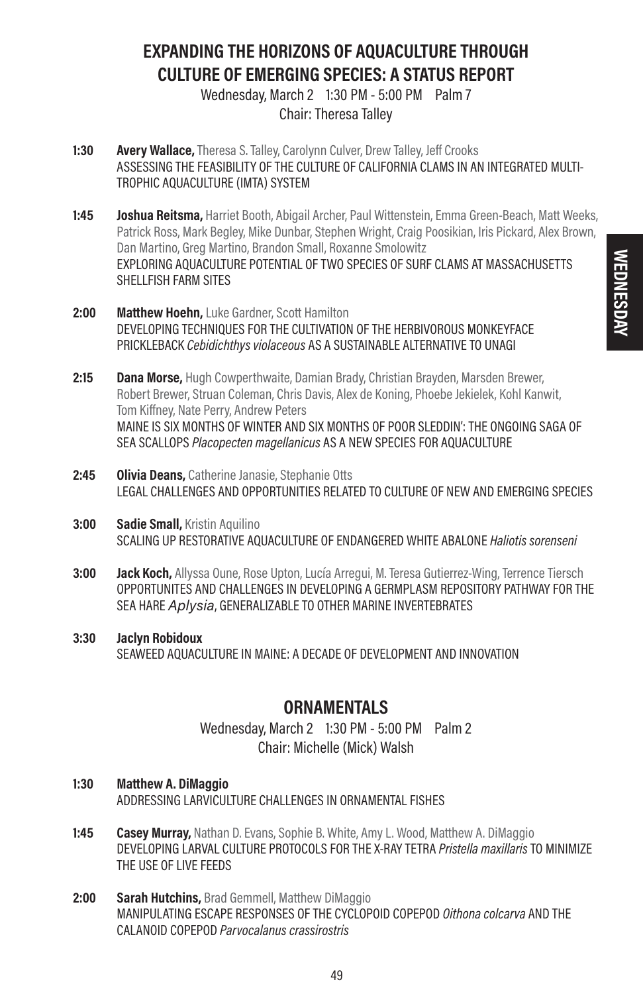### EXPANDING THE HORIZONS OF AQUACULTURE THROUGH CULTURE OF EMERGING SPECIES: A STATUS REPORT

Wednesday, March 2 1:30 PM - 5:00 PM Palm 7 Chair: Theresa Talley

- 1:30 **Avery Wallace,** Theresa S. Talley, Carolynn Culver, Drew Talley, Jeff Crooks ASSESSING THE FEASIBILITY OF THE CULTURE OF CALIFORNIA CLAMS IN AN INTEGRATED MULTI-TROPHIC AQUACULTURE (IMTA) SYSTEM
- **1:45 Ioshua Reitsma,** Harriet Booth, Abigail Archer, Paul Wittenstein, Emma Green-Beach, Matt Weeks, Patrick Ross, Mark Begley, Mike Dunbar, Stephen Wright, Craig Poosikian, Iris Pickard, Alex Brown, Dan Martino, Greg Martino, Brandon Small, Roxanne Smolowitz EXPLORING AQUACULTURE POTENTIAL OF TWO SPECIES OF SURF CLAMS AT MASSACHUSETTS SHELLFISH FARM SITES
- 2:00 Matthew Hoehn, Luke Gardner, Scott Hamilton DEVELOPING TECHNIQUES FOR THE CULTIVATION OF THE HERBIVOROUS MONKEYFACE PRICKLEBACK Cebidichthys violaceous AS A SUSTAINABLE ALTERNATIVE TO UNAGI
- 2:15 Dana Morse, Hugh Cowperthwaite, Damian Brady, Christian Brayden, Marsden Brewer, Robert Brewer, Struan Coleman, Chris Davis, Alex de Koning, Phoebe Jekielek, Kohl Kanwit, Tom Kiffney, Nate Perry, Andrew Peters MAINE IS SIX MONTHS OF WINTER AND SIX MONTHS OF POOR SLEDDIN': THE ONGOING SAGA OF SEA SCALLOPS Placopecten magellanicus AS A NEW SPECIES FOR AQUACULTURE
- 2:45 Olivia Deans, Catherine Janasie, Stephanie Otts LEGAL CHALLENGES AND OPPORTUNITIES RELATED TO CULTURE OF NEW AND EMERGING SPECIES
- **3:00 Sadie Small, Kristin Aquilino** SCALING UP RESTORATIVE AQUACULTURE OF ENDANGERED WHITE ABALONE Haliotis sorenseni
- 3:00 **Jack Koch,** Allyssa Oune, Rose Upton, Lucía Arregui, M. Teresa Gutierrez-Wing, Terrence Tiersch OPPORTUNITES AND CHALLENGES IN DEVELOPING A GERMPLASM REPOSITORY PATHWAY FOR THE SEA HARE Aplysia, GENERALIZABLE TO OTHER MARINE INVERTEBRATES
- 3:30 Jaclyn Robidoux SEAWEED AQUACULTURE IN MAINE: A DECADE OF DEVELOPMENT AND INNOVATION

### **ORNAMENTALS**

Wednesday, March 2 1:30 PM - 5:00 PM Palm 2 Chair: Michelle (Mick) Walsh

- 1:30 Matthew A. DiMaggio ADDRESSING LARVICULTURE CHALLENGES IN ORNAMENTAL FISHES
- **1:45 Casey Murray,** Nathan D. Evans, Sophie B. White, Amy L. Wood, Matthew A. DiMaggio DEVELOPING LARVAL CULTURE PROTOCOLS FOR THE X-RAY TETRA *Pristella maxillaris* TO MINIMIZE THE USE OF LIVE FEEDS
- 2:00 Sarah Hutchins, Brad Gemmell, Matthew DiMaggio MANIPULATING ESCAPE RESPONSES OF THE CYCLOPOID COPEPOD Oithona colcarva AND THE CALANOID COPEPOD Parvocalanus crassirostris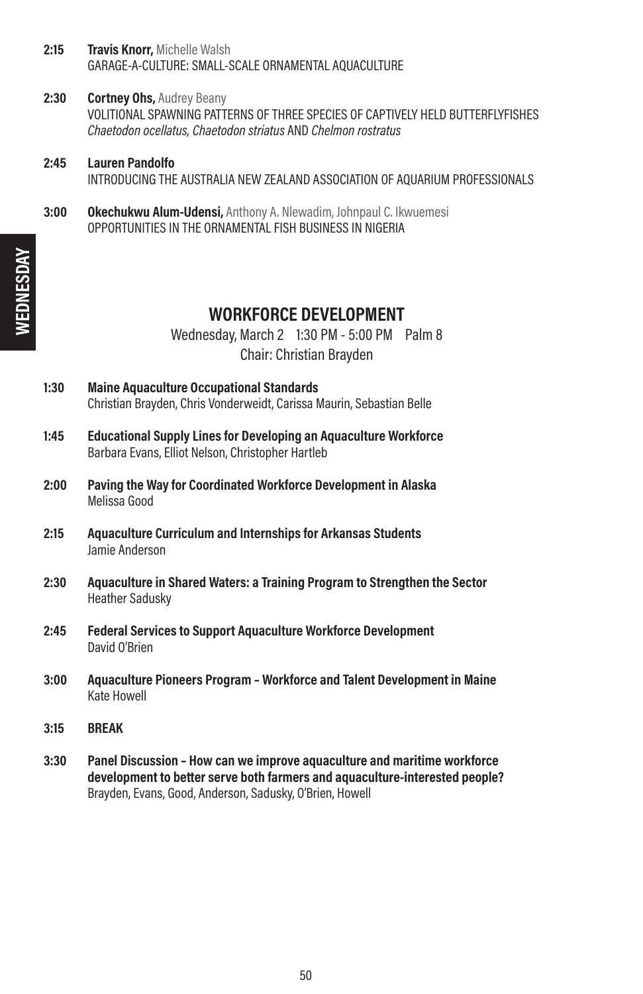- 2:15 **Travis Knorr**, Michelle Walsh GARAGE-A-CULTURE: SMALL-SCALE ORNAMENTAL AQUACULTURE
- 2:30 **Cortney Ohs, Audrey Beany** VOLITIONAL SPAWNING PATTERNS OF THREE SPECIES OF CAPTIVELY HELD BUTTERFLYFISHES Chaetodon ocellatus, Chaetodon striatus AND Chelmon rostratus
- 2:45 Lauren Pandolfo INTRODUCING THE AUSTRALIA NEW ZEALAND ASSOCIATION OF AQUARIUM PROFESSIONALS
- **3:00 Okechukwu Alum-Udensi, Anthony A. Nlewadim, Johnpaul C. Ikwuemesi** OPPORTUNITIES IN THE ORNAMENTAL FISH BUSINESS IN NIGERIA

### WORKFORCE DEVELOPMENT

Wednesday, March 2 1:30 PM - 5:00 PM Palm 8 Chair: Christian Brayden

- 1:30 Maine Aquaculture Occupational Standards Christian Brayden, Chris Vonderweidt, Carissa Maurin, Sebastian Belle
- 1:45 Educational Supply Lines for Developing an Aquaculture Workforce Barbara Evans, Elliot Nelson, Christopher Hartleb
- 2:00 Paving the Way for Coordinated Workforce Development in Alaska Melissa Good
- 2:15 Aquaculture Curriculum and Internships for Arkansas Students Jamie Anderson
- 2:30 Aquaculture in Shared Waters: a Training Program to Strengthen the Sector Heather Sadusky
- 2:45 Federal Services to Support Aquaculture Workforce Development David O'Brien
- 3:00 Aquaculture Pioneers Program Workforce and Talent Development in Maine Kate Howell
- 3:15 BREAK
- 3:30 Panel Discussion How can we improve aquaculture and maritime workforce development to better serve both farmers and aquaculture-interested people? Brayden, Evans, Good, Anderson, Sadusky, O'Brien, Howell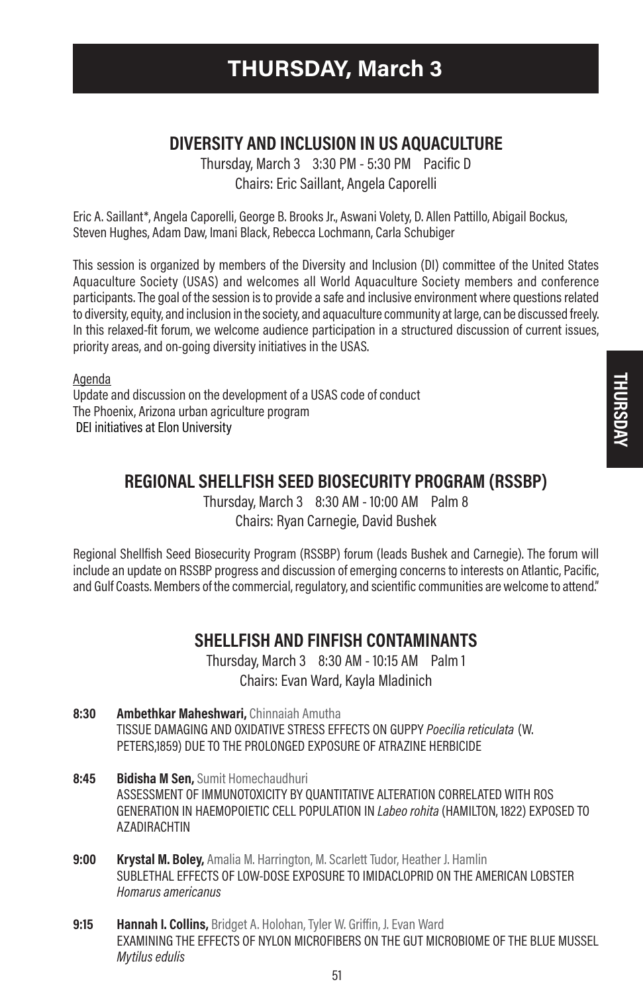### DIVERSITY AND INCLUSION IN US AQUACULTURE

Thursday, March 3 3:30 PM - 5:30 PM Pacific D Chairs: Eric Saillant, Angela Caporelli

Eric A. Saillant\*, Angela Caporelli, George B. Brooks Jr., Aswani Volety, D. Allen Pattillo, Abigail Bockus, Steven Hughes, Adam Daw, Imani Black, Rebecca Lochmann, Carla Schubiger

This session is organized by members of the Diversity and Inclusion (DI) committee of the United States Aquaculture Society (USAS) and welcomes all World Aquaculture Society members and conference participants. The goal of the session is to provide a safe and inclusive environment where questions related to diversity, equity, and inclusion in the society, and aquaculture community at large, can be discussed freely. In this relaxed-fit forum, we welcome audience participation in a structured discussion of current issues, priority areas, and on-going diversity initiatives in the USAS.

Agenda Update and discussion on the development of a USAS code of conduct The Phoenix, Arizona urban agriculture program DEI initiatives at Elon University

### REGIONAL SHELLFISH SEED BIOSECURITY PROGRAM (RSSBP)

Thursday, March 3 8:30 AM - 10:00 AM Palm 8 Chairs: Ryan Carnegie, David Bushek

Regional Shellfish Seed Biosecurity Program (RSSBP) forum (leads Bushek and Carnegie). The forum will include an update on RSSBP progress and discussion of emerging concerns to interests on Atlantic, Pacific, and Gulf Coasts. Members of the commercial, regulatory, and scientific communities are welcome to attend."

### SHELLFISH AND FINFISH CONTAMINANTS

Thursday, March 3 8:30 AM - 10:15 AM Palm 1 Chairs: Evan Ward, Kayla Mladinich

- 8:30 Ambethkar Maheshwari, Chinnaiah Amutha TISSUE DAMAGING AND OXIDATIVE STRESS EFFECTS ON GUPPY Poecilia reticulata (W. PETERS,1859) DUE TO THE PROLONGED EXPOSURE OF ATRAZINE HERBICIDE
- 8:45 Bidisha M Sen. Sumit Homechaudhuri ASSESSMENT OF IMMUNOTOXICITY BY QUANTITATIVE ALTERATION CORRELATED WITH ROS GENERATION IN HAEMOPOIETIC CELL POPULATION IN Labeo rohita (HAMILTON, 1822) EXPOSED TO AZADIRACHTIN
- 9:00 Krystal M. Boley, Amalia M. Harrington, M. Scarlett Tudor, Heather J. Hamlin SUBLETHAL EFFECTS OF LOW-DOSE EXPOSURE TO IMIDACLOPRID ON THE AMERICAN LOBSTER Homarus americanus
- 9:15 **Hannah I. Collins, Bridget A. Holohan, Tyler W. Griffin, J. Evan Ward** EXAMINING THE EFFECTS OF NYLON MICROFIBERS ON THE GUT MICROBIOME OF THE BLUE MUSSEL Mytilus edulis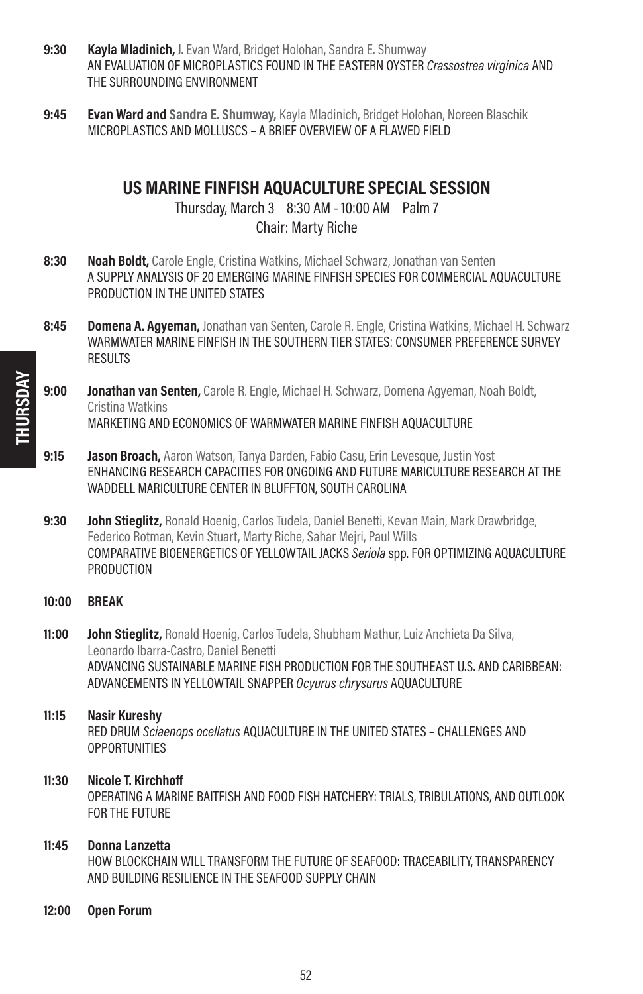- 9:30 Kayla Mladinich, J. Evan Ward, Bridget Holohan, Sandra E. Shumway AN EVALUATION OF MICROPLASTICS FOUND IN THE EASTERN OYSTER Crassostrea virginica AND THE SURROUNDING ENVIRONMENT
- **9:45 Evan Ward and Sandra E. Shumway, Kayla Mladinich, Bridget Holohan, Noreen Blaschik** MICROPLASTICS AND MOLLUSCS – A BRIEF OVERVIEW OF A FLAWED FIELD

### US MARINE FINFISH AQUACULTURE SPECIAL SESSION

Thursday, March 3 8:30 AM - 10:00 AM Palm 7 Chair: Marty Riche

- 8:30 Noah Boldt, Carole Engle, Cristina Watkins, Michael Schwarz, Jonathan van Senten A SUPPLY ANALYSIS OF 20 EMERGING MARINE FINFISH SPECIES FOR COMMERCIAL AQUACULTURE PRODUCTION IN THE UNITED STATES
- 8:45 **Domena A. Agyeman,** Jonathan van Senten, Carole R. Engle, Cristina Watkins, Michael H. Schwarz WARMWATER MARINE FINFISH IN THE SOUTHERN TIER STATES: CONSUMER PREFERENCE SURVEY **RESULTS**
- 9:00 **Jonathan van Senten,** Carole R. Engle, Michael H. Schwarz, Domena Agyeman, Noah Boldt, Cristina Watkins MARKETING AND ECONOMICS OF WARMWATER MARINE FINFISH AQUACULTURE
- 9:15 Jason Broach, Aaron Watson, Tanya Darden, Fabio Casu, Erin Levesque, Justin Yost ENHANCING RESEARCH CAPACITIES FOR ONGOING AND FUTURE MARICULTURE RESEARCH AT THE WADDELL MARICULTURE CENTER IN BLUFFTON, SOUTH CAROLINA
- 9:30 **John Stieglitz,** Ronald Hoenig, Carlos Tudela, Daniel Benetti, Kevan Main, Mark Drawbridge, Federico Rotman, Kevin Stuart, Marty Riche, Sahar Mejri, Paul Wills COMPARATIVE BIOENERGETICS OF YELLOWTAIL JACKS Seriola spp. FOR OPTIMIZING AQUACULTURE PRODUCTION

#### 10:00 BREAK

**11:00 John Stieglitz,** Ronald Hoenig, Carlos Tudela, Shubham Mathur, Luiz Anchieta Da Silva, Leonardo Ibarra-Castro, Daniel Benetti ADVANCING SUSTAINABLE MARINE FISH PRODUCTION FOR THE SOUTHEAST U.S. AND CARIBBEAN: ADVANCEMENTS IN YELLOWTAIL SNAPPER Ocyurus chrysurus AQUACULTURE

## 11:15 Nasir Kureshy

RED DRUM Sciaenops ocellatus AQUACULTURE IN THE UNITED STATES – CHALLENGES AND **OPPORTUNITIES** 

#### 11:30 Nicole T. Kirchhoff

OPERATING A MARINE BAITFISH AND FOOD FISH HATCHERY: TRIALS, TRIBULATIONS, AND OUTLOOK FOR THE FUTURE

#### 11:45 Donna Lanzetta

HOW BLOCKCHAIN WILL TRANSFORM THE FUTURE OF SEAFOOD: TRACEABILITY, TRANSPARENCY AND BUILDING RESILIENCE IN THE SEAFOOD SUPPLY CHAIN

#### 12:00 Open Forum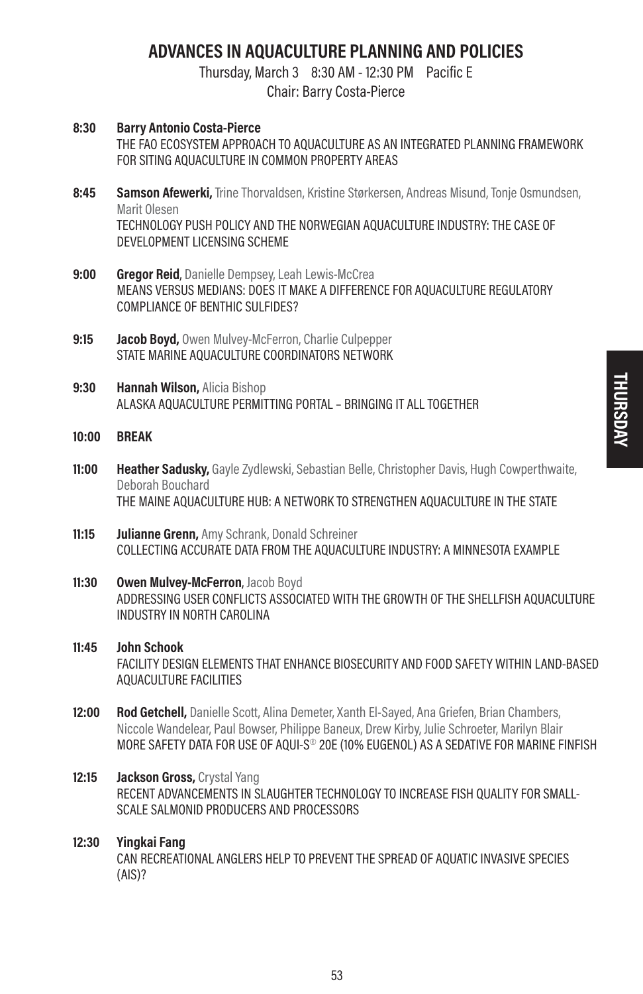# ADVANCES IN AQUACULTURE PLANNING AND POLICIES

Thursday, March 3 8:30 AM - 12:30 PM Pacific E

Chair: Barry Costa-Pierce

- 8:30 Barry Antonio Costa-Pierce THE FAO ECOSYSTEM APPROACH TO AQUACULTURE AS AN INTEGRATED PLANNING FRAMEWORK FOR SITING AQUACULTURE IN COMMON PROPERTY AREAS
- 8:45 Samson Afewerki, Trine Thorvaldsen, Kristine Størkersen, Andreas Misund, Tonie Osmundsen, Marit Olesen TECHNOLOGY PUSH POLICY AND THE NORWEGIAN AQUACULTURE INDUSTRY: THE CASE OF DEVELOPMENT LICENSING SCHEME
- 9:00 Gregor Reid, Danielle Dempsey, Leah Lewis-McCrea MEANS VERSUS MEDIANS: DOES IT MAKE A DIFFERENCE FOR AQUACULTURE REGULATORY COMPLIANCE OF BENTHIC SULFIDES?
- 9:15 **Jacob Boyd.** Owen Mulvey-McFerron, Charlie Culpepper STATE MARINE AQUACULTURE COORDINATORS NETWORK
- 9:30 Hannah Wilson, Alicia Bishop ALASKA AQUACULTURE PERMITTING PORTAL – BRINGING IT ALL TOGETHER
- 10:00 BREAK
- 11:00 Heather Sadusky, Gayle Zydlewski, Sebastian Belle, Christopher Davis, Hugh Cowperthwaite, Deborah Bouchard THE MAINE AQUACULTURE HUB: A NETWORK TO STRENGTHEN AQUACULTURE IN THE STATE
- **11:15 Julianne Grenn.** Amy Schrank, Donald Schreiner COLLECTING ACCURATE DATA FROM THE AQUACULTURE INDUSTRY: A MINNESOTA EXAMPLE
- 11:30 Owen Mulvey-McFerron, Jacob Boyd ADDRESSING USER CONFLICTS ASSOCIATED WITH THE GROWTH OF THE SHELLFISH AQUACULTURE INDUSTRY IN NORTH CAROLINA
- 11:45 John Schook FACILITY DESIGN ELEMENTS THAT ENHANCE BIOSECURITY AND FOOD SAFETY WITHIN LAND-BASED AQUACULTURE FACILITIES
- **12:00 Rod Getchell,** Danielle Scott, Alina Demeter, Xanth El-Sayed, Ana Griefen, Brian Chambers, Niccole Wandelear, Paul Bowser, Philippe Baneux, Drew Kirby, Julie Schroeter, Marilyn Blair MORE SAFETY DATA FOR USE OF AQUI-S® 20E (10% EUGENOL) AS A SEDATIVE FOR MARINE FINFISH
- 12:15 **Jackson Gross, Crystal Yang** RECENT ADVANCEMENTS IN SLAUGHTER TECHNOLOGY TO INCREASE FISH QUALITY FOR SMALL-SCALE SALMONID PRODUCERS AND PROCESSORS

### 12:30 Yingkai Fang

CAN RECREATIONAL ANGLERS HELP TO PREVENT THE SPREAD OF AQUATIC INVASIVE SPECIES (AIS)?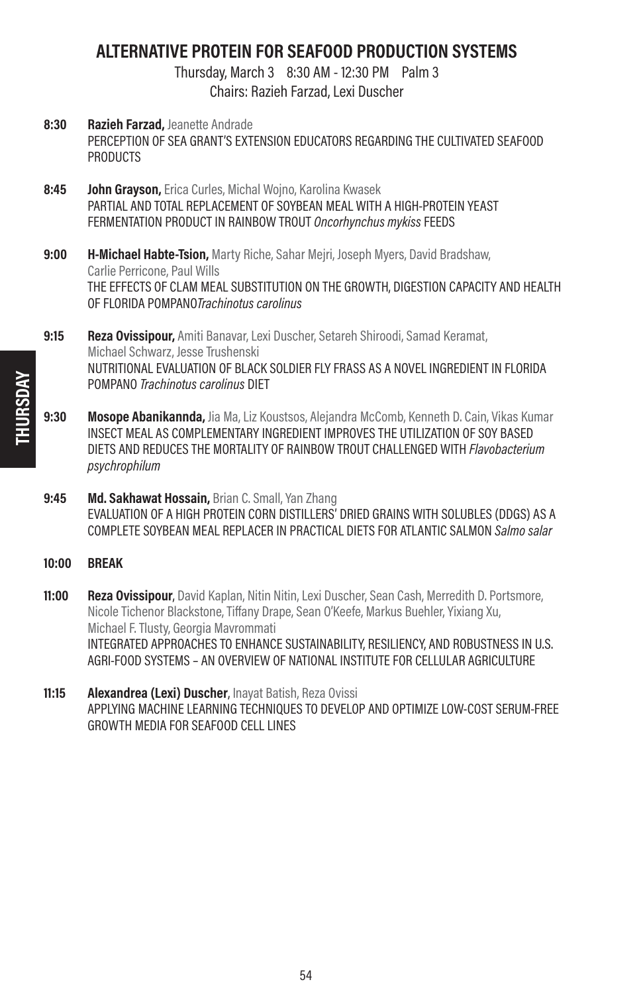# ALTERNATIVE PROTEIN FOR SEAFOOD PRODUCTION SYSTEMS

Thursday, March 3 8:30 AM - 12:30 PM Palm 3 Chairs: Razieh Farzad, Lexi Duscher

- 8:30 Razieh Farzad, Jeanette Andrade PERCEPTION OF SEA GRANT'S EXTENSION EDUCATORS REGARDING THE CULTIVATED SEAFOOD **PRODUCTS**
- 8:45 **John Grayson, Erica Curles, Michal Wojno, Karolina Kwasek** PARTIAL AND TOTAL REPLACEMENT OF SOYBEAN MEAL WITH A HIGH-PROTEIN YEAST FERMENTATION PRODUCT IN RAINBOW TROUT Oncorhynchus mykiss FEEDS
- **9:00 H-Michael Habte-Tsion,** Marty Riche, Sahar Meiri, Joseph Myers, David Bradshaw, Carlie Perricone, Paul Wills THE EFFECTS OF CLAM MEAL SUBSTITUTION ON THE GROWTH, DIGESTION CAPACITY AND HEALTH OF FLORIDA POMPANOTrachinotus carolinus
- 9:15 Reza Ovissipour, Amiti Banavar, Lexi Duscher, Setareh Shiroodi, Samad Keramat, Michael Schwarz, Jesse Trushenski NUTRITIONAL EVALUATION OF BLACK SOLDIER FLY FRASS AS A NOVEL INGREDIENT IN FLORIDA POMPANO Trachinotus carolinus DIET
- 9:30 Mosope Abanikannda, Jia Ma, Liz Koustsos, Alejandra McComb, Kenneth D. Cain, Vikas Kumar INSECT MEAL AS COMPLEMENTARY INGREDIENT IMPROVES THE UTILIZATION OF SOY BASED DIETS AND REDUCES THE MORTALITY OF RAINBOW TROUT CHALLENGED WITH *Flavobacterium* psychrophilum
- 9:45 Md. Sakhawat Hossain, Brian C. Small, Yan Zhang EVALUATION OF A HIGH PROTEIN CORN DISTILLERS' DRIED GRAINS WITH SOLUBLES (DDGS) AS A COMPLETE SOYBEAN MEAL REPLACER IN PRACTICAL DIETS FOR ATLANTIC SALMON Salmo salar
- 10:00 BREAK
- **11:00 Reza Ovissipour**, David Kaplan, Nitin Nitin, Lexi Duscher, Sean Cash, Merredith D. Portsmore, Nicole Tichenor Blackstone, Tiffany Drape, Sean O'Keefe, Markus Buehler, Yixiang Xu, Michael F. Tlusty, Georgia Mavrommati INTEGRATED APPROACHES TO ENHANCE SUSTAINABILITY, RESILIENCY, AND ROBUSTNESS IN U.S. AGRI-FOOD SYSTEMS – AN OVERVIEW OF NATIONAL INSTITUTE FOR CELLULAR AGRICULTURE
- 11:15 **Alexandrea (Lexi) Duscher**, Inavat Batish, Reza Ovissi APPLYING MACHINE LEARNING TECHNIQUES TO DEVELOP AND OPTIMIZE LOW-COST SERUM-FREE GROWTH MEDIA FOR SEAFOOD CELL LINES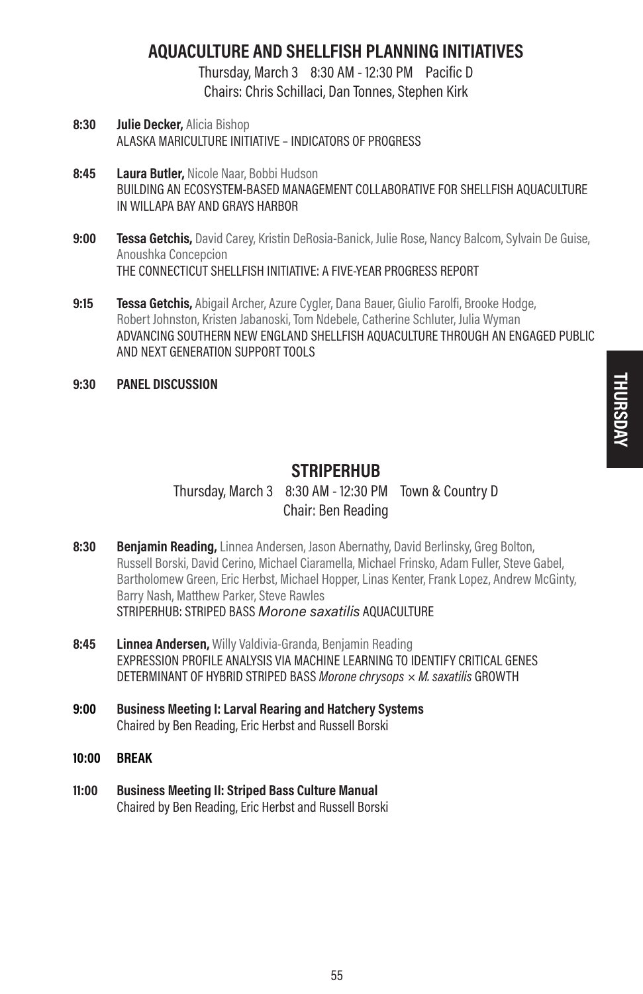# AQUACULTURE AND SHELLFISH PLANNING INITIATIVES

Thursday, March 3 8:30 AM - 12:30 PM Pacific D Chairs: Chris Schillaci, Dan Tonnes, Stephen Kirk

- 8:30 **Julie Decker, Alicia Bishop** ALASKA MARICULTURE INITIATIVE – INDICATORS OF PROGRESS
- 8:45 Laura Butler, Nicole Naar, Bobbi Hudson BUILDING AN ECOSYSTEM-BASED MANAGEMENT COLLABORATIVE FOR SHELLFISH AQUACULTURE IN WILLAPA BAY AND GRAYS HARBOR
- 9:00 Tessa Getchis, David Carey, Kristin DeRosia-Banick, Julie Rose, Nancy Balcom, Sylvain De Guise, Anoushka Concepcion THE CONNECTICUT SHELLFISH INITIATIVE: A FIVE-YEAR PROGRESS REPORT
- 9:15 **Tessa Getchis,** Abigail Archer, Azure Cygler, Dana Bauer, Giulio Farolfi, Brooke Hodge, Robert Johnston, Kristen Jabanoski, Tom Ndebele, Catherine Schluter, Julia Wyman ADVANCING SOUTHERN NEW ENGLAND SHELLFISH AQUACULTURE THROUGH AN ENGAGED PUBLIC AND NEXT GENERATION SUPPORT TOOLS
- 9:30 PANEL DISCUSSION

# **STRIPERHUB**

# Thursday, March 3 8:30 AM - 12:30 PM Town & Country D Chair: Ben Reading

- 8:30 Beniamin Reading, Linnea Andersen, Jason Abernathy, David Berlinsky, Greg Bolton, Russell Borski, David Cerino, Michael Ciaramella, Michael Frinsko, Adam Fuller, Steve Gabel, Bartholomew Green, Eric Herbst, Michael Hopper, Linas Kenter, Frank Lopez, Andrew McGinty, Barry Nash, Matthew Parker, Steve Rawles STRIPERHUB: STRIPED BASS Morone saxatilis AQUACULTURE
- 8:45 Linnea Andersen, Willy Valdivia-Granda, Benjamin Reading EXPRESSION PROFILE ANALYSIS VIA MACHINE LEARNING TO IDENTIFY CRITICAL GENES DETERMINANT OF HYBRID STRIPED BASS Morone chrysops  $\times$  M. saxatilis GROWTH
- 9:00 Business Meeting I: Larval Rearing and Hatchery Systems Chaired by Ben Reading, Eric Herbst and Russell Borski
- 10:00 BREAK
- 11:00 Business Meeting II: Striped Bass Culture Manual Chaired by Ben Reading, Eric Herbst and Russell Borski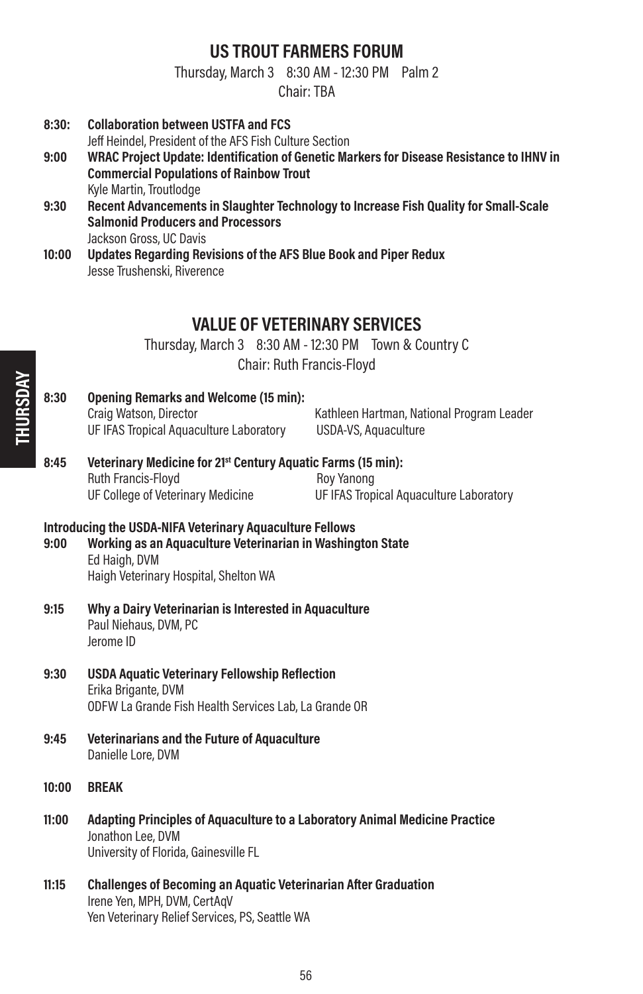### US TROUT FARMERS FORUM

Thursday, March 3 8:30 AM - 12:30 PM Palm 2

Chair: TBA

8:30: Collaboration between USTFA and FCS

THURSDAY

Jeff Heindel, President of the AFS Fish Culture Section

9:00 WRAC Project Update: Identification of Genetic Markers for Disease Resistance to IHNV in Commercial Populations of Rainbow Trout Kyle Martin, Troutlodge 9:30 Recent Advancements in Slaughter Technology to Increase Fish Quality for Small-Scale Salmonid Producers and Processors Jackson Gross, UC Davis 10:00 Updates Regarding Revisions of the AFS Blue Book and Piper Redux Jesse Trushenski, Riverence VALUE OF VETERINARY SERVICES Thursday, March 3 8:30 AM - 12:30 PM Town & Country C Chair: Ruth Francis-Floyd 8:30 Opening Remarks and Welcome (15 min): Craig Watson, Director **Kathleen Hartman, National Program Leader** Kathleen Hartman, National Program Leader UF IFAS Tropical Aquaculture Laboratory USDA-VS, Aquaculture 8:45 Veterinary Medicine for 21<sup>st</sup> Century Aquatic Farms (15 min): Ruth Francis-Floyd **Ruth Francis**-Floyd UF College of Veterinary Medicine UF IFAS Tropical Aquaculture Laboratory Introducing the USDA-NIFA Veterinary Aquaculture Fellows 9:00 Working as an Aquaculture Veterinarian in Washington State Ed Haigh, DVM Haigh Veterinary Hospital, Shelton WA 9:15 Why a Dairy Veterinarian is Interested in Aquaculture Paul Niehaus, DVM, PC Jerome ID 9:30 USDA Aquatic Veterinary Fellowship Reflection Erika Brigante, DVM ODFW La Grande Fish Health Services Lab, La Grande OR 9:45 Veterinarians and the Future of Aquaculture Danielle Lore, DVM 10:00 BREAK 11:00 Adapting Principles of Aquaculture to a Laboratory Animal Medicine Practice Jonathon Lee, DVM University of Florida, Gainesville FL 11:15 Challenges of Becoming an Aquatic Veterinarian After Graduation Irene Yen, MPH, DVM, CertAqV Yen Veterinary Relief Services, PS, Seattle WA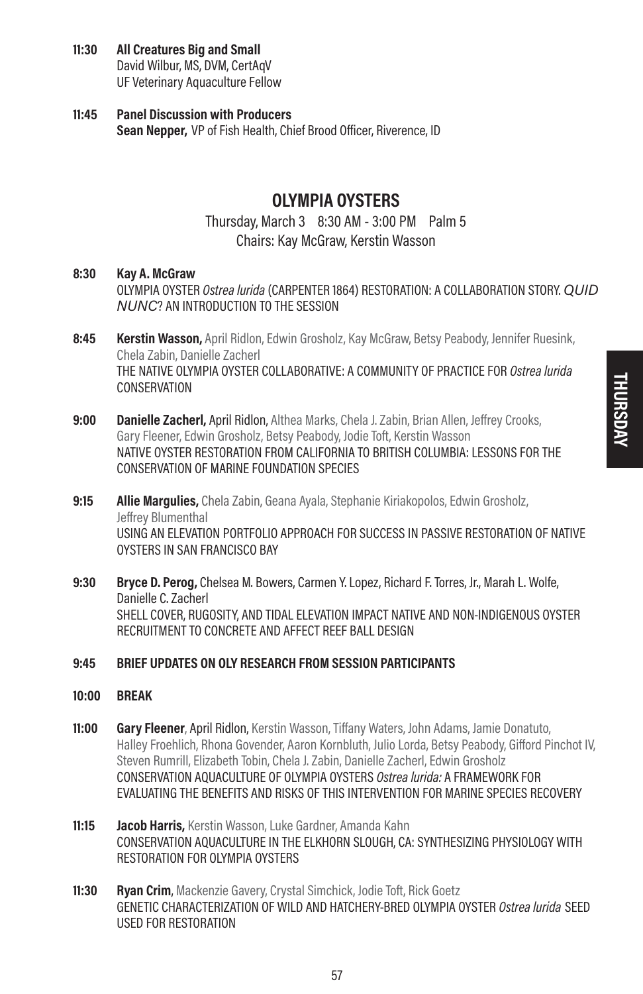### 11:30 All Creatures Big and Small

David Wilbur, MS, DVM, CertAqV UF Veterinary Aquaculture Fellow

### 11:45 Panel Discussion with Producers Sean Nepper, VP of Fish Health, Chief Brood Officer, Riverence, ID

# OLYMPIA OYSTERS

### Thursday, March 3 8:30 AM - 3:00 PM Palm 5 Chairs: Kay McGraw, Kerstin Wasson

### 8:30 Kay A. McGraw

OLYMPIA OYSTER Ostrea lurida (CARPENTER 1864) RESTORATION: A COLLABORATION STORY. QUID NUNC? AN INTRODUCTION TO THE SESSION

- 8:45 **Kerstin Wasson,** April Ridlon, Edwin Grosholz, Kay McGraw, Betsy Peabody, Jennifer Ruesink, Chela Zabin, Danielle Zacherl THE NATIVE OLYMPIA OYSTER COLLABORATIVE: A COMMUNITY OF PRACTICE FOR Ostrea lurida **CONSERVATION**
- **9:00 Danielle Zacherl, April Ridlon, Althea Marks, Chela J. Zabin, Brian Allen, Jeffrey Crooks,** Gary Fleener, Edwin Grosholz, Betsy Peabody, Jodie Toft, Kerstin Wasson NATIVE OYSTER RESTORATION FROM CALIFORNIA TO BRITISH COLUMBIA: LESSONS FOR THE CONSERVATION OF MARINE FOUNDATION SPECIES
- 9:15 **Allie Marqulies,** Chela Zabin, Geana Ayala, Stephanie Kiriakopolos, Edwin Grosholz, Jeffrey Blumenthal USING AN ELEVATION PORTFOLIO APPROACH FOR SUCCESS IN PASSIVE RESTORATION OF NATIVE OYSTERS IN SAN FRANCISCO BAY
- 9:30 Bryce D. Perog, Chelsea M. Bowers, Carmen Y. Lopez, Richard F. Torres, Jr., Marah L. Wolfe, Danielle C. Zacherl SHELL COVER, RUGOSITY, AND TIDAL ELEVATION IMPACT NATIVE AND NON-INDIGENOUS OYSTER RECRUITMENT TO CONCRETE AND AFFECT REEF BALL DESIGN

### 9:45 BRIEF UPDATES ON OLY RESEARCH FROM SESSION PARTICIPANTS

- 10:00 BREAK
- 11:00 Gary Fleener, April Ridlon, Kerstin Wasson, Tiffany Waters, John Adams, Jamie Donatuto, Halley Froehlich, Rhona Govender, Aaron Kornbluth, Julio Lorda, Betsy Peabody, Gifford Pinchot IV, Steven Rumrill, Elizabeth Tobin, Chela J. Zabin, Danielle Zacherl, Edwin Grosholz CONSERVATION AQUACULTURE OF OLYMPIA OYSTERS Ostrea lurida: A FRAMEWORK FOR EVALUATING THE BENEFITS AND RISKS OF THIS INTERVENTION FOR MARINE SPECIES RECOVERY
- 11:15 **Jacob Harris,** Kerstin Wasson, Luke Gardner, Amanda Kahn CONSERVATION AQUACULTURE IN THE ELKHORN SLOUGH, CA: SYNTHESIZING PHYSIOLOGY WITH RESTORATION FOR OLYMPIA OYSTERS
- **11:30 Ryan Crim**, Mackenzie Gavery, Crystal Simchick, Jodie Toft, Rick Goetz GENETIC CHARACTERIZATION OF WILD AND HATCHERY-BRED OLYMPIA OYSTER Ostrea lurida SEED USED FOR RESTORATION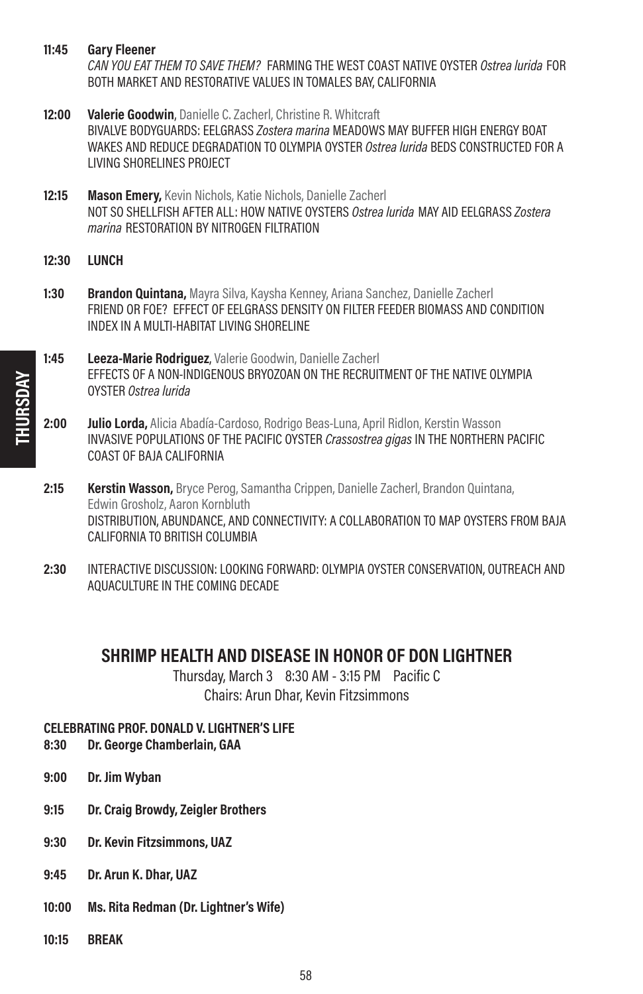11:45 Gary Fleener

CAN YOU EAT THEM TO SAVE THEM? FARMING THE WEST COAST NATIVE OYSTER Ostrea lurida FOR BOTH MARKET AND RESTORATIVE VALUES IN TOMALES BAY, CALIFORNIA

- 12:00 Valerie Goodwin, Danielle C. Zacherl, Christine R. Whitcraft BIVALVE BODYGUARDS: EELGRASS Zostera marina MEADOWS MAY BUFFER HIGH ENERGY BOAT WAKES AND REDUCE DEGRADATION TO OLYMPIA OYSTER Ostrea lurida BEDS CONSTRUCTED FOR A LIVING SHORELINES PROJECT
- 12:15 Mason Emery, Kevin Nichols, Katie Nichols, Danielle Zacherl NOT SO SHELLFISH AFTER ALL: HOW NATIVE OYSTERS Ostrea lurida MAY AID EELGRASS Zostera marina RESTORATION BY NITROGEN FILTRATION
- 12:30 LUNCH
- 1:30 Brandon Quintana, Mayra Silva, Kaysha Kenney, Ariana Sanchez, Danielle Zacherl FRIEND OR FOE? EFFECT OF EELGRASS DENSITY ON FILTER FEEDER BIOMASS AND CONDITION INDEX IN A MULTI-HABITAT LIVING SHORELINE
- 1:45 Leeza-Marie Rodriquez, Valerie Goodwin, Danielle Zacherl EFFECTS OF A NON-INDIGENOUS BRYOZOAN ON THE RECRUITMENT OF THE NATIVE OLYMPIA OYSTER Ostrea lurida
- 2:00 Julio Lorda, Alicia Abadía-Cardoso, Rodrigo Beas-Luna, April Ridlon, Kerstin Wasson INVASIVE POPULATIONS OF THE PACIFIC OYSTER Crassostrea gigas IN THE NORTHERN PACIFIC COAST OF BAJA CALIFORNIA
- 2:15 **Kerstin Wasson,** Bryce Perog, Samantha Crippen, Danielle Zacherl, Brandon Quintana, Edwin Grosholz, Aaron Kornbluth DISTRIBUTION, ABUNDANCE, AND CONNECTIVITY: A COLLABORATION TO MAP OYSTERS FROM BAJA CALIFORNIA TO BRITISH COLUMBIA
- 2:30 INTERACTIVE DISCUSSION: LOOKING FORWARD: OLYMPIA OYSTER CONSERVATION, OUTREACH AND AQUACULTURE IN THE COMING DECADE

# SHRIMP HEALTH AND DISEASE IN HONOR OF DON LIGHTNER

Thursday, March 3 8:30 AM - 3:15 PM Pacific C Chairs: Arun Dhar, Kevin Fitzsimmons

# CELEBRATING PROF. DONALD V. LIGHTNER'S LIFE<br>8:30 Dr. George Chamberlain, GAA

- Dr. George Chamberlain, GAA
- 9:00 Dr. Jim Wyban
- 9:15 Dr. Craig Browdy, Zeigler Brothers
- 9:30 Dr. Kevin Fitzsimmons, UAZ
- 9:45 Dr. Arun K. Dhar, UAZ
- 10:00 Ms. Rita Redman (Dr. Lightner's Wife)
- 10:15 BREAK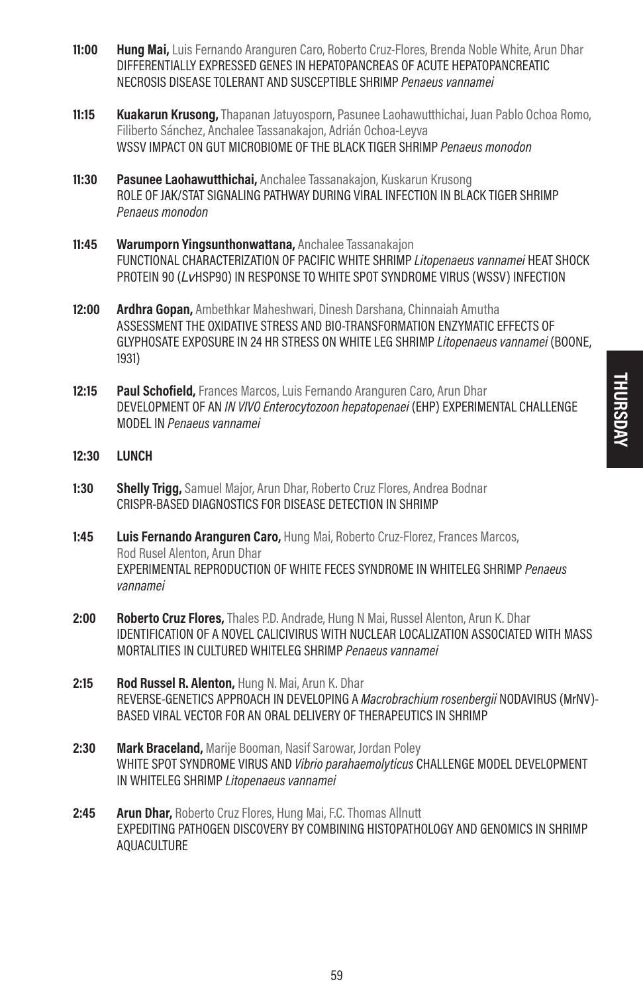- 11:00 Hung Mai, Luis Fernando Aranguren Caro, Roberto Cruz-Flores, Brenda Noble White, Arun Dhar DIFFERENTIALLY EXPRESSED GENES IN HEPATOPANCREAS OF ACUTE HEPATOPANCREATIC NECROSIS DISEASE TOLERANT AND SUSCEPTIBLE SHRIMP Penaeus vannamei
- **11:15 Kuakarun Krusong,** Thapanan Jatuyosporn, Pasunee Laohawutthichai, Juan Pablo Ochoa Romo, Filiberto Sánchez, Anchalee Tassanakajon, Adrián Ochoa-Leyva WSSV IMPACT ON GUT MICROBIOME OF THE BLACK TIGER SHRIMP Penaeus monodon
- 11:30 Pasunee Laohawutthichai. Anchalee Tassanakajon, Kuskarun Krusong ROLE OF JAK/STAT SIGNALING PATHWAY DURING VIRAL INFECTION IN BLACK TIGER SHRIMP Penaeus monodon
- 11:45 Warumporn Yingsunthonwattana, Anchalee Tassanakajon FUNCTIONAL CHARACTERIZATION OF PACIFIC WHITE SHRIMP Litopenaeus vannamei HEAT SHOCK PROTEIN 90 (LvHSP90) IN RESPONSE TO WHITE SPOT SYNDROME VIRUS (WSSV) INFECTION
- 12:00 Ardhra Gopan, Ambethkar Maheshwari, Dinesh Darshana, Chinnaiah Amutha ASSESSMENT THE OXIDATIVE STRESS AND BIO-TRANSFORMATION ENZYMATIC EFFECTS OF GLYPHOSATE EXPOSURE IN 24 HR STRESS ON WHITE LEG SHRIMP Litopenaeus vannamei (BOONE, 1931)
- 12:15 Paul Schofield, Frances Marcos, Luis Fernando Aranguren Caro, Arun Dhar DEVELOPMENT OF AN IN VIVO Enterocytozoon hepatopenaei (EHP) EXPERIMENTAL CHALLENGE MODEL IN Penaeus vannamei
- 12:30 LUNCH
- **1:30 Shelly Trigg, Samuel Major, Arun Dhar, Roberto Cruz Flores, Andrea Bodnar** CRISPR-BASED DIAGNOSTICS FOR DISEASE DETECTION IN SHRIMP
- 1:45 Luis Fernando Aranguren Caro, Hung Mai, Roberto Cruz-Florez, Frances Marcos, Rod Rusel Alenton, Arun Dhar EXPERIMENTAL REPRODUCTION OF WHITE FECES SYNDROME IN WHITELEG SHRIMP Penaeus vannamei
- 2:00 Roberto Cruz Flores, Thales P.D. Andrade, Hung N Mai, Russel Alenton, Arun K. Dhar IDENTIFICATION OF A NOVEL CALICIVIRUS WITH NUCLEAR LOCALIZATION ASSOCIATED WITH MASS MORTALITIES IN CULTURED WHITELEG SHRIMP Penaeus vannamei
- 2:15 Rod Russel R. Alenton, Hung N. Mai, Arun K. Dhar REVERSE-GENETICS APPROACH IN DEVELOPING A Macrobrachium rosenbergii NODAVIRUS (MrNV)-BASED VIRAL VECTOR FOR AN ORAL DELIVERY OF THERAPEUTICS IN SHRIMP
- 2:30 Mark Braceland, Marije Booman, Nasif Sarowar, Jordan Poley WHITE SPOT SYNDROME VIRUS AND Vibrio parahaemolyticus CHALLENGE MODEL DEVELOPMENT IN WHITELEG SHRIMP Litopenaeus vannamei
- 2:45 Arun Dhar, Roberto Cruz Flores, Hung Mai, F.C. Thomas Allnutt EXPEDITING PATHOGEN DISCOVERY BY COMBINING HISTOPATHOLOGY AND GENOMICS IN SHRIMP AQUACULTURE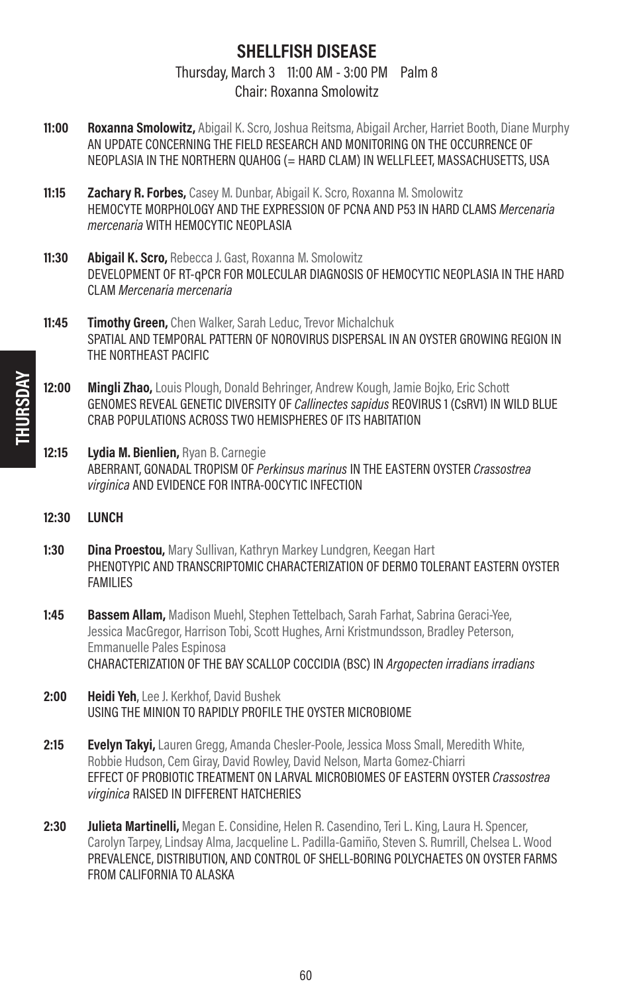# SHELLFISH DISEASE

Thursday, March 3 11:00 AM - 3:00 PM Palm 8 Chair: Roxanna Smolowitz

- 11:00 Roxanna Smolowitz, Abigail K. Scro, Joshua Reitsma, Abigail Archer, Harriet Booth, Diane Murphy AN UPDATE CONCERNING THE FIELD RESEARCH AND MONITORING ON THE OCCURRENCE OF NEOPLASIA IN THE NORTHERN QUAHOG (= HARD CLAM) IN WELLFLEET, MASSACHUSETTS, USA
- 11:15 **Zachary R. Forbes,** Casey M. Dunbar, Abigail K. Scro, Roxanna M. Smolowitz HEMOCYTE MORPHOLOGY AND THE EXPRESSION OF PCNA AND P53 IN HARD CLAMS Mercenaria mercenaria WITH HEMOCYTIC NEOPLASIA
- 11:30 **Abigail K. Scro, Rebecca J. Gast, Roxanna M. Smolowitz** DEVELOPMENT OF RT-qPCR FOR MOLECULAR DIAGNOSIS OF HEMOCYTIC NEOPLASIA IN THE HARD CLAM Mercenaria mercenaria
- 11:45 **Timothy Green,** Chen Walker, Sarah Leduc, Trevor Michalchuk SPATIAL AND TEMPORAL PATTERN OF NOROVIRUS DISPERSAL IN AN OYSTER GROWING REGION IN THE NORTHEAST PACIFIC
- 12:00 Mingli Zhao, Louis Plough, Donald Behringer, Andrew Kough, Jamie Bojko, Eric Schott GENOMES REVEAL GENETIC DIVERSITY OF Callinectes sapidus REOVIRUS 1 (CSRV1) IN WILD BLUE CRAB POPULATIONS ACROSS TWO HEMISPHERES OF ITS HABITATION
- 12:15 Lydia M. Bienlien, Ryan B. Carnegie ABERRANT, GONADAL TROPISM OF Perkinsus marinus IN THE EASTERN OYSTER Crassostrea virginica AND EVIDENCE FOR INTRA-OOCYTIC INFECTION
- 12:30 LUNCH
- 1:30 **Dina Proestou,** Mary Sullivan, Kathryn Markey Lundgren, Keegan Hart PHENOTYPIC AND TRANSCRIPTOMIC CHARACTERIZATION OF DERMO TOLERANT EASTERN OYSTER FAMILIES
- 1:45 Bassem Allam, Madison Muehl, Stephen Tettelbach, Sarah Farhat, Sabrina Geraci-Yee, Jessica MacGregor, Harrison Tobi, Scott Hughes, Arni Kristmundsson, Bradley Peterson, Emmanuelle Pales Espinosa CHARACTERIZATION OF THE BAY SCALLOP COCCIDIA (BSC) IN Argopecten irradians irradians
- 2:00 Heidi Yeh, Lee J. Kerkhof, David Bushek USING THE MINION TO RAPIDLY PROFILE THE OYSTER MICROBIOME
- **2:15 Evelyn Takyi,** Lauren Gregg, Amanda Chesler-Poole, Jessica Moss Small, Meredith White, Robbie Hudson, Cem Giray, David Rowley, David Nelson, Marta Gomez-Chiarri EFFECT OF PROBIOTIC TREATMENT ON LARVAL MICROBIOMES OF EASTERN OYSTER Crassostrea virginica RAISED IN DIFFERENT HATCHERIES
- 2:30 **Julieta Martinelli,** Megan E. Considine, Helen R. Casendino, Teri L. King, Laura H. Spencer, Carolyn Tarpey, Lindsay Alma, Jacqueline L. Padilla-Gamiño, Steven S. Rumrill, Chelsea L. Wood PREVALENCE, DISTRIBUTION, AND CONTROL OF SHELL-BORING POLYCHAETES ON OYSTER FARMS FROM CALIFORNIA TO ALASKA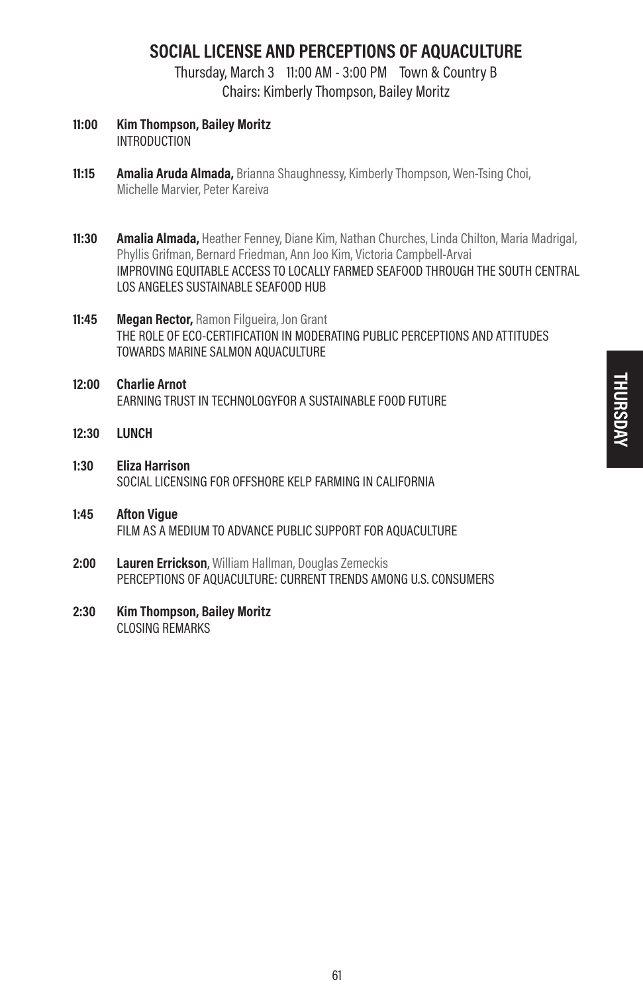# SOCIAL LICENSE AND PERCEPTIONS OF AQUACULTURE

Thursday, March 3 11:00 AM - 3:00 PM Town & Country B Chairs: Kimberly Thompson, Bailey Moritz

- 11:00 Kim Thompson, Bailey Moritz INTRODUCTION
- 11:15 Amalia Aruda Almada, Brianna Shaughnessy, Kimberly Thompson, Wen-Tsing Choi. Michelle Marvier, Peter Kareiva
- 11:30 Amalia Almada, Heather Fenney, Diane Kim, Nathan Churches, Linda Chilton, Maria Madrigal, Phyllis Grifman, Bernard Friedman, Ann Joo Kim, Victoria Campbell-Arvai IMPROVING EQUITABLE ACCESS TO LOCALLY FARMED SEAFOOD THROUGH THE SOUTH CENTRAL LOS ANGELES SUSTAINABLE SEAFOOD HUB
- 11:45 Megan Rector, Ramon Filqueira, Jon Grant THE ROLE OF ECO-CERTIFICATION IN MODERATING PUBLIC PERCEPTIONS AND ATTITUDES TOWARDS MARINE SALMON AQUACULTURE
- 12:00 Charlie Arnot EARNING TRUST IN TECHNOLOGYFOR A SUSTAINABLE FOOD FUTURE
- 12:30 LUNCH
- 1:30 Eliza Harrison SOCIAL LICENSING FOR OFFSHORE KELP FARMING IN CALIFORNIA
- 1:45 Afton Vigue FILM AS A MEDIUM TO ADVANCE PUBLIC SUPPORT FOR AQUACULTURE
- 2:00 Lauren Errickson, William Hallman, Douglas Zemeckis PERCEPTIONS OF AQUACULTURE: CURRENT TRENDS AMONG U.S. CONSUMERS
- 2:30 Kim Thompson, Bailey Moritz CLOSING REMARKS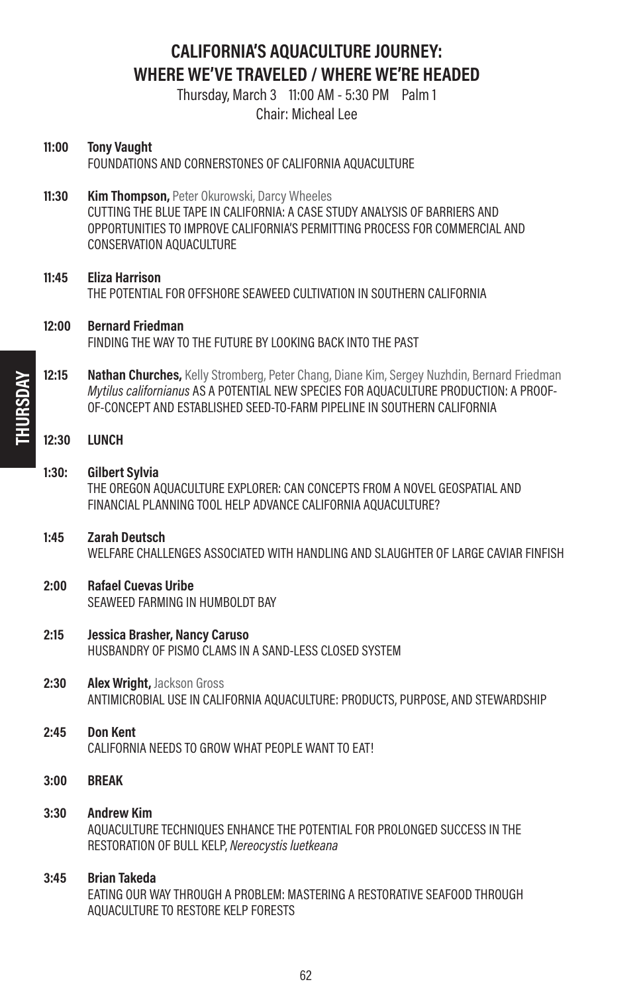# CALIFORNIA'S AQUACULTURE JOURNEY: WHERE WE'VE TRAVELED / WHERE WE'RE HEADED

Thursday, March 3 11:00 AM - 5:30 PM Palm 1 Chair: Micheal Lee

| 11:00 | <b>Tony Vaught</b><br>FOUNDATIONS AND CORNERSTONES OF CALIFORNIA AQUACULTURE                                                                                                                                                                                   |
|-------|----------------------------------------------------------------------------------------------------------------------------------------------------------------------------------------------------------------------------------------------------------------|
| 11:30 | Kim Thompson, Peter Okurowski, Darcy Wheeles<br>CUTTING THE BLUE TAPE IN CALIFORNIA: A CASE STUDY ANALYSIS OF BARRIERS AND<br>OPPORTUNITIES TO IMPROVE CALIFORNIA'S PERMITTING PROCESS FOR COMMERCIAL AND<br>CONSERVATION AQUACULTURE                          |
| 11:45 | <b>Eliza Harrison</b><br>THE POTENTIAL FOR OFFSHORE SEAWEED CULTIVATION IN SOUTHERN CALIFORNIA                                                                                                                                                                 |
| 12:00 | <b>Bernard Friedman</b><br>FINDING THE WAY TO THE FUTURE BY LOOKING BACK INTO THE PAST                                                                                                                                                                         |
| 12:15 | Nathan Churches, Kelly Stromberg, Peter Chang, Diane Kim, Sergey Nuzhdin, Bernard Friedman<br>Mytilus californianus AS A POTENTIAL NEW SPECIES FOR AQUACULTURE PRODUCTION: A PROOF-<br>OF-CONCEPT AND ESTABLISHED SEED-TO-FARM PIPELINE IN SOUTHERN CALIFORNIA |
| 12:30 | <b>LUNCH</b>                                                                                                                                                                                                                                                   |
| 1:30: | Gilbert Sylvia<br>THE OREGON AQUACULTURE EXPLORER: CAN CONCEPTS FROM A NOVEL GEOSPATIAL AND<br>FINANCIAL PLANNING TOOL HELP ADVANCE CALIFORNIA AQUACULTURE?                                                                                                    |
| 1:45  | <b>Zarah Deutsch</b><br>WELFARE CHALLENGES ASSOCIATED WITH HANDLING AND SLAUGHTER OF LARGE CAVIAR FINFISH                                                                                                                                                      |
| 2:00  | <b>Rafael Cuevas Uribe</b><br>SEAWEED FARMING IN HUMBOLDT BAY                                                                                                                                                                                                  |
| 2:15  | Jessica Brasher, Nancy Caruso<br>HUSBANDRY OF PISMO CLAMS IN A SAND-LESS CLOSED SYSTEM                                                                                                                                                                         |
| 2:30  | Alex Wright, Jackson Gross<br>ANTIMICROBIAL USE IN CALIFORNIA AQUACULTURE: PRODUCTS, PURPOSE, AND STEWARDSHIP                                                                                                                                                  |
| 2:45  | <b>Don Kent</b><br>CALIFORNIA NEEDS TO GROW WHAT PEOPLE WANT TO EAT!                                                                                                                                                                                           |
| 3:00  | <b>BREAK</b>                                                                                                                                                                                                                                                   |
| 3:30  | <b>Andrew Kim</b><br>AQUACULTURE TECHNIQUES ENHANCE THE POTENTIAL FOR PROLONGED SUCCESS IN THE<br>RESTORATION OF BULL KELP, Nereocystis luetkeana                                                                                                              |
| 3:45  | <b>Brian Takeda</b><br>EATING OUR WAY THROUGH A PROBLEM: MASTERING A RESTORATIVE SEAFOOD THROUGH<br>AQUACULTURE TO RESTORE KELP FORESTS                                                                                                                        |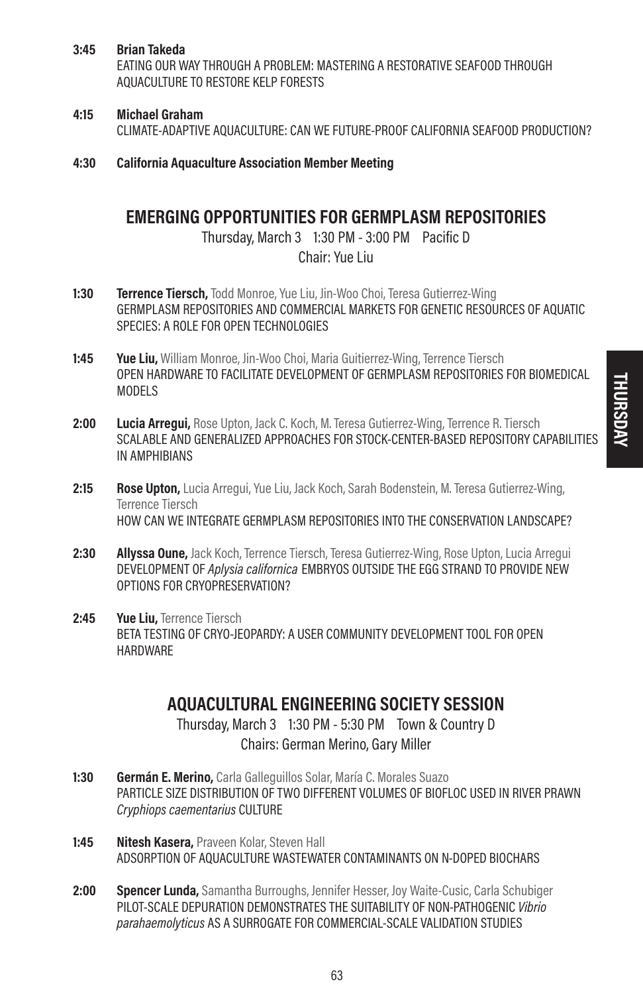### 3:45 Brian Takeda

EATING OUR WAY THROUGH A PROBLEM: MASTERING A RESTORATIVE SEAFOOD THROUGH AQUACULTURE TO RESTORE KELP FORESTS

### 4:15 Michael Graham

CLIMATE-ADAPTIVE AQUACULTURE: CAN WE FUTURE-PROOF CALIFORNIA SEAFOOD PRODUCTION?

4:30 California Aquaculture Association Member Meeting

# EMERGING OPPORTUNITIES FOR GERMPLASM REPOSITORIES

Thursday, March 3 1:30 PM - 3:00 PM Pacific D Chair: Yue Liu

- 1:30 **Terrence Tiersch,** Todd Monroe, Yue Liu, Jin-Woo Choi, Teresa Gutierrez-Wing GERMPLASM REPOSITORIES AND COMMERCIAL MARKETS FOR GENETIC RESOURCES OF AQUATIC SPECIES: A ROLE FOR OPEN TECHNOLOGIES
- **1:45** Yue Liu, William Monroe, Jin-Woo Choi, Maria Guitierrez-Wing, Terrence Tiersch OPEN HARDWARE TO FACILITATE DEVELOPMENT OF GERMPLASM REPOSITORIES FOR BIOMEDICAL MODELS
- 2:00 Lucia Arrequi, Rose Upton, Jack C. Koch, M. Teresa Gutierrez-Wing, Terrence R. Tiersch SCALABLE AND GENERALIZED APPROACHES FOR STOCK-CENTER-BASED REPOSITORY CAPABILITIES IN AMPHIBIANS
- 2:15 Rose Upton, Lucia Arregui, Yue Liu, Jack Koch, Sarah Bodenstein, M. Teresa Gutierrez-Wing, Terrence Tiersch HOW CAN WE INTEGRATE GERMPLASM REPOSITORIES INTO THE CONSERVATION LANDSCAPE?
- 2:30 **Allyssa Oune,** Jack Koch, Terrence Tiersch, Teresa Gutierrez-Wing, Rose Upton, Lucia Arregui DEVELOPMENT OF Aplysia californica EMBRYOS OUTSIDE THE EGG STRAND TO PROVIDE NEW OPTIONS FOR CRYOPRESERVATION?
- 2:45 Yue Liu, Terrence Tiersch BETA TESTING OF CRYO-JEOPARDY: A USER COMMUNITY DEVELOPMENT TOOL FOR OPEN HARDWARE

# AQUACULTURAL ENGINEERING SOCIETY SESSION

Thursday, March 3 1:30 PM - 5:30 PM Town & Country D Chairs: German Merino, Gary Miller

- 1:30 Germán E. Merino, Carla Galleguillos Solar, María C. Morales Suazo PARTICLE SIZE DISTRIBUTION OF TWO DIFFERENT VOLUMES OF BIOFLOC USED IN RIVER PRAWN Cryphiops caementarius CULTURE
- 1:45 Nitesh Kasera, Praveen Kolar, Steven Hall ADSORPTION OF AQUACULTURE WASTEWATER CONTAMINANTS ON N-DOPED BIOCHARS
- 2:00 Spencer Lunda, Samantha Burroughs, Jennifer Hesser, Joy Waite-Cusic, Carla Schubiger PILOT-SCALE DEPURATION DEMONSTRATES THE SUITABILITY OF NON-PATHOGENIC Vibrio parahaemolyticus AS A SURROGATE FOR COMMERCIAL-SCALE VALIDATION STUDIES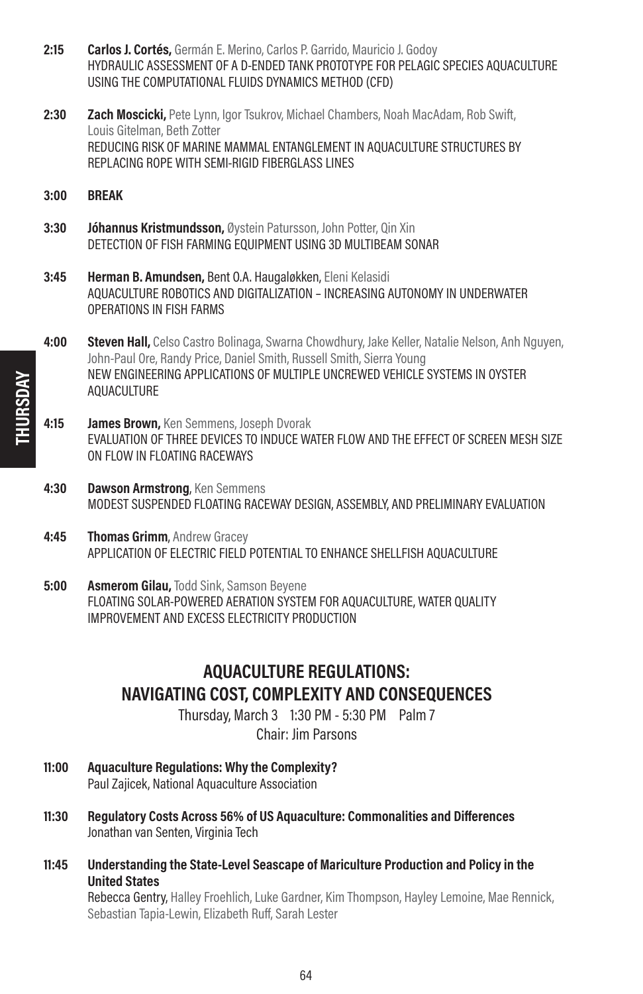- 2:15 **Carlos J. Cortés,** Germán E. Merino, Carlos P. Garrido, Mauricio J. Godov HYDRAULIC ASSESSMENT OF A D-ENDED TANK PROTOTYPE FOR PELAGIC SPECIES AQUACULTURE USING THE COMPUTATIONAL FLUIDS DYNAMICS METHOD (CFD)
- 2:30 **Zach Moscicki,** Pete Lynn, Igor Tsukrov, Michael Chambers, Noah MacAdam, Rob Swift, Louis Gitelman, Beth Zotter REDUCING RISK OF MARINE MAMMAL ENTANGLEMENT IN AQUACULTURE STRUCTURES BY REPLACING ROPE WITH SEMI-RIGID FIBERGLASS LINES
- 3:00 BREAK
- 3:30 **Jóhannus Kristmundsson.** Øystein Patursson, John Potter, Qin Xin DETECTION OF FISH FARMING EQUIPMENT USING 3D MULTIBEAM SONAR
- 3:45 Herman B. Amundsen, Bent O.A. Haugaløkken, Eleni Kelasidi AQUACULTURE ROBOTICS AND DIGITALIZATION – INCREASING AUTONOMY IN UNDERWATER OPERATIONS IN FISH FARMS
- 4:00 Steven Hall, Celso Castro Bolinaga, Swarna Chowdhury, Jake Keller, Natalie Nelson, Anh Nguyen, John-Paul Ore, Randy Price, Daniel Smith, Russell Smith, Sierra Young NEW ENGINEERING APPLICATIONS OF MULTIPLE UNCREWED VEHICLE SYSTEMS IN OYSTER AQUACULTURE
- 4:15 **James Brown, Ken Semmens, Joseph Dvorak** EVALUATION OF THREE DEVICES TO INDUCE WATER FLOW AND THE EFFECT OF SCREEN MESH SIZE ON FLOW IN FLOATING RACEWAYS
- 4:30 Dawson Armstrong, Ken Semmens MODEST SUSPENDED FLOATING RACEWAY DESIGN, ASSEMBLY, AND PRELIMINARY EVALUATION
- 4:45 Thomas Grimm, Andrew Gracev APPLICATION OF ELECTRIC FIELD POTENTIAL TO ENHANCE SHELLFISH AQUACULTURE
- **5:00 Asmerom Gilau, Todd Sink, Samson Bevene** FLOATING SOLAR-POWERED AERATION SYSTEM FOR AQUACULTURE, WATER QUALITY IMPROVEMENT AND EXCESS ELECTRICITY PRODUCTION

# AQUACULTURE REGULATIONS: NAVIGATING COST, COMPLEXITY AND CONSEQUENCES

Thursday, March 3 1:30 PM - 5:30 PM Palm 7 Chair: Jim Parsons

- 11:00 Aquaculture Regulations: Why the Complexity? Paul Zajicek, National Aquaculture Association
- 11:30 Regulatory Costs Across 56% of US Aquaculture: Commonalities and Differences Jonathan van Senten, Virginia Tech
- 11:45 Understanding the State-Level Seascape of Mariculture Production and Policy in the United States

Rebecca Gentry, Halley Froehlich, Luke Gardner, Kim Thompson, Hayley Lemoine, Mae Rennick, Sebastian Tapia-Lewin, Elizabeth Ruff, Sarah Lester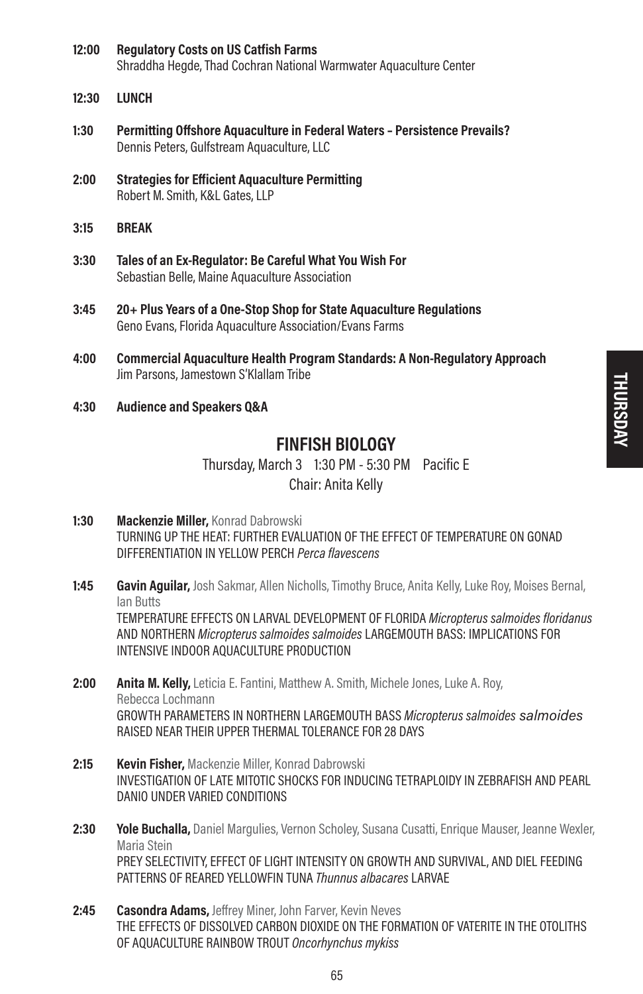- 12:00 Regulatory Costs on US Catfish Farms Shraddha Hegde, Thad Cochran National Warmwater Aquaculture Center
- 12:30 LUNCH
- 1:30 Permitting Offshore Aquaculture in Federal Waters Persistence Prevails? Dennis Peters, Gulfstream Aquaculture, LLC
- 2:00 Strategies for Efficient Aquaculture Permitting Robert M. Smith, K&L Gates, LLP
- 3:15 BREAK
- 3:30 Tales of an Ex-Regulator: Be Careful What You Wish For Sebastian Belle, Maine Aquaculture Association
- 3:45 20+ Plus Years of a One-Stop Shop for State Aquaculture Regulations Geno Evans, Florida Aquaculture Association/Evans Farms
- 4:00 Commercial Aquaculture Health Program Standards: A Non-Regulatory Approach Jim Parsons, Jamestown S'Klallam Tribe
- 4:30 Audience and Speakers Q&A

### FINFISH BIOLOGY

Thursday, March 3 1:30 PM - 5:30 PM Pacific E Chair: Anita Kelly

- 1:30 Mackenzie Miller, Konrad Dabrowski TURNING UP THE HEAT: FURTHER EVALUATION OF THE EFFECT OF TEMPERATURE ON GONAD DIFFERENTIATION IN YELLOW PERCH Perca flavescens
- **1:45 Gavin Aguilar,** Josh Sakmar, Allen Nicholls, Timothy Bruce, Anita Kelly, Luke Roy, Moises Bernal, Ian Butts

TEMPERATURE EFFECTS ON LARVAL DEVELOPMENT OF FLORIDA Micropterus salmoides floridanus AND NORTHERN Micropterus salmoides salmoides LARGEMOUTH BASS: IMPLICATIONS FOR INTENSIVE INDOOR AOUACULTURE PRODUCTION

- 2:00 Anita M. Kelly, Leticia E. Fantini, Matthew A. Smith, Michele Jones, Luke A. Roy, Rebecca Lochmann GROWTH PARAMETERS IN NORTHERN LARGEMOUTH BASS Micropterus salmoides salmoides RAISED NEAR THEIR UPPER THERMAL TOLERANCE FOR 28 DAYS
- 2:15 **Kevin Fisher, Mackenzie Miller, Konrad Dabrowski** INVESTIGATION OF LATE MITOTIC SHOCKS FOR INDUCING TETRAPLOIDY IN ZEBRAFISH AND PEARL DANIO UNDER VARIED CONDITIONS
- 2:30 Yole Buchalla, Daniel Margulies, Vernon Scholey, Susana Cusatti, Enrique Mauser, Jeanne Wexler, Maria Stein PREY SELECTIVITY, EFFECT OF LIGHT INTENSITY ON GROWTH AND SURVIVAL, AND DIEL FEEDING PATTERNS OF REARED YELLOWEIN TUNA Thunnus albacares LARVAE
- 2:45 Casondra Adams, Jeffrey Miner, John Farver, Kevin Neves THE EFFECTS OF DISSOLVED CARBON DIOXIDE ON THE FORMATION OF VATERITE IN THE OTOLITHS OF AQUACULTURE RAINBOW TROUT Oncorhynchus mykiss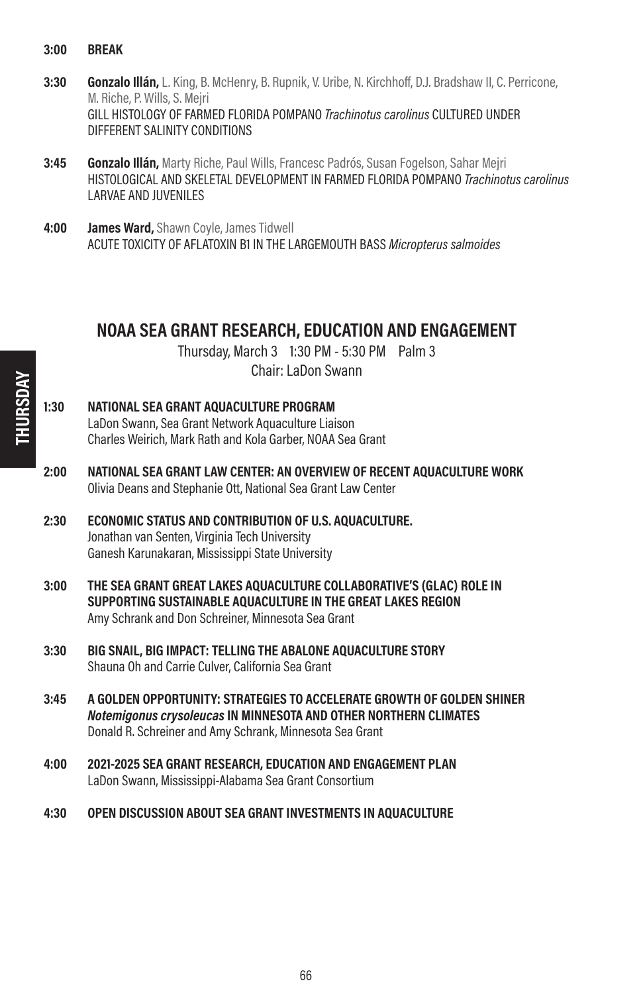- 3:00 BREAK
- 3:30 Gonzalo Illán, L. King, B. McHenry, B. Rupnik, V. Uribe, N. Kirchhoff, D.J. Bradshaw II, C. Perricone, M. Riche, P. Wills, S. Mejri GILL HISTOLOGY OF FARMED FLORIDA POMPANO Trachinotus carolinus CULTURED UNDER DIFFERENT SALINITY CONDITIONS
- **3:45 Gonzalo Illán,** Marty Riche, Paul Wills, Francesc Padrós, Susan Fogelson, Sahar Meiri HISTOLOGICAL AND SKELETAL DEVELOPMENT IN FARMED FLORIDA POMPANO Trachinotus carolinus LARVAE AND JUVENILES
- 4:00 **James Ward, Shawn Coyle, James Tidwell** ACUTE TOXICITY OF AFLATOXIN B1 IN THE LARGEMOUTH BASS Micropterus salmoides

### NOAA SEA GRANT RESEARCH, EDUCATION AND ENGAGEMENT

Thursday, March 3 1:30 PM - 5:30 PM Palm 3 Chair: LaDon Swann

- 1:30 NATIONAL SEA GRANT AQUACULTURE PROGRAM LaDon Swann, Sea Grant Network Aquaculture Liaison Charles Weirich, Mark Rath and Kola Garber, NOAA Sea Grant
- 2:00 NATIONAL SEA GRANT LAW CENTER: AN OVERVIEW OF RECENT AQUACULTURE WORK Olivia Deans and Stephanie Ott, National Sea Grant Law Center
- 2:30 ECONOMIC STATUS AND CONTRIBUTION OF U.S. AQUACULTURE. Jonathan van Senten, Virginia Tech University Ganesh Karunakaran, Mississippi State University
- 3:00 THE SEA GRANT GREAT LAKES AQUACULTURE COLLABORATIVE'S (GLAC) ROLE IN SUPPORTING SUSTAINABLE AQUACULTURE IN THE GREAT LAKES REGION Amy Schrank and Don Schreiner, Minnesota Sea Grant
- 3:30 BIG SNAIL, BIG IMPACT: TELLING THE ABALONE AQUACULTURE STORY Shauna Oh and Carrie Culver, California Sea Grant
- 3:45 A GOLDEN OPPORTUNITY: STRATEGIES TO ACCELERATE GROWTH OF GOLDEN SHINER Notemigonus crysoleucas IN MINNESOTA AND OTHER NORTHERN CLIMATES Donald R. Schreiner and Amy Schrank, Minnesota Sea Grant
- 4:00 2021-2025 SEA GRANT RESEARCH, EDUCATION AND ENGAGEMENT PLAN LaDon Swann, Mississippi-Alabama Sea Grant Consortium
- 4:30 OPEN DISCUSSION ABOUT SEA GRANT INVESTMENTS IN AQUACULTURE

THURSDAY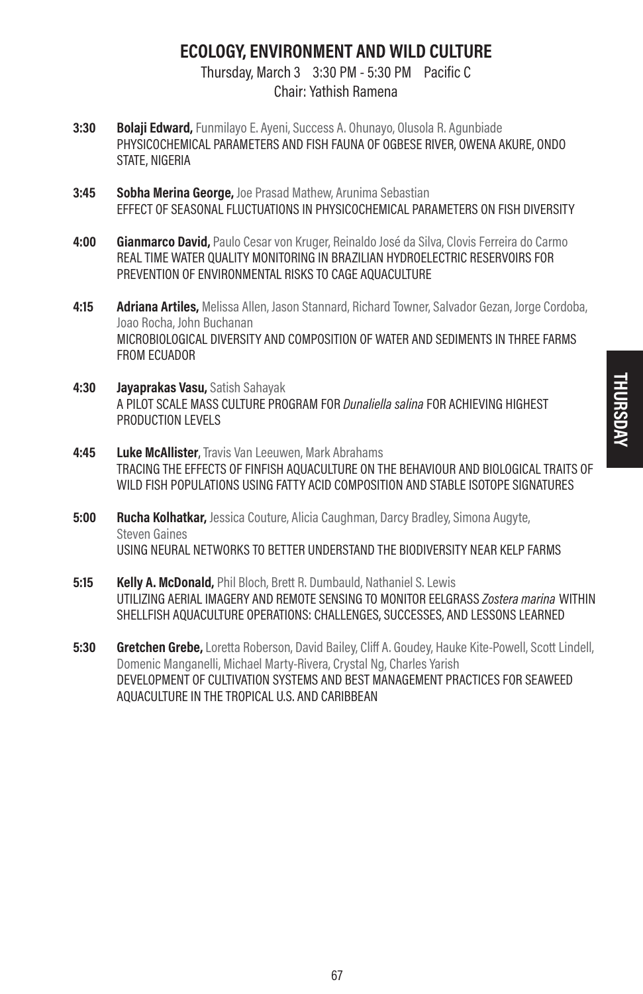# ECOLOGY, ENVIRONMENT AND WILD CULTURE

Thursday, March 3 3:30 PM - 5:30 PM Pacific C Chair: Yathish Ramena

- 3:30 Bolaji Edward, Funmilayo E. Ayeni, Success A. Ohunayo, Olusola R. Agunbiade PHYSICOCHEMICAL PARAMETERS AND FISH FAUNA OF OGBESE RIVER, OWENA AKURE, ONDO STATE, NIGERIA
- **3:45 Sobha Merina George, Joe Prasad Mathew, Arunima Sebastian** EFFECT OF SEASONAL FLUCTUATIONS IN PHYSICOCHEMICAL PARAMETERS ON FISH DIVERSITY
- 4:00 Gianmarco David, Paulo Cesar von Kruger, Reinaldo José da Silva, Clovis Ferreira do Carmo REAL TIME WATER QUALITY MONITORING IN BRAZILIAN HYDROELECTRIC RESERVOIRS FOR PREVENTION OF ENVIRONMENTAL RISKS TO CAGE AQUACULTURE
- 4:15 Adriana Artiles, Melissa Allen, Jason Stannard, Richard Towner, Salvador Gezan, Jorge Cordoba, Joao Rocha, John Buchanan MICROBIOLOGICAL DIVERSITY AND COMPOSITION OF WATER AND SEDIMENTS IN THREE FARMS FROM ECUADOR
- 4:30 **Javaprakas Vasu, Satish Sahayak** A PILOT SCALE MASS CULTURE PROGRAM FOR Dunaliella salina FOR ACHIEVING HIGHEST PRODUCTION LEVELS
- 4:45 Luke McAllister, Travis Van Leeuwen, Mark Abrahams TRACING THE EFFECTS OF FINFISH AQUACULTURE ON THE BEHAVIOUR AND BIOLOGICAL TRAITS OF WILD FISH POPULATIONS USING FATTY ACID COMPOSITION AND STABLE ISOTOPE SIGNATURES
- **5:00 Rucha Kolhatkar,** Jessica Couture, Alicia Caughman, Darcy Bradley, Simona Augyte, Steven Gaines USING NEURAL NETWORKS TO BETTER UNDERSTAND THE BIODIVERSITY NEAR KELP FARMS
- 5:15 **Kelly A. McDonald.** Phil Bloch, Brett R. Dumbauld, Nathaniel S. Lewis UTILIZING AERIAL IMAGERY AND REMOTE SENSING TO MONITOR EELGRASS Zostera marina WITHIN SHELLFISH AQUACULTURE OPERATIONS: CHALLENGES, SUCCESSES, AND LESSONS LEARNED
- 5:30 Gretchen Grebe, Loretta Roberson, David Bailey, Cliff A. Goudey, Hauke Kite-Powell, Scott Lindell, Domenic Manganelli, Michael Marty-Rivera, Crystal Ng, Charles Yarish DEVELOPMENT OF CULTIVATION SYSTEMS AND BEST MANAGEMENT PRACTICES FOR SEAWEED AQUACULTURE IN THE TROPICAL U.S. AND CARIBBEAN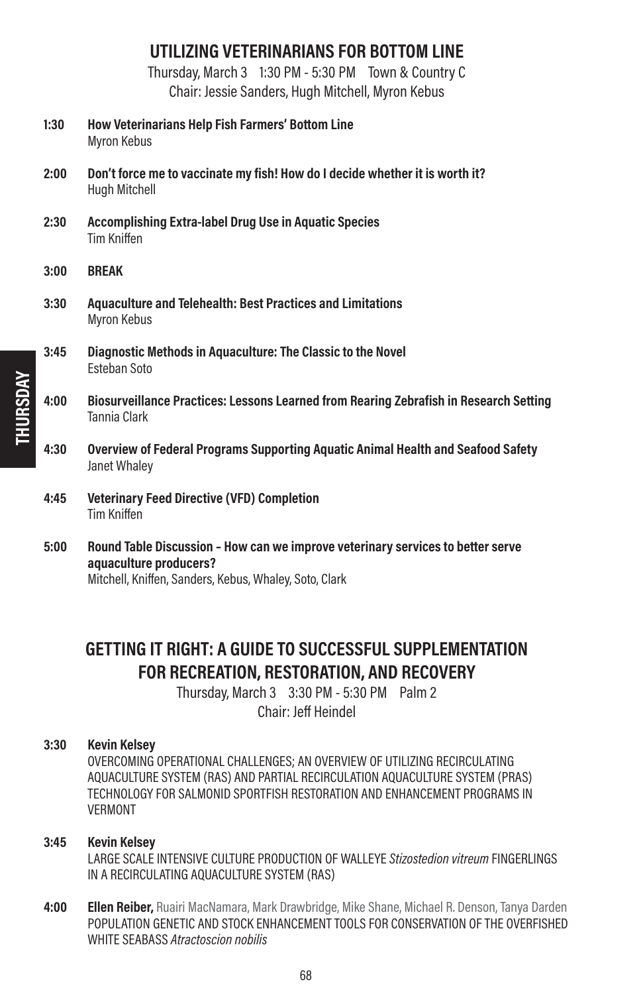# UTILIZING VETERINARIANS FOR BOTTOM LINE

Thursday, March 3 1:30 PM - 5:30 PM Town & Country C Chair: Jessie Sanders, Hugh Mitchell, Myron Kebus

- 1:30 How Veterinarians Help Fish Farmers' Bottom Line Myron Kebus
- 2:00 Don't force me to vaccinate my fish! How do I decide whether it is worth it? Hugh Mitchell
- 2:30 Accomplishing Extra-label Drug Use in Aquatic Species Tim Kniffen
- 3:00 BREAK
- 3:30 Aquaculture and Telehealth: Best Practices and Limitations Myron Kebus
- 3:45 Diagnostic Methods in Aquaculture: The Classic to the Novel Esteban Soto
- 4:00 Biosurveillance Practices: Lessons Learned from Rearing Zebrafish in Research Setting Tannia Clark
- 4:30 Overview of Federal Programs Supporting Aquatic Animal Health and Seafood Safety Janet Whaley
- 4:45 Veterinary Feed Directive (VFD) Completion Tim Kniffen
- 5:00 Round Table Discussion How can we improve veterinary services to better serve aquaculture producers?

Mitchell, Kniffen, Sanders, Kebus, Whaley, Soto, Clark

# GETTING IT RIGHT: A GUIDE TO SUCCESSFUL SUPPLEMENTATION FOR RECREATION, RESTORATION, AND RECOVERY

Thursday, March 3 3:30 PM - 5:30 PM Palm 2 Chair: Jeff Heindel

### 3:30 Kevin Kelsey

OVERCOMING OPERATIONAL CHALLENGES; AN OVERVIEW OF UTILIZING RECIRCULATING AQUACULTURE SYSTEM (RAS) AND PARTIAL RECIRCULATION AQUACULTURE SYSTEM (PRAS) TECHNOLOGY FOR SALMONID SPORTFISH RESTORATION AND ENHANCEMENT PROGRAMS IN VERMONT

### 3:45 Kevin Kelsey

LARGE SCALE INTENSIVE CULTURE PRODUCTION OF WALLEYE Stizostedion vitreum FINGERLINGS IN A RECIRCULATING AQUACULTURE SYSTEM (RAS)

4:00 **Ellen Reiber,** Ruairi MacNamara, Mark Drawbridge, Mike Shane, Michael R. Denson, Tanya Darden POPULATION GENETIC AND STOCK ENHANCEMENT TOOLS FOR CONSERVATION OF THE OVERFISHED WHITE SEABASS Atractoscion nobilis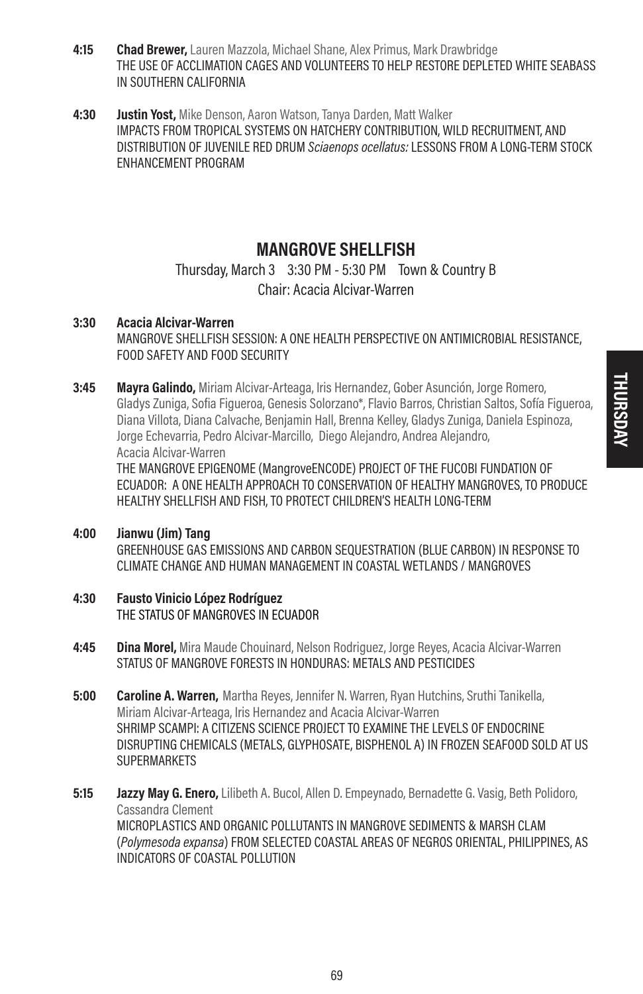- **4:15** Chad Brewer, Lauren Mazzola, Michael Shane, Alex Primus, Mark Drawbridge THE USE OF ACCLIMATION CAGES AND VOLUNTEERS TO HELP RESTORE DEPLETED WHITE SEABASS IN SOUTHERN CALIFORNIA
- 4:30 Justin Yost, Mike Denson, Aaron Watson, Tanya Darden, Matt Walker IMPACTS FROM TROPICAL SYSTEMS ON HATCHERY CONTRIBUTION, WILD RECRUITMENT, AND DISTRIBUTION OF JUVENILE RED DRUM Sciaenops ocellatus: LESSONS FROM A LONG-TERM STOCK ENHANCEMENT PROGRAM

### **MANGROVE SHELLFISH**

### Thursday, March 3 3:30 PM - 5:30 PM Town & Country B Chair: Acacia Alcivar-Warren

### 3:30 Acacia Alcivar-Warren MANGROVE SHELLFISH SESSION: A ONE HEALTH PERSPECTIVE ON ANTIMICROBIAL RESISTANCE, FOOD SAFETY AND FOOD SECURITY

3:45 Mayra Galindo, Miriam Alcivar-Arteaga, Iris Hernandez, Gober Asunción, Jorge Romero, Gladys Zuniga, Sofia Figueroa, Genesis Solorzano\*, Flavio Barros, Christian Saltos, Sofía Figueroa, Diana Villota, Diana Calvache, Benjamin Hall, Brenna Kelley, Gladys Zuniga, Daniela Espinoza, Jorge Echevarria, Pedro Alcivar-Marcillo, Diego Alejandro, Andrea Alejandro, Acacia Alcivar-Warren

THE MANGROVE EPIGENOME (MangroveENCODE) PROJECT OF THE FUCOBI FUNDATION OF ECUADOR: A ONE HEALTH APPROACH TO CONSERVATION OF HEALTHY MANGROVES, TO PRODUCE HEALTHY SHELLFISH AND FISH, TO PROTECT CHILDREN'S HEALTH LONG-TERM

- 4:00 Jianwu (Jim) Tang GREENHOUSE GAS EMISSIONS AND CARBON SEQUESTRATION (BLUE CARBON) IN RESPONSE TO CLIMATE CHANGE AND HUMAN MANAGEMENT IN COASTAL WETLANDS / MANGROVES
- 4:30 Fausto Vinicio López Rodríguez THE STATUS OF MANGROVES IN ECUADOR
- **4:45 Dina Morel,** Mira Maude Chouinard, Nelson Rodriguez, Jorge Reyes, Acacia Alcivar-Warren STATUS OF MANGROVE FORESTS IN HONDURAS: METALS AND PESTICIDES
- **5:00 Caroline A. Warren,** Martha Reves, Jennifer N. Warren, Ryan Hutchins, Sruthi Tanikella, Miriam Alcivar-Arteaga, Iris Hernandez and Acacia Alcivar-Warren SHRIMP SCAMPI: A CITIZENS SCIENCE PROJECT TO EXAMINE THE LEVELS OF ENDOCRINE DISRUPTING CHEMICALS (METALS, GLYPHOSATE, BISPHENOL A) IN FROZEN SEAFOOD SOLD AT US SUPERMARKETS
- **5:15 Jazzy May G. Enero,** Lilibeth A. Bucol, Allen D. Empeynado, Bernadette G. Vasig, Beth Polidoro, Cassandra Clement MICROPLASTICS AND ORGANIC POLLUTANTS IN MANGROVE SEDIMENTS & MARSH CLAM (Polymesoda expansa) FROM SELECTED COASTAL AREAS OF NEGROS ORIENTAL, PHILIPPINES, AS INDICATORS OF COASTAL POLLUTION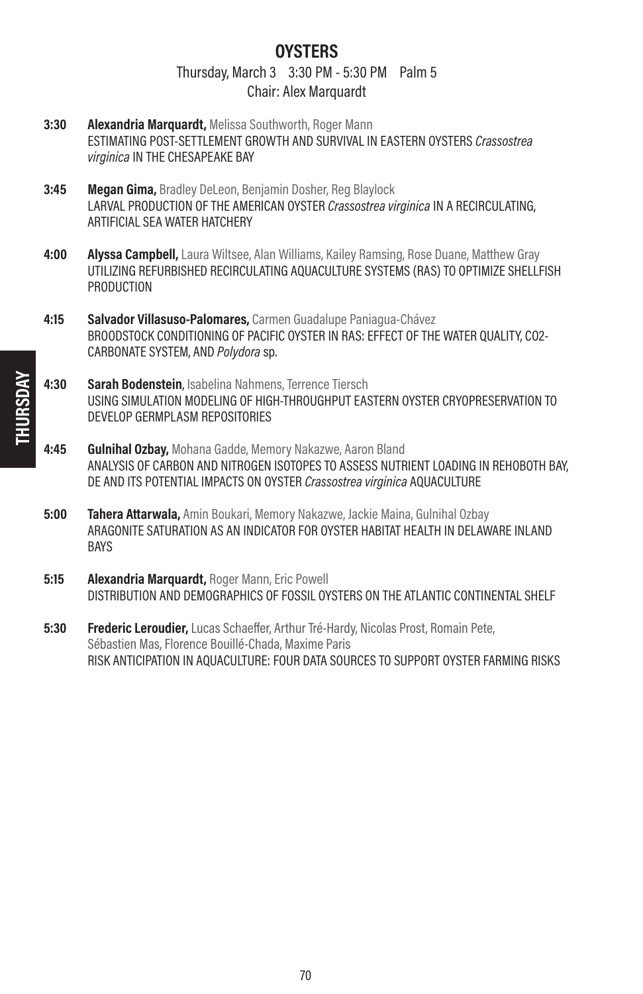### **OYSTERS** Thursday, March 3 3:30 PM - 5:30 PM Palm 5 Chair: Alex Marquardt

- 3:30 Alexandria Marquardt, Melissa Southworth, Roger Mann ESTIMATING POST-SETTLEMENT GROWTH AND SURVIVAL IN EASTERN OYSTERS Crassostrea virginica IN THE CHESAPEAKE BAY
- 3:45 Megan Gima, Bradley DeLeon, Benjamin Dosher, Reg Blaylock LARVAL PRODUCTION OF THE AMERICAN OYSTER Crassostrea virginica IN A RECIRCULATING, ARTIFICIAL SEA WATER HATCHERY
- 4:00 **Alyssa Campbell,** Laura Wiltsee, Alan Williams, Kailey Ramsing, Rose Duane, Matthew Gray UTILIZING REFURBISHED RECIRCULATING AQUACULTURE SYSTEMS (RAS) TO OPTIMIZE SHELLFISH PRODUCTION
- 4:15 Salvador Villasuso-Palomares, Carmen Guadalupe Paniagua-Chávez BROODSTOCK CONDITIONING OF PACIFIC OYSTER IN RAS: EFFECT OF THE WATER QUALITY, CO2- CARBONATE SYSTEM, AND Polydora sp.
- 4:30 Sarah Bodenstein, Isabelina Nahmens, Terrence Tiersch USING SIMULATION MODELING OF HIGH-THROUGHPUT EASTERN OYSTER CRYOPRESERVATION TO DEVELOP GERMPLASM REPOSITORIES
- 4:45 Gulnihal Ozbay, Mohana Gadde, Memory Nakazwe, Aaron Bland ANALYSIS OF CARBON AND NITROGEN ISOTOPES TO ASSESS NUTRIENT LOADING IN REHOBOTH BAY, DE AND ITS POTENTIAL IMPACTS ON OYSTER Crassostrea virginica AQUACULTURE
- 5:00 Tahera Attarwala, Amin Boukari, Memory Nakazwe, Jackie Maina, Gulnihal Ozbay ARAGONITE SATURATION AS AN INDICATOR FOR OYSTER HABITAT HEALTH IN DELAWARE INLAND **BAYS**
- 5:15 Alexandria Marquardt, Roger Mann, Eric Powell DISTRIBUTION AND DEMOGRAPHICS OF FOSSIL OYSTERS ON THE ATLANTIC CONTINENTAL SHELF
- **5:30 Frederic Leroudier,** Lucas Schaeffer, Arthur Tré-Hardy, Nicolas Prost, Romain Pete, Sébastien Mas, Florence Bouillé-Chada, Maxime Paris RISK ANTICIPATION IN AQUACULTURE: FOUR DATA SOURCES TO SUPPORT OYSTER FARMING RISKS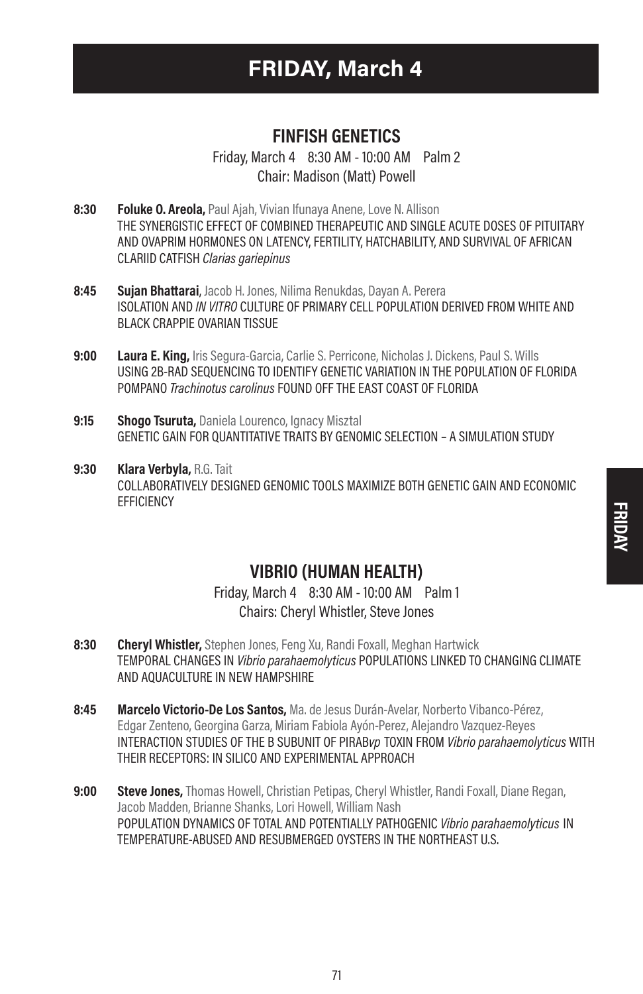# FRIDAY, March 4

# FINFISH GENETICS

Friday, March 4 8:30 AM - 10:00 AM Palm 2 Chair: Madison (Matt) Powell

- 8:30 **Foluke O. Areola, Paul Aiah, Vivian Ifunava Anene, Love N. Allison** THE SYNERGISTIC EFFECT OF COMBINED THERAPEUTIC AND SINGLE ACUTE DOSES OF PITUITARY AND OVAPRIM HORMONES ON LATENCY, FERTILITY, HATCHABILITY, AND SURVIVAL OF AFRICAN CLARIID CATFISH Clarias gariepinus
- 8:45 Sujan Bhattarai, Jacob H. Jones, Nilima Renukdas, Dayan A. Perera ISOLATION AND IN VITRO CULTURE OF PRIMARY CELL POPULATION DERIVED FROM WHITE AND BLACK CRAPPIE OVARIAN TISSUE
- 9:00 Laura E. King, Iris Segura-Garcia, Carlie S. Perricone, Nicholas J. Dickens, Paul S. Wills USING 2B-RAD SEQUENCING TO IDENTIFY GENETIC VARIATION IN THE POPULATION OF FLORIDA POMPANO Trachinotus carolinus FOUND OFF THE EAST COAST OF FLORIDA
- 9:15 Shogo Tsuruta, Daniela Lourenco, Ignacy Misztal GENETIC GAIN FOR QUANTITATIVE TRAITS BY GENOMIC SELECTION – A SIMULATION STUDY
- 9:30 Klara Verbyla, R.G. Tait COLLABORATIVELY DESIGNED GENOMIC TOOLS MAXIMIZE BOTH GENETIC GAIN AND ECONOMIC **FFFICIENCY**

# FRIDAY

# VIBRIO (HUMAN HEALTH)

Friday, March 4 8:30 AM - 10:00 AM Palm 1 Chairs: Cheryl Whistler, Steve Jones

- 8:30 **Cheryl Whistler,** Stephen Jones, Feng Xu, Randi Foxall, Meghan Hartwick TEMPORAL CHANGES IN Vibrio parahaemolyticus POPULATIONS LINKED TO CHANGING CLIMATE AND AQUACULTURE IN NEW HAMPSHIRE
- 8:45 Marcelo Victorio-De Los Santos, Ma. de Jesus Durán-Avelar, Norberto Vibanco-Pérez, Edgar Zenteno, Georgina Garza, Miriam Fabiola Ayón-Perez, Alejandro Vazquez-Reyes INTERACTION STUDIES OF THE B SUBUNIT OF PIRABvp TOXIN FROM Vibrio parahaemolyticus WITH THEIR RECEPTORS: IN SILICO AND EXPERIMENTAL APPROACH
- 9:00 Steve Jones, Thomas Howell, Christian Petipas, Cheryl Whistler, Randi Foxall, Diane Regan, Jacob Madden, Brianne Shanks, Lori Howell, William Nash POPULATION DYNAMICS OF TOTAL AND POTENTIALLY PATHOGENIC Vibrio parahaemolyticus IN TEMPERATURE-ABUSED AND RESUBMERGED OYSTERS IN THE NORTHEAST U.S.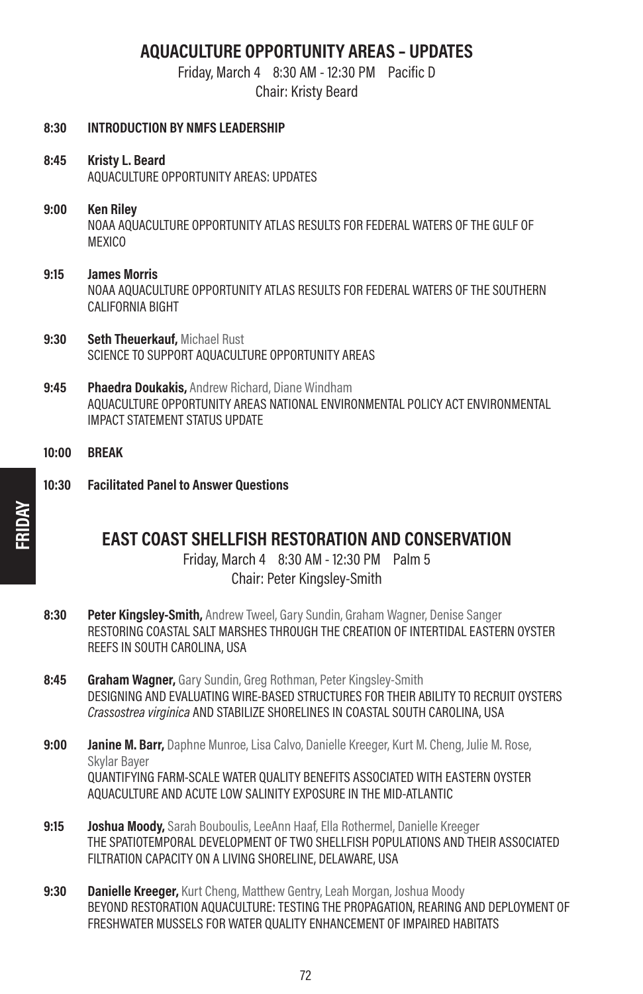# AQUACULTURE OPPORTUNITY AREAS – UPDATES

Friday, March 4 8:30 AM - 12:30 PM Pacific D

Chair: Kristy Beard

| 8:30  | <b>INTRODUCTION BY NMFS LEADERSHIP</b>                                                                                                                                           |
|-------|----------------------------------------------------------------------------------------------------------------------------------------------------------------------------------|
| 8:45  | Kristy L. Beard<br>AQUACULTURE OPPORTUNITY AREAS: UPDATES                                                                                                                        |
| 9:00  | <b>Ken Riley</b><br>NOAA AQUACULTURE OPPORTUNITY ATLAS RESULTS FOR FEDERAL WATERS OF THE GULF OF<br><b>MEXICO</b>                                                                |
| 9:15  | <b>James Morris</b><br>NOAA AQUACULTURE OPPORTUNITY ATLAS RESULTS FOR FEDERAL WATERS OF THE SOUTHERN<br>CALIFORNIA BIGHT                                                         |
| 9:30  | <b>Seth Theuerkauf, Michael Rust</b><br>SCIENCE TO SUPPORT AQUACULTURE OPPORTUNITY AREAS                                                                                         |
| 9:45  | <b>Phaedra Doukakis, Andrew Richard, Diane Windham</b><br>AQUACULTURE OPPORTUNITY AREAS NATIONAL ENVIRONMENTAL POLICY ACT ENVIRONMENTAL<br><b>IMPACT STATEMENT STATUS UPDATE</b> |
| 10:00 | <b>BREAK</b>                                                                                                                                                                     |
| 10:30 | <b>Facilitated Panel to Answer Questions</b>                                                                                                                                     |

# EAST COAST SHELLFISH RESTORATION AND CONSERVATION

Friday, March 4 8:30 AM - 12:30 PM Palm 5 Chair: Peter Kingsley-Smith

- 8:30 Peter Kingsley-Smith, Andrew Tweel, Gary Sundin, Graham Wagner, Denise Sanger RESTORING COASTAL SALT MARSHES THROUGH THE CREATION OF INTERTIDAL EASTERN OYSTER REEFS IN SOUTH CAROLINA, USA
- 8:45 Graham Wagner, Gary Sundin, Greg Rothman, Peter Kingsley-Smith DESIGNING AND EVALUATING WIRE-BASED STRUCTURES FOR THEIR ABILITY TO RECRUIT OYSTERS Crassostrea virginica AND STABILIZE SHORELINES IN COASTAL SOUTH CAROLINA, USA
- 9:00 **Janine M. Barr,** Daphne Munroe, Lisa Calvo, Danielle Kreeger, Kurt M. Cheng, Julie M. Rose, Skylar Bayer QUANTIFYING FARM-SCALE WATER QUALITY BENEFITS ASSOCIATED WITH EASTERN OYSTER AQUACULTURE AND ACUTE LOW SALINITY EXPOSURE IN THE MID-ATLANTIC
- 9:15 **Joshua Moody,** Sarah Bouboulis, LeeAnn Haaf, Ella Rothermel, Danielle Kreeger THE SPATIOTEMPORAL DEVELOPMENT OF TWO SHELLFISH POPULATIONS AND THEIR ASSOCIATED FILTRATION CAPACITY ON A LIVING SHORELINE, DELAWARE, USA
- 9:30 Danielle Kreeger, Kurt Cheng, Matthew Gentry, Leah Morgan, Joshua Moody BEYOND RESTORATION AQUACULTURE: TESTING THE PROPAGATION, REARING AND DEPLOYMENT OF FRESHWATER MUSSELS FOR WATER QUALITY ENHANCEMENT OF IMPAIRED HABITATS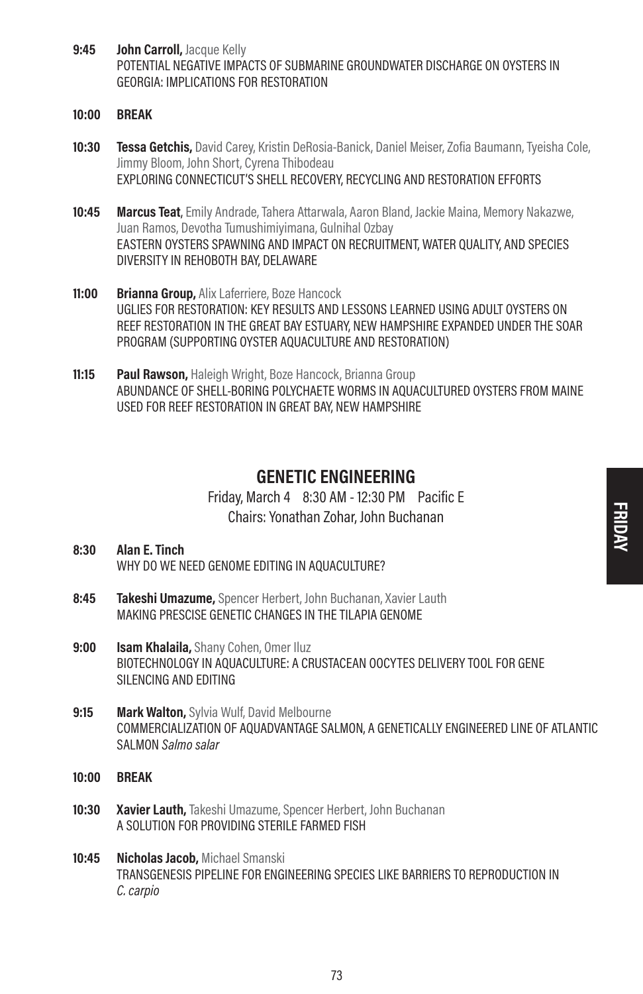- 9:45 **John Carroll, Jacque Kelly** POTENTIAL NEGATIVE IMPACTS OF SUBMARINE GROUNDWATER DISCHARGE ON OYSTERS IN GEORGIA: IMPLICATIONS FOR RESTORATION
- 10:00 BREAK
- 10:30 **Tessa Getchis,** David Carey, Kristin DeRosia-Banick, Daniel Meiser, Zofia Baumann, Tyeisha Cole, Jimmy Bloom, John Short, Cyrena Thibodeau EXPLORING CONNECTICUT'S SHELL RECOVERY, RECYCLING AND RESTORATION EFFORTS
- **10:45 Marcus Teat**, Emily Andrade, Tahera Attarwala, Aaron Bland, Jackie Maina, Memory Nakazwe, Juan Ramos, Devotha Tumushimiyimana, Gulnihal Ozbay EASTERN OYSTERS SPAWNING AND IMPACT ON RECRUITMENT, WATER QUALITY, AND SPECIES DIVERSITY IN REHOBOTH BAY, DELAWARE
- 11:00 Brianna Group, Alix Laferriere, Boze Hancock UGLIES FOR RESTORATION: KEY RESULTS AND LESSONS LEARNED USING ADULT OYSTERS ON REEF RESTORATION IN THE GREAT BAY ESTUARY, NEW HAMPSHIRE EXPANDED UNDER THE SOAR PROGRAM (SUPPORTING OYSTER AQUACULTURE AND RESTORATION)
- 11:15 Paul Rawson, Haleigh Wright, Boze Hancock, Brianna Group ABUNDANCE OF SHELL-BORING POLYCHAETE WORMS IN AQUACULTURED OYSTERS FROM MAINE USED FOR REEF RESTORATION IN GREAT BAY, NEW HAMPSHIRE

### GENETIC ENGINEERING

Friday, March 4 8:30 AM - 12:30 PM Pacific E Chairs: Yonathan Zohar, John Buchanan

### 8:30 Alan E. Tinch WHY DO WE NEED GENOME EDITING IN AQUACULTURE?

- 8:45 **Takeshi Umazume**, Spencer Herbert, John Buchanan, Xavier Lauth MAKING PRESCISE GENETIC CHANGES IN THE TILAPIA GENOME
- 9:00 **Isam Khalaila**, Shany Cohen, Omer Iluz BIOTECHNOLOGY IN AQUACULTURE: A CRUSTACEAN OOCYTES DELIVERY TOOL FOR GENE SILENCING AND EDITING
- **9:15 Mark Walton, Sylvia Wulf, David Melbourne** COMMERCIALIZATION OF AQUADVANTAGE SALMON, A GENETICALLY ENGINEERED LINE OF ATLANTIC SALMON Salmo salar
- 10:00 BREAK
- **10:30 Xavier Lauth,** Takeshi Umazume, Spencer Herbert, John Buchanan A SOLUTION FOR PROVIDING STERILE FARMED FISH
- 10:45 Nicholas Jacob, Michael Smanski TRANSGENESIS PIPELINE FOR ENGINEERING SPECIES LIKE BARRIERS TO REPRODUCTION IN C. carpio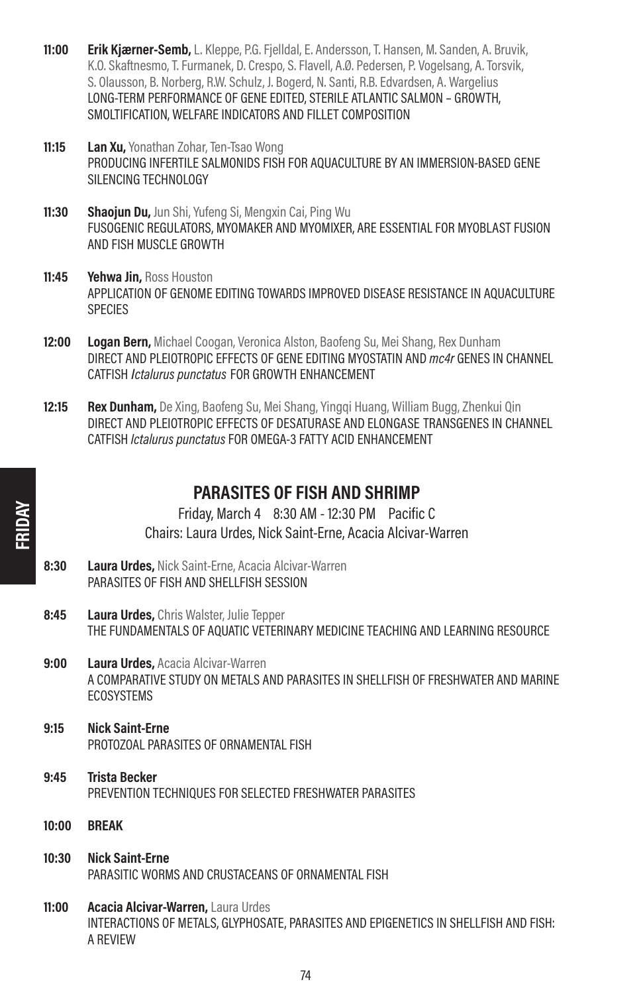- 11:00 Erik Kjærner-Semb, L. Kleppe, P.G. Fjelldal, E. Andersson, T. Hansen, M. Sanden, A. Bruvik, K.O. Skaftnesmo, T. Furmanek, D. Crespo, S. Flavell, A.Ø. Pedersen, P. Vogelsang, A. Torsvik, S. Olausson, B. Norberg, R.W. Schulz, J. Bogerd, N. Santi, R.B. Edvardsen, A. Wargelius LONG-TERM PERFORMANCE OF GENE EDITED, STERILE ATLANTIC SALMON – GROWTH, SMOLTIFICATION, WELFARE INDICATORS AND FILLET COMPOSITION
- 11:15 Lan Xu. Yonathan Zohar, Ten-Tsao Wong PRODUCING INFERTILE SALMONIDS FISH FOR AQUACULTURE BY AN IMMERSION-BASED GENE SILENCING TECHNOLOGY
- 11:30 Shaoiun Du, Jun Shi, Yufeng Si, Mengxin Cai, Ping Wu FUSOGENIC REGULATORS, MYOMAKER AND MYOMIXER, ARE ESSENTIAL FOR MYOBLAST FUSION AND FISH MUSCLE GROWTH
- 11:45 Yehwa Jin, Ross Houston APPLICATION OF GENOME EDITING TOWARDS IMPROVED DISEASE RESISTANCE IN AQUACULTURE **SPECIES**
- 12:00 Logan Bern, Michael Coogan, Veronica Alston, Baofeng Su, Mei Shang, Rex Dunham DIRECT AND PLEIOTROPIC EFFECTS OF GENE EDITING MYOSTATIN AND mc4r GENES IN CHANNEL CATFISH Ictalurus punctatus FOR GROWTH ENHANCEMENT
- 12:15 Rex Dunham, De Xing, Baofeng Su, Mei Shang, Yinggi Huang, William Bugg, Zhenkui Qin DIRECT AND PLEIOTROPIC EFFECTS OF DESATURASE AND ELONGASE TRANSGENES IN CHANNEL CATFISH Ictalurus punctatus FOR OMEGA-3 FATTY ACID ENHANCEMENT

### PARASITES OF FISH AND SHRIMP

Friday, March 4 8:30 AM - 12:30 PM Pacific C Chairs: Laura Urdes, Nick Saint-Erne, Acacia Alcivar-Warren

- 8:30 Laura Urdes, Nick Saint-Erne, Acacia Alcivar-Warren PARASITES OF FISH AND SHELLFISH SESSION
- 8:45 Laura Urdes, Chris Walster, Julie Tepper THE FUNDAMENTALS OF AQUATIC VETERINARY MEDICINE TEACHING AND LEARNING RESOURCE
- **9:00 Laura Urdes, Acacia Alcivar-Warren** A COMPARATIVE STUDY ON METALS AND PARASITES IN SHELLFISH OF FRESHWATER AND MARINE **ECOSYSTEMS**
- 9:15 Nick Saint-Erne PROTOZOAL PARASITES OF ORNAMENTAL FISH
- 9:45 Trista Becker PREVENTION TECHNIQUES FOR SELECTED FRESHWATER PARASITES
- 10:00 BREAK
- 10:30 Nick Saint-Erne PARASITIC WORMS AND CRUSTACEANS OF ORNAMENTAL FISH
- 11:00 Acacia Alcivar-Warren, Laura Urdes INTERACTIONS OF METALS, GLYPHOSATE, PARASITES AND EPIGENETICS IN SHELLFISH AND FISH: A REVIEW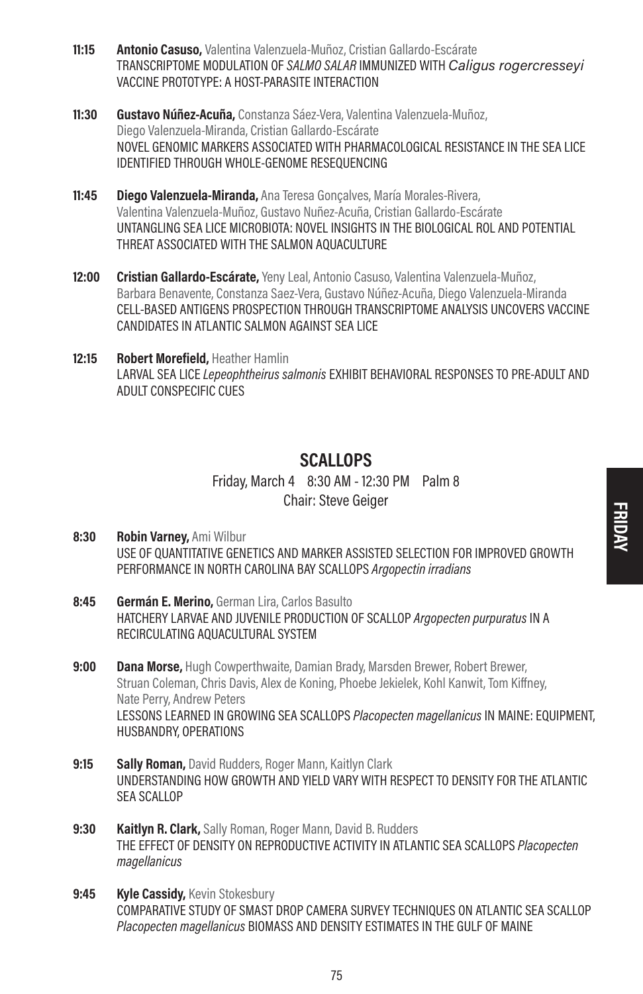- 11:15 **Antonio Casuso,** Valentina Valenzuela-Muñoz, Cristian Gallardo-Escárate TRANSCRIPTOME MODULATION OF SALMO SALAR IMMUNIZED WITH Caligus rogercresseyi VACCINE PROTOTYPE: A HOST-PARASITE INTERACTION
- 11:30 Gustavo Núñez-Acuña, Constanza Sáez-Vera, Valentina Valenzuela-Muñoz, Diego Valenzuela-Miranda, Cristian Gallardo-Escárate NOVEL GENOMIC MARKERS ASSOCIATED WITH PHARMACOLOGICAL RESISTANCE IN THE SEA LICE IDENTIFIED THROUGH WHOLE-GENOME RESEQUENCING
- **11:45 Diego Valenzuela-Miranda,** Ana Teresa Goncalves, María Morales-Rivera, Valentina Valenzuela-Muñoz, Gustavo Nuñez-Acuña, Cristian Gallardo-Escárate UNTANGLING SEA LICE MICROBIOTA: NOVEL INSIGHTS IN THE BIOLOGICAL ROL AND POTENTIAL THREAT ASSOCIATED WITH THE SALMON AOUACULTURE
- 12:00 Cristian Gallardo-Escárate, Yeny Leal, Antonio Casuso, Valentina Valenzuela-Muñoz, Barbara Benavente, Constanza Saez-Vera, Gustavo Núñez-Acuña, Diego Valenzuela-Miranda CELL-BASED ANTIGENS PROSPECTION THROUGH TRANSCRIPTOME ANALYSIS UNCOVERS VACCINE CANDIDATES IN ATLANTIC SALMON AGAINST SEA LICE

12:15 Robert Morefield, Heather Hamlin LARVAL SEA LICE Lepeophtheirus salmonis EXHIBIT BEHAVIORAL RESPONSES TO PRE-ADULT AND ADULT CONSPECIFIC CUES

# **SCALLOPS**

Friday, March 4 8:30 AM - 12:30 PM Palm 8 Chair: Steve Geiger

- 8:30 Robin Varney, Ami Wilbur USE OF QUANTITATIVE GENETICS AND MARKER ASSISTED SELECTION FOR IMPROVED GROWTH PERFORMANCE IN NORTH CAROLINA BAY SCALLOPS Argopectin irradians
- 8:45 Germán E. Merino, German Lira, Carlos Basulto HATCHERY LARVAE AND JUVENILE PRODUCTION OF SCALLOP Argopecten purpuratus IN A RECIRCULATING AQUACULTURAL SYSTEM
- 9:00 Dana Morse, Hugh Cowperthwaite, Damian Brady, Marsden Brewer, Robert Brewer, Struan Coleman, Chris Davis, Alex de Koning, Phoebe Jekielek, Kohl Kanwit, Tom Kiffney, Nate Perry, Andrew Peters LESSONS LEARNED IN GROWING SEA SCALLOPS Placopecten magellanicus IN MAINE: EQUIPMENT, HUSBANDRY, OPERATIONS
- 9:15 Sally Roman, David Rudders, Roger Mann, Kaitlyn Clark UNDERSTANDING HOW GROWTH AND YIELD VARY WITH RESPECT TO DENSITY FOR THE ATLANTIC SEA SCALLOP
- 9:30 Kaitlyn R. Clark, Sally Roman, Roger Mann, David B. Rudders THE EFFECT OF DENSITY ON REPRODUCTIVE ACTIVITY IN ATLANTIC SEA SCALLOPS Placopecten magellanicus
- 9:45 Kyle Cassidy, Kevin Stokesbury COMPARATIVE STUDY OF SMAST DROP CAMERA SURVEY TECHNIQUES ON ATLANTIC SEA SCALLOP Placopecten magellanicus BIOMASS AND DENSITY ESTIMATES IN THE GULF OF MAINE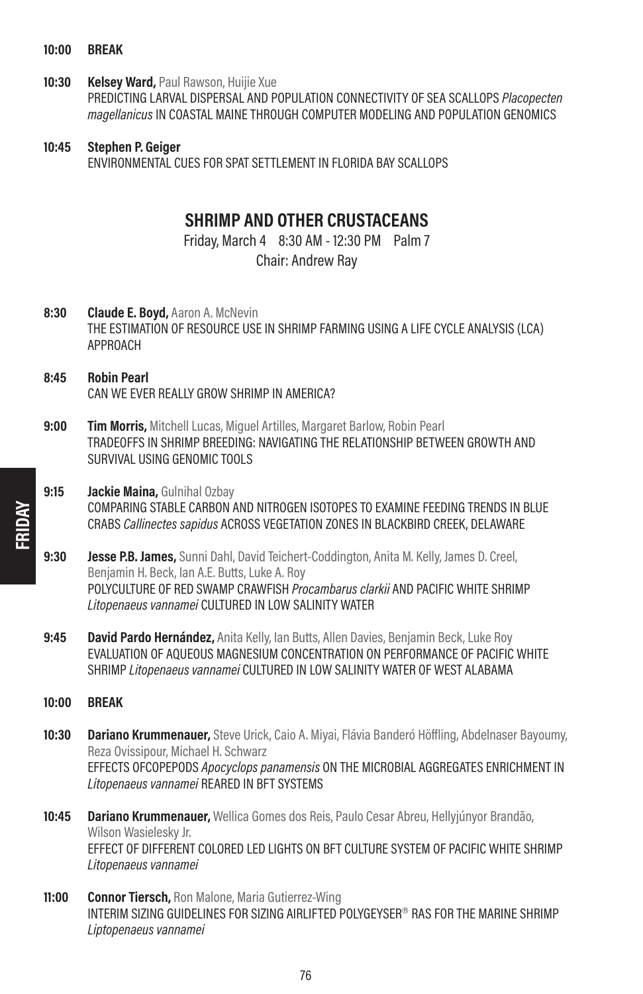- 10:00 BREAK
- 10:30 Kelsey Ward, Paul Rawson, Huijie Xue PREDICTING LARVAL DISPERSAL AND POPULATION CONNECTIVITY OF SEA SCALLOPS Placopecten magellanicus IN COASTAL MAINE THROUGH COMPUTER MODELING AND POPULATION GENOMICS
- 10:45 Stephen P. Geiger ENVIRONMENTAL CUES FOR SPAT SETTLEMENT IN FLORIDA BAY SCALLOPS

# SHRIMP AND OTHER CRUSTACEANS

Friday, March 4 8:30 AM - 12:30 PM Palm 7 Chair: Andrew Ray

- 8:30 **Claude E. Boyd, Aaron A. McNevin** THE ESTIMATION OF RESOURCE USE IN SHRIMP FARMING USING A LIFE CYCLE ANALYSIS (LCA) APPROACH
- 8:45 Robin Pearl CAN WE EVER REALLY GROW SHRIMP IN AMERICA?
- 9:00 **Tim Morris,** Mitchell Lucas, Miguel Artilles, Margaret Barlow, Robin Pearl TRADEOFFS IN SHRIMP BREEDING: NAVIGATING THE RELATIONSHIP BETWEEN GROWTH AND SURVIVAL USING GENOMIC TOOLS

### 9:15 **Jackie Maina, Gulnihal Ozbay** COMPARING STABLE CARBON AND NITROGEN ISOTOPES TO EXAMINE FEEDING TRENDS IN BLUE CRABS Callinectes sapidus ACROSS VEGETATION ZONES IN BLACKBIRD CREEK, DELAWARE

- **9:30 Jesse P.B. James,** Sunni Dahl, David Teichert-Coddington, Anita M. Kelly, James D. Creel, Benjamin H. Beck, Ian A.E. Butts, Luke A. Roy POLYCULTURE OF RED SWAMP CRAWFISH *Procambarus clarkii* AND PACIFIC WHITE SHRIMP Litopenaeus vannamei CULTURED IN LOW SALINITY WATER
- 9:45 David Pardo Hernández, Anita Kelly, Ian Butts, Allen Davies, Benjamin Beck, Luke Roy EVALUATION OF AQUEOUS MAGNESIUM CONCENTRATION ON PERFORMANCE OF PACIFIC WHITE SHRIMP Litopenaeus vannamei CULTURED IN LOW SALINITY WATER OF WEST ALABAMA
- 10:00 BREAK
- 10:30 Dariano Krummenauer, Steve Urick, Caio A. Mivai, Flávia Banderó Höffling, Abdelnaser Bayoumy, Reza Ovissipour, Michael H. Schwarz EFFECTS OFCOPEPODS Apocyclops panamensis ON THE MICROBIAL AGGREGATES ENRICHMENT IN Litopenaeus vannamei REARED IN BFT SYSTEMS
- 10:45 Dariano Krummenauer, Wellica Gomes dos Reis, Paulo Cesar Abreu, Hellyjúnyor Brandão, Wilson Wasielesky Jr. EFFECT OF DIFFERENT COLORED LED LIGHTS ON BFT CULTURE SYSTEM OF PACIFIC WHITE SHRIMP Litopenaeus vannamei
- 11:00 Connor Tiersch, Ron Malone, Maria Gutierrez-Wing INTERIM SIZING GUIDELINES FOR SIZING AIRLIFTED POLYGEYSER® RAS FOR THE MARINE SHRIMP Liptopenaeus vannamei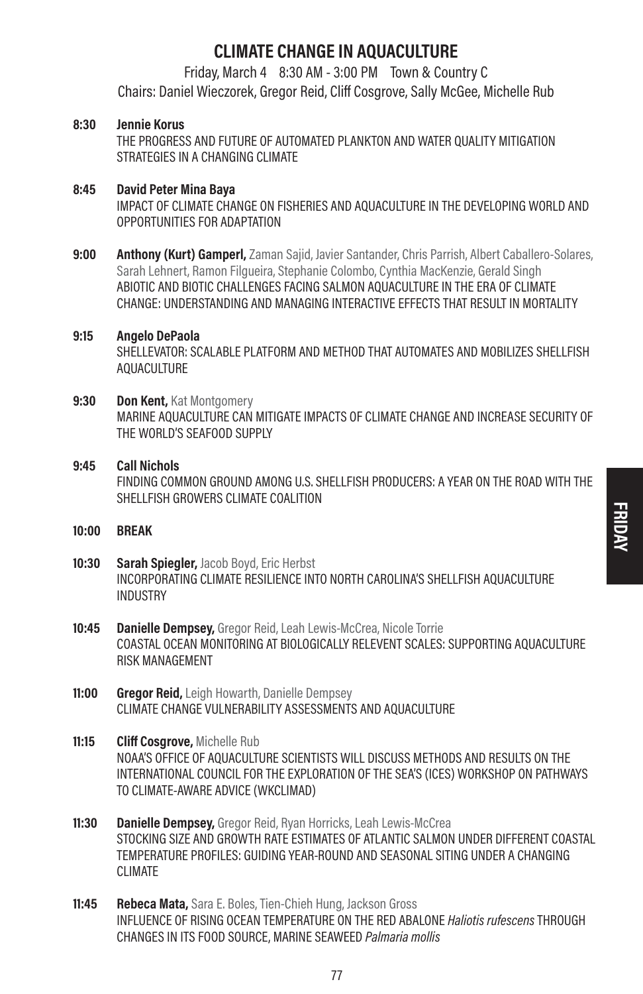# CLIMATE CHANGE IN AQUACULTURE

Friday, March 4 8:30 AM - 3:00 PM Town & Country C Chairs: Daniel Wieczorek, Gregor Reid, Cliff Cosgrove, Sally McGee, Michelle Rub

### 8:30 Jennie Korus

THE PROGRESS AND FUTURE OF AUTOMATED PLANKTON AND WATER QUALITY MITIGATION STRATEGIES IN A CHANGING CLIMATE

### 8:45 David Peter Mina Baya

IMPACT OF CLIMATE CHANGE ON FISHERIES AND AQUACULTURE IN THE DEVELOPING WORLD AND OPPORTUNITIES FOR ADAPTATION

9:00 **Anthony (Kurt) Gamperl,** Zaman Saiid, Javier Santander, Chris Parrish, Albert Caballero-Solares, Sarah Lehnert, Ramon Filgueira, Stephanie Colombo, Cynthia MacKenzie, Gerald Singh ABIOTIC AND BIOTIC CHALLENGES FACING SALMON AQUACULTURE IN THE ERA OF CLIMATE CHANGE: UNDERSTANDING AND MANAGING INTERACTIVE EFFECTS THAT RESULT IN MORTALITY

### 9:15 Angelo DePaola

SHELLEVATOR: SCALABLE PLATFORM AND METHOD THAT AUTOMATES AND MOBILIZES SHELLFISH AQUACULTURE

### 9:30 Don Kent, Kat Montgomery

MARINE AQUACULTURE CAN MITIGATE IMPACTS OF CLIMATE CHANGE AND INCREASE SECURITY OF THE WORLD'S SEAFOOD SUPPLY

### 9:45 Call Nichols

FINDING COMMON GROUND AMONG U.S. SHELLFISH PRODUCERS: A YEAR ON THE ROAD WITH THE SHELLFISH GROWERS CLIMATE COALITION

- 10:00 BREAK
- 10:30 Sarah Spiegler, Jacob Boyd, Eric Herbst INCORPORATING CLIMATE RESILIENCE INTO NORTH CAROLINA'S SHELLFISH AQUACULTURE INDUSTRY
- 10:45 Danielle Dempsey, Gregor Reid, Leah Lewis-McCrea, Nicole Torrie COASTAL OCEAN MONITORING AT BIOLOGICALLY RELEVENT SCALES: SUPPORTING AQUACULTURE RISK MANAGEMENT
- **11:00 Gregor Reid, Leigh Howarth, Danielle Dempsey** CLIMATE CHANGE VULNERABILITY ASSESSMENTS AND AQUACULTURE
- 11:15 Cliff Cosarove, Michelle Rub NOAA'S OFFICE OF AQUACULTURE SCIENTISTS WILL DISCUSS METHODS AND RESULTS ON THE INTERNATIONAL COUNCIL FOR THE EXPLORATION OF THE SEA'S (ICES) WORKSHOP ON PATHWAYS TO CLIMATE-AWARE ADVICE (WKCLIMAD)
- **11:30 Danielle Dempsey, Gregor Reid, Ryan Horricks, Leah Lewis-McCrea** STOCKING SIZE AND GROWTH RATE ESTIMATES OF ATLANTIC SALMON UNDER DIFFERENT COASTAL TEMPERATURE PROFILES: GUIDING YEAR-ROUND AND SEASONAL SITING UNDER A CHANGING CLIMATE
- 11:45 Rebeca Mata, Sara E. Boles, Tien-Chieh Hung, Jackson Gross INFLUENCE OF RISING OCEAN TEMPERATURE ON THE RED ABALONE Haliotis rufescens THROUGH CHANGES IN ITS FOOD SOURCE, MARINE SEAWEED Palmaria mollis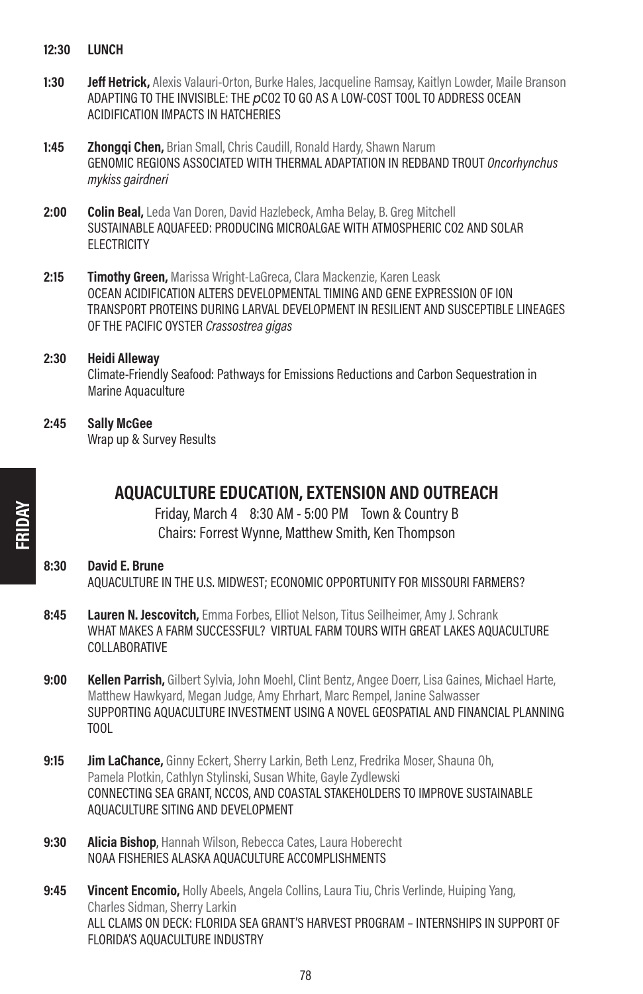- 12:30 LUNCH
- 1:30 **Jeff Hetrick,** Alexis Valauri-Orton, Burke Hales, Jacqueline Ramsay, Kaitlyn Lowder, Maile Branson ADAPTING TO THE INVISIBLE: THE  $pCO2$  TO GO AS A LOW-COST TOOL TO ADDRESS OCEAN ACIDIFICATION IMPACTS IN HATCHERIES
- **1:45 Zhongqi Chen, Brian Small, Chris Caudill, Ronald Hardy, Shawn Narum** GENOMIC REGIONS ASSOCIATED WITH THERMAL ADAPTATION IN REDBAND TROUT Oncorhynchus mykiss gairdneri
- 2:00 Colin Beal, Leda Van Doren, David Hazlebeck, Amha Belay, B. Greg Mitchell SUSTAINABLE AQUAFEED: PRODUCING MICROALGAE WITH ATMOSPHERIC CO2 AND SOLAR **ELECTRICITY**
- 2:15 **Timothy Green.** Marissa Wright-LaGreca, Clara Mackenzie, Karen Leask OCEAN ACIDIFICATION ALTERS DEVELOPMENTAL TIMING AND GENE EXPRESSION OF ION TRANSPORT PROTEINS DURING LARVAL DEVELOPMENT IN RESILIENT AND SUSCEPTIBLE LINEAGES OF THE PACIFIC OYSTER Crassostrea gigas
- 2:30 Heidi Alleway Climate-Friendly Seafood: Pathways for Emissions Reductions and Carbon Sequestration in Marine Aquaculture
- 2:45 Sally McGee Wrap up & Survey Results

# AQUACULTURE EDUCATION, EXTENSION AND OUTREACH

Friday, March 4 8:30 AM - 5:00 PM Town & Country B Chairs: Forrest Wynne, Matthew Smith, Ken Thompson

### 8:30 David E. Brune AQUACULTURE IN THE U.S. MIDWEST; ECONOMIC OPPORTUNITY FOR MISSOURI FARMERS?

- 8:45 Lauren N. Jescovitch, Emma Forbes, Elliot Nelson, Titus Seilheimer, Amy J. Schrank WHAT MAKES A FARM SUCCESSFUL? VIRTUAL FARM TOURS WITH GREAT LAKES AQUACULTURE COLLABORATIVE
- 9:00 Kellen Parrish, Gilbert Sylvia, John Moehl, Clint Bentz, Angee Doerr, Lisa Gaines, Michael Harte, Matthew Hawkyard, Megan Judge, Amy Ehrhart, Marc Rempel, Janine Salwasser SUPPORTING AQUACULTURE INVESTMENT USING A NOVEL GEOSPATIAL AND FINANCIAL PLANNING TOOL
- **9:15 Jim LaChance,** Ginny Eckert, Sherry Larkin, Beth Lenz, Fredrika Moser, Shauna Oh, Pamela Plotkin, Cathlyn Stylinski, Susan White, Gayle Zydlewski CONNECTING SEA GRANT, NCCOS, AND COASTAL STAKEHOLDERS TO IMPROVE SUSTAINABLE AQUACULTURE SITING AND DEVELOPMENT
- 9:30 **Alicia Bishop**, Hannah Wilson, Rebecca Cates, Laura Hoberecht NOAA FISHERIES ALASKA AQUACULTURE ACCOMPLISHMENTS
- 9:45 **Vincent Encomio,** Holly Abeels, Angela Collins, Laura Tiu, Chris Verlinde, Huiping Yang, Charles Sidman, Sherry Larkin ALL CLAMS ON DECK: FLORIDA SEA GRANT'S HARVEST PROGRAM – INTERNSHIPS IN SUPPORT OF FLORIDA'S AQUACULTURE INDUSTRY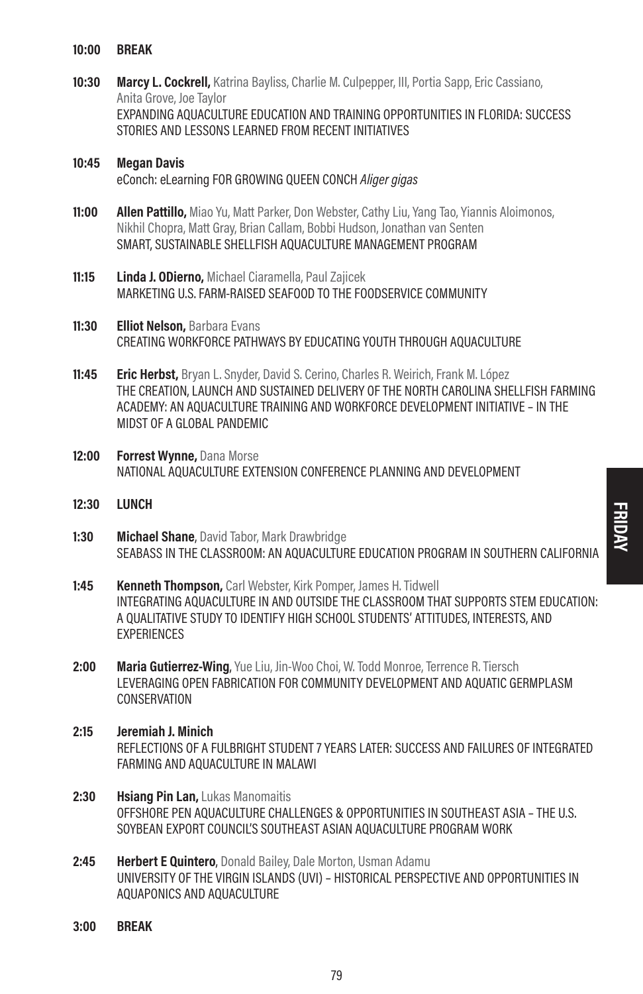- 10:00 BREAK
- 10:30 Marcy L. Cockrell, Katrina Bayliss, Charlie M. Culpepper, III, Portia Sapp, Eric Cassiano, Anita Grove, Joe Taylor EXPANDING AQUACULTURE EDUCATION AND TRAINING OPPORTUNITIES IN FLORIDA: SUCCESS STORIES AND LESSONS LEARNED FROM RECENT INITIATIVES

### 10:45 Megan Davis eConch: eLearning FOR GROWING OUEEN CONCH Aliger gigas

- **11:00 Allen Pattillo,** Miao Yu, Matt Parker, Don Webster, Cathy Liu, Yang Tao, Yiannis Aloimonos, Nikhil Chopra, Matt Gray, Brian Callam, Bobbi Hudson, Jonathan van Senten SMART, SUSTAINABLE SHELLFISH AQUACULTURE MANAGEMENT PROGRAM
- 11:15 **Linda J. ODierno**, Michael Ciaramella, Paul Zajicek MARKETING U.S. FARM-RAISED SEAFOOD TO THE FOODSERVICE COMMUNITY
- 11:30 **Elliot Nelson**, Barbara Evans CREATING WORKFORCE PATHWAYS BY EDUCATING YOUTH THROUGH AQUACULTURE
- 11:45 **Eric Herbst.** Bryan L. Snyder, David S. Cerino, Charles R. Weirich, Frank M. López THE CREATION, LAUNCH AND SUSTAINED DELIVERY OF THE NORTH CAROLINA SHELLFISH FARMING ACADEMY: AN AQUACULTURE TRAINING AND WORKFORCE DEVELOPMENT INITIATIVE – IN THE MIDST OF A GLOBAL PANDEMIC
- 12:00 Forrest Wynne, Dana Morse NATIONAL AQUACULTURE EXTENSION CONFERENCE PLANNING AND DEVELOPMENT
- 12:30 LUNCH
- 1:30 Michael Shane, David Tabor, Mark Drawbridge SEABASS IN THE CLASSROOM: AN AQUACULTURE EDUCATION PROGRAM IN SOUTHERN CALIFORNIA
- **1:45 Kenneth Thompson,** Carl Webster, Kirk Pomper, James H. Tidwell INTEGRATING AQUACULTURE IN AND OUTSIDE THE CLASSROOM THAT SUPPORTS STEM EDUCATION: A QUALITATIVE STUDY TO IDENTIFY HIGH SCHOOL STUDENTS' ATTITUDES, INTERESTS, AND **EXPERIENCES**
- 2:00 Maria Gutierrez-Wing, Yue Liu, Jin-Woo Choi, W. Todd Monroe, Terrence R. Tiersch LEVERAGING OPEN FABRICATION FOR COMMUNITY DEVELOPMENT AND AQUATIC GERMPLASM **CONSERVATION**
- 2:15 Jeremiah J. Minich REFLECTIONS OF A FULBRIGHT STUDENT 7 YEARS LATER: SUCCESS AND FAILURES OF INTEGRATED FARMING AND AQUACULTURE IN MALAWI
- 2:30 **Hsiang Pin Lan, Lukas Manomaitis** OFFSHORE PEN AQUACULTURE CHALLENGES & OPPORTUNITIES IN SOUTHEAST ASIA – THE U.S. SOYBEAN EXPORT COUNCIL'S SOUTHEAST ASIAN AOUACULTURE PROGRAM WORK
- 2:45 **Herbert E Quintero**, Donald Bailey, Dale Morton, Usman Adamu UNIVERSITY OF THE VIRGIN ISLANDS (UVI) – HISTORICAL PERSPECTIVE AND OPPORTUNITIES IN AQUAPONICS AND AQUACULTURE
- 3:00 BREAK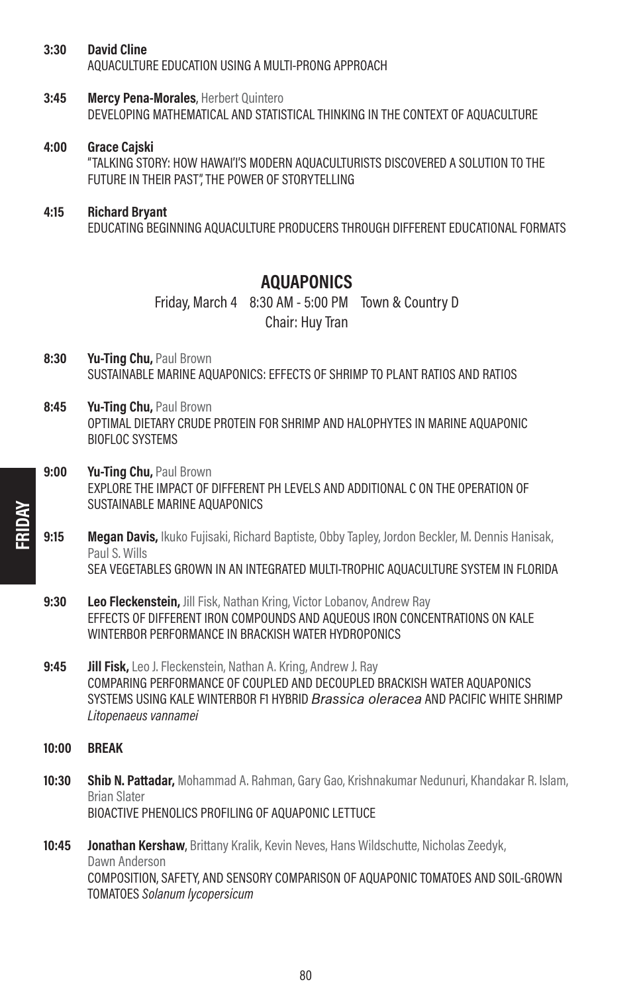- 3:30 David Cline AQUACULTURE EDUCATION USING A MULTI-PRONG APPROACH
- **3:45 Mercy Pena-Morales**, Herbert Quintero DEVELOPING MATHEMATICAL AND STATISTICAL THINKING IN THE CONTEXT OF AQUACULTURE
- 4:00 Grace Cajski

"TALKING STORY: HOW HAWAI'I'S MODERN AQUACULTURISTS DISCOVERED A SOLUTION TO THE FUTURE IN THEIR PAST", THE POWER OF STORYTELLING

### 4:15 Richard Bryant

EDUCATING BEGINNING AQUACULTURE PRODUCERS THROUGH DIFFERENT EDUCATIONAL FORMATS

### AQUAPONICS

Friday, March 4 8:30 AM - 5:00 PM Town & Country D Chair: Huy Tran

- 8:30 Yu-Ting Chu, Paul Brown SUSTAINABLE MARINE AQUAPONICS: EFFECTS OF SHRIMP TO PLANT RATIOS AND RATIOS
- 8:45 Yu-Ting Chu, Paul Brown OPTIMAL DIETARY CRUDE PROTEIN FOR SHRIMP AND HALOPHYTES IN MARINE AQUAPONIC **BIOFLOC SYSTEMS**
- 9:00 Yu-Ting Chu, Paul Brown EXPLORE THE IMPACT OF DIFFERENT PH LEVELS AND ADDITIONAL C ON THE OPERATION OF SUSTAINABLE MARINE AQUAPONICS
- 9:15 Megan Davis, Ikuko Fujisaki, Richard Baptiste, Obby Tapley, Jordon Beckler, M. Dennis Hanisak, Paul S. Wills SEA VEGETABLES GROWN IN AN INTEGRATED MULTI-TROPHIC AQUACULTURE SYSTEM IN FLORIDA
- 9:30 Leo Fleckenstein, Jill Fisk, Nathan Kring, Victor Lobanov, Andrew Ray EFFECTS OF DIFFERENT IRON COMPOUNDS AND AQUEOUS IRON CONCENTRATIONS ON KALE WINTERBOR PERFORMANCE IN BRACKISH WATER HYDROPONICS
- 9:45 **Jill Fisk,** Leo J. Fleckenstein, Nathan A. Kring, Andrew J. Ray COMPARING PERFORMANCE OF COUPLED AND DECOUPLED BRACKISH WATER AQUAPONICS SYSTEMS USING KALE WINTERBOR F1 HYBRID *Brassica oleracea* AND PACIFIC WHITE SHRIMP Litopenaeus vannamei
- 10:00 BREAK

FRIDAY

- 10:30 Shib N. Pattadar, Mohammad A. Rahman, Gary Gao, Krishnakumar Nedunuri, Khandakar R. Islam, Brian Slater BIOACTIVE PHENOLICS PROFILING OF AQUAPONIC LETTUCE
- 10:45 **Jonathan Kershaw**, Brittany Kralik, Kevin Neves, Hans Wildschutte, Nicholas Zeedyk, Dawn Anderson COMPOSITION, SAFETY, AND SENSORY COMPARISON OF AQUAPONIC TOMATOES AND SOIL-GROWN TOMATOES Solanum lycopersicum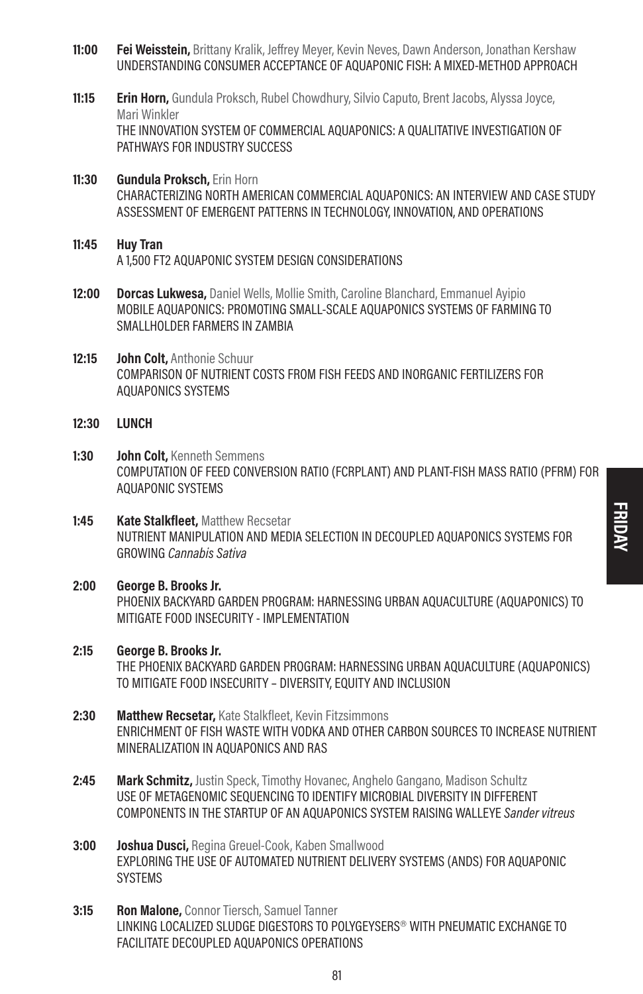- 11:00 Fei Weisstein, Brittany Kralik, Jeffrey Meyer, Kevin Neves, Dawn Anderson, Jonathan Kershaw UNDERSTANDING CONSUMER ACCEPTANCE OF AQUAPONIC FISH: A MIXED-METHOD APPROACH
- **11:15 Erin Horn,** Gundula Proksch, Rubel Chowdhury, Silvio Caputo, Brent Jacobs, Alyssa Joyce, Mari Winkler THE INNOVATION SYSTEM OF COMMERCIAL AQUAPONICS: A QUALITATIVE INVESTIGATION OF PATHWAYS FOR INDUSTRY SUCCESS
- 11:30 Gundula Proksch, Erin Horn CHARACTERIZING NORTH AMERICAN COMMERCIAL AQUAPONICS: AN INTERVIEW AND CASE STUDY ASSESSMENT OF EMERGENT PATTERNS IN TECHNOLOGY, INNOVATION, AND OPERATIONS
- 11:45 Huy Tran A 1,500 FT2 AQUAPONIC SYSTEM DESIGN CONSIDERATIONS
- 12:00 Dorcas Lukwesa, Daniel Wells, Mollie Smith, Caroline Blanchard, Emmanuel Ayipio MOBILE AQUAPONICS: PROMOTING SMALL-SCALE AQUAPONICS SYSTEMS OF FARMING TO SMALLHOLDER FARMERS IN ZAMBIA
- 12:15 John Colt, Anthonie Schuur COMPARISON OF NUTRIENT COSTS FROM FISH FEEDS AND INORGANIC FERTILIZERS FOR AQUAPONICS SYSTEMS
- 12:30 **LUNCH**
- 1:30 **John Colt**, Kenneth Semmens COMPUTATION OF FEED CONVERSION RATIO (FCRPLANT) AND PLANT-FISH MASS RATIO (PFRM) FOR AQUAPONIC SYSTEMS
- 1:45 **Kate Stalkfleet.** Matthew Recsetar NUTRIENT MANIPULATION AND MEDIA SELECTION IN DECOUPLED AQUAPONICS SYSTEMS FOR GROWING Cannabis Sativa
- 2:00 George B. Brooks Jr. PHOENIX BACKYARD GARDEN PROGRAM: HARNESSING URBAN AQUACULTURE (AQUAPONICS) TO MITIGATE FOOD INSECURITY - IMPLEMENTATION
- 2:15 George B. Brooks Jr. THE PHOENIX BACKYARD GARDEN PROGRAM: HARNESSING URBAN AQUACULTURE (AQUAPONICS) TO MITIGATE FOOD INSECURITY – DIVERSITY, EQUITY AND INCLUSION
- 2:30 Matthew Recsetar, Kate Stalkfleet, Kevin Fitzsimmons ENRICHMENT OF FISH WASTE WITH VODKA AND OTHER CARBON SOURCES TO INCREASE NUTRIENT MINERALIZATION IN AQUAPONICS AND RAS
- 2:45 Mark Schmitz, Justin Speck, Timothy Hovanec, Anghelo Gangano, Madison Schultz USE OF METAGENOMIC SEQUENCING TO IDENTIFY MICROBIAL DIVERSITY IN DIFFERENT COMPONENTS IN THE STARTUP OF AN AQUAPONICS SYSTEM RAISING WALLEYE Sander vitreus
- 3:00 **Joshua Dusci, Regina Greuel-Cook, Kaben Smallwood** EXPLORING THE USE OF AUTOMATED NUTRIENT DELIVERY SYSTEMS (ANDS) FOR AQUAPONIC **SYSTEMS**
- 3:15 Ron Malone, Connor Tiersch, Samuel Tanner LINKING LOCALIZED SLUDGE DIGESTORS TO POLYGEYSERS® WITH PNEUMATIC EXCHANGE TO FACILITATE DECOUPLED AQUAPONICS OPERATIONS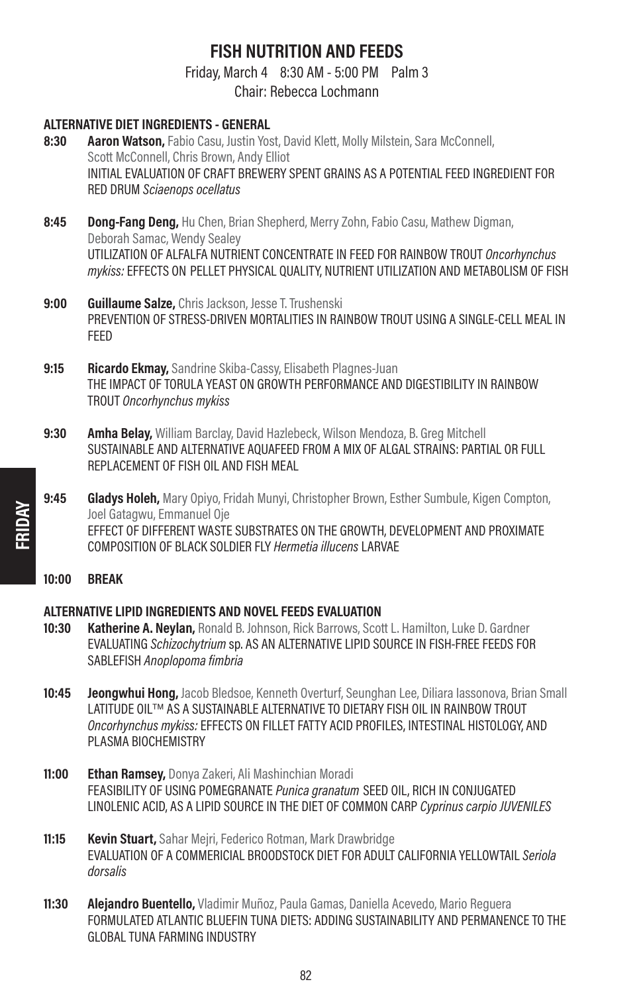# FISH NUTRITION AND FEEDS

Friday, March 4 8:30 AM - 5:00 PM Palm 3

Chair: Rebecca Lochmann

- ALTERNATIVE DIET INGREDIENTS GENERAL 8:30 Aaron Watson, Fabio Casu, Justin Yost, David Klett, Molly Milstein, Sara McConnell, Scott McConnell, Chris Brown, Andy Elliot INITIAL EVALUATION OF CRAFT BREWERY SPENT GRAINS AS A POTENTIAL FEED INGREDIENT FOR RED DRUM Sciaenops ocellatus
- 8:45 Dong-Fang Deng, Hu Chen, Brian Shepherd, Merry Zohn, Fabio Casu, Mathew Digman, Deborah Samac, Wendy Sealey UTILIZATION OF ALFALFA NUTRIENT CONCENTRATE IN FEED FOR RAINBOW TROUT Oncorhynchus mykiss: EFFECTS ON PELLET PHYSICAL QUALITY, NUTRIENT UTILIZATION AND METABOLISM OF FISH
- 9:00 Guillaume Salze, Chris Jackson, Jesse T. Trushenski PREVENTION OF STRESS-DRIVEN MORTALITIES IN RAINBOW TROUT USING A SINGLE-CELL MEAL IN FEED
- 9:15 Ricardo Ekmay, Sandrine Skiba-Cassy, Elisabeth Plagnes-Juan THE IMPACT OF TORULA YEAST ON GROWTH PERFORMANCE AND DIGESTIBILITY IN RAINBOW TROUT Oncorhynchus mykiss
- 9:30 Amha Belay, William Barclay, David Hazlebeck, Wilson Mendoza, B. Greg Mitchell SUSTAINABLE AND ALTERNATIVE AQUAFEED FROM A MIX OF ALGAL STRAINS: PARTIAL OR FULL REPLACEMENT OF FISH OIL AND FISH MEAL
- 9:45 Gladys Holeh, Mary Opiyo, Fridah Munyi, Christopher Brown, Esther Sumbule, Kigen Compton, Joel Gatagwu, Emmanuel Oje EFFECT OF DIFFERENT WASTE SUBSTRATES ON THE GROWTH, DEVELOPMENT AND PROXIMATE COMPOSITION OF BLACK SOLDIER FLY Hermetia illucens LARVAE
- 10:00 BREAK

### ALTERNATIVE LIPID INGREDIENTS AND NOVEL FEEDS EVALUATION

- 10:30 **Katherine A. Neylan, Ronald B. Johnson, Rick Barrows, Scott L. Hamilton, Luke D. Gardner** EVALUATING Schizochytrium sp. AS AN ALTERNATIVE LIPID SOURCE IN FISH-FREE FEEDS FOR SABLEFISH Anoplopoma fimbria
- 10:45 Jeongwhui Hong, Jacob Bledsoe, Kenneth Overturf, Seunghan Lee, Diliara Iassonova, Brian Small LATITUDE OIL™ AS A SUSTAINABLE ALTERNATIVE TO DIETARY FISH OIL IN RAINBOW TROUT Oncorhynchus mykiss: EFFECTS ON FILLET FATTY ACID PROFILES, INTESTINAL HISTOLOGY, AND PLASMA BIOCHEMISTRY
- 11:00 **Ethan Ramsey,** Donya Zakeri, Ali Mashinchian Moradi FEASIBILITY OF USING POMEGRANATE Punica granatum SEED OIL, RICH IN CONJUGATED LINOLENIC ACID, AS A LIPID SOURCE IN THE DIET OF COMMON CARP Cyprinus carpio JUVENILES
- **11:15 Kevin Stuart, Sahar Meiri, Federico Rotman, Mark Drawbridge** EVALUATION OF A COMMERICIAL BROODSTOCK DIET FOR ADULT CALIFORNIA YELLOWTAIL Seriola dorsalis
- 11:30 **Alejandro Buentello,** Vladimir Muñoz, Paula Gamas, Daniella Acevedo, Mario Reguera FORMULATED ATLANTIC BLUEFIN TUNA DIETS: ADDING SUSTAINABILITY AND PERMANENCE TO THE GLOBAL TUNA FARMING INDUSTRY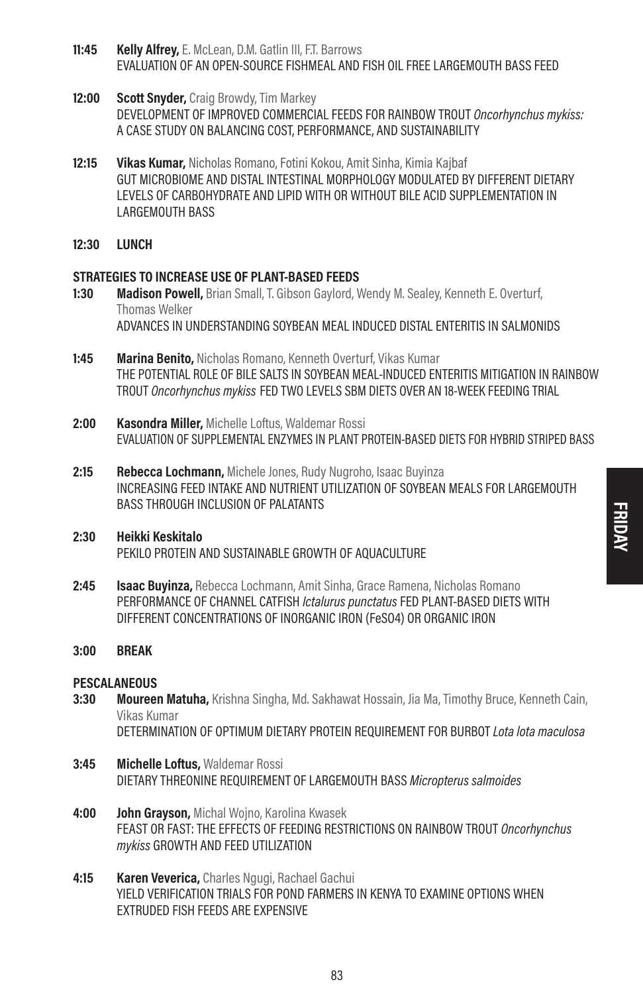- 11:45 Kelly Alfrey, E. McLean, D.M. Gatlin III, F.T. Barrows EVALUATION OF AN OPEN-SOURCE FISHMEAL AND FISH OIL FREE LARGEMOUTH BASS FEED
- 12:00 Scott Snyder, Craig Browdy, Tim Markey DEVELOPMENT OF IMPROVED COMMERCIAL FEEDS FOR RAINBOW TROUT Oncorhynchus mykiss: A CASE STUDY ON BALANCING COST, PERFORMANCE, AND SUSTAINABILITY
- 12:15 Vikas Kumar, Nicholas Romano, Fotini Kokou, Amit Sinha, Kimia Kaibaf GUT MICROBIOME AND DISTAL INTESTINAL MORPHOLOGY MODULATED BY DIFFERENT DIETARY LEVELS OF CARBOHYDRATE AND LIPID WITH OR WITHOUT BILE ACID SUPPLEMENTATION IN LARGEMOUTH BASS
- 12:30 LUNCH

### STRATEGIES TO INCREASE USE OF PLANT-BASED FEEDS

- 1:30 Madison Powell, Brian Small, T. Gibson Gaylord, Wendy M. Sealey, Kenneth E. Overturf, Thomas Welker ADVANCES IN UNDERSTANDING SOYBEAN MEAL INDUCED DISTAL ENTERITIS IN SALMONIDS
- **1:45 Marina Benito, Nicholas Romano, Kenneth Overturf, Vikas Kumar** THE POTENTIAL ROLE OF BILE SALTS IN SOYBEAN MEAL-INDUCED ENTERITIS MITIGATION IN RAINBOW TROUT Oncorhynchus mykiss FED TWO LEVELS SBM DIETS OVER AN 18-WEEK FEEDING TRIAL
- 2:00 **Kasondra Miller.** Michelle Loftus, Waldemar Rossi EVALUATION OF SUPPLEMENTAL ENZYMES IN PLANT PROTEIN-BASED DIETS FOR HYBRID STRIPED BASS
- 2:15 Rebecca Lochmann, Michele Jones, Rudy Nugroho, Isaac Buyinza INCREASING FEED INTAKE AND NUTRIENT UTILIZATION OF SOYBEAN MEALS FOR LARGEMOUTH BASS THROUGH INCLUSION OF PALATANTS
- 2:30 Heikki Keskitalo PEKILO PROTEIN AND SUSTAINABLE GROWTH OF AQUACULTURE
- 2:45 **Isaac Buvinza,** Rebecca Lochmann, Amit Sinha, Grace Ramena, Nicholas Romano PERFORMANCE OF CHANNEL CATFISH *Ictalurus punctatus* FED PLANT-BASED DIETS WITH DIFFERENT CONCENTRATIONS OF INORGANIC IRON (FeSO4) OR ORGANIC IRON

### 3:00 BREAK

### **PESCALANEOUS**

- 3:30 Moureen Matuha, Krishna Singha, Md. Sakhawat Hossain, Jia Ma, Timothy Bruce, Kenneth Cain, Vikas Kumar DETERMINATION OF OPTIMUM DIETARY PROTEIN REQUIREMENT FOR BURBOT Lota lota maculosa
- 3:45 Michelle Loftus, Waldemar Rossi
- DIETARY THREONINE REQUIREMENT OF LARGEMOUTH BASS Micropterus salmoides
- 4:00 **John Grayson, Michal Woino, Karolina Kwasek** FEAST OR FAST: THE EFFECTS OF FEEDING RESTRICTIONS ON RAINBOW TROUT Oncorhynchus mykiss GROWTH AND FEED UTILIZATION
- 4:15 **Karen Veverica,** Charles Ngugi, Rachael Gachui YIELD VERIFICATION TRIALS FOR POND FARMERS IN KENYA TO EXAMINE OPTIONS WHEN EXTRUDED FISH FEEDS ARE EXPENSIVE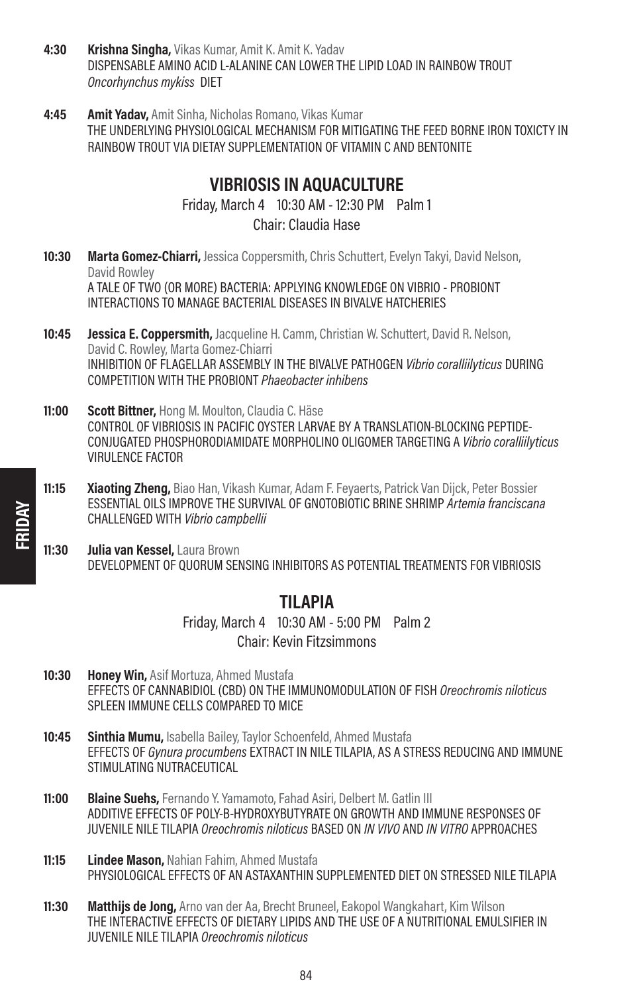- 4:30 Krishna Singha, Vikas Kumar, Amit K. Amit K. Yadav DISPENSABLE AMINO ACID L-ALANINE CAN LOWER THE LIPID LOAD IN RAINBOW TROUT Oncorhynchus mykiss DIET
- **4:45 Amit Yadav, Amit Sinha, Nicholas Romano, Vikas Kumar** THE UNDERLYING PHYSIOLOGICAL MECHANISM FOR MITIGATING THE FEED BORNE IRON TOXICTY IN RAINBOW TROUT VIA DIETAY SUPPLEMENTATION OF VITAMIN C AND BENTONITE

# VIBRIOSIS IN AQUACULTURE

Friday, March 4 10:30 AM - 12:30 PM Palm 1 Chair: Claudia Hase

- 10:30 Marta Gomez-Chiarri, Jessica Coppersmith, Chris Schuttert, Evelyn Takyi, David Nelson, David Rowley A TALE OF TWO (OR MORE) BACTERIA: APPLYING KNOWLEDGE ON VIBRIO - PROBIONT INTERACTIONS TO MANAGE BACTERIAL DISEASES IN BIVALVE HATCHERIES
- **10:45 Jessica E. Coppersmith, Jacqueline H. Camm, Christian W. Schuttert, David R. Nelson,** David C. Rowley, Marta Gomez-Chiarri INHIBITION OF FLAGELLAR ASSEMBLY IN THE BIVALVE PATHOGEN Vibrio coralliilyticus DURING COMPETITION WITH THE PROBIONT Phaeobacter inhibens
- 11:00 Scott Bittner, Hong M. Moulton, Claudia C. Häse CONTROL OF VIBRIOSIS IN PACIFIC OYSTER LARVAE BY A TRANSLATION-BLOCKING PEPTIDE-CONJUGATED PHOSPHORODIAMIDATE MORPHOLINO OLIGOMER TARGETING A Vibrio coralliilyticus VIRULENCE FACTOR
- **11:15 Xiaoting Zheng, Biao Han, Vikash Kumar, Adam F. Feyaerts, Patrick Van Dijck, Peter Bossier** ESSENTIAL OILS IMPROVE THE SURVIVAL OF GNOTOBIOTIC BRINE SHRIMP Artemia franciscana CHALLENGED WITH Vibrio campbellii
- 11:30 Julia van Kessel, Laura Brown DEVELOPMENT OF QUORUM SENSING INHIBITORS AS POTENTIAL TREATMENTS FOR VIBRIOSIS

### TILAPIA

Friday, March 4 10:30 AM - 5:00 PM Palm 2 Chair: Kevin Fitzsimmons

- 10:30 Honey Win, Asif Mortuza, Ahmed Mustafa EFFECTS OF CANNABIDIOL (CBD) ON THE IMMUNOMODULATION OF FISH Oreochromis niloticus SPLEEN IMMUNE CELLS COMPARED TO MICE
- 10:45 Sinthia Mumu, Isabella Bailey, Taylor Schoenfeld, Ahmed Mustafa EFFECTS OF Gynura procumbens EXTRACT IN NILE TILAPIA, AS A STRESS REDUCING AND IMMUNE STIMULATING NUTRACEUTICAL
- 11:00 Blaine Suehs, Fernando Y. Yamamoto, Fahad Asiri, Delbert M. Gatlin III ADDITIVE EFFECTS OF POLY-B-HYDROXYBUTYRATE ON GROWTH AND IMMUNE RESPONSES OF JUVENILE NILE TILAPIA Oreochromis niloticus BASED ON IN VIVO AND IN VITRO APPROACHES
- 11:15 **Lindee Mason, Nahian Fahim, Ahmed Mustafa** PHYSIOLOGICAL EFFECTS OF AN ASTAXANTHIN SUPPLEMENTED DIET ON STRESSED NILE TILAPIA
- **11:30 Matthijs de Jong,** Arno van der Aa, Brecht Bruneel, Eakopol Wangkahart, Kim Wilson THE INTERACTIVE EFFECTS OF DIETARY LIPIDS AND THE USE OF A NUTRITIONAL EMULSIFIER IN JUVENILE NILE TILAPIA Oreochromis niloticus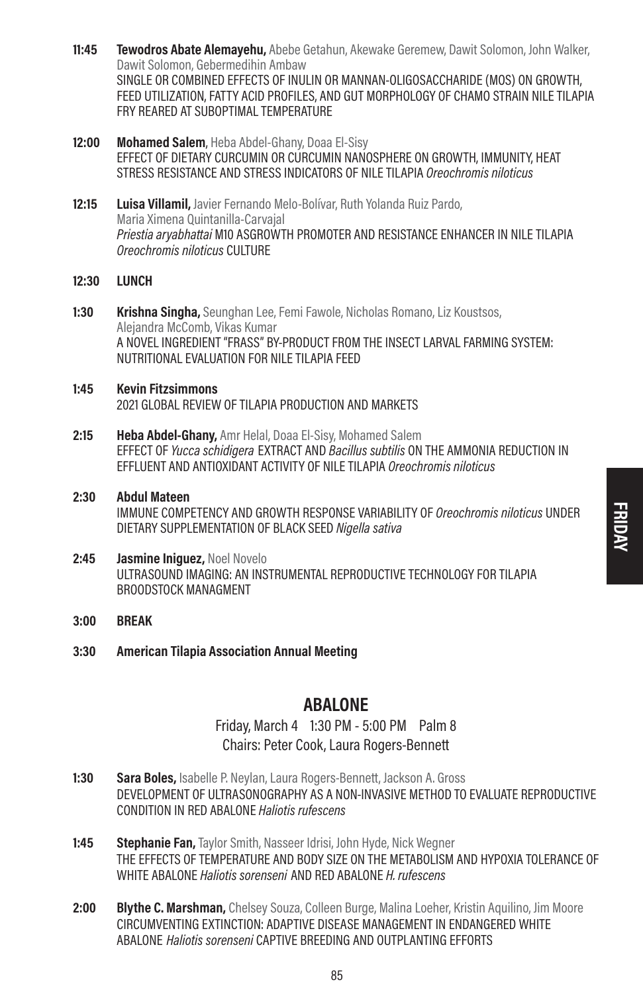- 11:45 Tewodros Abate Alemayehu, Abebe Getahun, Akewake Geremew, Dawit Solomon, John Walker, Dawit Solomon, Gebermedihin Ambaw SINGLE OR COMBINED EFFECTS OF INULIN OR MANNAN-OLIGOSACCHARIDE (MOS) ON GROWTH, FEED UTILIZATION, FATTY ACID PROFILES, AND GUT MORPHOLOGY OF CHAMO STRAIN NILE TILAPIA FRY REARED AT SUBOPTIMAL TEMPERATURE
- 12:00 Mohamed Salem, Heba Abdel-Ghany, Doaa El-Sisy EFFECT OF DIETARY CURCUMIN OR CURCUMIN NANOSPHERE ON GROWTH, IMMUNITY, HEAT STRESS RESISTANCE AND STRESS INDICATORS OF NILE TILAPIA Oreochromis niloticus
- 12:15 Luisa Villamil, Javier Fernando Melo-Bolívar, Ruth Yolanda Ruiz Pardo, Maria Ximena Quintanilla-Carvajal Priestia arvabhattai M10 ASGROWTH PROMOTER AND RESISTANCE ENHANCER IN NILE TILAPIA Oreochromis niloticus CULTURE

### 12:30 LUNCH

- 1:30 Krishna Singha, Seunghan Lee, Femi Fawole, Nicholas Romano, Liz Koustsos, Alejandra McComb, Vikas Kumar A NOVEL INGREDIENT "FRASS" BY-PRODUCT FROM THE INSECT LARVAL FARMING SYSTEM: NUTRITIONAL EVALUATION FOR NILE TILAPIA FEED
- 1:45 Kevin Fitzsimmons 2021 GLOBAL REVIEW OF TILAPIA PRODUCTION AND MARKETS
- 2:15 Heba Abdel-Ghany, Amr Helal, Doaa El-Sisy, Mohamed Salem EFFECT OF Yucca schidigera EXTRACT AND Bacillus subtilis ON THE AMMONIA REDUCTION IN EFFLUENT AND ANTIOXIDANT ACTIVITY OF NILE TILAPIA Oreochromis niloticus
- 2:30 Abdul Mateen IMMUNE COMPETENCY AND GROWTH RESPONSE VARIABILITY OF Oreochromis niloticus UNDER DIETARY SUPPLEMENTATION OF BLACK SEED Nigella sativa
- 2:45 **Jasmine Iniquez**, Noel Novelo ULTRASOUND IMAGING: AN INSTRUMENTAL REPRODUCTIVE TECHNOLOGY FOR TILAPIA BROODSTOCK MANAGMENT
- 3:00 BREAK
- 3:30 American Tilapia Association Annual Meeting

### ABALONE

Friday, March 4 1:30 PM - 5:00 PM Palm 8 Chairs: Peter Cook, Laura Rogers-Bennett

- 1:30 Sara Boles, Isabelle P. Nevlan, Laura Rogers-Bennett, Jackson A. Gross DEVELOPMENT OF ULTRASONOGRAPHY AS A NON-INVASIVE METHOD TO EVALUATE REPRODUCTIVE CONDITION IN RED ABALONE Haliotis rufescens
- 1:45 Stephanie Fan, Taylor Smith, Nasseer Idrisi, John Hyde, Nick Wegner THE EFFECTS OF TEMPERATURE AND BODY SIZE ON THE METABOLISM AND HYPOXIA TOLERANCE OF WHITE ABALONE Haliotis sorenseni AND RED ABALONE H. rufescens
- 2:00 Blythe C. Marshman, Chelsey Souza, Colleen Burge, Malina Loeher, Kristin Aquilino, Jim Moore CIRCUMVENTING EXTINCTION: ADAPTIVE DISEASE MANAGEMENT IN ENDANGERED WHITE ABALONE Haliotis sorenseni CAPTIVE BREEDING AND OUTPLANTING EFFORTS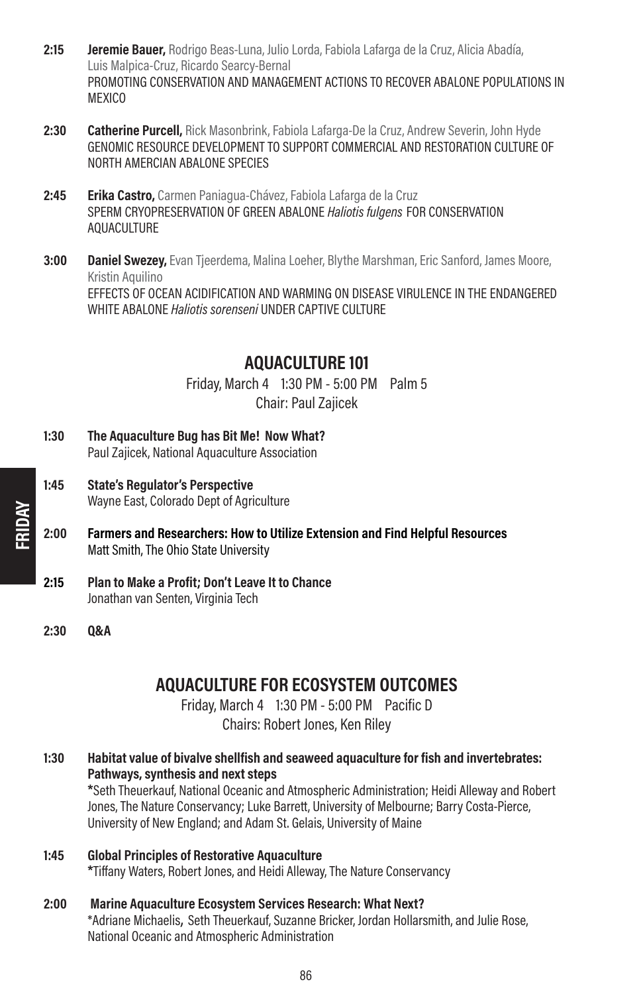- 2:15 **Jeremie Bauer,** Rodrigo Beas-Luna, Julio Lorda, Fabiola Lafarga de la Cruz, Alicia Abadía, Luis Malpica-Cruz, Ricardo Searcy-Bernal PROMOTING CONSERVATION AND MANAGEMENT ACTIONS TO RECOVER ABALONE POPULATIONS IN **MEXICO**
- 2:30 Catherine Purcell, Rick Masonbrink, Fabiola Lafarga-De la Cruz, Andrew Severin, John Hyde GENOMIC RESOURCE DEVELOPMENT TO SUPPORT COMMERCIAL AND RESTORATION CULTURE OF NORTH AMERCIAN ABALONE SPECIES
- 2:45 **Erika Castro,** Carmen Paniagua-Chávez, Fabiola Lafarga de la Cruz SPERM CRYOPRESERVATION OF GREEN ABALONE Haliotis fulgens FOR CONSERVATION AQUACULTURE
- **3:00 Daniel Swezey,** Evan Tieerdema, Malina Loeher, Blythe Marshman, Eric Sanford, James Moore, Kristin Aquilino EFFECTS OF OCEAN ACIDIFICATION AND WARMING ON DISEASE VIRULENCE IN THE ENDANGERED WHITE ABALONE Haliotis sorenseni UNDER CAPTIVE CULTURE

# AQUACULTURE 101

Friday, March 4 1:30 PM - 5:00 PM Palm 5 Chair: Paul Zajicek

- 1:30 The Aquaculture Bug has Bit Me! Now What? Paul Zajicek, National Aquaculture Association
- 1:45 State's Regulator's Perspective Wayne East, Colorado Dept of Agriculture
- 2:00 Farmers and Researchers: How to Utilize Extension and Find Helpful Resources Matt Smith, The Ohio State University
- 2:15 Plan to Make a Profit; Don't Leave It to Chance Jonathan van Senten, Virginia Tech
- 2:30 Q&A

# AQUACULTURE FOR ECOSYSTEM OUTCOMES

Friday, March 4 1:30 PM - 5:00 PM Pacific D Chairs: Robert Jones, Ken Riley

1:30 Habitat value of bivalve shellfish and seaweed aquaculture for fish and invertebrates: Pathways, synthesis and next steps

**\***Seth Theuerkauf, National Oceanic and Atmospheric Administration; Heidi Alleway and Robert Jones, The Nature Conservancy; Luke Barrett, University of Melbourne; Barry Costa-Pierce, University of New England; and Adam St. Gelais, University of Maine

1:45 Global Principles of Restorative Aquaculture **\***Tiffany Waters, Robert Jones, and Heidi Alleway, The Nature Conservancy

### 2:00 Marine Aquaculture Ecosystem Services Research: What Next? \*Adriane Michaelis, Seth Theuerkauf, Suzanne Bricker, Jordan Hollarsmith, and Julie Rose, National Oceanic and Atmospheric Administration

FRIDAY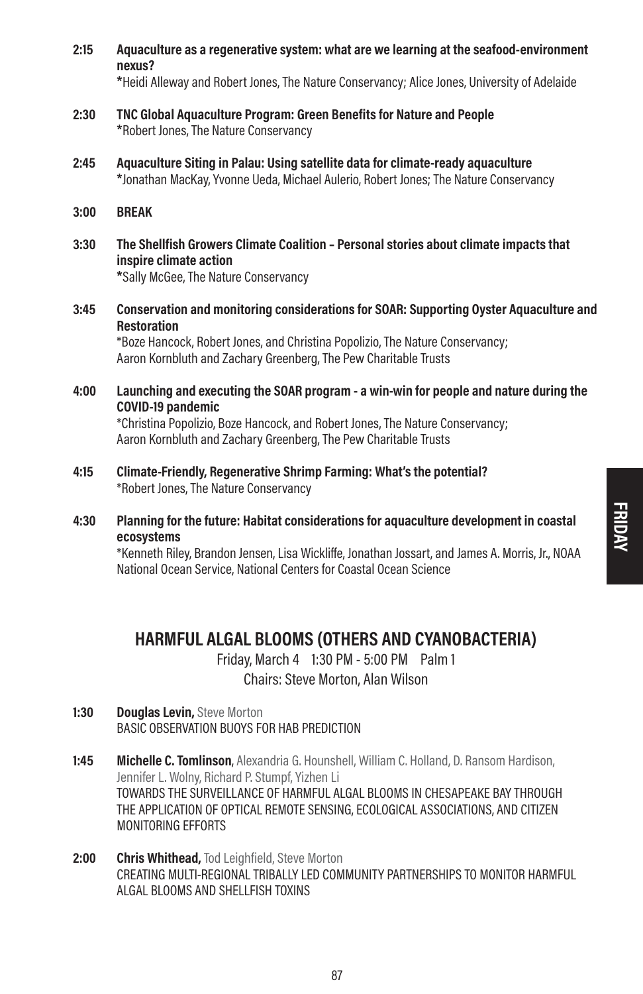2:15 Aquaculture as a regenerative system: what are we learning at the seafood-environment nexus?

**\***Heidi Alleway and Robert Jones, The Nature Conservancy; Alice Jones, University of Adelaide

- 2:30 TNC Global Aquaculture Program: Green Benefits for Nature and People **\***Robert Jones, The Nature Conservancy
- 2:45 Aquaculture Siting in Palau: Using satellite data for climate-ready aquaculture **\***Jonathan MacKay, Yvonne Ueda, Michael Aulerio, Robert Jones; The Nature Conservancy
- 3:00 BREAK
- 3:30 The Shellfish Growers Climate Coalition Personal stories about climate impacts that inspire climate action **\***Sally McGee, The Nature Conservancy
- 3:45 Conservation and monitoring considerations for SOAR: Supporting Oyster Aquaculture and Restoration

\*Boze Hancock, Robert Jones, and Christina Popolizio, The Nature Conservancy; Aaron Kornbluth and Zachary Greenberg, The Pew Charitable Trusts

4:00 Launching and executing the SOAR program - a win-win for people and nature during the COVID-19 pandemic

\*Christina Popolizio, Boze Hancock, and Robert Jones, The Nature Conservancy; Aaron Kornbluth and Zachary Greenberg, The Pew Charitable Trusts

- 4:15 Climate-Friendly, Regenerative Shrimp Farming: What's the potential? \*Robert Jones, The Nature Conservancy
- 4:30 Planning for the future: Habitat considerations for aquaculture development in coastal ecosystems

\*Kenneth Riley, Brandon Jensen, Lisa Wickliffe, Jonathan Jossart, and James A. Morris, Jr., NOAA National Ocean Service, National Centers for Coastal Ocean Science

# HARMFUL ALGAL BLOOMS (OTHERS AND CYANOBACTERIA)

Friday, March 4 1:30 PM - 5:00 PM Palm 1 Chairs: Steve Morton, Alan Wilson

- 1:30 Douglas Levin, Steve Morton BASIC OBSERVATION BUOYS FOR HAB PREDICTION
- 1:45 **Michelle C. Tomlinson**, Alexandria G. Hounshell, William C. Holland, D. Ransom Hardison, Jennifer L. Wolny, Richard P. Stumpf, Yizhen Li TOWARDS THE SURVEILLANCE OF HARMFUL ALGAL BLOOMS IN CHESAPEAKE BAY THROUGH THE APPLICATION OF OPTICAL REMOTE SENSING, ECOLOGICAL ASSOCIATIONS, AND CITIZEN MONITORING EFFORTS
- 2:00 Chris Whithead, Tod Leighfield, Steve Morton CREATING MULTI-REGIONAL TRIBALLY LED COMMUNITY PARTNERSHIPS TO MONITOR HARMFUL ALGAL BLOOMS AND SHELLFISH TOXINS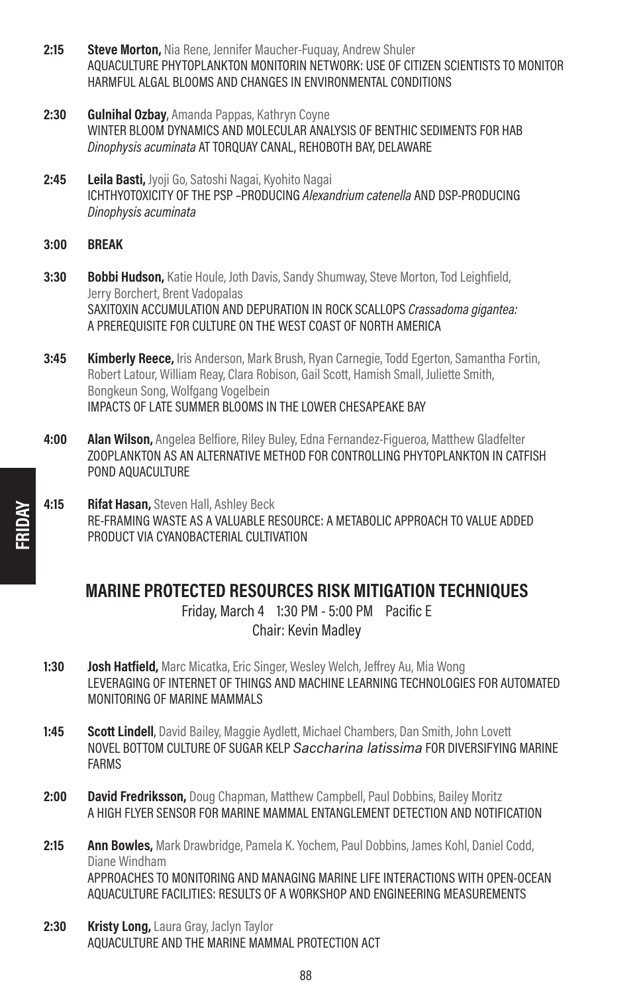- 2:15 Steve Morton, Nia Rene, Jennifer Maucher-Fuguay, Andrew Shuler AQUACULTURE PHYTOPLANKTON MONITORIN NETWORK: USE OF CITIZEN SCIENTISTS TO MONITOR HARMFUL ALGAL BLOOMS AND CHANGES IN ENVIRONMENTAL CONDITIONS
- 2:30 Gulnihal Ozbay, Amanda Pappas, Kathryn Coyne WINTER BLOOM DYNAMICS AND MOLECULAR ANALYSIS OF BENTHIC SEDIMENTS FOR HAB Dinophysis acuminata AT TORQUAY CANAL, REHOBOTH BAY, DELAWARE
- 2:45 Leila Basti, Jyoji Go, Satoshi Nagai, Kyohito Nagai ICHTHYOTOXICITY OF THE PSP –PRODUCING Alexandrium catenella AND DSP-PRODUCING Dinophysis acuminata
- 3:00 BREAK
- 3:30 **Bobbi Hudson,** Katie Houle, Joth Davis, Sandy Shumway, Steve Morton, Tod Leighfield, Jerry Borchert, Brent Vadopalas SAXITOXIN ACCUMULATION AND DEPURATION IN ROCK SCALLOPS Crassadoma gigantea: A PREREQUISITE FOR CULTURE ON THE WEST COAST OF NORTH AMERICA
- **3:45 Kimberly Reece, Iris Anderson, Mark Brush, Ryan Carnegie, Todd Egerton, Samantha Fortin,** Robert Latour, William Reay, Clara Robison, Gail Scott, Hamish Small, Juliette Smith, Bongkeun Song, Wolfgang Vogelbein IMPACTS OF LATE SUMMER BLOOMS IN THE LOWER CHESAPEAKE BAY
- 4:00 **Alan Wilson,** Angelea Belfiore, Riley Buley, Edna Fernandez-Figueroa, Matthew Gladfelter ZOOPLANKTON AS AN ALTERNATIVE METHOD FOR CONTROLLING PHYTOPLANKTON IN CATFISH POND AOUACULTURE
- 4:15 Rifat Hasan, Steven Hall, Ashley Beck RE-FRAMING WASTE AS A VALUABLE RESOURCE: A METABOLIC APPROACH TO VALUE ADDED PRODUCT VIA CYANOBACTERIAL CULTIVATION

# MARINE PROTECTED RESOURCES RISK MITIGATION TECHNIQUES

Friday, March 4 1:30 PM - 5:00 PM Pacific E Chair: Kevin Madley

- 1:30 **Josh Hatfield,** Marc Micatka, Eric Singer, Wesley Welch, Jeffrey Au, Mia Wong LEVERAGING OF INTERNET OF THINGS AND MACHINE LEARNING TECHNOLOGIES FOR AUTOMATED MONITORING OF MARINE MAMMALS
- **1:45 Scott Lindell**, David Bailey, Maggie Aydlett, Michael Chambers, Dan Smith, John Lovett NOVEL BOTTOM CULTURE OF SUGAR KELP Saccharina latissima FOR DIVERSIFYING MARINE FARMS
- 2:00 David Fredriksson, Doug Chapman, Matthew Campbell, Paul Dobbins, Bailey Moritz A HIGH FLYER SENSOR FOR MARINE MAMMAL ENTANGLEMENT DETECTION AND NOTIFICATION
- 2:15 Ann Bowles, Mark Drawbridge, Pamela K. Yochem, Paul Dobbins, James Kohl, Daniel Codd, Diane Windham APPROACHES TO MONITORING AND MANAGING MARINE LIFE INTERACTIONS WITH OPEN-OCEAN AQUACULTURE FACILITIES: RESULTS OF A WORKSHOP AND ENGINEERING MEASUREMENTS
- 2:30 **Kristy Long, Laura Gray, Jaclyn Taylor** AQUACULTURE AND THE MARINE MAMMAL PROTECTION ACT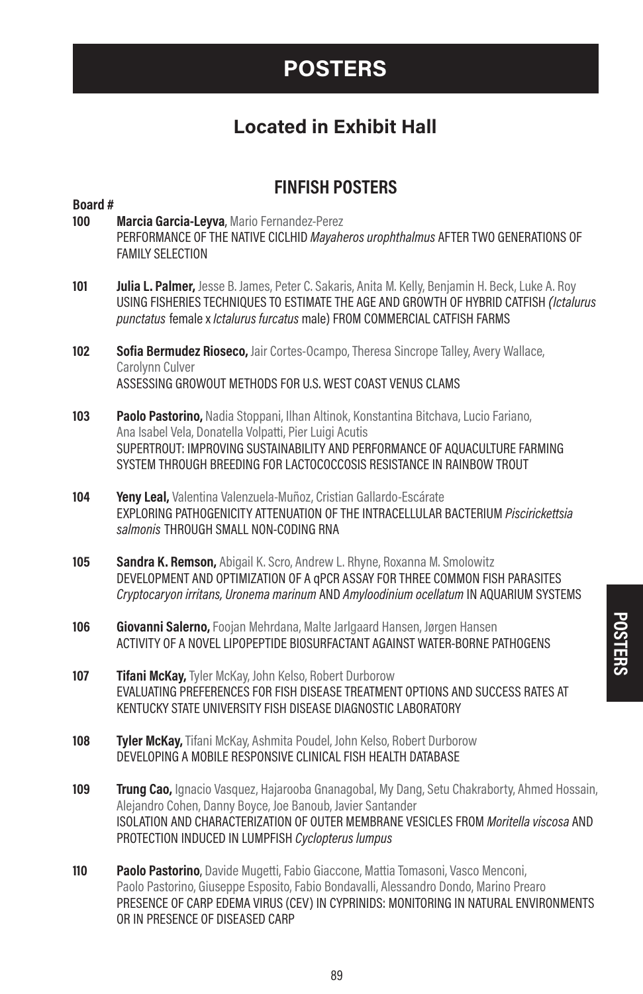# POSTERS

# Located in Exhibit Hall

# FINFISH POSTERS

# Board # 100 Marcia Garcia-Leyva, Mario Fernandez-Perez PERFORMANCE OF THE NATIVE CICLHID Mavaheros urophthalmus AFTER TWO GENERATIONS OF FAMILY SELECTION 101 **Julia L. Palmer,** Jesse B. James, Peter C. Sakaris, Anita M. Kelly, Benjamin H. Beck, Luke A. Roy USING FISHERIES TECHNIQUES TO ESTIMATE THE AGE AND GROWTH OF HYBRID CATFISH (Ictalurus punctatus female x Ictalurus furcatus male) FROM COMMERCIAL CATFISH FARMS 102 Sofia Bermudez Rioseco, Jair Cortes-Ocampo, Theresa Sincrope Talley, Avery Wallace, Carolynn Culver ASSESSING GROWOUT METHODS FOR U.S. WEST COAST VENUS CLAMS 103 Paolo Pastorino, Nadia Stoppani, Ilhan Altinok, Konstantina Bitchava, Lucio Fariano, Ana Isabel Vela, Donatella Volpatti, Pier Luigi Acutis SUPERTROUT: IMPROVING SUSTAINABILITY AND PERFORMANCE OF AQUACULTURE FARMING SYSTEM THROUGH BREEDING FOR LACTOCOCCOSIS RESISTANCE IN RAINBOW TROUT 104 **Yeny Leal,** Valentina Valenzuela-Muñoz, Cristian Gallardo-Escárate EXPLORING PATHOGENICITY ATTENUATION OF THE INTRACELLULAR BACTERIUM Piscirickettsia salmonis THROUGH SMALL NON-CODING RNA 105 Sandra K. Remson, Abigail K. Scro, Andrew L. Rhyne, Roxanna M. Smolowitz DEVELOPMENT AND OPTIMIZATION OF A qPCR ASSAY FOR THREE COMMON FISH PARASITES Cryptocaryon irritans, Uronema marinum AND Amyloodinium ocellatum IN AQUARIUM SYSTEMS 106 Giovanni Salerno, Foojan Mehrdana, Malte Jarlgaard Hansen, Jørgen Hansen ACTIVITY OF A NOVEL LIPOPEPTIDE BIOSURFACTANT AGAINST WATER-BORNE PATHOGENS **107 Tifani McKay, Tyler McKay, John Kelso, Robert Durborow** EVALUATING PREFERENCES FOR FISH DISEASE TREATMENT OPTIONS AND SUCCESS RATES AT KENTUCKY STATE UNIVERSITY FISH DISEASE DIAGNOSTIC LABORATORY 108 Tyler McKay, Tifani McKay, Ashmita Poudel, John Kelso, Robert Durborow DEVELOPING A MOBILE RESPONSIVE CLINICAL FISH HEALTH DATABASE **109 Trung Cao,** Ignacio Vasquez, Hajarooba Gnanagobal, My Dang, Setu Chakraborty, Ahmed Hossain, Alejandro Cohen, Danny Boyce, Joe Banoub, Javier Santander ISOLATION AND CHARACTERIZATION OF OUTER MEMBRANE VESICLES FROM Moritella viscosa AND PROTECTION INDUCED IN LUMPFISH Cyclopterus lumpus

110 Paolo Pastorino, Davide Mugetti, Fabio Giaccone, Mattia Tomasoni, Vasco Menconi, Paolo Pastorino, Giuseppe Esposito, Fabio Bondavalli, Alessandro Dondo, Marino Prearo PRESENCE OF CARP EDEMA VIRUS (CEV) IN CYPRINIDS: MONITORING IN NATURAL ENVIRONMENTS OR IN PRESENCE OF DISEASED CARP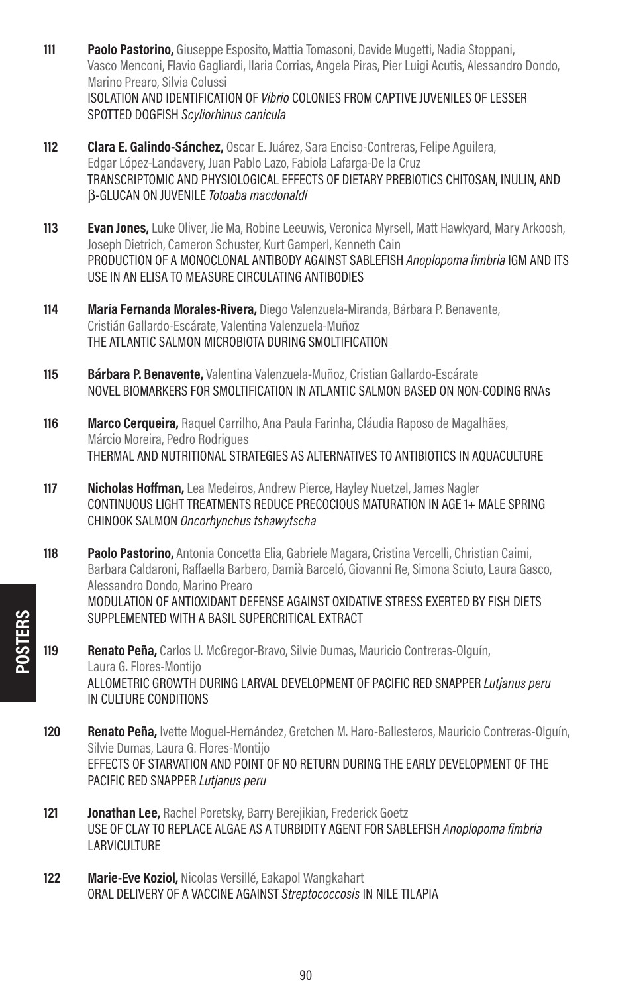- **111 Paolo Pastorino,** Giuseppe Esposito, Mattia Tomasoni, Davide Mugetti, Nadia Stoppani, Vasco Menconi, Flavio Gagliardi, Ilaria Corrias, Angela Piras, Pier Luigi Acutis, Alessandro Dondo, Marino Prearo, Silvia Colussi ISOLATION AND IDENTIFICATION OF Vibrio COLONIES FROM CAPTIVE JUVENILES OF LESSER SPOTTED DOGFISH Scyliorhinus canicula
- **112 Clara E. Galindo-Sánchez, Oscar E. Juárez, Sara Enciso-Contreras, Felipe Aguilera,** Edgar López-Landavery, Juan Pablo Lazo, Fabiola Lafarga-De la Cruz TRANSCRIPTOMIC AND PHYSIOLOGICAL EFFECTS OF DIETARY PREBIOTICS CHITOSAN, INULIN, AND β-GLUCAN ON JUVENILE Totoaba macdonaldi
- **113 Evan Jones,** Luke Oliver, Jie Ma, Robine Leeuwis, Veronica Myrsell, Matt Hawkyard, Mary Arkoosh, Joseph Dietrich, Cameron Schuster, Kurt Gamperl, Kenneth Cain PRODUCTION OF A MONOCLONAL ANTIBODY AGAINST SABLEFISH Anoplopoma fimbria IGM AND ITS USE IN AN ELISA TO MEASURE CIRCULATING ANTIBODIES
- 114 María Fernanda Morales-Rivera, Diego Valenzuela-Miranda, Bárbara P. Benavente, Cristián Gallardo-Escárate, Valentina Valenzuela-Muñoz THE ATLANTIC SALMON MICROBIOTA DURING SMOLTIFICATION
- 115 Bárbara P. Benavente, Valentina Valenzuela-Muñoz, Cristian Gallardo-Escárate NOVEL BIOMARKERS FOR SMOLTIFICATION IN ATLANTIC SALMON BASED ON NON-CODING RNAs
- 116 Marco Cerqueira, Raquel Carrilho, Ana Paula Farinha, Cláudia Raposo de Magalhães, Márcio Moreira, Pedro Rodrigues THERMAL AND NUTRITIONAL STRATEGIES AS ALTERNATIVES TO ANTIBIOTICS IN AQUACULTURE
- 117 **Nicholas Hoffman,** Lea Medeiros, Andrew Pierce, Hayley Nuetzel, James Nagler CONTINUOUS LIGHT TREATMENTS REDUCE PRECOCIOUS MATURATION IN AGE 1+ MALE SPRING CHINOOK SALMON Oncorhynchus tshawytscha
- **118 Paolo Pastorino,** Antonia Concetta Elia, Gabriele Magara, Cristina Vercelli, Christian Caimi, Barbara Caldaroni, Raffaella Barbero, Damià Barceló, Giovanni Re, Simona Sciuto, Laura Gasco, Alessandro Dondo, Marino Prearo MODULATION OF ANTIOXIDANT DEFENSE AGAINST OXIDATIVE STRESS EXERTED BY FISH DIETS SUPPLEMENTED WITH A BASIL SUPERCRITICAL EXTRACT
- 119 Renato Peña, Carlos U. McGregor-Bravo, Silvie Dumas, Mauricio Contreras-Olguín, Laura G. Flores-Montijo ALLOMETRIC GROWTH DURING LARVAL DEVELOPMENT OF PACIFIC RED SNAPPER Lutjanus peru IN CULTURE CONDITIONS
- 120 Renato Peña, Ivette Moguel-Hernández, Gretchen M. Haro-Ballesteros, Mauricio Contreras-Olguín, Silvie Dumas, Laura G. Flores-Montijo EFFECTS OF STARVATION AND POINT OF NO RETURN DURING THE EARLY DEVELOPMENT OF THE PACIFIC RED SNAPPER Lutjanus peru
- 121 **Jonathan Lee, Rachel Poretsky, Barry Berejikian, Frederick Goetz** USE OF CLAY TO REPLACE ALGAE AS A TURBIDITY AGENT FOR SABLEFISH Anoplopoma fimbria **LARVICULTURE**
- 122 **Marie-Eve Koziol, Nicolas Versillé, Eakapol Wangkahart** ORAL DELIVERY OF A VACCINE AGAINST Streptococcosis IN NILE TILAPIA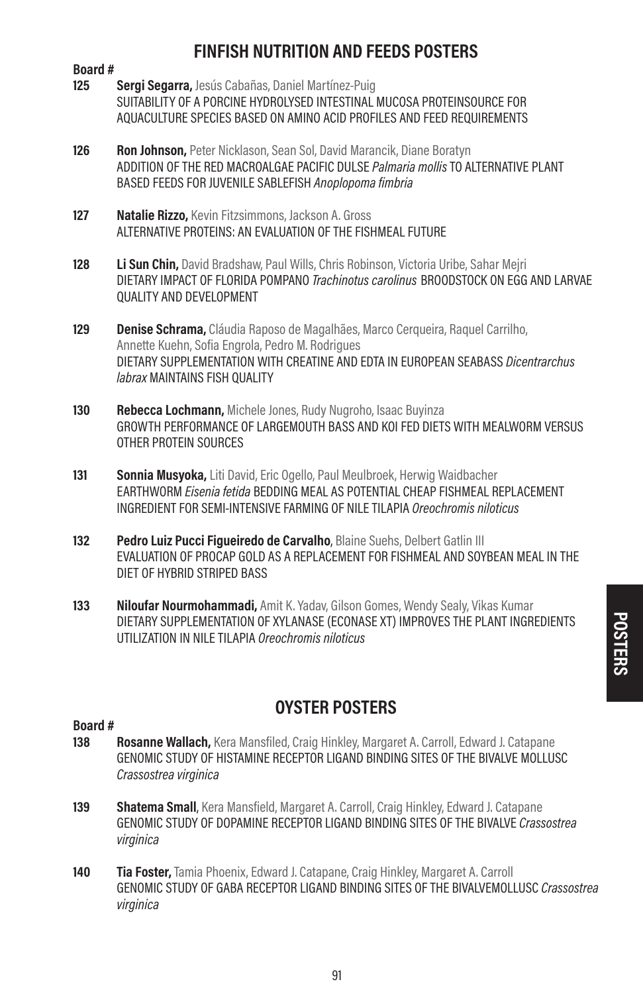# FINFISH NUTRITION AND FEEDS POSTERS

# Board #<br>125

- Sergi Segarra, Jesús Cabañas, Daniel Martínez-Puig SUITABILITY OF A PORCINE HYDROLYSED INTESTINAL MUCOSA PROTEINSOURCE FOR AQUACULTURE SPECIES BASED ON AMINO ACID PROFILES AND FEED REQUIREMENTS
- 126 Ron Johnson, Peter Nicklason, Sean Sol, David Marancik, Diane Boratyn ADDITION OF THE RED MACROALGAE PACIFIC DULSE Palmaria mollis TO ALTERNATIVE PLANT BASED FEEDS FOR JUVENILE SABLEFISH Anoplopoma fimbria
- 127 **Natalie Rizzo, Kevin Fitzsimmons, Jackson A. Gross** ALTERNATIVE PROTEINS: AN EVALUATION OF THE FISHMEAL FUTURE
- 128 Li Sun Chin, David Bradshaw, Paul Wills, Chris Robinson, Victoria Uribe, Sahar Meiri DIETARY IMPACT OF FLORIDA POMPANO Trachinotus carolinus BROODSTOCK ON FGG AND LARVAF QUALITY AND DEVELOPMENT
- 129 **Denise Schrama,** Cláudia Raposo de Magalhães, Marco Cerqueira, Raquel Carrilho, Annette Kuehn, Sofia Engrola, Pedro M. Rodrigues DIETARY SUPPLEMENTATION WITH CREATINE AND EDTA IN EUROPEAN SEABASS Dicentrarchus labrax MAINTAINS FISH QUALITY
- 130 Rebecca Lochmann, Michele Jones, Rudy Nugroho, Isaac Buyinza GROWTH PERFORMANCE OF LARGEMOUTH BASS AND KOI FED DIETS WITH MEALWORM VERSUS OTHER PROTEIN SOURCES
- 131 **Sonnia Musyoka,** Liti David, Eric Ogello, Paul Meulbroek, Herwig Waidbacher EARTHWORM Eisenia fetida BEDDING MEAL AS POTENTIAL CHEAP FISHMEAL REPLACEMENT INGREDIENT FOR SEMI-INTENSIVE FARMING OF NILE TILAPIA Oreochromis niloticus
- 132 Pedro Luiz Pucci Fiqueiredo de Carvalho, Blaine Suehs, Delbert Gatlin III EVALUATION OF PROCAP GOLD AS A REPLACEMENT FOR FISHMEAL AND SOYBEAN MEAL IN THE DIET OF HYBRID STRIPED BASS
- 133 Niloufar Nourmohammadi, Amit K. Yaday, Gilson Gomes, Wendy Sealy, Vikas Kumar DIETARY SUPPLEMENTATION OF XYLANASE (ECONASE XT) IMPROVES THE PLANT INGREDIENTS UTILIZATION IN NILE TILAPIA Oreochromis niloticus

## OYSTER POSTERS

- Rosanne Wallach, Kera Mansfiled, Craig Hinkley, Margaret A. Carroll, Edward J. Catapane GENOMIC STUDY OF HISTAMINE RECEPTOR LIGAND BINDING SITES OF THE BIVALVE MOLLUSC Crassostrea virginica
- 139 Shatema Small, Kera Mansfield, Margaret A. Carroll, Craig Hinkley, Edward J. Catapane GENOMIC STUDY OF DOPAMINE RECEPTOR LIGAND BINDING SITES OF THE BIVALVE Crassostrea virginica
- **140 Tia Foster,** Tamia Phoenix, Edward J. Catapane, Craig Hinkley, Margaret A. Carroll GENOMIC STUDY OF GABA RECEPTOR LIGAND BINDING SITES OF THE BIVALVEMOLLUSC Crassostrea virginica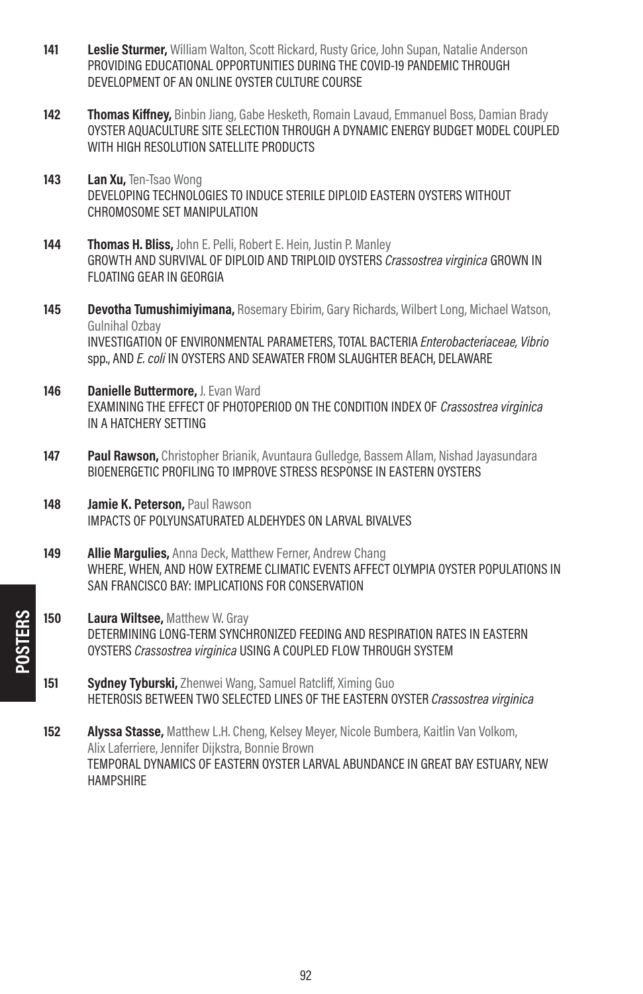- 141 Leslie Sturmer, William Walton, Scott Rickard, Rusty Grice, John Supan, Natalie Anderson PROVIDING EDUCATIONAL OPPORTUNITIES DURING THE COVID-19 PANDEMIC THROUGH DEVELOPMENT OF AN ONLINE OYSTER CULTURE COURSE
- 142 Thomas Kiffney, Binbin Jiang, Gabe Hesketh, Romain Lavaud, Emmanuel Boss, Damian Brady OYSTER AQUACULTURE SITE SELECTION THROUGH A DYNAMIC ENERGY BUDGET MODEL COUPLED WITH HIGH RESOLUTION SATELLITE PRODUCTS
- 143 Lan Xu. Ten-Tsao Wong DEVELOPING TECHNOLOGIES TO INDUCE STERILE DIPLOID EASTERN OYSTERS WITHOUT CHROMOSOME SET MANIPULATION
- 144 **Thomas H. Bliss, John E. Pelli, Robert E. Hein, Justin P. Manley** GROWTH AND SURVIVAL OF DIPLOID AND TRIPLOID OYSTERS Crassostrea virginica GROWN IN FLOATING GEAR IN GEORGIA
- 145 Devotha Tumushimiyimana, Rosemary Ebirim, Gary Richards, Wilbert Long, Michael Watson, Gulnihal Ozbay INVESTIGATION OF ENVIRONMENTAL PARAMETERS, TOTAL BACTERIA Enterobacteriaceae, Vibrio spp., AND E. coli IN OYSTERS AND SEAWATER FROM SLAUGHTER BEACH, DELAWARE
- 146 Danielle Buttermore, J. Evan Ward EXAMINING THE EFFECT OF PHOTOPERIOD ON THE CONDITION INDEX OF Crassostrea virginica IN A HATCHERY SETTING
- **147 Paul Rawson,** Christopher Brianik, Avuntaura Gulledge, Bassem Allam, Nishad Jayasundara BIOENERGETIC PROFILING TO IMPROVE STRESS RESPONSE IN EASTERN OYSTERS
- 148 **Jamie K. Peterson, Paul Rawson** IMPACTS OF POLYUNSATURATED ALDEHYDES ON LARVAL BIVALVES
- 149 **Allie Margulies, Anna Deck, Matthew Ferner, Andrew Chang** WHERE, WHEN, AND HOW EXTREME CLIMATIC EVENTS AFFECT OLYMPIA OYSTER POPULATIONS IN SAN FRANCISCO BAY: IMPLICATIONS FOR CONSERVATION
- 150 Laura Wiltsee, Matthew W. Gray DETERMINING LONG-TERM SYNCHRONIZED FEEDING AND RESPIRATION RATES IN EASTERN OYSTERS Crassostrea virginica USING A COUPLED FLOW THROUGH SYSTEM
- 151 Sydney Tyburski, Zhenwei Wang, Samuel Ratcliff, Ximing Guo HETEROSIS BETWEEN TWO SELECTED LINES OF THE EASTERN OYSTER Crassostrea virginica

**152 Alyssa Stasse, Matthew L.H. Cheng, Kelsey Meyer, Nicole Bumbera, Kaitlin Van Volkom,** Alix Laferriere, Jennifer Dijkstra, Bonnie Brown TEMPORAL DYNAMICS OF EASTERN OYSTER LARVAL ABUNDANCE IN GREAT BAY ESTUARY, NEW HAMPSHIRE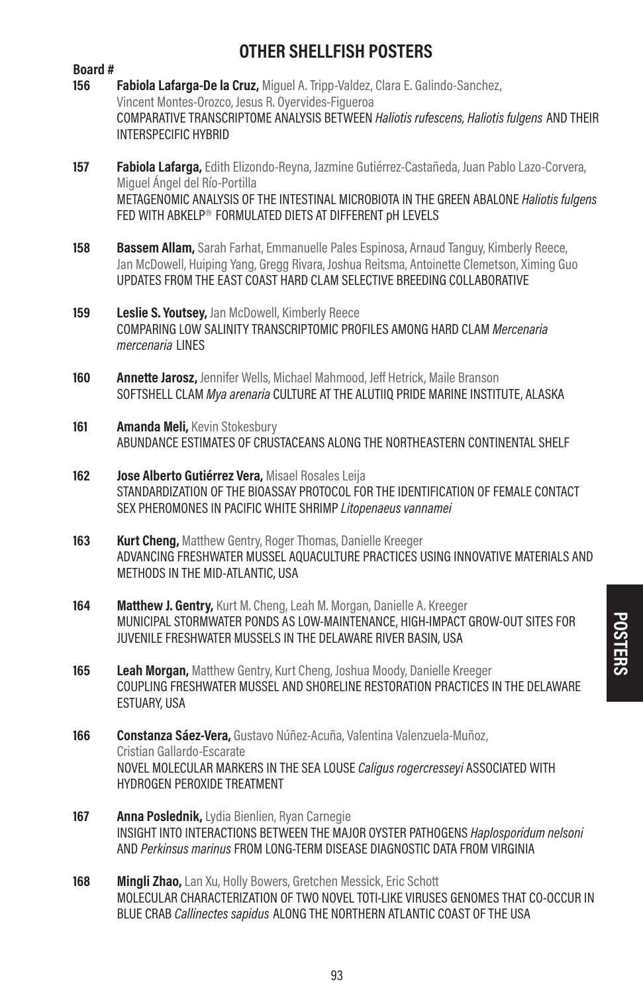# OTHER SHELLFISH POSTERS

| Board# |                                                                                                                                                                                                                                                                      |
|--------|----------------------------------------------------------------------------------------------------------------------------------------------------------------------------------------------------------------------------------------------------------------------|
| 156    | Fabiola Lafarga-De la Cruz, Miguel A. Tripp-Valdez, Clara E. Galindo-Sanchez,<br>Vincent Montes-Orozco, Jesus R. Oyervides-Figueroa<br>COMPARATIVE TRANSCRIPTOME ANALYSIS BETWEEN Haliotis rufescens, Haliotis fulgens AND THEIR<br><b>INTERSPECIFIC HYBRID</b>      |
| 157    | Fabiola Lafarga, Edith Elizondo-Reyna, Jazmine Gutiérrez-Castañeda, Juan Pablo Lazo-Corvera,                                                                                                                                                                         |
|        | Miquel Ángel del Río-Portilla<br>METAGENOMIC ANALYSIS OF THE INTESTINAL MICROBIOTA IN THE GREEN ABALONE Haliotis fulgens<br>FED WITH ABKELP® FORMULATED DIETS AT DIFFERENT pH LEVELS                                                                                 |
| 158    | <b>Bassem Allam,</b> Sarah Farhat, Emmanuelle Pales Espinosa, Arnaud Tanguy, Kimberly Reece,<br>Jan McDowell, Huiping Yang, Gregg Rivara, Joshua Reitsma, Antoinette Clemetson, Ximing Guo<br>UPDATES FROM THE EAST COAST HARD CLAM SELECTIVE BREEDING COLLABORATIVE |
| 159    | <b>Leslie S. Youtsey, Jan McDowell, Kimberly Reece</b><br>COMPARING LOW SALINITY TRANSCRIPTOMIC PROFILES AMONG HARD CLAM Mercenaria<br>mercenaria LINES                                                                                                              |
| 160    | Annette Jarosz, Jennifer Wells, Michael Mahmood, Jeff Hetrick, Maile Branson<br>SOFTSHELL CLAM Mya arenaria CULTURE AT THE ALUTIIQ PRIDE MARINE INSTITUTE, ALASKA                                                                                                    |
| 161    | Amanda Meli, Kevin Stokesbury<br>ABUNDANCE ESTIMATES OF CRUSTACEANS ALONG THE NORTHEASTERN CONTINENTAL SHELF                                                                                                                                                         |
| 162    | Jose Alberto Gutiérrez Vera, Misael Rosales Leija<br>STANDARDIZATION OF THE BIOASSAY PROTOCOL FOR THE IDENTIFICATION OF FEMALE CONTACT<br>SEX PHEROMONES IN PACIFIC WHITE SHRIMP Litopenaeus vannamei                                                                |
| 163    | <b>Kurt Cheng,</b> Matthew Gentry, Roger Thomas, Danielle Kreeger<br>ADVANCING FRESHWATER MUSSEL AQUACULTURE PRACTICES USING INNOVATIVE MATERIALS AND<br>METHODS IN THE MID-ATLANTIC, USA                                                                            |
| 164    | Matthew J. Gentry, Kurt M. Cheng, Leah M. Morgan, Danielle A. Kreeger<br>MUNICIPAL STORMWATER PONDS AS LOW-MAINTENANCE, HIGH-IMPACT GROW-OUT SITES FOR<br>JUVENILE FRESHWATER MUSSELS IN THE DELAWARE RIVER BASIN, USA                                               |
| 165    | Leah Morgan, Matthew Gentry, Kurt Cheng, Joshua Moody, Danielle Kreeger<br>COUPLING FRESHWATER MUSSEL AND SHORELINE RESTORATION PRACTICES IN THE DELAWARE<br>ESTUARY, USA                                                                                            |
| 166    | Constanza Sáez-Vera, Gustavo Núñez-Acuña, Valentina Valenzuela-Muñoz,                                                                                                                                                                                                |
|        | Cristian Gallardo-Escarate<br>NOVEL MOLECULAR MARKERS IN THE SEA LOUSE Caligus rogercresseyi ASSOCIATED WITH<br>HYDROGEN PEROXIDE TREATMENT                                                                                                                          |
| 167    | Anna Poslednik, Lydia Bienlien, Ryan Carnegie<br>INSIGHT INTO INTERACTIONS BETWEEN THE MAJOR OYSTER PATHOGENS Haplosporidum nelsoni<br>AND Perkinsus marinus FROM LONG-TERM DISEASE DIAGNOSTIC DATA FROM VIRGINIA                                                    |
| 168    | <b>Mingli Zhao,</b> Lan Xu, Holly Bowers, Gretchen Messick, Eric Schott<br>MOLECULAR CHARACTERIZATION OF TWO NOVEL TOTI-LIKE VIRUSES GENOMES THAT CO-OCCUR IN                                                                                                        |

BLUE CRAB Callinectes sapidus ALONG THE NORTHERN ATLANTIC COAST OF THE USA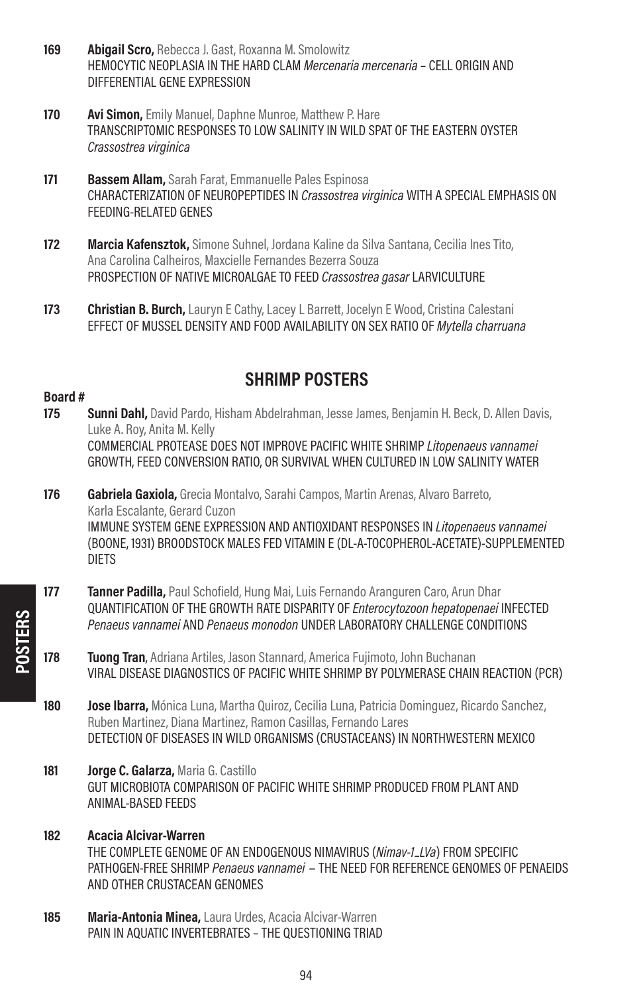- 169 **Abigail Scro, Rebecca J. Gast, Roxanna M. Smolowitz** HEMOCYTIC NEOPLASIA IN THE HARD CLAM *Mercenaria mercenaria* – CELL ORIGIN AND DIFFERENTIAL GENE EXPRESSION
- 170 **Avi Simon, Emily Manuel, Daphne Munroe, Matthew P. Hare** TRANSCRIPTOMIC RESPONSES TO LOW SALINITY IN WILD SPAT OF THE EASTERN OYSTER Crassostrea virginica
- 171 Bassem Allam, Sarah Farat, Emmanuelle Pales Espinosa CHARACTERIZATION OF NEUROPEPTIDES IN Crassostrea virginica WITH A SPECIAL EMPHASIS ON FEEDING-RELATED GENES
- 172 Marcia Kafensztok, Simone Suhnel, Jordana Kaline da Silva Santana, Cecilia Ines Tito, Ana Carolina Calheiros, Maxcielle Fernandes Bezerra Souza PROSPECTION OF NATIVE MICROALGAE TO FEED Crassostrea gasar LARVICULTURE
- 173 **Christian B. Burch, Lauryn E Cathy, Lacey L Barrett, Jocelyn E Wood, Cristina Calestani** EFFECT OF MUSSEL DENSITY AND FOOD AVAILABILITY ON SEX RATIO OF Mytella charruana

### SHRIMP POSTERS

- **175 Sunni Dahl,** David Pardo, Hisham Abdelrahman, Jesse James, Benjamin H. Beck, D. Allen Davis, Luke A. Roy, Anita M. Kelly COMMERCIAL PROTEASE DOES NOT IMPROVE PACIFIC WHITE SHRIMP Litopenaeus vannamei GROWTH, FEED CONVERSION RATIO, OR SURVIVAL WHEN CULTURED IN LOW SALINITY WATER
- 176 Gabriela Gaxiola, Grecia Montalvo, Sarahi Campos, Martin Arenas, Alvaro Barreto, Karla Escalante, Gerard Cuzon IMMUNE SYSTEM GENE EXPRESSION AND ANTIOXIDANT RESPONSES IN Litopenaeus vannamei (BOONE, 1931) BROODSTOCK MALES FED VITAMIN E (DL-A-TOCOPHEROL-ACETATE)-SUPPLEMENTED DIETS
- **177 Tanner Padilla,** Paul Schofield, Hung Mai, Luis Fernando Aranguren Caro, Arun Dhar QUANTIFICATION OF THE GROWTH RATE DISPARITY OF Enterocytozoon hepatopenaei INFECTED Penaeus vannamei AND Penaeus monodon UNDER LABORATORY CHALLENGE CONDITIONS
- 178 Tuong Tran, Adriana Artiles, Jason Stannard, America Fujimoto, John Buchanan VIRAL DISEASE DIAGNOSTICS OF PACIFIC WHITE SHRIMP BY POLYMERASE CHAIN REACTION (PCR)
- 180 **Jose Ibarra.** Mónica Luna, Martha Quiroz, Cecilia Luna, Patricia Dominguez, Ricardo Sanchez, Ruben Martinez, Diana Martinez, Ramon Casillas, Fernando Lares DETECTION OF DISEASES IN WILD ORGANISMS (CRUSTACEANS) IN NORTHWESTERN MEXICO
- 181 **Jorge C. Galarza, Maria G. Castillo** GUT MICROBIOTA COMPARISON OF PACIFIC WHITE SHRIMP PRODUCED FROM PLANT AND ANIMAL-BASED FEEDS
- 182 Acacia Alcivar-Warren THE COMPLETE GENOME OF AN ENDOGENOUS NIMAVIRUS (Nimav-1–LVa) FROM SPECIFIC PATHOGEN-FREE SHRIMP Penaeus vannamei – THE NEED FOR REFERENCE GENOMES OF PENAEIDS AND OTHER CRUSTACEAN GENOMES
- 185 Maria-Antonia Minea, Laura Urdes, Acacia Alcivar-Warren PAIN IN AQUATIC INVERTEBRATES – THE QUESTIONING TRIAD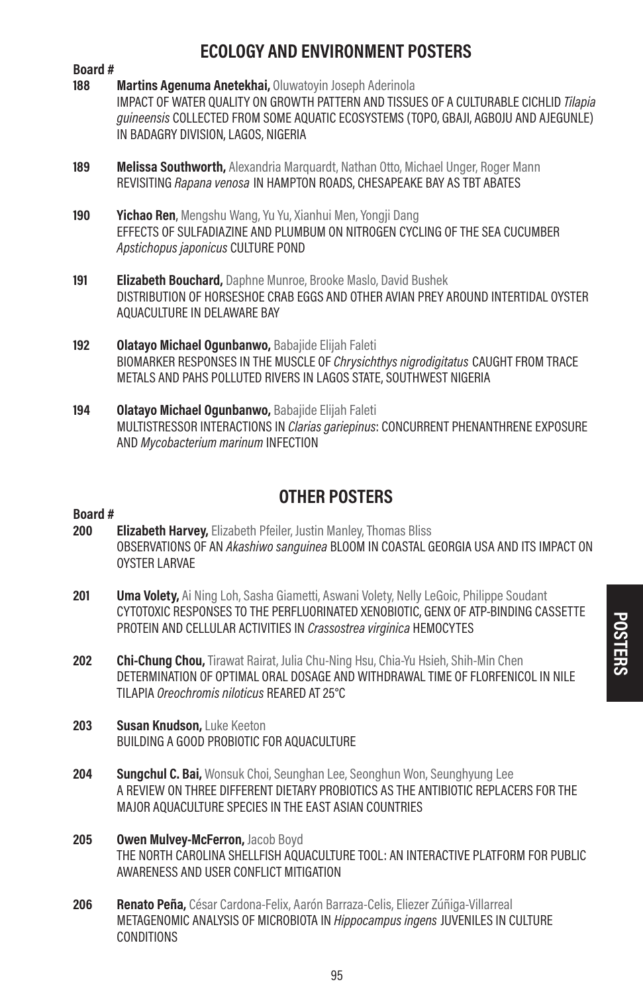# ECOLOGY AND ENVIRONMENT POSTERS

# Board #<br>188

- Martins Agenuma Anetekhai, Oluwatovin Joseph Aderinola IMPACT OF WATER QUALITY ON GROWTH PATTERN AND TISSUES OF A CULTURABLE CICHLID Tilapia guineensis COLLECTED FROM SOME AQUATIC ECOSYSTEMS (TOPO, GBAJI, AGBOJU AND AJEGUNLE) IN BADAGRY DIVISION, LAGOS, NIGERIA
- 189 Melissa Southworth, Alexandria Marquardt, Nathan Otto, Michael Unger, Roger Mann REVISITING Rapana venosa IN HAMPTON ROADS, CHESAPEAKE BAY AS TBT ABATES
- 190 Yichao Ren, Mengshu Wang, Yu Yu, Xianhui Men, Yongii Dang EFFECTS OF SULFADIAZINE AND PLUMBUM ON NITROGEN CYCLING OF THE SEA CUCUMBER Apstichopus japonicus CULTURE POND
- 191 **Elizabeth Bouchard**, Daphne Munroe, Brooke Maslo, David Bushek DISTRIBUTION OF HORSESHOE CRAB EGGS AND OTHER AVIAN PREY AROUND INTERTIDAL OYSTER AQUACULTURE IN DELAWARE BAY
- 192 Olatayo Michael Ogunbanwo, Babajide Elijah Faleti BIOMARKER RESPONSES IN THE MUSCLE OF *Chrysichthys nigrodigitatus* CAUGHT FROM TRACE METALS AND PAHS POLLUTED RIVERS IN LAGOS STATE, SOUTHWEST NIGERIA
- 194 Olatayo Michael Ogunbanwo, Babajide Elijah Faleti MULTISTRESSOR INTERACTIONS IN *Clarias gariepinus*: CONCURRENT PHENANTHRENE EXPOSURE AND Mycobacterium marinum INFECTION

# OTHER POSTERS

- 200 **Elizabeth Harvey,** Elizabeth Pfeiler, Justin Manley, Thomas Bliss OBSERVATIONS OF AN Akashiwo sanguinea BLOOM IN COASTAL GEORGIA USA AND ITS IMPACT ON OYSTER LARVAE
- 201 **Uma Volety,** Ai Ning Loh, Sasha Giametti, Aswani Volety, Nelly LeGoic, Philippe Soudant CYTOTOXIC RESPONSES TO THE PERFLUORINATED XENOBIOTIC, GENX OF ATP-BINDING CASSETTE PROTEIN AND CELLULAR ACTIVITIES IN Crassostrea virginica HEMOCYTES
- 202 Chi-Chung Chou, Tirawat Rairat, Julia Chu-Ning Hsu, Chia-Yu Hsieh, Shih-Min Chen DETERMINATION OF OPTIMAL ORAL DOSAGE AND WITHDRAWAL TIME OF FLORFENICOL IN NILE TILAPIA Oreochromis niloticus REARED AT 25°C
- 203 Susan Knudson, Luke Keeton BUILDING A GOOD PROBIOTIC FOR AQUACULTURE
- **204 Sungchul C. Bai,** Wonsuk Choi, Seunghan Lee, Seonghun Won, Seunghyung Lee A REVIEW ON THREE DIFFERENT DIETARY PROBIOTICS AS THE ANTIBIOTIC REPLACERS FOR THE MAJOR AQUACULTURE SPECIES IN THE EAST ASIAN COUNTRIES
- 205 Owen Mulvey-McFerron, Jacob Boyd THE NORTH CAROLINA SHELLFISH AQUACULTURE TOOL: AN INTERACTIVE PLATFORM FOR PUBLIC AWARENESS AND USER CONFLICT MITIGATION
- 206 Renato Peña, César Cardona-Felix, Aarón Barraza-Celis, Eliezer Zúñiga-Villarreal METAGENOMIC ANALYSIS OF MICROBIOTA IN Hippocampus ingens JUVENILES IN CULTURE **CONDITIONS**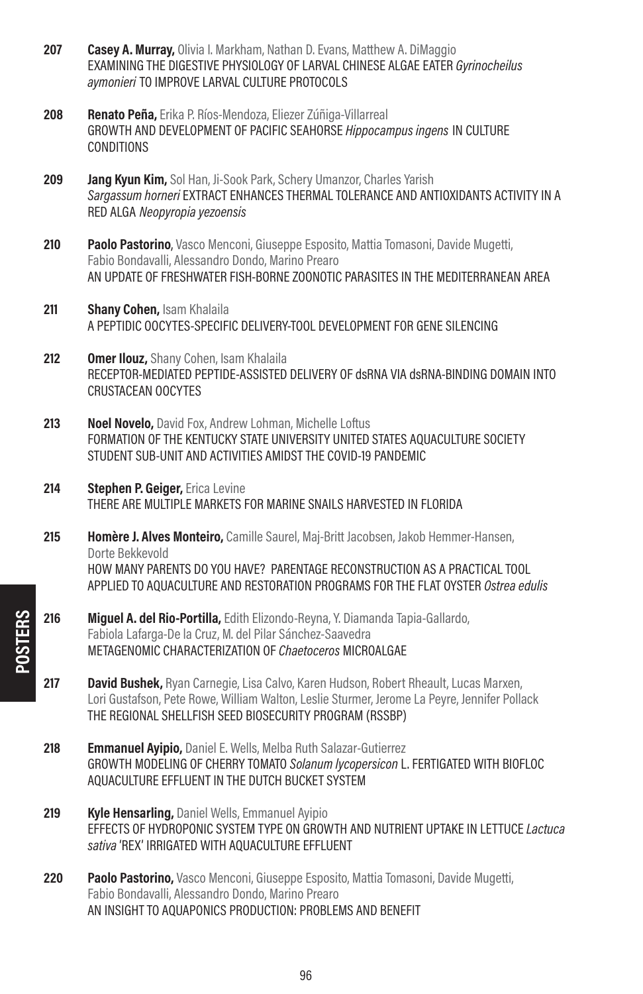- 207 Casey A. Murray, Olivia I. Markham, Nathan D. Evans, Matthew A. DiMaggio EXAMINING THE DIGESTIVE PHYSIOLOGY OF LARVAL CHINESE ALGAE EATER Gyrinocheilus aymonieri TO IMPROVE LARVAL CULTURE PROTOCOLS
- 208 **Renato Peña, Erika P. Ríos-Mendoza, Eliezer Zúñiga-Villarreal** GROWTH AND DEVELOPMENT OF PACIFIC SEAHORSE Hippocampus ingens IN CULTURE **CONDITIONS**
- 209 **Jang Kyun Kim,** Sol Han, Ji-Sook Park, Schery Umanzor, Charles Yarish Sargassum horneri EXTRACT ENHANCES THERMAL TOLERANCE AND ANTIOXIDANTS ACTIVITY IN A RED ALGA Neopyropia yezoensis
- 210 Paolo Pastorino, Vasco Menconi, Giuseppe Esposito, Mattia Tomasoni, Davide Mugetti, Fabio Bondavalli, Alessandro Dondo, Marino Prearo AN UPDATE OF FRESHWATER FISH-BORNE ZOONOTIC PARASITES IN THE MEDITERRANEAN AREA
- 211 **Shany Cohen, Isam Khalaila** A PEPTIDIC OOCYTES-SPECIFIC DELIVERY-TOOL DEVELOPMENT FOR GENE SILENCING
- 212 **Omer Ilouz, Shany Cohen, Isam Khalaila** RECEPTOR-MEDIATED PEPTIDE-ASSISTED DELIVERY OF dsRNA VIA dsRNA-BINDING DOMAIN INTO CRUSTACEAN OOCYTES
- 213 Noel Novelo, David Fox, Andrew Lohman, Michelle Loftus FORMATION OF THE KENTUCKY STATE UNIVERSITY UNITED STATES AQUACULTURE SOCIETY STUDENT SUB-UNIT AND ACTIVITIES AMIDST THE COVID-19 PANDEMIC
- 214 **Stephen P. Geiger, Erica Levine** THERE ARE MULTIPLE MARKETS FOR MARINE SNAILS HARVESTED IN FLORIDA
- 215 Homère J. Alves Monteiro, Camille Saurel, Mai-Britt Jacobsen, Jakob Hemmer-Hansen, Dorte Bekkevold HOW MANY PARENTS DO YOU HAVE? PARENTAGE RECONSTRUCTION AS A PRACTICAL TOOL APPLIED TO AQUACULTURE AND RESTORATION PROGRAMS FOR THE FLAT OYSTER Ostrea edulis
- 216 Miquel A. del Rio-Portilla, Edith Elizondo-Reyna, Y. Diamanda Tapia-Gallardo, Fabiola Lafarga-De la Cruz, M. del Pilar Sánchez-Saavedra METAGENOMIC CHARACTERIZATION OF Chaetoceros MICROALGAE
- 217 David Bushek, Ryan Carnegie, Lisa Calvo, Karen Hudson, Robert Rheault, Lucas Marxen, Lori Gustafson, Pete Rowe, William Walton, Leslie Sturmer, Jerome La Peyre, Jennifer Pollack THE REGIONAL SHELLFISH SEED BIOSECURITY PROGRAM (RSSBP)
- **218 Emmanuel Avipio, Daniel E. Wells, Melba Ruth Salazar-Gutierrez** GROWTH MODELING OF CHERRY TOMATO Solanum lycopersicon L. FERTIGATED WITH BIOFLOC AQUACULTURE EFFLUENT IN THE DUTCH BUCKET SYSTEM
- 219 **Kyle Hensarling, Daniel Wells, Emmanuel Avipio** EFFECTS OF HYDROPONIC SYSTEM TYPE ON GROWTH AND NUTRIENT UPTAKE IN LETTUCE Lactuca sativa 'REX' IRRIGATED WITH AQUACULTURE EFFLUENT
- **220 Paolo Pastorino,** Vasco Menconi, Giuseppe Esposito, Mattia Tomasoni, Davide Mugetti, Fabio Bondavalli, Alessandro Dondo, Marino Prearo AN INSIGHT TO AQUAPONICS PRODUCTION: PROBLEMS AND BENEFIT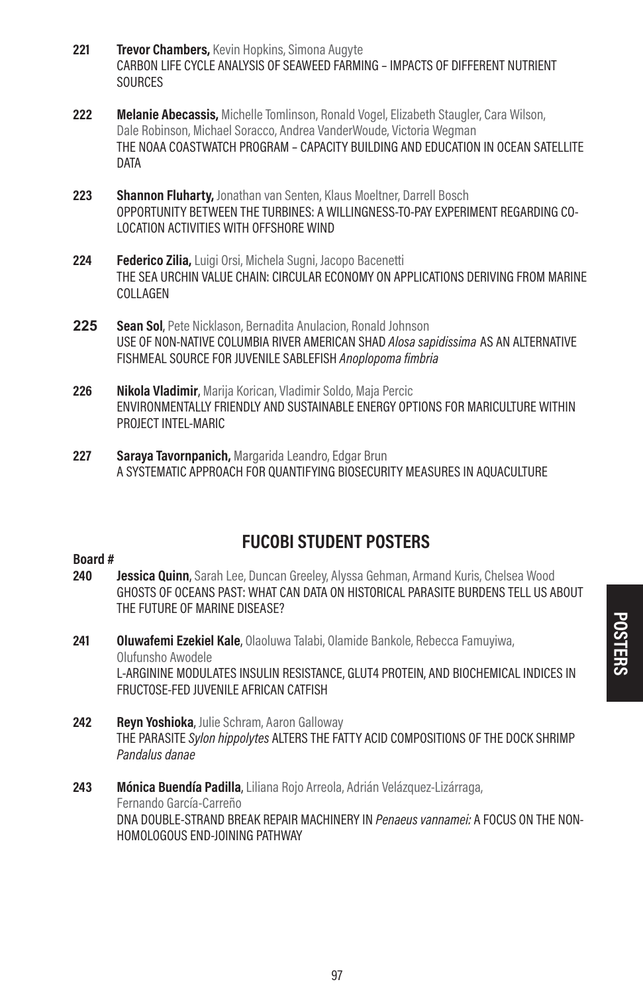- **221 Trevor Chambers, Kevin Hopkins, Simona Augyte** CARBON LIFE CYCLE ANALYSIS OF SEAWEED FARMING – IMPACTS OF DIFFERENT NUTRIENT **SOURCES**
- 222 Melanie Abecassis, Michelle Tomlinson, Ronald Vogel, Elizabeth Staugler, Cara Wilson, Dale Robinson, Michael Soracco, Andrea VanderWoude, Victoria Wegman THE NOAA COASTWATCH PROGRAM – CAPACITY BUILDING AND EDUCATION IN OCEAN SATELLITE DATA
- 223 Shannon Fluharty, Jonathan van Senten, Klaus Moeltner, Darrell Bosch OPPORTUNITY BETWEEN THE TURBINES: A WILLINGNESS-TO-PAY EXPERIMENT REGARDING CO-LOCATION ACTIVITIES WITH OFFSHORE WIND
- 224 **Federico Zilia, Luigi Orsi, Michela Sugni, Jacopo Bacenetti** THE SEA URCHIN VALUE CHAIN: CIRCULAR ECONOMY ON APPLICATIONS DERIVING FROM MARINE COLLAGEN
- **225** Sean Sol, Pete Nicklason, Bernadita Anulacion, Ronald Johnson USE OF NON-NATIVE COLUMBIA RIVER AMERICAN SHAD Alosa sapidissima AS AN ALTERNATIVE FISHMEAL SOURCE FOR JUVENILE SABLEFISH Anoplopoma fimbria
- 226 Nikola Vladimir, Marija Korican, Vladimir Soldo, Maja Percic ENVIRONMENTALLY FRIENDLY AND SUSTAINABLE ENERGY OPTIONS FOR MARICULTURE WITHIN PROJECT INTEL-MARIC
- 227 Saraya Tavornpanich, Margarida Leandro, Edgar Brun A SYSTEMATIC APPROACH FOR QUANTIFYING BIOSECURITY MEASURES IN AQUACULTURE

## FUCOBI STUDENT POSTERS

- 240 **Jessica Quinn**, Sarah Lee, Duncan Greeley, Alyssa Gehman, Armand Kuris, Chelsea Wood GHOSTS OF OCEANS PAST: WHAT CAN DATA ON HISTORICAL PARASITE BURDENS TELL US ABOUT THE FUTURE OF MARINE DISEASE?
- 241 **Oluwafemi Ezekiel Kale,** Olaoluwa Talabi, Olamide Bankole, Rebecca Famuyiwa, Olufunsho Awodele L-ARGININE MODULATES INSULIN RESISTANCE, GLUT4 PROTEIN, AND BIOCHEMICAL INDICES IN FRUCTOSE-FED JUVENILE AFRICAN CATFISH
- 242 Revn Yoshioka, Julie Schram, Aaron Galloway THE PARASITE Sylon hippolytes ALTERS THE FATTY ACID COMPOSITIONS OF THE DOCK SHRIMP Pandalus danae
- 243 Mónica Buendía Padilla, Liliana Rojo Arreola, Adrián Velázquez-Lizárraga, Fernando García-Carreño DNA DOUBLE-STRAND BREAK REPAIR MACHINERY IN Penaeus vannamei: A FOCUS ON THE NON-HOMOLOGOUS END-JOINING PATHWAY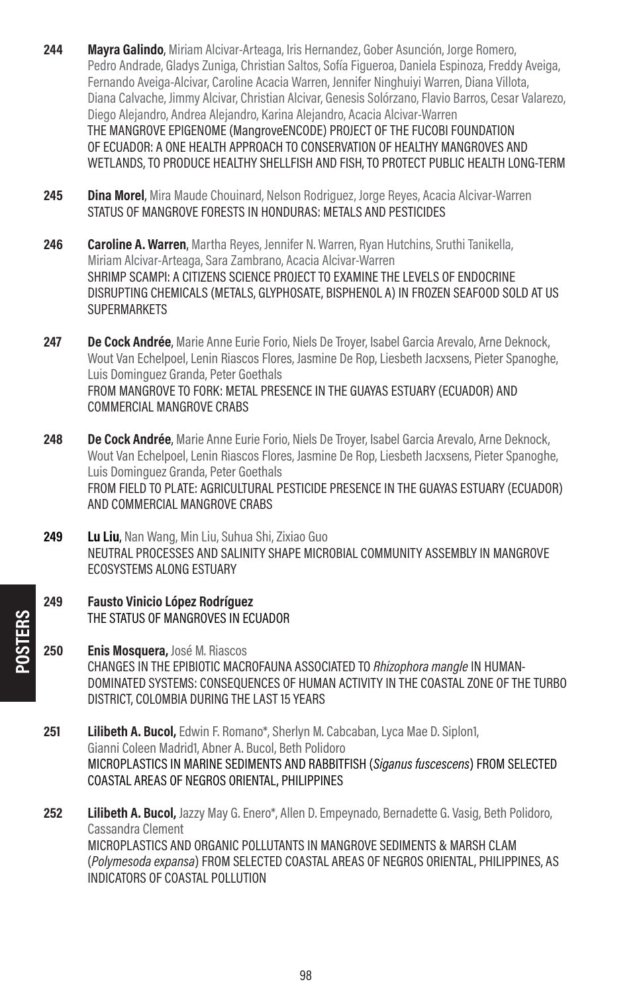- 244 Mayra Galindo, Miriam Alcivar-Arteaga, Iris Hernandez, Gober Asunción, Jorge Romero, Pedro Andrade, Gladys Zuniga, Christian Saltos, Sofía Figueroa, Daniela Espinoza, Freddy Aveiga, Fernando Aveiga-Alcivar, Caroline Acacia Warren, Jennifer Ninghuiyi Warren, Diana Villota, Diana Calvache, Jimmy Alcivar, Christian Alcivar, Genesis Solórzano, Flavio Barros, Cesar Valarezo, Diego Alejandro, Andrea Alejandro, Karina Alejandro, Acacia Alcivar-Warren THE MANGROVE EPIGENOME (MangroveENCODE) PROJECT OF THE FUCOBI FOUNDATION OF ECUADOR: A ONE HEALTH APPROACH TO CONSERVATION OF HEALTHY MANGROVES AND WETLANDS, TO PRODUCE HEALTHY SHELLFISH AND FISH, TO PROTECT PUBLIC HEALTH LONG-TERM
- 245 **Dina Morel**, Mira Maude Chouinard, Nelson Rodriguez, Jorge Reves, Acacia Alcivar-Warren STATUS OF MANGROVE FORESTS IN HONDURAS: METALS AND PESTICIDES
- 246 Caroline A. Warren, Martha Reves, Jennifer N. Warren, Ryan Hutchins, Sruthi Tanikella, Miriam Alcivar-Arteaga, Sara Zambrano, Acacia Alcivar-Warren SHRIMP SCAMPI: A CITIZENS SCIENCE PROJECT TO EXAMINE THE LEVELS OF ENDOCRINE DISRUPTING CHEMICALS (METALS, GLYPHOSATE, BISPHENOL A) IN FROZEN SEAFOOD SOLD AT US **SUPERMARKETS**
- **247 De Cock Andrée,** Marie Anne Eurie Forio, Niels De Troyer, Isabel Garcia Arevalo, Arne Deknock, Wout Van Echelpoel, Lenin Riascos Flores, Jasmine De Rop, Liesbeth Jacxsens, Pieter Spanoghe, Luis Dominguez Granda, Peter Goethals FROM MANGROVE TO FORK: METAL PRESENCE IN THE GUAYAS ESTUARY (ECUADOR) AND COMMERCIAL MANGROVE CRABS
- 248 De Cock Andrée, Marie Anne Eurie Forio, Niels De Trover, Isabel Garcia Arevalo, Arne Deknock, Wout Van Echelpoel, Lenin Riascos Flores, Jasmine De Rop, Liesbeth Jacxsens, Pieter Spanoghe, Luis Dominguez Granda, Peter Goethals FROM FIELD TO PLATE: AGRICULTURAL PESTICIDE PRESENCE IN THE GUAYAS ESTUARY (ECUADOR) AND COMMERCIAL MANGROVE CRABS
- 249 Lu Liu, Nan Wang, Min Liu, Suhua Shi, Zixiao Guo NEUTRAL PROCESSES AND SALINITY SHAPE MICROBIAL COMMUNITY ASSEMBLY IN MANGROVE ECOSYSTEMS ALONG ESTUARY
- 249 Fausto Vinicio López Rodríguez THE STATUS OF MANGROVES IN ECUADOR
- 250 **Enis Mosquera, José M. Riascos** CHANGES IN THE EPIBIOTIC MACROFAUNA ASSOCIATED TO Rhizophora mangle IN HUMAN-DOMINATED SYSTEMS: CONSEQUENCES OF HUMAN ACTIVITY IN THE COASTAL ZONE OF THE TURBO DISTRICT, COLOMBIA DURING THE LAST 15 YEARS
- **251 Lilibeth A. Bucol,** Edwin F. Romano\*, Sherlyn M. Cabcaban, Lyca Mae D. Siplon1, Gianni Coleen Madrid1, Abner A. Bucol, Beth Polidoro MICROPLASTICS IN MARINE SEDIMENTS AND RABBITFISH (Siganus fuscescens) FROM SELECTED COASTAL AREAS OF NEGROS ORIENTAL, PHILIPPINES
- 252 Lilibeth A. Bucol, Jazzy May G. Enero\*, Allen D. Empeynado, Bernadette G. Vasig, Beth Polidoro, Cassandra Clement MICROPLASTICS AND ORGANIC POLLUTANTS IN MANGROVE SEDIMENTS & MARSH CLAM (Polymesoda expansa) FROM SELECTED COASTAL AREAS OF NEGROS ORIENTAL, PHILIPPINES, AS INDICATORS OF COASTAL POLLUTION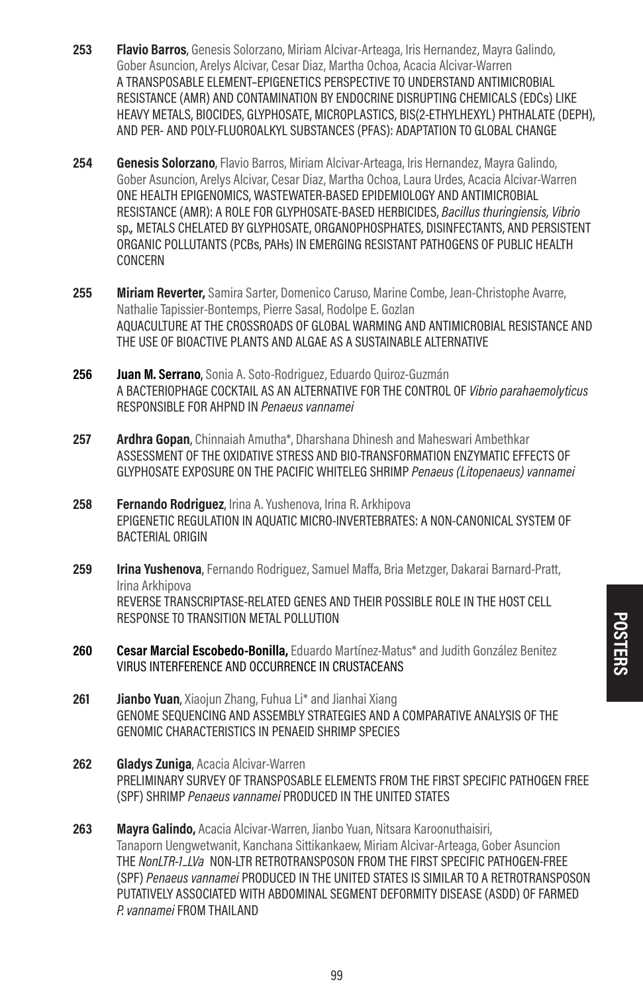- 253 **Flavio Barros**, Genesis Solorzano, Miriam Alcivar-Arteaga, Iris Hernandez, Mayra Galindo, Gober Asuncion, Arelys Alcivar, Cesar Diaz, Martha Ochoa, Acacia Alcivar-Warren A TRANSPOSABLE ELEMENT–EPIGENETICS PERSPECTIVE TO UNDERSTAND ANTIMICROBIAL RESISTANCE (AMR) AND CONTAMINATION BY ENDOCRINE DISRUPTING CHEMICALS (EDCs) LIKE HEAVY METALS, BIOCIDES, GLYPHOSATE, MICROPLASTICS, BIS(2-ETHYLHEXYL) PHTHALATE (DEPH), AND PER- AND POLY-FLUOROALKYL SUBSTANCES (PFAS): ADAPTATION TO GLOBAL CHANGE
- 254 **Genesis Solorzano**, Flavio Barros, Miriam Alcivar-Arteaga, Iris Hernandez, Mayra Galindo, Gober Asuncion, Arelys Alcivar, Cesar Diaz, Martha Ochoa, Laura Urdes, Acacia Alcivar-Warren ONE HEALTH EPIGENOMICS, WASTEWATER-BASED EPIDEMIOLOGY AND ANTIMICROBIAL RESISTANCE (AMR): A ROLE FOR GLYPHOSATE-BASED HERBICIDES, Bacillus thuringiensis, Vibrio sp., METALS CHELATED BY GLYPHOSATE, ORGANOPHOSPHATES, DISINFECTANTS, AND PERSISTENT ORGANIC POLLUTANTS (PCBs, PAHs) IN EMERGING RESISTANT PATHOGENS OF PUBLIC HEALTH CONCERN
- 255 Miriam Reverter, Samira Sarter, Domenico Caruso, Marine Combe, Jean-Christophe Avarre, Nathalie Tapissier-Bontemps, Pierre Sasal, Rodolpe E. Gozlan AQUACULTURE AT THE CROSSROADS OF GLOBAL WARMING AND ANTIMICROBIAL RESISTANCE AND THE USE OF BIOACTIVE PLANTS AND ALGAE AS A SUSTAINABLE ALTERNATIVE
- 256 Juan M. Serrano, Sonia A. Soto-Rodriguez, Eduardo Quiroz-Guzmán A BACTERIOPHAGE COCKTAIL AS AN ALTERNATIVE FOR THE CONTROL OF Vibrio parahaemolyticus RESPONSIBLE FOR AHPND IN Penaeus vannamei
- 257 **Ardhra Gopan**, Chinnaiah Amutha\*, Dharshana Dhinesh and Maheswari Ambethkar ASSESSMENT OF THE OXIDATIVE STRESS AND BIO-TRANSFORMATION ENZYMATIC EFFECTS OF GLYPHOSATE EXPOSURE ON THE PACIFIC WHITELEG SHRIMP Penaeus (Litopenaeus) vannamei
- 258 **Fernando Rodriguez**, Irina A. Yushenova, Irina R. Arkhipova EPIGENETIC REGULATION IN AQUATIC MICRO-INVERTEBRATES: A NON-CANONICAL SYSTEM OF BACTERIAL ORIGIN
- 259 **Irina Yushenova**, Fernando Rodriguez, Samuel Maffa, Bria Metzger, Dakarai Barnard-Pratt, Irina Arkhipova REVERSE TRANSCRIPTASE-RELATED GENES AND THEIR POSSIBLE ROLE IN THE HOST CELL RESPONSE TO TRANSITION METAL POLLUTION
- 260 **Cesar Marcial Escobedo-Bonilla,** Eduardo Martínez-Matus<sup>\*</sup> and Judith González Benitez VIRUS INTERFERENCE AND OCCURRENCE IN CRUSTACEANS
- **261 Jianbo Yuan**, Xiaojun Zhang, Fuhua Li<sup>\*</sup> and Jianhai Xiang GENOME SEQUENCING AND ASSEMBLY STRATEGIES AND A COMPARATIVE ANALYSIS OF THE GENOMIC CHARACTERISTICS IN PENAEID SHRIMP SPECIES
- 262 **Gladys Zuniga**, Acacia Alcivar-Warren PRELIMINARY SURVEY OF TRANSPOSABLE ELEMENTS FROM THE FIRST SPECIFIC PATHOGEN FREE (SPF) SHRIMP Penaeus vannamei PRODUCED IN THE UNITED STATES
- 263 Mayra Galindo, Acacia Alcivar-Warren, Jianbo Yuan, Nitsara Karoonuthaisiri, Tanaporn Uengwetwanit, Kanchana Sittikankaew, Miriam Alcivar-Arteaga, Gober Asuncion THE NonLTR-1–LVa NON-LTR RETROTRANSPOSON FROM THE FIRST SPECIFIC PATHOGEN-FREE (SPF) Penaeus vannamei PRODUCED IN THE UNITED STATES IS SIMILAR TO A RETROTRANSPOSON PUTATIVELY ASSOCIATED WITH ABDOMINAL SEGMENT DEFORMITY DISEASE (ASDD) OF FARMED P. vannamei FROM THAILAND